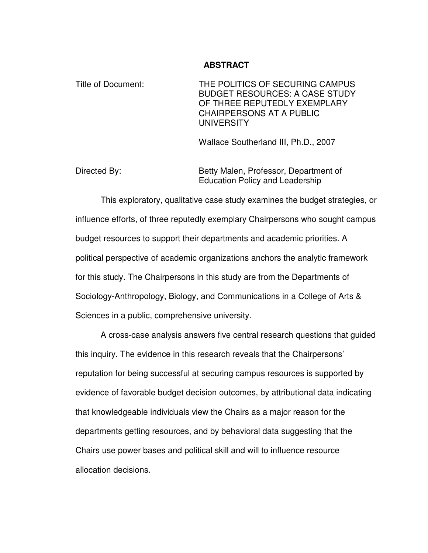#### **ABSTRACT**

Title of Document: THE POLITICS OF SECURING CAMPUS BUDGET RESOURCES: A CASE STUDY OF THREE REPUTEDLY EXEMPLARY CHAIRPERSONS AT A PUBLIC UNIVERSITY

Wallace Southerland III, Ph.D., 2007

Directed By: Betty Malen, Professor, Department of Education Policy and Leadership

This exploratory, qualitative case study examines the budget strategies, or influence efforts, of three reputedly exemplary Chairpersons who sought campus budget resources to support their departments and academic priorities. A political perspective of academic organizations anchors the analytic framework for this study. The Chairpersons in this study are from the Departments of Sociology-Anthropology, Biology, and Communications in a College of Arts & Sciences in a public, comprehensive university.

A cross-case analysis answers five central research questions that guided this inquiry. The evidence in this research reveals that the Chairpersons' reputation for being successful at securing campus resources is supported by evidence of favorable budget decision outcomes, by attributional data indicating that knowledgeable individuals view the Chairs as a major reason for the departments getting resources, and by behavioral data suggesting that the Chairs use power bases and political skill and will to influence resource allocation decisions.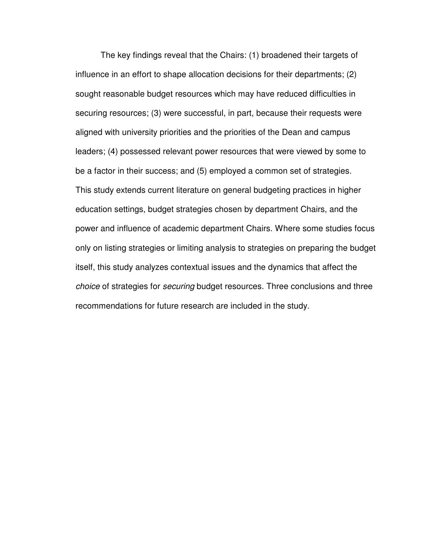The key findings reveal that the Chairs: (1) broadened their targets of influence in an effort to shape allocation decisions for their departments; (2) sought reasonable budget resources which may have reduced difficulties in securing resources; (3) were successful, in part, because their requests were aligned with university priorities and the priorities of the Dean and campus leaders; (4) possessed relevant power resources that were viewed by some to be a factor in their success; and (5) employed a common set of strategies. This study extends current literature on general budgeting practices in higher education settings, budget strategies chosen by department Chairs, and the power and influence of academic department Chairs. Where some studies focus only on listing strategies or limiting analysis to strategies on preparing the budget itself, this study analyzes contextual issues and the dynamics that affect the choice of strategies for securing budget resources. Three conclusions and three recommendations for future research are included in the study.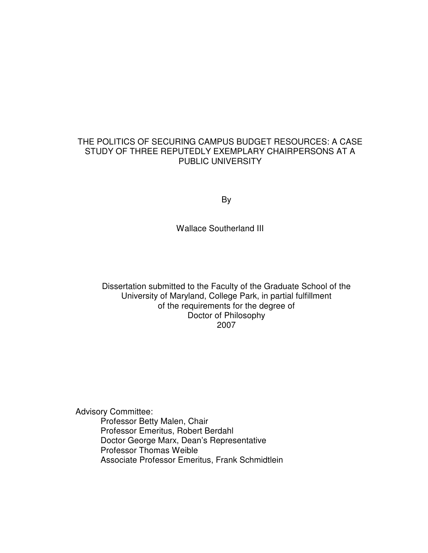## THE POLITICS OF SECURING CAMPUS BUDGET RESOURCES: A CASE STUDY OF THREE REPUTEDLY EXEMPLARY CHAIRPERSONS AT A PUBLIC UNIVERSITY

By

Wallace Southerland III

Dissertation submitted to the Faculty of the Graduate School of the University of Maryland, College Park, in partial fulfillment of the requirements for the degree of Doctor of Philosophy 2007

Advisory Committee:

Professor Betty Malen, Chair Professor Emeritus, Robert Berdahl Doctor George Marx, Dean's Representative Professor Thomas Weible Associate Professor Emeritus, Frank Schmidtlein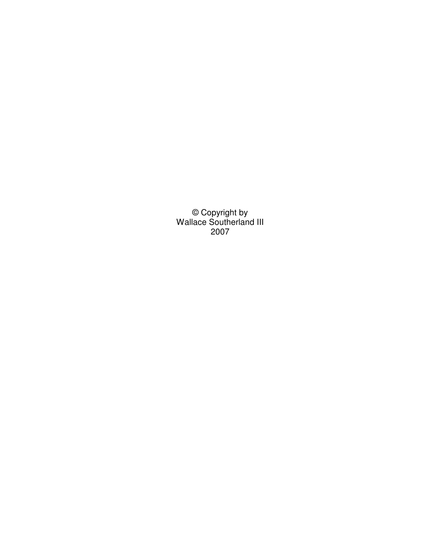© Copyright by Wallace Southerland III 2007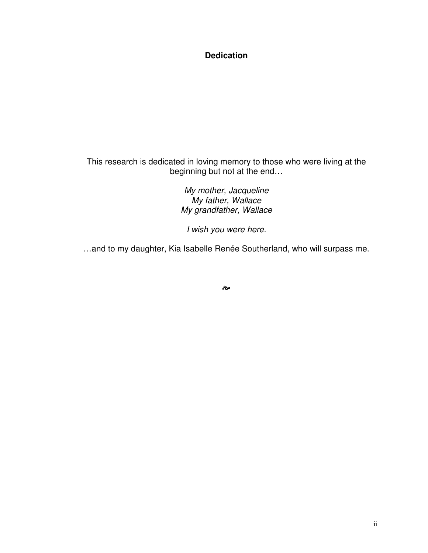## **Dedication**

This research is dedicated in loving memory to those who were living at the beginning but not at the end…

> My mother, Jacqueline My father, Wallace My grandfather, Wallace

I wish you were here.

…and to my daughter, Kia Isabelle Renée Southerland, who will surpass me.

مچ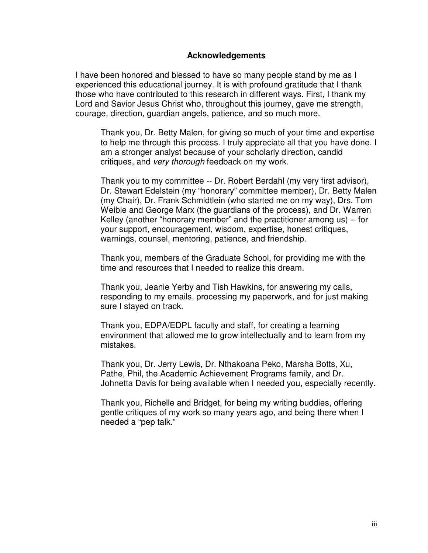#### **Acknowledgements**

I have been honored and blessed to have so many people stand by me as I experienced this educational journey. It is with profound gratitude that I thank those who have contributed to this research in different ways. First, I thank my Lord and Savior Jesus Christ who, throughout this journey, gave me strength, courage, direction, guardian angels, patience, and so much more.

Thank you, Dr. Betty Malen, for giving so much of your time and expertise to help me through this process. I truly appreciate all that you have done. I am a stronger analyst because of your scholarly direction, candid critiques, and very thorough feedback on my work.

Thank you to my committee -- Dr. Robert Berdahl (my very first advisor), Dr. Stewart Edelstein (my "honorary" committee member), Dr. Betty Malen (my Chair), Dr. Frank Schmidtlein (who started me on my way), Drs. Tom Weible and George Marx (the guardians of the process), and Dr. Warren Kelley (another "honorary member" and the practitioner among us) -- for your support, encouragement, wisdom, expertise, honest critiques, warnings, counsel, mentoring, patience, and friendship.

Thank you, members of the Graduate School, for providing me with the time and resources that I needed to realize this dream.

Thank you, Jeanie Yerby and Tish Hawkins, for answering my calls, responding to my emails, processing my paperwork, and for just making sure I stayed on track.

Thank you, EDPA/EDPL faculty and staff, for creating a learning environment that allowed me to grow intellectually and to learn from my mistakes.

Thank you, Dr. Jerry Lewis, Dr. Nthakoana Peko, Marsha Botts, Xu, Pathe, Phil, the Academic Achievement Programs family, and Dr. Johnetta Davis for being available when I needed you, especially recently.

Thank you, Richelle and Bridget, for being my writing buddies, offering gentle critiques of my work so many years ago, and being there when I needed a "pep talk."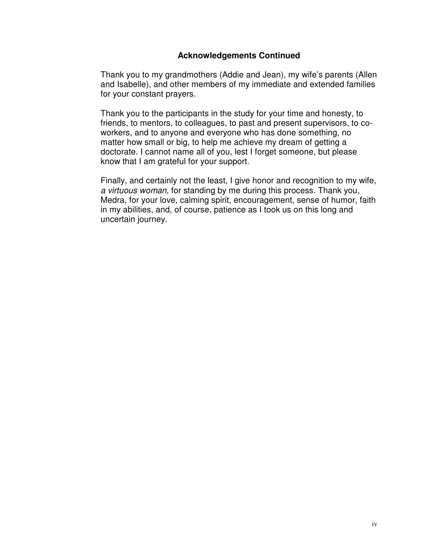### **Acknowledgements Continued**

Thank you to my grandmothers (Addie and Jean), my wife's parents (Allen and Isabelle), and other members of my immediate and extended families for your constant prayers.

Thank you to the participants in the study for your time and honesty, to friends, to mentors, to colleagues, to past and present supervisors, to coworkers, and to anyone and everyone who has done something, no matter how small or big, to help me achieve my dream of getting a doctorate. I cannot name all of you, lest I forget someone, but please know that I am grateful for your support.

Finally, and certainly not the least, I give honor and recognition to my wife, a virtuous woman, for standing by me during this process. Thank you, Medra, for your love, calming spirit, encouragement, sense of humor, faith in my abilities, and, of course, patience as I took us on this long and uncertain journey.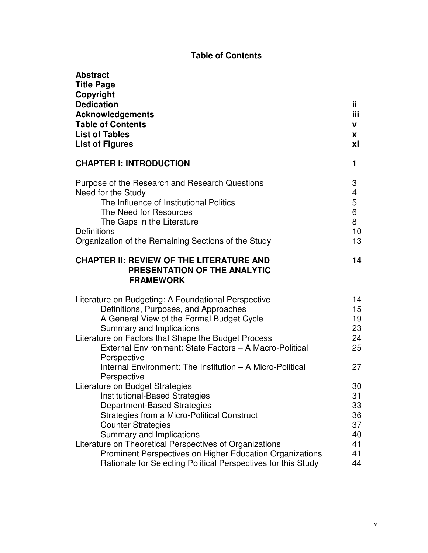# **Table of Contents**

| <b>Abstract</b><br><b>Title Page</b><br>Copyright<br><b>Dedication</b><br><b>Acknowledgements</b><br><b>Table of Contents</b><br><b>List of Tables</b><br><b>List of Figures</b>                                                                                                                                                              | ii.<br><b>iii</b><br>v<br><b>X</b><br>хi      |
|-----------------------------------------------------------------------------------------------------------------------------------------------------------------------------------------------------------------------------------------------------------------------------------------------------------------------------------------------|-----------------------------------------------|
| <b>CHAPTER I: INTRODUCTION</b>                                                                                                                                                                                                                                                                                                                | 1                                             |
| Purpose of the Research and Research Questions<br>Need for the Study<br>The Influence of Institutional Politics<br>The Need for Resources<br>The Gaps in the Literature<br>Definitions<br>Organization of the Remaining Sections of the Study                                                                                                 | 3<br>4<br>5<br>6<br>8<br>10<br>13             |
| <b>CHAPTER II: REVIEW OF THE LITERATURE AND</b><br>PRESENTATION OF THE ANALYTIC<br><b>FRAMEWORK</b>                                                                                                                                                                                                                                           | 14                                            |
| Literature on Budgeting: A Foundational Perspective<br>Definitions, Purposes, and Approaches<br>A General View of the Formal Budget Cycle<br>Summary and Implications<br>Literature on Factors that Shape the Budget Process<br>External Environment: State Factors - A Macro-Political                                                       | 14<br>15 <sub>1</sub><br>19<br>23<br>24<br>25 |
| Perspective<br>Internal Environment: The Institution - A Micro-Political<br>Perspective                                                                                                                                                                                                                                                       | 27                                            |
| Literature on Budget Strategies<br><b>Institutional-Based Strategies</b><br><b>Department-Based Strategies</b><br>Strategies from a Micro-Political Construct<br><b>Counter Strategies</b><br>Summary and Implications<br>Literature on Theoretical Perspectives of Organizations<br>Prominent Perspectives on Higher Education Organizations | 30<br>31<br>33<br>36<br>37<br>40<br>41<br>41  |
| Rationale for Selecting Political Perspectives for this Study                                                                                                                                                                                                                                                                                 | 44                                            |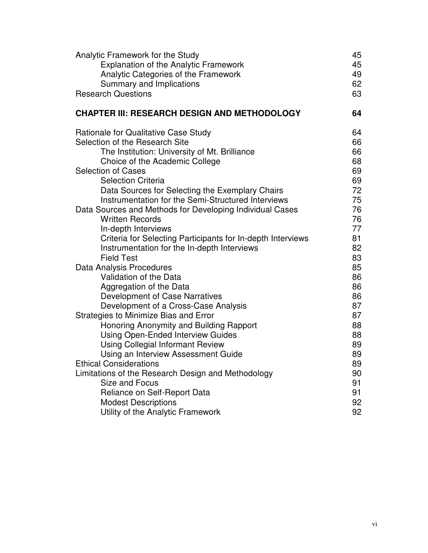| Analytic Framework for the Study<br><b>Explanation of the Analytic Framework</b><br>Analytic Categories of the Framework<br>Summary and Implications<br><b>Research Questions</b> | 45<br>45<br>49<br>62<br>63 |
|-----------------------------------------------------------------------------------------------------------------------------------------------------------------------------------|----------------------------|
| <b>CHAPTER III: RESEARCH DESIGN AND METHODOLOGY</b>                                                                                                                               | 64                         |
| Rationale for Qualitative Case Study                                                                                                                                              | 64                         |
| Selection of the Research Site                                                                                                                                                    | 66                         |
| The Institution: University of Mt. Brilliance                                                                                                                                     | 66                         |
| Choice of the Academic College                                                                                                                                                    | 68                         |
| <b>Selection of Cases</b><br><b>Selection Criteria</b>                                                                                                                            | 69<br>69                   |
| Data Sources for Selecting the Exemplary Chairs                                                                                                                                   | 72                         |
| Instrumentation for the Semi-Structured Interviews                                                                                                                                | 75                         |
| Data Sources and Methods for Developing Individual Cases                                                                                                                          | 76                         |
| <b>Written Records</b>                                                                                                                                                            | 76                         |
| In-depth Interviews                                                                                                                                                               | 77                         |
| Criteria for Selecting Participants for In-depth Interviews                                                                                                                       | 81                         |
| Instrumentation for the In-depth Interviews                                                                                                                                       | 82                         |
| <b>Field Test</b>                                                                                                                                                                 | 83                         |
| Data Analysis Procedures                                                                                                                                                          | 85                         |
| Validation of the Data                                                                                                                                                            | 86                         |
| Aggregation of the Data                                                                                                                                                           | 86                         |
| Development of Case Narratives                                                                                                                                                    | 86                         |
| Development of a Cross-Case Analysis                                                                                                                                              | 87                         |
| Strategies to Minimize Bias and Error                                                                                                                                             | 87<br>88                   |
| Honoring Anonymity and Building Rapport<br><b>Using Open-Ended Interview Guides</b>                                                                                               | 88                         |
| <b>Using Collegial Informant Review</b>                                                                                                                                           | 89                         |
| Using an Interview Assessment Guide                                                                                                                                               | 89                         |
| <b>Ethical Considerations</b>                                                                                                                                                     | 89                         |
| Limitations of the Research Design and Methodology                                                                                                                                | 90                         |
| Size and Focus                                                                                                                                                                    | 91                         |
| Reliance on Self-Report Data                                                                                                                                                      | 91                         |
| <b>Modest Descriptions</b>                                                                                                                                                        | 92                         |
| Utility of the Analytic Framework                                                                                                                                                 | 92                         |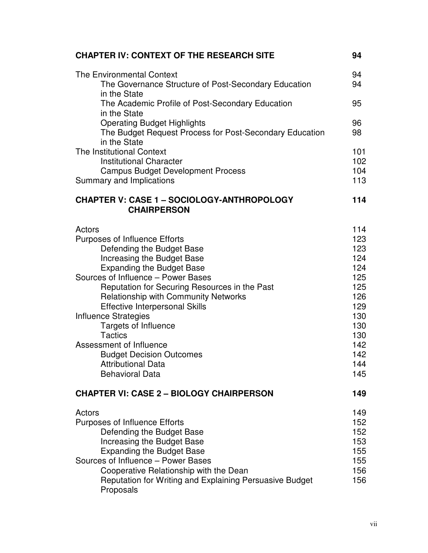| <b>CHAPTER IV: CONTEXT OF THE RESEARCH SITE</b>                                                                                                                                                                                                                                                                                                                                                                                                                                                                            | 94                                                                                                           |
|----------------------------------------------------------------------------------------------------------------------------------------------------------------------------------------------------------------------------------------------------------------------------------------------------------------------------------------------------------------------------------------------------------------------------------------------------------------------------------------------------------------------------|--------------------------------------------------------------------------------------------------------------|
| <b>The Environmental Context</b><br>The Governance Structure of Post-Secondary Education<br>in the State                                                                                                                                                                                                                                                                                                                                                                                                                   | 94<br>94                                                                                                     |
| The Academic Profile of Post-Secondary Education<br>in the State                                                                                                                                                                                                                                                                                                                                                                                                                                                           | 95                                                                                                           |
| <b>Operating Budget Highlights</b><br>The Budget Request Process for Post-Secondary Education<br>in the State                                                                                                                                                                                                                                                                                                                                                                                                              | 96<br>98                                                                                                     |
| The Institutional Context<br>Institutional Character<br><b>Campus Budget Development Process</b>                                                                                                                                                                                                                                                                                                                                                                                                                           | 101<br>102<br>104                                                                                            |
| Summary and Implications                                                                                                                                                                                                                                                                                                                                                                                                                                                                                                   | 113                                                                                                          |
| <b>CHAPTER V: CASE 1 - SOCIOLOGY-ANTHROPOLOGY</b><br><b>CHAIRPERSON</b>                                                                                                                                                                                                                                                                                                                                                                                                                                                    | 114                                                                                                          |
| Actors<br><b>Purposes of Influence Efforts</b><br>Defending the Budget Base<br>Increasing the Budget Base<br><b>Expanding the Budget Base</b><br>Sources of Influence - Power Bases<br>Reputation for Securing Resources in the Past<br>Relationship with Community Networks<br><b>Effective Interpersonal Skills</b><br><b>Influence Strategies</b><br><b>Targets of Influence</b><br><b>Tactics</b><br>Assessment of Influence<br><b>Budget Decision Outcomes</b><br><b>Attributional Data</b><br><b>Behavioral Data</b> | 114<br>123<br>123<br>124<br>124<br>125<br>125<br>126<br>129<br>130<br>130<br>130<br>142<br>142<br>144<br>145 |
| <b>CHAPTER VI: CASE 2 - BIOLOGY CHAIRPERSON</b>                                                                                                                                                                                                                                                                                                                                                                                                                                                                            | 149                                                                                                          |
| Actors<br><b>Purposes of Influence Efforts</b><br>Defending the Budget Base<br>Increasing the Budget Base<br><b>Expanding the Budget Base</b><br>Sources of Influence - Power Bases<br>Cooperative Relationship with the Dean<br>Reputation for Writing and Explaining Persuasive Budget<br>Proposals                                                                                                                                                                                                                      | 149<br>152<br>152<br>153<br>155<br>155<br>156<br>156                                                         |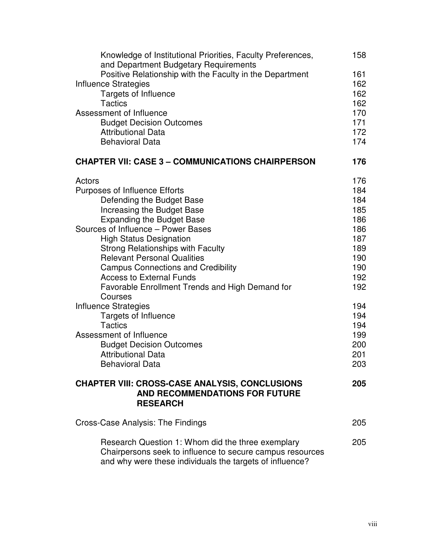| Knowledge of Institutional Priorities, Faculty Preferences,<br>and Department Budgetary Requirements                  | 158        |
|-----------------------------------------------------------------------------------------------------------------------|------------|
| Positive Relationship with the Faculty in the Department                                                              | 161        |
| Influence Strategies                                                                                                  | 162        |
| <b>Targets of Influence</b>                                                                                           | 162        |
| <b>Tactics</b>                                                                                                        | 162        |
| Assessment of Influence                                                                                               | 170        |
| <b>Budget Decision Outcomes</b>                                                                                       | 171        |
| <b>Attributional Data</b>                                                                                             | 172        |
| <b>Behavioral Data</b>                                                                                                | 174        |
| <b>CHAPTER VII: CASE 3 - COMMUNICATIONS CHAIRPERSON</b>                                                               | 176        |
| Actors                                                                                                                | 176        |
| <b>Purposes of Influence Efforts</b>                                                                                  | 184        |
| Defending the Budget Base                                                                                             | 184        |
| Increasing the Budget Base                                                                                            | 185        |
| <b>Expanding the Budget Base</b>                                                                                      | 186        |
| Sources of Influence - Power Bases                                                                                    | 186        |
| <b>High Status Designation</b><br>Strong Relationships with Faculty                                                   | 187<br>189 |
| <b>Relevant Personal Qualities</b>                                                                                    | 190        |
| <b>Campus Connections and Credibility</b>                                                                             | 190        |
| <b>Access to External Funds</b>                                                                                       | 192        |
| Favorable Enrollment Trends and High Demand for                                                                       | 192        |
| Courses                                                                                                               |            |
| Influence Strategies                                                                                                  | 194        |
| Targets of Influence                                                                                                  | 194        |
| <b>Tactics</b>                                                                                                        | 194        |
| Assessment of Influence                                                                                               | 199        |
| <b>Budget Decision Outcomes</b>                                                                                       | 200        |
| <b>Attributional Data</b>                                                                                             | 201        |
| <b>Behavioral Data</b>                                                                                                | 203        |
| <b>CHAPTER VIII: CROSS-CASE ANALYSIS, CONCLUSIONS</b>                                                                 | 205        |
| <b>AND RECOMMENDATIONS FOR FUTURE</b><br><b>RESEARCH</b>                                                              |            |
| Cross-Case Analysis: The Findings                                                                                     | 205        |
|                                                                                                                       |            |
| Research Question 1: Whom did the three exemplary                                                                     | 205        |
| Chairpersons seek to influence to secure campus resources<br>and why were these individuals the targets of influence? |            |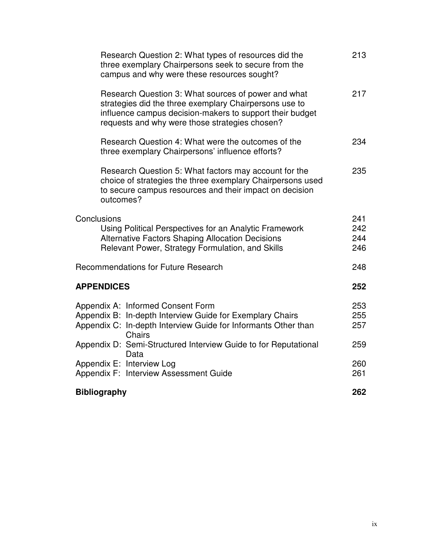| Research Question 2: What types of resources did the<br>three exemplary Chairpersons seek to secure from the<br>campus and why were these resources sought?                                                                 | 213                      |
|-----------------------------------------------------------------------------------------------------------------------------------------------------------------------------------------------------------------------------|--------------------------|
| Research Question 3: What sources of power and what<br>strategies did the three exemplary Chairpersons use to<br>influence campus decision-makers to support their budget<br>requests and why were those strategies chosen? | 217                      |
| Research Question 4: What were the outcomes of the<br>three exemplary Chairpersons' influence efforts?                                                                                                                      | 234                      |
| Research Question 5: What factors may account for the<br>choice of strategies the three exemplary Chairpersons used<br>to secure campus resources and their impact on decision<br>outcomes?                                 | 235                      |
| Conclusions<br>Using Political Perspectives for an Analytic Framework<br><b>Alternative Factors Shaping Allocation Decisions</b><br>Relevant Power, Strategy Formulation, and Skills                                        | 241<br>242<br>244<br>246 |
| <b>Recommendations for Future Research</b>                                                                                                                                                                                  | 248                      |
| <b>APPENDICES</b>                                                                                                                                                                                                           | 252                      |
| Appendix A: Informed Consent Form<br>Appendix B: In-depth Interview Guide for Exemplary Chairs<br>Appendix C: In-depth Interview Guide for Informants Other than<br><b>Chairs</b>                                           | 253<br>255<br>257        |
| Appendix D: Semi-Structured Interview Guide to for Reputational<br>Data                                                                                                                                                     | 259                      |
| Appendix E: Interview Log<br>Appendix F: Interview Assessment Guide                                                                                                                                                         | 260<br>261               |
| <b>Bibliography</b>                                                                                                                                                                                                         | 262                      |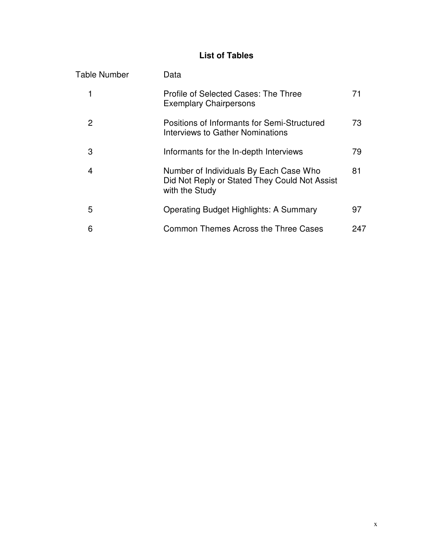# **List of Tables**

| <b>Table Number</b> | Data                                                                                                      |     |
|---------------------|-----------------------------------------------------------------------------------------------------------|-----|
|                     | Profile of Selected Cases: The Three<br><b>Exemplary Chairpersons</b>                                     | 71  |
| 2                   | Positions of Informants for Semi-Structured<br><b>Interviews to Gather Nominations</b>                    | 73  |
| 3                   | Informants for the In-depth Interviews                                                                    | 79  |
| 4                   | Number of Individuals By Each Case Who<br>Did Not Reply or Stated They Could Not Assist<br>with the Study | 81  |
| 5                   | <b>Operating Budget Highlights: A Summary</b>                                                             | 97  |
| 6                   | Common Themes Across the Three Cases                                                                      | 247 |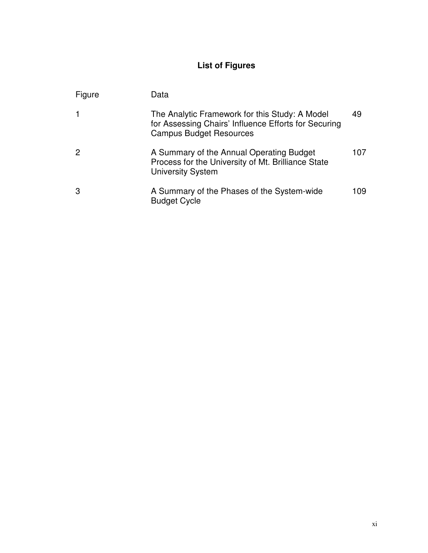# **List of Figures**

| Figure | Data                                                                                                                                     |     |
|--------|------------------------------------------------------------------------------------------------------------------------------------------|-----|
|        | The Analytic Framework for this Study: A Model<br>for Assessing Chairs' Influence Efforts for Securing<br><b>Campus Budget Resources</b> | 49  |
| 2      | A Summary of the Annual Operating Budget<br>Process for the University of Mt. Brilliance State<br><b>University System</b>               | 107 |
| 3      | A Summary of the Phases of the System-wide<br><b>Budget Cycle</b>                                                                        | 109 |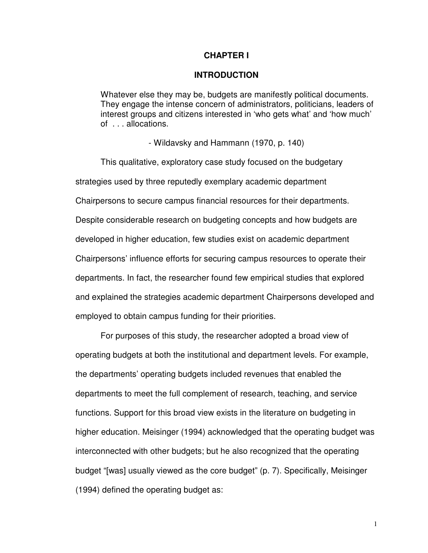#### **CHAPTER I**

#### **INTRODUCTION**

Whatever else they may be, budgets are manifestly political documents. They engage the intense concern of administrators, politicians, leaders of interest groups and citizens interested in 'who gets what' and 'how much' of . . . allocations.

- Wildavsky and Hammann (1970, p. 140)

 This qualitative, exploratory case study focused on the budgetary strategies used by three reputedly exemplary academic department Chairpersons to secure campus financial resources for their departments. Despite considerable research on budgeting concepts and how budgets are developed in higher education, few studies exist on academic department Chairpersons' influence efforts for securing campus resources to operate their departments. In fact, the researcher found few empirical studies that explored and explained the strategies academic department Chairpersons developed and employed to obtain campus funding for their priorities.

For purposes of this study, the researcher adopted a broad view of operating budgets at both the institutional and department levels. For example, the departments' operating budgets included revenues that enabled the departments to meet the full complement of research, teaching, and service functions. Support for this broad view exists in the literature on budgeting in higher education. Meisinger (1994) acknowledged that the operating budget was interconnected with other budgets; but he also recognized that the operating budget "[was] usually viewed as the core budget" (p. 7). Specifically, Meisinger (1994) defined the operating budget as: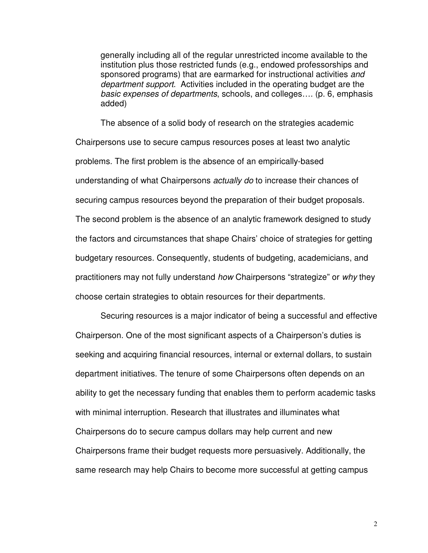generally including all of the regular unrestricted income available to the institution plus those restricted funds (e.g., endowed professorships and sponsored programs) that are earmarked for instructional activities and department support. Activities included in the operating budget are the basic expenses of departments, schools, and colleges…. (p. 6, emphasis added)

The absence of a solid body of research on the strategies academic Chairpersons use to secure campus resources poses at least two analytic problems. The first problem is the absence of an empirically-based understanding of what Chairpersons *actually do* to increase their chances of securing campus resources beyond the preparation of their budget proposals. The second problem is the absence of an analytic framework designed to study the factors and circumstances that shape Chairs' choice of strategies for getting budgetary resources. Consequently, students of budgeting, academicians, and practitioners may not fully understand how Chairpersons "strategize" or why they choose certain strategies to obtain resources for their departments.

Securing resources is a major indicator of being a successful and effective Chairperson. One of the most significant aspects of a Chairperson's duties is seeking and acquiring financial resources, internal or external dollars, to sustain department initiatives. The tenure of some Chairpersons often depends on an ability to get the necessary funding that enables them to perform academic tasks with minimal interruption. Research that illustrates and illuminates what Chairpersons do to secure campus dollars may help current and new Chairpersons frame their budget requests more persuasively. Additionally, the same research may help Chairs to become more successful at getting campus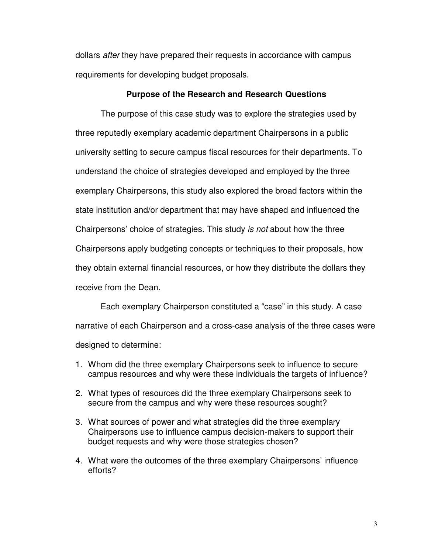dollars after they have prepared their requests in accordance with campus requirements for developing budget proposals.

#### **Purpose of the Research and Research Questions**

 The purpose of this case study was to explore the strategies used by three reputedly exemplary academic department Chairpersons in a public university setting to secure campus fiscal resources for their departments. To understand the choice of strategies developed and employed by the three exemplary Chairpersons, this study also explored the broad factors within the state institution and/or department that may have shaped and influenced the Chairpersons' choice of strategies. This study is not about how the three Chairpersons apply budgeting concepts or techniques to their proposals, how they obtain external financial resources, or how they distribute the dollars they receive from the Dean.

Each exemplary Chairperson constituted a "case" in this study. A case narrative of each Chairperson and a cross-case analysis of the three cases were designed to determine:

- 1. Whom did the three exemplary Chairpersons seek to influence to secure campus resources and why were these individuals the targets of influence?
- 2. What types of resources did the three exemplary Chairpersons seek to secure from the campus and why were these resources sought?
- 3. What sources of power and what strategies did the three exemplary Chairpersons use to influence campus decision-makers to support their budget requests and why were those strategies chosen?
- 4. What were the outcomes of the three exemplary Chairpersons' influence efforts?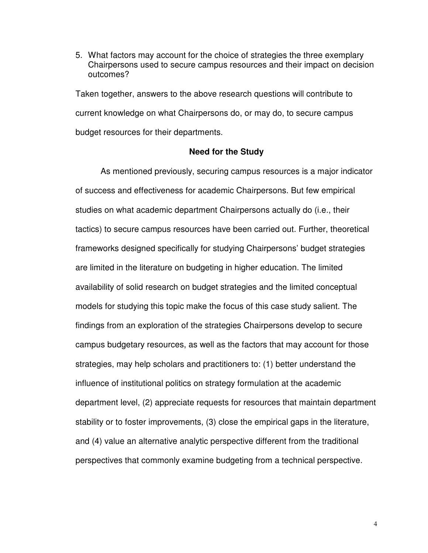5. What factors may account for the choice of strategies the three exemplary Chairpersons used to secure campus resources and their impact on decision outcomes?

Taken together, answers to the above research questions will contribute to current knowledge on what Chairpersons do, or may do, to secure campus budget resources for their departments.

#### **Need for the Study**

 As mentioned previously, securing campus resources is a major indicator of success and effectiveness for academic Chairpersons. But few empirical studies on what academic department Chairpersons actually do (i.e., their tactics) to secure campus resources have been carried out. Further, theoretical frameworks designed specifically for studying Chairpersons' budget strategies are limited in the literature on budgeting in higher education. The limited availability of solid research on budget strategies and the limited conceptual models for studying this topic make the focus of this case study salient. The findings from an exploration of the strategies Chairpersons develop to secure campus budgetary resources, as well as the factors that may account for those strategies, may help scholars and practitioners to: (1) better understand the influence of institutional politics on strategy formulation at the academic department level, (2) appreciate requests for resources that maintain department stability or to foster improvements, (3) close the empirical gaps in the literature, and (4) value an alternative analytic perspective different from the traditional perspectives that commonly examine budgeting from a technical perspective.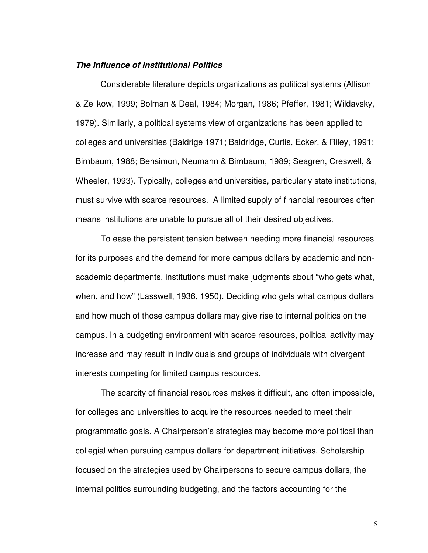#### **The Influence of Institutional Politics**

 Considerable literature depicts organizations as political systems (Allison & Zelikow, 1999; Bolman & Deal, 1984; Morgan, 1986; Pfeffer, 1981; Wildavsky, 1979). Similarly, a political systems view of organizations has been applied to colleges and universities (Baldrige 1971; Baldridge, Curtis, Ecker, & Riley, 1991; Birnbaum, 1988; Bensimon, Neumann & Birnbaum, 1989; Seagren, Creswell, & Wheeler, 1993). Typically, colleges and universities, particularly state institutions, must survive with scarce resources. A limited supply of financial resources often means institutions are unable to pursue all of their desired objectives.

To ease the persistent tension between needing more financial resources for its purposes and the demand for more campus dollars by academic and nonacademic departments, institutions must make judgments about "who gets what, when, and how" (Lasswell, 1936, 1950). Deciding who gets what campus dollars and how much of those campus dollars may give rise to internal politics on the campus. In a budgeting environment with scarce resources, political activity may increase and may result in individuals and groups of individuals with divergent interests competing for limited campus resources.

 The scarcity of financial resources makes it difficult, and often impossible, for colleges and universities to acquire the resources needed to meet their programmatic goals. A Chairperson's strategies may become more political than collegial when pursuing campus dollars for department initiatives. Scholarship focused on the strategies used by Chairpersons to secure campus dollars, the internal politics surrounding budgeting, and the factors accounting for the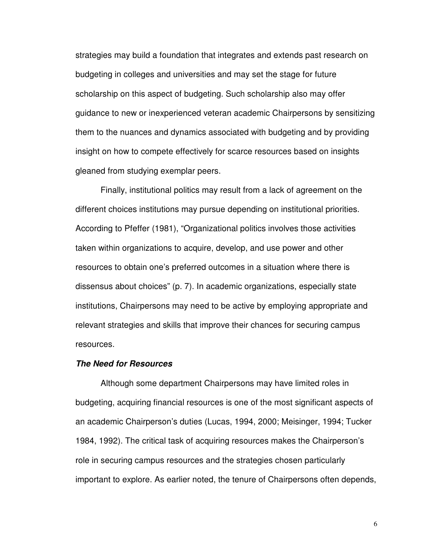strategies may build a foundation that integrates and extends past research on budgeting in colleges and universities and may set the stage for future scholarship on this aspect of budgeting. Such scholarship also may offer guidance to new or inexperienced veteran academic Chairpersons by sensitizing them to the nuances and dynamics associated with budgeting and by providing insight on how to compete effectively for scarce resources based on insights gleaned from studying exemplar peers.

 Finally, institutional politics may result from a lack of agreement on the different choices institutions may pursue depending on institutional priorities. According to Pfeffer (1981), "Organizational politics involves those activities taken within organizations to acquire, develop, and use power and other resources to obtain one's preferred outcomes in a situation where there is dissensus about choices" (p. 7). In academic organizations, especially state institutions, Chairpersons may need to be active by employing appropriate and relevant strategies and skills that improve their chances for securing campus resources.

#### **The Need for Resources**

 Although some department Chairpersons may have limited roles in budgeting, acquiring financial resources is one of the most significant aspects of an academic Chairperson's duties (Lucas, 1994, 2000; Meisinger, 1994; Tucker 1984, 1992). The critical task of acquiring resources makes the Chairperson's role in securing campus resources and the strategies chosen particularly important to explore. As earlier noted, the tenure of Chairpersons often depends,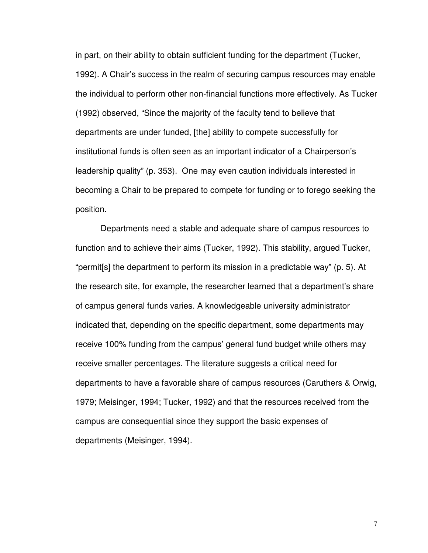in part, on their ability to obtain sufficient funding for the department (Tucker, 1992). A Chair's success in the realm of securing campus resources may enable the individual to perform other non-financial functions more effectively. As Tucker (1992) observed, "Since the majority of the faculty tend to believe that departments are under funded, [the] ability to compete successfully for institutional funds is often seen as an important indicator of a Chairperson's leadership quality" (p. 353). One may even caution individuals interested in becoming a Chair to be prepared to compete for funding or to forego seeking the position.

 Departments need a stable and adequate share of campus resources to function and to achieve their aims (Tucker, 1992). This stability, argued Tucker, "permit[s] the department to perform its mission in a predictable way" (p. 5). At the research site, for example, the researcher learned that a department's share of campus general funds varies. A knowledgeable university administrator indicated that, depending on the specific department, some departments may receive 100% funding from the campus' general fund budget while others may receive smaller percentages. The literature suggests a critical need for departments to have a favorable share of campus resources (Caruthers & Orwig, 1979; Meisinger, 1994; Tucker, 1992) and that the resources received from the campus are consequential since they support the basic expenses of departments (Meisinger, 1994).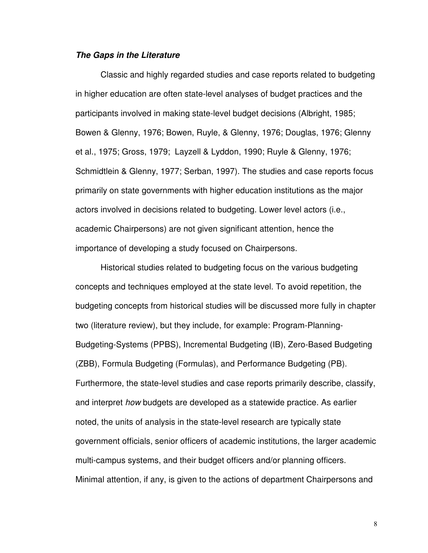#### **The Gaps in the Literature**

 Classic and highly regarded studies and case reports related to budgeting in higher education are often state-level analyses of budget practices and the participants involved in making state-level budget decisions (Albright, 1985; Bowen & Glenny, 1976; Bowen, Ruyle, & Glenny, 1976; Douglas, 1976; Glenny et al., 1975; Gross, 1979; Layzell & Lyddon, 1990; Ruyle & Glenny, 1976; Schmidtlein & Glenny, 1977; Serban, 1997). The studies and case reports focus primarily on state governments with higher education institutions as the major actors involved in decisions related to budgeting. Lower level actors (i.e., academic Chairpersons) are not given significant attention, hence the importance of developing a study focused on Chairpersons.

 Historical studies related to budgeting focus on the various budgeting concepts and techniques employed at the state level. To avoid repetition, the budgeting concepts from historical studies will be discussed more fully in chapter two (literature review), but they include, for example: Program-Planning-Budgeting-Systems (PPBS), Incremental Budgeting (IB), Zero-Based Budgeting (ZBB), Formula Budgeting (Formulas), and Performance Budgeting (PB). Furthermore, the state-level studies and case reports primarily describe, classify, and interpret how budgets are developed as a statewide practice. As earlier noted, the units of analysis in the state-level research are typically state government officials, senior officers of academic institutions, the larger academic multi-campus systems, and their budget officers and/or planning officers. Minimal attention, if any, is given to the actions of department Chairpersons and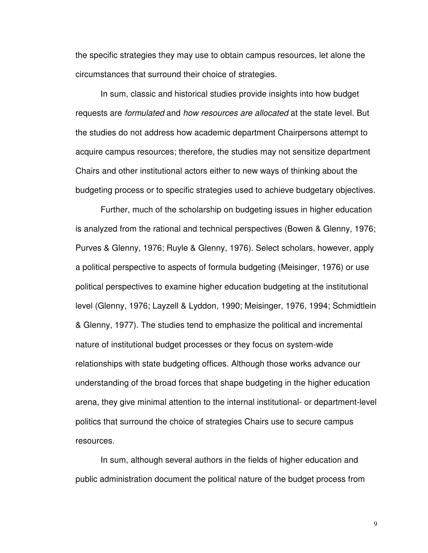the specific strategies they may use to obtain campus resources, let alone the circumstances that surround their choice of strategies.

 In sum, classic and historical studies provide insights into how budget requests are formulated and how resources are allocated at the state level. But the studies do not address how academic department Chairpersons attempt to acquire campus resources; therefore, the studies may not sensitize department Chairs and other institutional actors either to new ways of thinking about the budgeting process or to specific strategies used to achieve budgetary objectives.

 Further, much of the scholarship on budgeting issues in higher education is analyzed from the rational and technical perspectives (Bowen & Glenny, 1976; Purves & Glenny, 1976; Ruyle & Glenny, 1976). Select scholars, however, apply a political perspective to aspects of formula budgeting (Meisinger, 1976) or use political perspectives to examine higher education budgeting at the institutional level (Glenny, 1976; Layzell & Lyddon, 1990; Meisinger, 1976, 1994; Schmidtlein & Glenny, 1977). The studies tend to emphasize the political and incremental nature of institutional budget processes or they focus on system-wide relationships with state budgeting offices. Although those works advance our understanding of the broad forces that shape budgeting in the higher education arena, they give minimal attention to the internal institutional- or department-level politics that surround the choice of strategies Chairs use to secure campus resources.

 In sum, although several authors in the fields of higher education and public administration document the political nature of the budget process from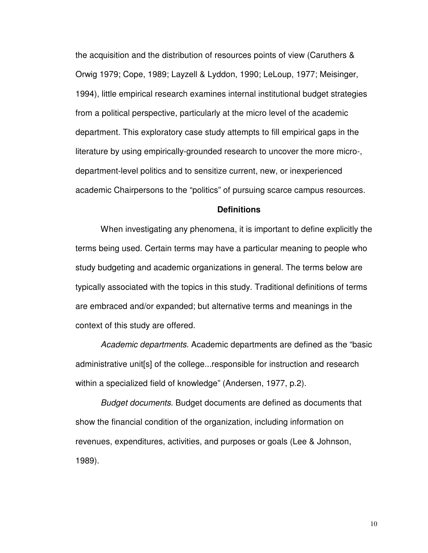the acquisition and the distribution of resources points of view (Caruthers & Orwig 1979; Cope, 1989; Layzell & Lyddon, 1990; LeLoup, 1977; Meisinger, 1994), little empirical research examines internal institutional budget strategies from a political perspective, particularly at the micro level of the academic department. This exploratory case study attempts to fill empirical gaps in the literature by using empirically-grounded research to uncover the more micro-, department-level politics and to sensitize current, new, or inexperienced academic Chairpersons to the "politics" of pursuing scarce campus resources.

#### **Definitions**

When investigating any phenomena, it is important to define explicitly the terms being used. Certain terms may have a particular meaning to people who study budgeting and academic organizations in general. The terms below are typically associated with the topics in this study. Traditional definitions of terms are embraced and/or expanded; but alternative terms and meanings in the context of this study are offered.

Academic departments. Academic departments are defined as the "basic administrative unit[s] of the college...responsible for instruction and research within a specialized field of knowledge" (Andersen, 1977, p.2).

Budget documents. Budget documents are defined as documents that show the financial condition of the organization, including information on revenues, expenditures, activities, and purposes or goals (Lee & Johnson, 1989).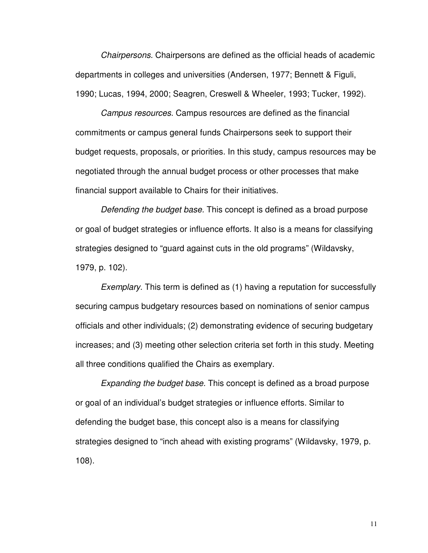Chairpersons. Chairpersons are defined as the official heads of academic departments in colleges and universities (Andersen, 1977; Bennett & Figuli, 1990; Lucas, 1994, 2000; Seagren, Creswell & Wheeler, 1993; Tucker, 1992).

Campus resources. Campus resources are defined as the financial commitments or campus general funds Chairpersons seek to support their budget requests, proposals, or priorities. In this study, campus resources may be negotiated through the annual budget process or other processes that make financial support available to Chairs for their initiatives.

Defending the budget base. This concept is defined as a broad purpose or goal of budget strategies or influence efforts. It also is a means for classifying strategies designed to "guard against cuts in the old programs" (Wildavsky, 1979, p. 102).

Exemplary. This term is defined as (1) having a reputation for successfully securing campus budgetary resources based on nominations of senior campus officials and other individuals; (2) demonstrating evidence of securing budgetary increases; and (3) meeting other selection criteria set forth in this study. Meeting all three conditions qualified the Chairs as exemplary.

Expanding the budget base. This concept is defined as a broad purpose or goal of an individual's budget strategies or influence efforts. Similar to defending the budget base, this concept also is a means for classifying strategies designed to "inch ahead with existing programs" (Wildavsky, 1979, p. 108).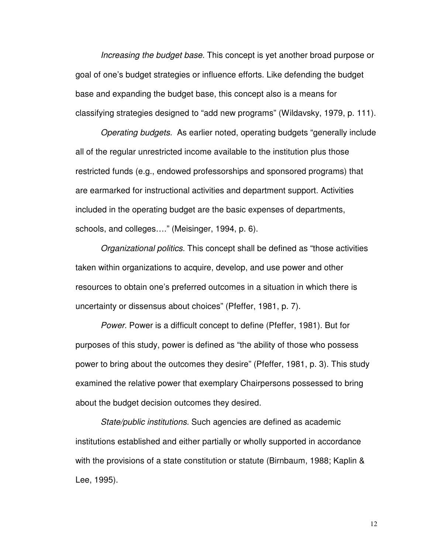Increasing the budget base. This concept is yet another broad purpose or goal of one's budget strategies or influence efforts. Like defending the budget base and expanding the budget base, this concept also is a means for classifying strategies designed to "add new programs" (Wildavsky, 1979, p. 111).

Operating budgets. As earlier noted, operating budgets "generally include all of the regular unrestricted income available to the institution plus those restricted funds (e.g., endowed professorships and sponsored programs) that are earmarked for instructional activities and department support. Activities included in the operating budget are the basic expenses of departments, schools, and colleges…." (Meisinger, 1994, p. 6).

Organizational politics. This concept shall be defined as "those activities taken within organizations to acquire, develop, and use power and other resources to obtain one's preferred outcomes in a situation in which there is uncertainty or dissensus about choices" (Pfeffer, 1981, p. 7).

Power. Power is a difficult concept to define (Pfeffer, 1981). But for purposes of this study, power is defined as "the ability of those who possess power to bring about the outcomes they desire" (Pfeffer, 1981, p. 3). This study examined the relative power that exemplary Chairpersons possessed to bring about the budget decision outcomes they desired.

State/public institutions. Such agencies are defined as academic institutions established and either partially or wholly supported in accordance with the provisions of a state constitution or statute (Birnbaum, 1988; Kaplin & Lee, 1995).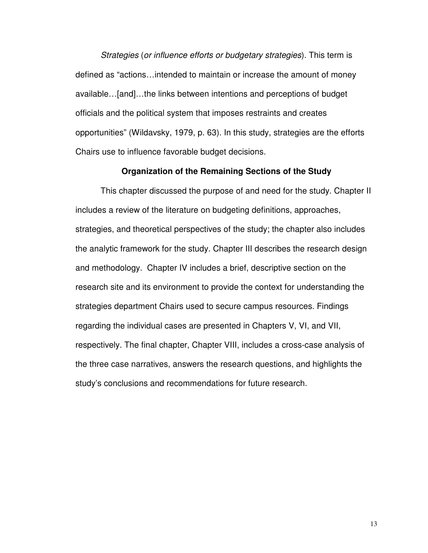Strategies (or influence efforts or budgetary strategies). This term is defined as "actions…intended to maintain or increase the amount of money available…[and]…the links between intentions and perceptions of budget officials and the political system that imposes restraints and creates opportunities" (Wildavsky, 1979, p. 63). In this study, strategies are the efforts Chairs use to influence favorable budget decisions.

#### **Organization of the Remaining Sections of the Study**

This chapter discussed the purpose of and need for the study. Chapter II includes a review of the literature on budgeting definitions, approaches, strategies, and theoretical perspectives of the study; the chapter also includes the analytic framework for the study. Chapter III describes the research design and methodology. Chapter IV includes a brief, descriptive section on the research site and its environment to provide the context for understanding the strategies department Chairs used to secure campus resources. Findings regarding the individual cases are presented in Chapters V, VI, and VII, respectively. The final chapter, Chapter VIII, includes a cross-case analysis of the three case narratives, answers the research questions, and highlights the study's conclusions and recommendations for future research.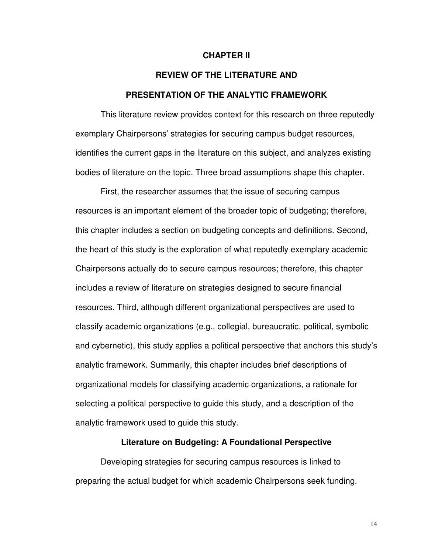#### **CHAPTER II**

# **REVIEW OF THE LITERATURE AND PRESENTATION OF THE ANALYTIC FRAMEWORK**

 This literature review provides context for this research on three reputedly exemplary Chairpersons' strategies for securing campus budget resources, identifies the current gaps in the literature on this subject, and analyzes existing bodies of literature on the topic. Three broad assumptions shape this chapter.

First, the researcher assumes that the issue of securing campus resources is an important element of the broader topic of budgeting; therefore, this chapter includes a section on budgeting concepts and definitions. Second, the heart of this study is the exploration of what reputedly exemplary academic Chairpersons actually do to secure campus resources; therefore, this chapter includes a review of literature on strategies designed to secure financial resources. Third, although different organizational perspectives are used to classify academic organizations (e.g., collegial, bureaucratic, political, symbolic and cybernetic), this study applies a political perspective that anchors this study's analytic framework. Summarily, this chapter includes brief descriptions of organizational models for classifying academic organizations, a rationale for selecting a political perspective to guide this study, and a description of the analytic framework used to guide this study.

#### **Literature on Budgeting: A Foundational Perspective**

 Developing strategies for securing campus resources is linked to preparing the actual budget for which academic Chairpersons seek funding.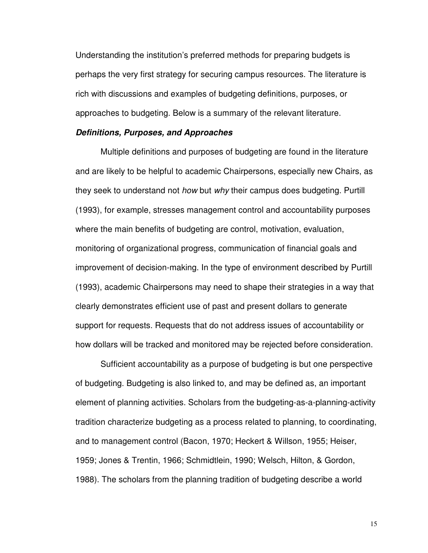Understanding the institution's preferred methods for preparing budgets is perhaps the very first strategy for securing campus resources. The literature is rich with discussions and examples of budgeting definitions, purposes, or approaches to budgeting. Below is a summary of the relevant literature.

#### **Definitions, Purposes, and Approaches**

Multiple definitions and purposes of budgeting are found in the literature and are likely to be helpful to academic Chairpersons, especially new Chairs, as they seek to understand not how but why their campus does budgeting. Purtill (1993), for example, stresses management control and accountability purposes where the main benefits of budgeting are control, motivation, evaluation, monitoring of organizational progress, communication of financial goals and improvement of decision-making. In the type of environment described by Purtill (1993), academic Chairpersons may need to shape their strategies in a way that clearly demonstrates efficient use of past and present dollars to generate support for requests. Requests that do not address issues of accountability or how dollars will be tracked and monitored may be rejected before consideration.

Sufficient accountability as a purpose of budgeting is but one perspective of budgeting. Budgeting is also linked to, and may be defined as, an important element of planning activities. Scholars from the budgeting-as-a-planning-activity tradition characterize budgeting as a process related to planning, to coordinating, and to management control (Bacon, 1970; Heckert & Willson, 1955; Heiser, 1959; Jones & Trentin, 1966; Schmidtlein, 1990; Welsch, Hilton, & Gordon, 1988). The scholars from the planning tradition of budgeting describe a world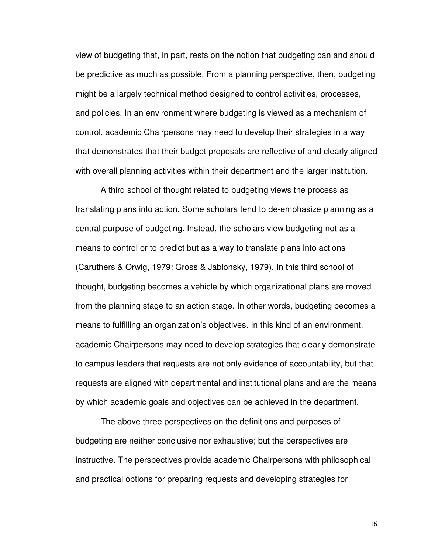view of budgeting that, in part, rests on the notion that budgeting can and should be predictive as much as possible. From a planning perspective, then, budgeting might be a largely technical method designed to control activities, processes, and policies. In an environment where budgeting is viewed as a mechanism of control, academic Chairpersons may need to develop their strategies in a way that demonstrates that their budget proposals are reflective of and clearly aligned with overall planning activities within their department and the larger institution.

A third school of thought related to budgeting views the process as translating plans into action. Some scholars tend to de-emphasize planning as a central purpose of budgeting. Instead, the scholars view budgeting not as a means to control or to predict but as a way to translate plans into actions (Caruthers & Orwig, 1979; Gross & Jablonsky, 1979). In this third school of thought, budgeting becomes a vehicle by which organizational plans are moved from the planning stage to an action stage. In other words, budgeting becomes a means to fulfilling an organization's objectives. In this kind of an environment, academic Chairpersons may need to develop strategies that clearly demonstrate to campus leaders that requests are not only evidence of accountability, but that requests are aligned with departmental and institutional plans and are the means by which academic goals and objectives can be achieved in the department.

The above three perspectives on the definitions and purposes of budgeting are neither conclusive nor exhaustive; but the perspectives are instructive. The perspectives provide academic Chairpersons with philosophical and practical options for preparing requests and developing strategies for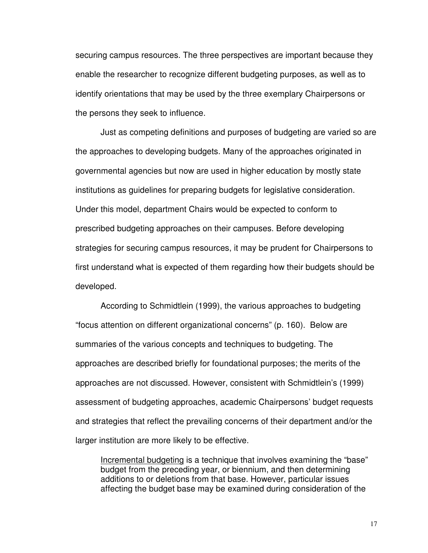securing campus resources. The three perspectives are important because they enable the researcher to recognize different budgeting purposes, as well as to identify orientations that may be used by the three exemplary Chairpersons or the persons they seek to influence.

 Just as competing definitions and purposes of budgeting are varied so are the approaches to developing budgets. Many of the approaches originated in governmental agencies but now are used in higher education by mostly state institutions as guidelines for preparing budgets for legislative consideration. Under this model, department Chairs would be expected to conform to prescribed budgeting approaches on their campuses. Before developing strategies for securing campus resources, it may be prudent for Chairpersons to first understand what is expected of them regarding how their budgets should be developed.

According to Schmidtlein (1999), the various approaches to budgeting "focus attention on different organizational concerns" (p. 160). Below are summaries of the various concepts and techniques to budgeting. The approaches are described briefly for foundational purposes; the merits of the approaches are not discussed. However, consistent with Schmidtlein's (1999) assessment of budgeting approaches, academic Chairpersons' budget requests and strategies that reflect the prevailing concerns of their department and/or the larger institution are more likely to be effective.

Incremental budgeting is a technique that involves examining the "base" budget from the preceding year, or biennium, and then determining additions to or deletions from that base. However, particular issues affecting the budget base may be examined during consideration of the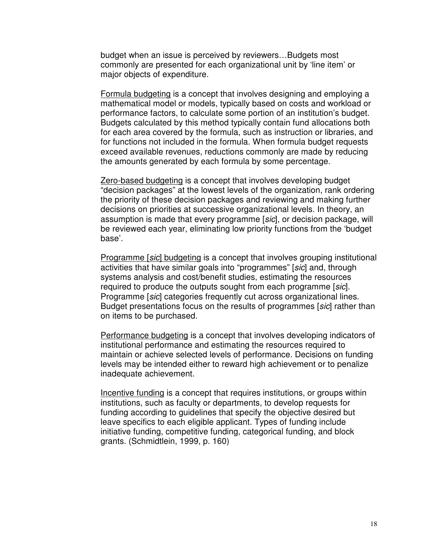budget when an issue is perceived by reviewers…Budgets most commonly are presented for each organizational unit by 'line item' or major objects of expenditure.

Formula budgeting is a concept that involves designing and employing a mathematical model or models, typically based on costs and workload or performance factors, to calculate some portion of an institution's budget. Budgets calculated by this method typically contain fund allocations both for each area covered by the formula, such as instruction or libraries, and for functions not included in the formula. When formula budget requests exceed available revenues, reductions commonly are made by reducing the amounts generated by each formula by some percentage.

Zero-based budgeting is a concept that involves developing budget "decision packages" at the lowest levels of the organization, rank ordering the priority of these decision packages and reviewing and making further decisions on priorities at successive organizational levels. In theory, an assumption is made that every programme [sic], or decision package, will be reviewed each year, eliminating low priority functions from the 'budget base'.

Programme [sic] budgeting is a concept that involves grouping institutional activities that have similar goals into "programmes" [sic] and, through systems analysis and cost/benefit studies, estimating the resources required to produce the outputs sought from each programme [sic]. Programme [sic] categories frequently cut across organizational lines. Budget presentations focus on the results of programmes [sic] rather than on items to be purchased.

Performance budgeting is a concept that involves developing indicators of institutional performance and estimating the resources required to maintain or achieve selected levels of performance. Decisions on funding levels may be intended either to reward high achievement or to penalize inadequate achievement.

Incentive funding is a concept that requires institutions, or groups within institutions, such as faculty or departments, to develop requests for funding according to guidelines that specify the objective desired but leave specifics to each eligible applicant. Types of funding include initiative funding, competitive funding, categorical funding, and block grants. (Schmidtlein, 1999, p. 160)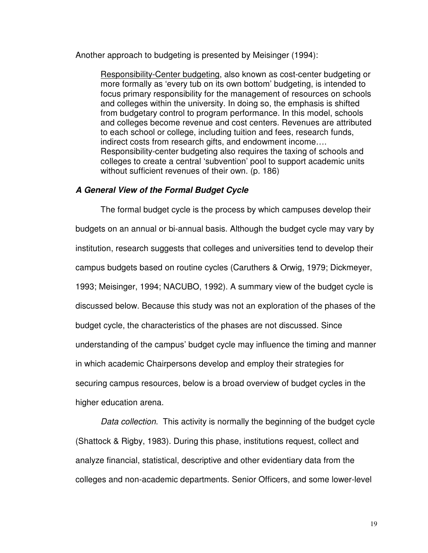Another approach to budgeting is presented by Meisinger (1994):

Responsibility-Center budgeting, also known as cost-center budgeting or more formally as 'every tub on its own bottom' budgeting, is intended to focus primary responsibility for the management of resources on schools and colleges within the university. In doing so, the emphasis is shifted from budgetary control to program performance. In this model, schools and colleges become revenue and cost centers. Revenues are attributed to each school or college, including tuition and fees, research funds, indirect costs from research gifts, and endowment income…. Responsibility-center budgeting also requires the taxing of schools and colleges to create a central 'subvention' pool to support academic units without sufficient revenues of their own. (p. 186)

#### **A General View of the Formal Budget Cycle**

 The formal budget cycle is the process by which campuses develop their budgets on an annual or bi-annual basis. Although the budget cycle may vary by institution, research suggests that colleges and universities tend to develop their campus budgets based on routine cycles (Caruthers & Orwig, 1979; Dickmeyer, 1993; Meisinger, 1994; NACUBO, 1992). A summary view of the budget cycle is discussed below. Because this study was not an exploration of the phases of the budget cycle, the characteristics of the phases are not discussed. Since understanding of the campus' budget cycle may influence the timing and manner in which academic Chairpersons develop and employ their strategies for securing campus resources, below is a broad overview of budget cycles in the higher education arena.

Data collection. This activity is normally the beginning of the budget cycle (Shattock & Rigby, 1983). During this phase, institutions request, collect and analyze financial, statistical, descriptive and other evidentiary data from the colleges and non-academic departments. Senior Officers, and some lower-level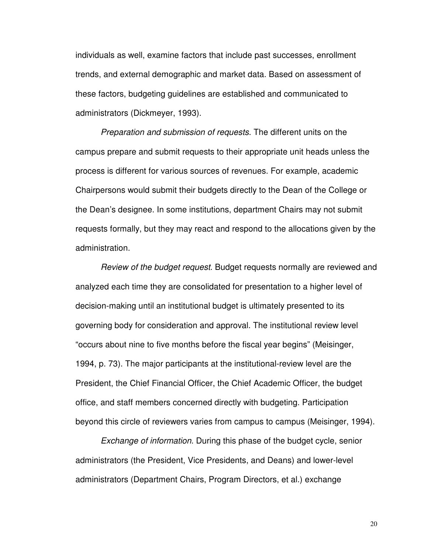individuals as well, examine factors that include past successes, enrollment trends, and external demographic and market data. Based on assessment of these factors, budgeting guidelines are established and communicated to administrators (Dickmeyer, 1993).

Preparation and submission of requests. The different units on the campus prepare and submit requests to their appropriate unit heads unless the process is different for various sources of revenues. For example, academic Chairpersons would submit their budgets directly to the Dean of the College or the Dean's designee. In some institutions, department Chairs may not submit requests formally, but they may react and respond to the allocations given by the administration.

Review of the budget request. Budget requests normally are reviewed and analyzed each time they are consolidated for presentation to a higher level of decision-making until an institutional budget is ultimately presented to its governing body for consideration and approval. The institutional review level "occurs about nine to five months before the fiscal year begins" (Meisinger, 1994, p. 73). The major participants at the institutional-review level are the President, the Chief Financial Officer, the Chief Academic Officer, the budget office, and staff members concerned directly with budgeting. Participation beyond this circle of reviewers varies from campus to campus (Meisinger, 1994).

Exchange of information. During this phase of the budget cycle, senior administrators (the President, Vice Presidents, and Deans) and lower-level administrators (Department Chairs, Program Directors, et al.) exchange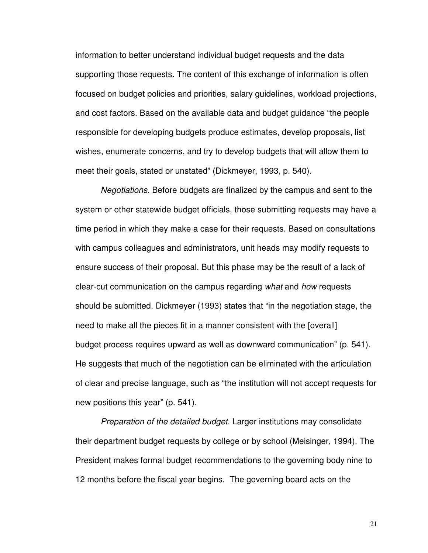information to better understand individual budget requests and the data supporting those requests. The content of this exchange of information is often focused on budget policies and priorities, salary guidelines, workload projections, and cost factors. Based on the available data and budget guidance "the people responsible for developing budgets produce estimates, develop proposals, list wishes, enumerate concerns, and try to develop budgets that will allow them to meet their goals, stated or unstated" (Dickmeyer, 1993, p. 540).

Negotiations. Before budgets are finalized by the campus and sent to the system or other statewide budget officials, those submitting requests may have a time period in which they make a case for their requests. Based on consultations with campus colleagues and administrators, unit heads may modify requests to ensure success of their proposal. But this phase may be the result of a lack of clear-cut communication on the campus regarding what and how requests should be submitted. Dickmeyer (1993) states that "in the negotiation stage, the need to make all the pieces fit in a manner consistent with the [overall] budget process requires upward as well as downward communication" (p. 541). He suggests that much of the negotiation can be eliminated with the articulation of clear and precise language, such as "the institution will not accept requests for new positions this year" (p. 541).

Preparation of the detailed budget. Larger institutions may consolidate their department budget requests by college or by school (Meisinger, 1994). The President makes formal budget recommendations to the governing body nine to 12 months before the fiscal year begins. The governing board acts on the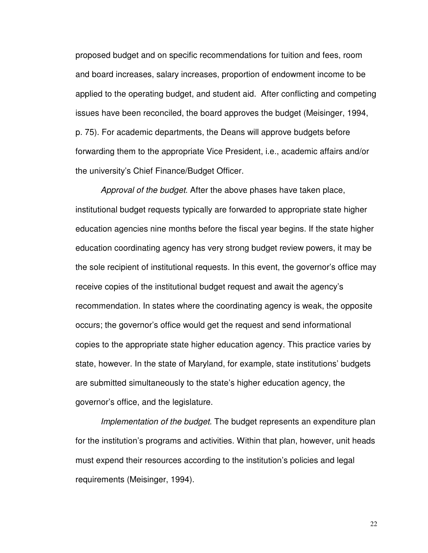proposed budget and on specific recommendations for tuition and fees, room and board increases, salary increases, proportion of endowment income to be applied to the operating budget, and student aid. After conflicting and competing issues have been reconciled, the board approves the budget (Meisinger, 1994, p. 75). For academic departments, the Deans will approve budgets before forwarding them to the appropriate Vice President, i.e., academic affairs and/or the university's Chief Finance/Budget Officer.

Approval of the budget. After the above phases have taken place, institutional budget requests typically are forwarded to appropriate state higher education agencies nine months before the fiscal year begins. If the state higher education coordinating agency has very strong budget review powers, it may be the sole recipient of institutional requests. In this event, the governor's office may receive copies of the institutional budget request and await the agency's recommendation. In states where the coordinating agency is weak, the opposite occurs; the governor's office would get the request and send informational copies to the appropriate state higher education agency. This practice varies by state, however. In the state of Maryland, for example, state institutions' budgets are submitted simultaneously to the state's higher education agency, the governor's office, and the legislature.

Implementation of the budget. The budget represents an expenditure plan for the institution's programs and activities. Within that plan, however, unit heads must expend their resources according to the institution's policies and legal requirements (Meisinger, 1994).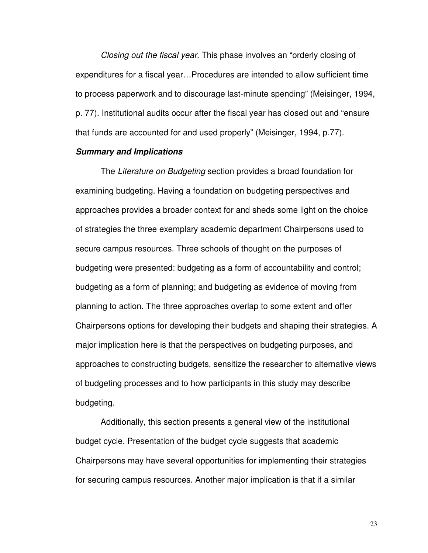Closing out the fiscal year. This phase involves an "orderly closing of expenditures for a fiscal year…Procedures are intended to allow sufficient time to process paperwork and to discourage last-minute spending" (Meisinger, 1994, p. 77). Institutional audits occur after the fiscal year has closed out and "ensure that funds are accounted for and used properly" (Meisinger, 1994, p.77).

# **Summary and Implications**

The Literature on Budgeting section provides a broad foundation for examining budgeting. Having a foundation on budgeting perspectives and approaches provides a broader context for and sheds some light on the choice of strategies the three exemplary academic department Chairpersons used to secure campus resources. Three schools of thought on the purposes of budgeting were presented: budgeting as a form of accountability and control; budgeting as a form of planning; and budgeting as evidence of moving from planning to action. The three approaches overlap to some extent and offer Chairpersons options for developing their budgets and shaping their strategies. A major implication here is that the perspectives on budgeting purposes, and approaches to constructing budgets, sensitize the researcher to alternative views of budgeting processes and to how participants in this study may describe budgeting.

 Additionally, this section presents a general view of the institutional budget cycle. Presentation of the budget cycle suggests that academic Chairpersons may have several opportunities for implementing their strategies for securing campus resources. Another major implication is that if a similar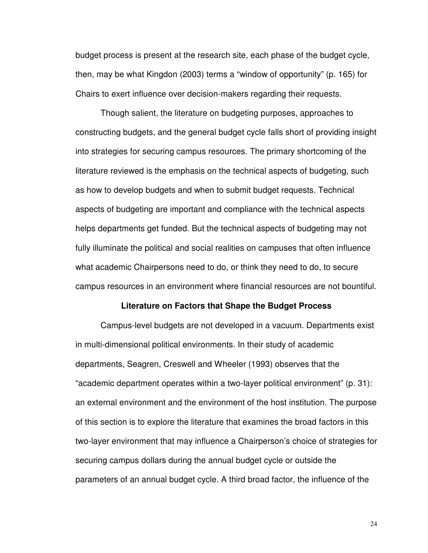budget process is present at the research site, each phase of the budget cycle, then, may be what Kingdon (2003) terms a "window of opportunity" (p. 165) for Chairs to exert influence over decision-makers regarding their requests.

Though salient, the literature on budgeting purposes, approaches to constructing budgets, and the general budget cycle falls short of providing insight into strategies for securing campus resources. The primary shortcoming of the literature reviewed is the emphasis on the technical aspects of budgeting, such as how to develop budgets and when to submit budget requests. Technical aspects of budgeting are important and compliance with the technical aspects helps departments get funded. But the technical aspects of budgeting may not fully illuminate the political and social realities on campuses that often influence what academic Chairpersons need to do, or think they need to do, to secure campus resources in an environment where financial resources are not bountiful.

#### **Literature on Factors that Shape the Budget Process**

Campus-level budgets are not developed in a vacuum. Departments exist in multi-dimensional political environments. In their study of academic departments, Seagren, Creswell and Wheeler (1993) observes that the "academic department operates within a two-layer political environment" (p. 31): an external environment and the environment of the host institution. The purpose of this section is to explore the literature that examines the broad factors in this two-layer environment that may influence a Chairperson's choice of strategies for securing campus dollars during the annual budget cycle or outside the parameters of an annual budget cycle. A third broad factor, the influence of the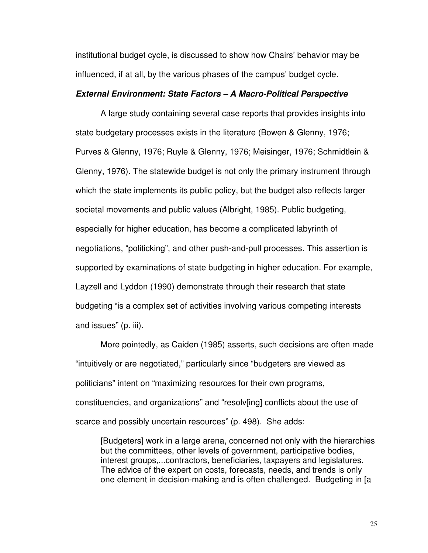institutional budget cycle, is discussed to show how Chairs' behavior may be influenced, if at all, by the various phases of the campus' budget cycle.

### **External Environment: State Factors – A Macro-Political Perspective**

A large study containing several case reports that provides insights into state budgetary processes exists in the literature (Bowen & Glenny, 1976; Purves & Glenny, 1976; Ruyle & Glenny, 1976; Meisinger, 1976; Schmidtlein & Glenny, 1976). The statewide budget is not only the primary instrument through which the state implements its public policy, but the budget also reflects larger societal movements and public values (Albright, 1985). Public budgeting, especially for higher education, has become a complicated labyrinth of negotiations, "politicking", and other push-and-pull processes. This assertion is supported by examinations of state budgeting in higher education. For example, Layzell and Lyddon (1990) demonstrate through their research that state budgeting "is a complex set of activities involving various competing interests and issues" (p. iii).

More pointedly, as Caiden (1985) asserts, such decisions are often made "intuitively or are negotiated," particularly since "budgeters are viewed as politicians" intent on "maximizing resources for their own programs, constituencies, and organizations" and "resolv[ing] conflicts about the use of scarce and possibly uncertain resources" (p. 498). She adds:

[Budgeters] work in a large arena, concerned not only with the hierarchies but the committees, other levels of government, participative bodies, interest groups,...contractors, beneficiaries, taxpayers and legislatures. The advice of the expert on costs, forecasts, needs, and trends is only one element in decision-making and is often challenged. Budgeting in [a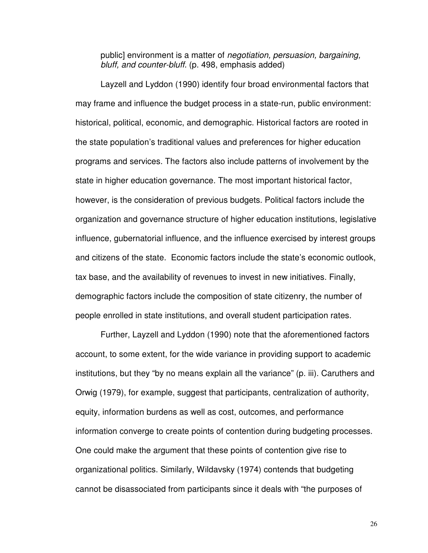public] environment is a matter of negotiation, persuasion, bargaining, bluff, and counter-bluff. (p. 498, emphasis added)

 Layzell and Lyddon (1990) identify four broad environmental factors that may frame and influence the budget process in a state-run, public environment: historical, political, economic, and demographic. Historical factors are rooted in the state population's traditional values and preferences for higher education programs and services. The factors also include patterns of involvement by the state in higher education governance. The most important historical factor, however, is the consideration of previous budgets. Political factors include the organization and governance structure of higher education institutions, legislative influence, gubernatorial influence, and the influence exercised by interest groups and citizens of the state. Economic factors include the state's economic outlook, tax base, and the availability of revenues to invest in new initiatives. Finally, demographic factors include the composition of state citizenry, the number of people enrolled in state institutions, and overall student participation rates.

 Further, Layzell and Lyddon (1990) note that the aforementioned factors account, to some extent, for the wide variance in providing support to academic institutions, but they "by no means explain all the variance" (p. iii). Caruthers and Orwig (1979), for example, suggest that participants, centralization of authority, equity, information burdens as well as cost, outcomes, and performance information converge to create points of contention during budgeting processes. One could make the argument that these points of contention give rise to organizational politics. Similarly, Wildavsky (1974) contends that budgeting cannot be disassociated from participants since it deals with "the purposes of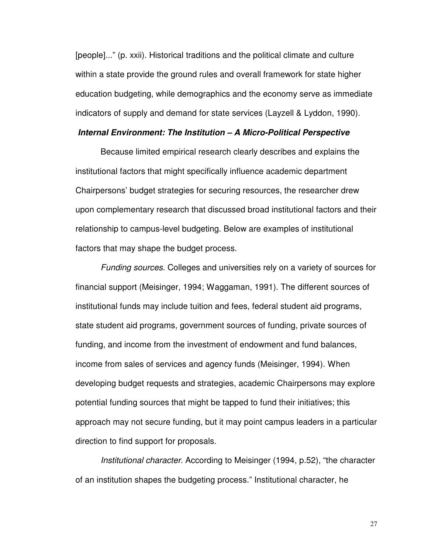[people]..." (p. xxii). Historical traditions and the political climate and culture within a state provide the ground rules and overall framework for state higher education budgeting, while demographics and the economy serve as immediate indicators of supply and demand for state services (Layzell & Lyddon, 1990).

## **Internal Environment: The Institution – A Micro-Political Perspective**

 Because limited empirical research clearly describes and explains the institutional factors that might specifically influence academic department Chairpersons' budget strategies for securing resources, the researcher drew upon complementary research that discussed broad institutional factors and their relationship to campus-level budgeting. Below are examples of institutional factors that may shape the budget process.

Funding sources. Colleges and universities rely on a variety of sources for financial support (Meisinger, 1994; Waggaman, 1991). The different sources of institutional funds may include tuition and fees, federal student aid programs, state student aid programs, government sources of funding, private sources of funding, and income from the investment of endowment and fund balances, income from sales of services and agency funds (Meisinger, 1994). When developing budget requests and strategies, academic Chairpersons may explore potential funding sources that might be tapped to fund their initiatives; this approach may not secure funding, but it may point campus leaders in a particular direction to find support for proposals.

Institutional character. According to Meisinger (1994, p.52), "the character of an institution shapes the budgeting process." Institutional character, he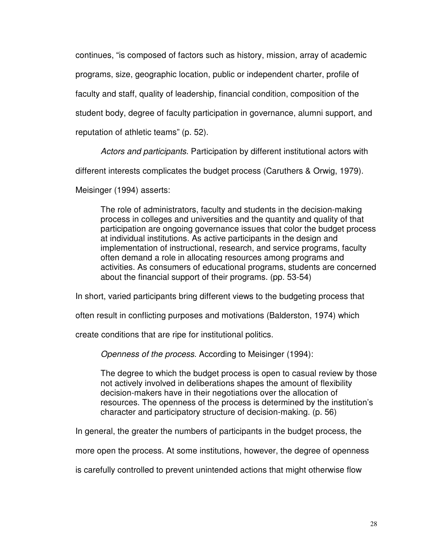continues, "is composed of factors such as history, mission, array of academic

programs, size, geographic location, public or independent charter, profile of

faculty and staff, quality of leadership, financial condition, composition of the

student body, degree of faculty participation in governance, alumni support, and

reputation of athletic teams" (p. 52).

Actors and participants. Participation by different institutional actors with

different interests complicates the budget process (Caruthers & Orwig, 1979).

Meisinger (1994) asserts:

The role of administrators, faculty and students in the decision-making process in colleges and universities and the quantity and quality of that participation are ongoing governance issues that color the budget process at individual institutions. As active participants in the design and implementation of instructional, research, and service programs, faculty often demand a role in allocating resources among programs and activities. As consumers of educational programs, students are concerned about the financial support of their programs. (pp. 53-54)

In short, varied participants bring different views to the budgeting process that

often result in conflicting purposes and motivations (Balderston, 1974) which

create conditions that are ripe for institutional politics.

Openness of the process. According to Meisinger (1994):

The degree to which the budget process is open to casual review by those not actively involved in deliberations shapes the amount of flexibility decision-makers have in their negotiations over the allocation of resources. The openness of the process is determined by the institution's character and participatory structure of decision-making. (p. 56)

In general, the greater the numbers of participants in the budget process, the

more open the process. At some institutions, however, the degree of openness

is carefully controlled to prevent unintended actions that might otherwise flow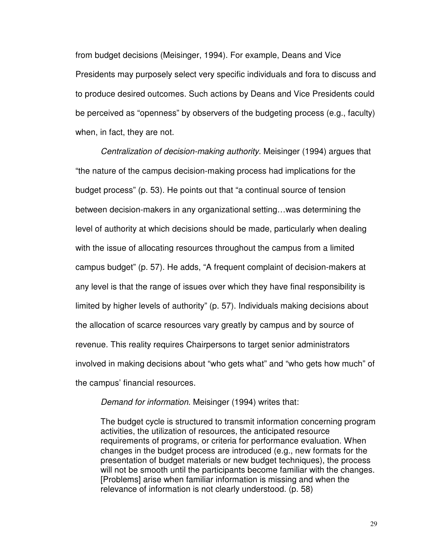from budget decisions (Meisinger, 1994). For example, Deans and Vice Presidents may purposely select very specific individuals and fora to discuss and to produce desired outcomes. Such actions by Deans and Vice Presidents could be perceived as "openness" by observers of the budgeting process (e.g., faculty) when, in fact, they are not.

Centralization of decision-making authority. Meisinger (1994) argues that "the nature of the campus decision-making process had implications for the budget process" (p. 53). He points out that "a continual source of tension between decision-makers in any organizational setting…was determining the level of authority at which decisions should be made, particularly when dealing with the issue of allocating resources throughout the campus from a limited campus budget" (p. 57). He adds, "A frequent complaint of decision-makers at any level is that the range of issues over which they have final responsibility is limited by higher levels of authority" (p. 57). Individuals making decisions about the allocation of scarce resources vary greatly by campus and by source of revenue. This reality requires Chairpersons to target senior administrators involved in making decisions about "who gets what" and "who gets how much" of the campus' financial resources.

## Demand for information. Meisinger (1994) writes that:

The budget cycle is structured to transmit information concerning program activities, the utilization of resources, the anticipated resource requirements of programs, or criteria for performance evaluation. When changes in the budget process are introduced (e.g., new formats for the presentation of budget materials or new budget techniques), the process will not be smooth until the participants become familiar with the changes. [Problems] arise when familiar information is missing and when the relevance of information is not clearly understood. (p. 58)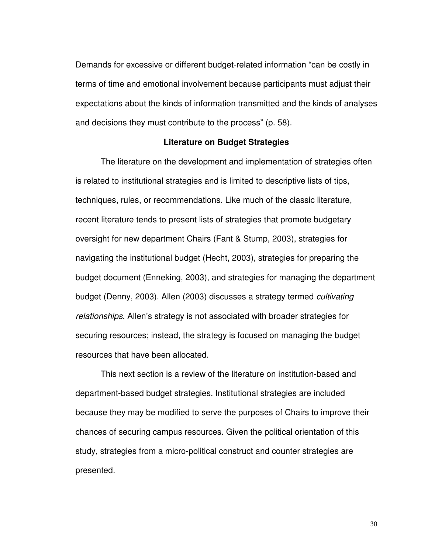Demands for excessive or different budget-related information "can be costly in terms of time and emotional involvement because participants must adjust their expectations about the kinds of information transmitted and the kinds of analyses and decisions they must contribute to the process" (p. 58).

## **Literature on Budget Strategies**

The literature on the development and implementation of strategies often is related to institutional strategies and is limited to descriptive lists of tips, techniques, rules, or recommendations. Like much of the classic literature, recent literature tends to present lists of strategies that promote budgetary oversight for new department Chairs (Fant & Stump, 2003), strategies for navigating the institutional budget (Hecht, 2003), strategies for preparing the budget document (Enneking, 2003), and strategies for managing the department budget (Denny, 2003). Allen (2003) discusses a strategy termed cultivating relationships. Allen's strategy is not associated with broader strategies for securing resources; instead, the strategy is focused on managing the budget resources that have been allocated.

This next section is a review of the literature on institution-based and department-based budget strategies. Institutional strategies are included because they may be modified to serve the purposes of Chairs to improve their chances of securing campus resources. Given the political orientation of this study, strategies from a micro-political construct and counter strategies are presented.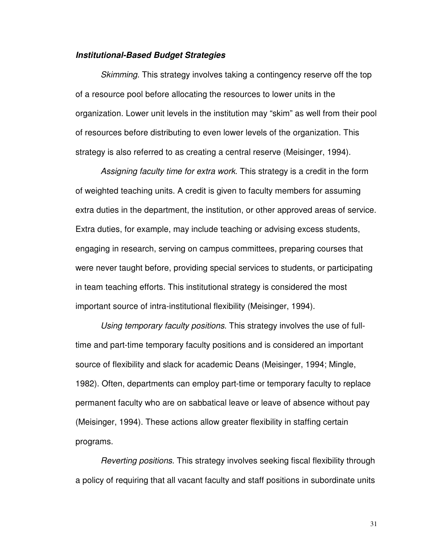## **Institutional-Based Budget Strategies**

Skimming. This strategy involves taking a contingency reserve off the top of a resource pool before allocating the resources to lower units in the organization. Lower unit levels in the institution may "skim" as well from their pool of resources before distributing to even lower levels of the organization. This strategy is also referred to as creating a central reserve (Meisinger, 1994).

Assigning faculty time for extra work. This strategy is a credit in the form of weighted teaching units. A credit is given to faculty members for assuming extra duties in the department, the institution, or other approved areas of service. Extra duties, for example, may include teaching or advising excess students, engaging in research, serving on campus committees, preparing courses that were never taught before, providing special services to students, or participating in team teaching efforts. This institutional strategy is considered the most important source of intra-institutional flexibility (Meisinger, 1994).

Using temporary faculty positions. This strategy involves the use of fulltime and part-time temporary faculty positions and is considered an important source of flexibility and slack for academic Deans (Meisinger, 1994; Mingle, 1982). Often, departments can employ part-time or temporary faculty to replace permanent faculty who are on sabbatical leave or leave of absence without pay (Meisinger, 1994). These actions allow greater flexibility in staffing certain programs.

Reverting positions. This strategy involves seeking fiscal flexibility through a policy of requiring that all vacant faculty and staff positions in subordinate units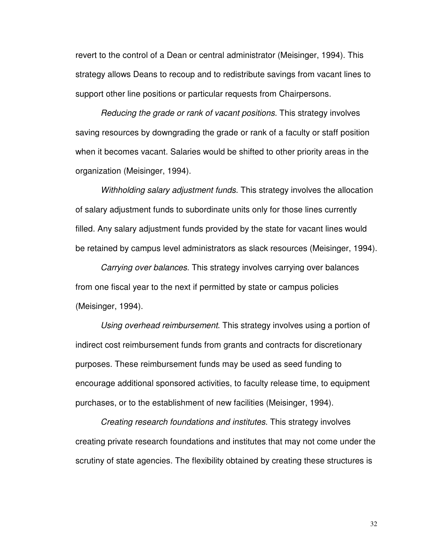revert to the control of a Dean or central administrator (Meisinger, 1994). This strategy allows Deans to recoup and to redistribute savings from vacant lines to support other line positions or particular requests from Chairpersons.

Reducing the grade or rank of vacant positions. This strategy involves saving resources by downgrading the grade or rank of a faculty or staff position when it becomes vacant. Salaries would be shifted to other priority areas in the organization (Meisinger, 1994).

Withholding salary adjustment funds. This strategy involves the allocation of salary adjustment funds to subordinate units only for those lines currently filled. Any salary adjustment funds provided by the state for vacant lines would be retained by campus level administrators as slack resources (Meisinger, 1994).

Carrying over balances. This strategy involves carrying over balances from one fiscal year to the next if permitted by state or campus policies (Meisinger, 1994).

Using overhead reimbursement. This strategy involves using a portion of indirect cost reimbursement funds from grants and contracts for discretionary purposes. These reimbursement funds may be used as seed funding to encourage additional sponsored activities, to faculty release time, to equipment purchases, or to the establishment of new facilities (Meisinger, 1994).

Creating research foundations and institutes. This strategy involves creating private research foundations and institutes that may not come under the scrutiny of state agencies. The flexibility obtained by creating these structures is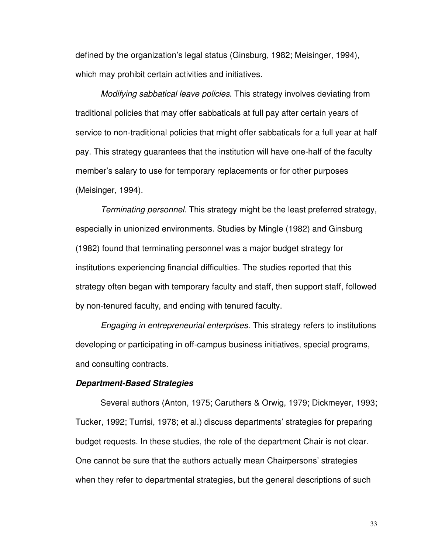defined by the organization's legal status (Ginsburg, 1982; Meisinger, 1994), which may prohibit certain activities and initiatives.

Modifying sabbatical leave policies. This strategy involves deviating from traditional policies that may offer sabbaticals at full pay after certain years of service to non-traditional policies that might offer sabbaticals for a full year at half pay. This strategy guarantees that the institution will have one-half of the faculty member's salary to use for temporary replacements or for other purposes (Meisinger, 1994).

Terminating personnel. This strategy might be the least preferred strategy, especially in unionized environments. Studies by Mingle (1982) and Ginsburg (1982) found that terminating personnel was a major budget strategy for institutions experiencing financial difficulties. The studies reported that this strategy often began with temporary faculty and staff, then support staff, followed by non-tenured faculty, and ending with tenured faculty.

Engaging in entrepreneurial enterprises. This strategy refers to institutions developing or participating in off-campus business initiatives, special programs, and consulting contracts.

## **Department-Based Strategies**

 Several authors (Anton, 1975; Caruthers & Orwig, 1979; Dickmeyer, 1993; Tucker, 1992; Turrisi, 1978; et al.) discuss departments' strategies for preparing budget requests. In these studies, the role of the department Chair is not clear. One cannot be sure that the authors actually mean Chairpersons' strategies when they refer to departmental strategies, but the general descriptions of such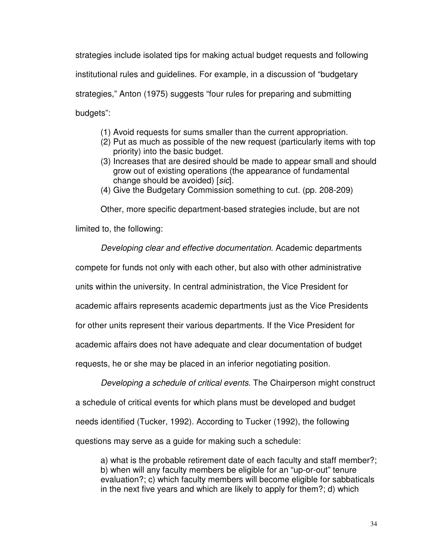strategies include isolated tips for making actual budget requests and following

institutional rules and guidelines. For example, in a discussion of "budgetary

strategies," Anton (1975) suggests "four rules for preparing and submitting budgets":

- (1) Avoid requests for sums smaller than the current appropriation.
- (2) Put as much as possible of the new request (particularly items with top priority) into the basic budget.
- (3) Increases that are desired should be made to appear small and should grow out of existing operations (the appearance of fundamental change should be avoided) [sic].
- (4) Give the Budgetary Commission something to cut. (pp. 208-209)

Other, more specific department-based strategies include, but are not

limited to, the following:

Developing clear and effective documentation. Academic departments

compete for funds not only with each other, but also with other administrative

units within the university. In central administration, the Vice President for

academic affairs represents academic departments just as the Vice Presidents

for other units represent their various departments. If the Vice President for

academic affairs does not have adequate and clear documentation of budget

requests, he or she may be placed in an inferior negotiating position.

Developing a schedule of critical events. The Chairperson might construct a schedule of critical events for which plans must be developed and budget needs identified (Tucker, 1992). According to Tucker (1992), the following questions may serve as a guide for making such a schedule:

a) what is the probable retirement date of each faculty and staff member?; b) when will any faculty members be eligible for an "up-or-out" tenure evaluation?; c) which faculty members will become eligible for sabbaticals in the next five years and which are likely to apply for them?; d) which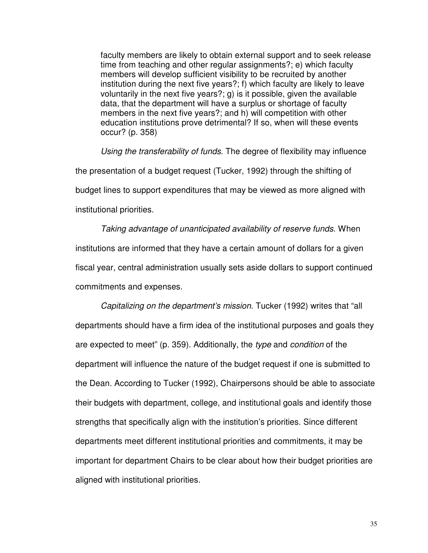faculty members are likely to obtain external support and to seek release time from teaching and other regular assignments?; e) which faculty members will develop sufficient visibility to be recruited by another institution during the next five years?; f) which faculty are likely to leave voluntarily in the next five years?; g) is it possible, given the available data, that the department will have a surplus or shortage of faculty members in the next five years?; and h) will competition with other education institutions prove detrimental? If so, when will these events occur? (p. 358)

Using the transferability of funds. The degree of flexibility may influence the presentation of a budget request (Tucker, 1992) through the shifting of budget lines to support expenditures that may be viewed as more aligned with institutional priorities.

Taking advantage of unanticipated availability of reserve funds. When institutions are informed that they have a certain amount of dollars for a given fiscal year, central administration usually sets aside dollars to support continued commitments and expenses.

Capitalizing on the department's mission. Tucker (1992) writes that "all departments should have a firm idea of the institutional purposes and goals they are expected to meet" (p. 359). Additionally, the type and condition of the department will influence the nature of the budget request if one is submitted to the Dean. According to Tucker (1992), Chairpersons should be able to associate their budgets with department, college, and institutional goals and identify those strengths that specifically align with the institution's priorities. Since different departments meet different institutional priorities and commitments, it may be important for department Chairs to be clear about how their budget priorities are aligned with institutional priorities.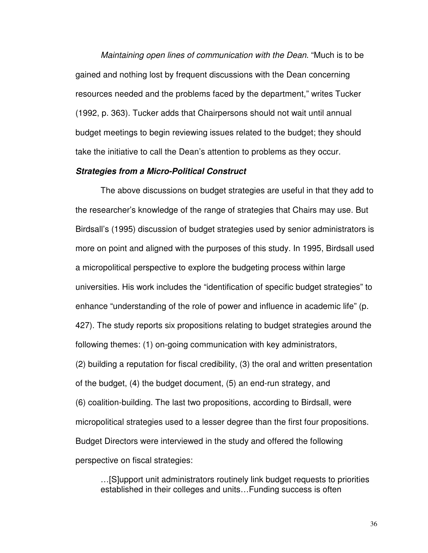Maintaining open lines of communication with the Dean. "Much is to be gained and nothing lost by frequent discussions with the Dean concerning resources needed and the problems faced by the department," writes Tucker (1992, p. 363). Tucker adds that Chairpersons should not wait until annual budget meetings to begin reviewing issues related to the budget; they should take the initiative to call the Dean's attention to problems as they occur.

#### **Strategies from a Micro-Political Construct**

The above discussions on budget strategies are useful in that they add to the researcher's knowledge of the range of strategies that Chairs may use. But Birdsall's (1995) discussion of budget strategies used by senior administrators is more on point and aligned with the purposes of this study. In 1995, Birdsall used a micropolitical perspective to explore the budgeting process within large universities. His work includes the "identification of specific budget strategies" to enhance "understanding of the role of power and influence in academic life" (p. 427). The study reports six propositions relating to budget strategies around the following themes: (1) on-going communication with key administrators, (2) building a reputation for fiscal credibility, (3) the oral and written presentation of the budget, (4) the budget document, (5) an end-run strategy, and (6) coalition-building. The last two propositions, according to Birdsall, were micropolitical strategies used to a lesser degree than the first four propositions. Budget Directors were interviewed in the study and offered the following perspective on fiscal strategies:

…[S]upport unit administrators routinely link budget requests to priorities established in their colleges and units…Funding success is often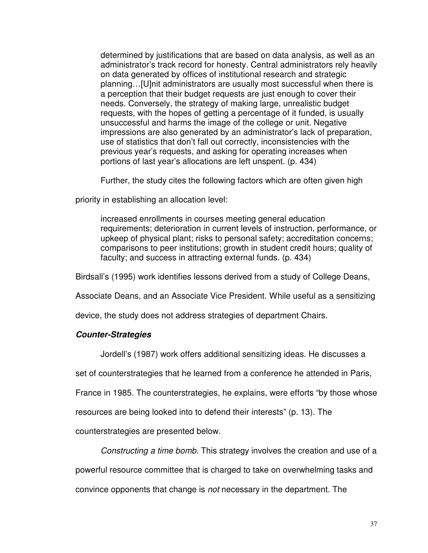determined by justifications that are based on data analysis, as well as an administrator's track record for honesty. Central administrators rely heavily on data generated by offices of institutional research and strategic planning…[U]nit administrators are usually most successful when there is a perception that their budget requests are just enough to cover their needs. Conversely, the strategy of making large, unrealistic budget requests, with the hopes of getting a percentage of it funded, is usually unsuccessful and harms the image of the college or unit. Negative impressions are also generated by an administrator's lack of preparation, use of statistics that don't fall out correctly, inconsistencies with the previous year's requests, and asking for operating increases when portions of last year's allocations are left unspent. (p. 434)

Further, the study cites the following factors which are often given high

priority in establishing an allocation level:

increased enrollments in courses meeting general education requirements; deterioration in current levels of instruction, performance, or upkeep of physical plant; risks to personal safety; accreditation concerns; comparisons to peer institutions; growth in student credit hours; quality of faculty; and success in attracting external funds. (p. 434)

Birdsall's (1995) work identifies lessons derived from a study of College Deans,

Associate Deans, and an Associate Vice President. While useful as a sensitizing

device, the study does not address strategies of department Chairs.

## **Counter-Strategies**

Jordell's (1987) work offers additional sensitizing ideas. He discusses a

set of counterstrategies that he learned from a conference he attended in Paris,

France in 1985. The counterstrategies, he explains, were efforts "by those whose

resources are being looked into to defend their interests" (p. 13). The

counterstrategies are presented below.

Constructing a time bomb. This strategy involves the creation and use of a

powerful resource committee that is charged to take on overwhelming tasks and

convince opponents that change is not necessary in the department. The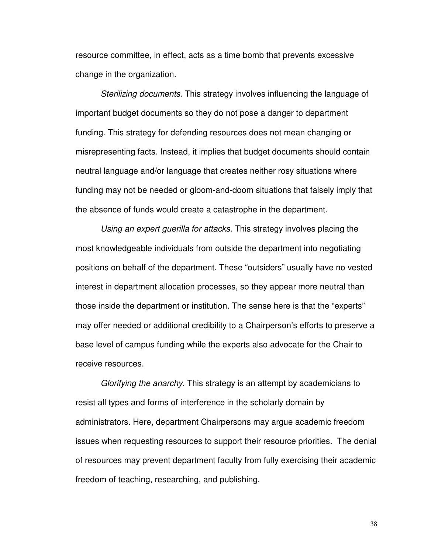resource committee, in effect, acts as a time bomb that prevents excessive change in the organization.

Sterilizing documents. This strategy involves influencing the language of important budget documents so they do not pose a danger to department funding. This strategy for defending resources does not mean changing or misrepresenting facts. Instead, it implies that budget documents should contain neutral language and/or language that creates neither rosy situations where funding may not be needed or gloom-and-doom situations that falsely imply that the absence of funds would create a catastrophe in the department.

Using an expert guerilla for attacks. This strategy involves placing the most knowledgeable individuals from outside the department into negotiating positions on behalf of the department. These "outsiders" usually have no vested interest in department allocation processes, so they appear more neutral than those inside the department or institution. The sense here is that the "experts" may offer needed or additional credibility to a Chairperson's efforts to preserve a base level of campus funding while the experts also advocate for the Chair to receive resources.

 Glorifying the anarchy. This strategy is an attempt by academicians to resist all types and forms of interference in the scholarly domain by administrators. Here, department Chairpersons may argue academic freedom issues when requesting resources to support their resource priorities. The denial of resources may prevent department faculty from fully exercising their academic freedom of teaching, researching, and publishing.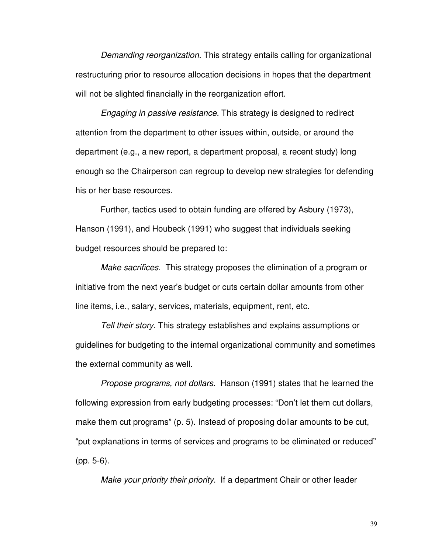Demanding reorganization. This strategy entails calling for organizational restructuring prior to resource allocation decisions in hopes that the department will not be slighted financially in the reorganization effort.

Engaging in passive resistance. This strategy is designed to redirect attention from the department to other issues within, outside, or around the department (e.g., a new report, a department proposal, a recent study) long enough so the Chairperson can regroup to develop new strategies for defending his or her base resources.

 Further, tactics used to obtain funding are offered by Asbury (1973), Hanson (1991), and Houbeck (1991) who suggest that individuals seeking budget resources should be prepared to:

Make sacrifices. This strategy proposes the elimination of a program or initiative from the next year's budget or cuts certain dollar amounts from other line items, i.e., salary, services, materials, equipment, rent, etc.

Tell their story. This strategy establishes and explains assumptions or guidelines for budgeting to the internal organizational community and sometimes the external community as well.

Propose programs, not dollars. Hanson (1991) states that he learned the following expression from early budgeting processes: "Don't let them cut dollars, make them cut programs" (p. 5). Instead of proposing dollar amounts to be cut, "put explanations in terms of services and programs to be eliminated or reduced" (pp. 5-6).

Make your priority their priority. If a department Chair or other leader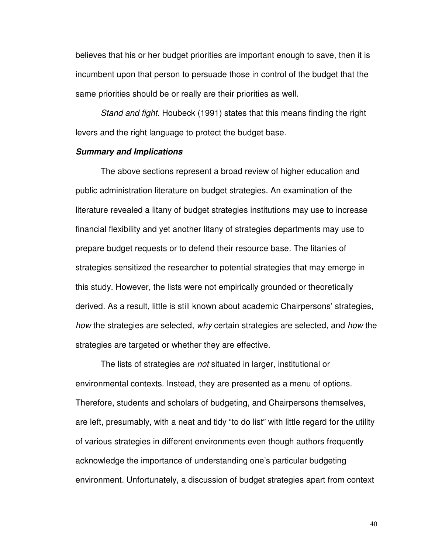believes that his or her budget priorities are important enough to save, then it is incumbent upon that person to persuade those in control of the budget that the same priorities should be or really are their priorities as well.

Stand and fight. Houbeck (1991) states that this means finding the right levers and the right language to protect the budget base.

## **Summary and Implications**

 The above sections represent a broad review of higher education and public administration literature on budget strategies. An examination of the literature revealed a litany of budget strategies institutions may use to increase financial flexibility and yet another litany of strategies departments may use to prepare budget requests or to defend their resource base. The litanies of strategies sensitized the researcher to potential strategies that may emerge in this study. However, the lists were not empirically grounded or theoretically derived. As a result, little is still known about academic Chairpersons' strategies, how the strategies are selected, why certain strategies are selected, and how the strategies are targeted or whether they are effective.

The lists of strategies are not situated in larger, institutional or environmental contexts. Instead, they are presented as a menu of options. Therefore, students and scholars of budgeting, and Chairpersons themselves, are left, presumably, with a neat and tidy "to do list" with little regard for the utility of various strategies in different environments even though authors frequently acknowledge the importance of understanding one's particular budgeting environment. Unfortunately, a discussion of budget strategies apart from context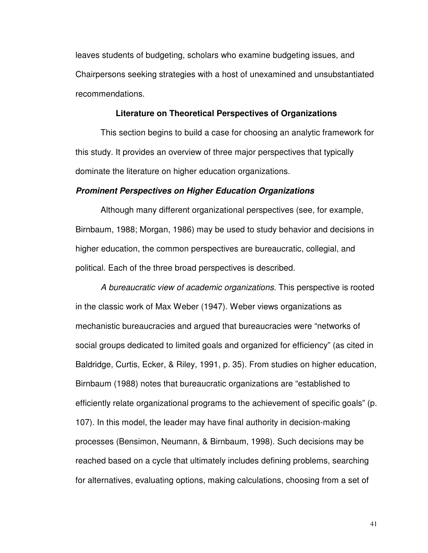leaves students of budgeting, scholars who examine budgeting issues, and Chairpersons seeking strategies with a host of unexamined and unsubstantiated recommendations.

#### **Literature on Theoretical Perspectives of Organizations**

This section begins to build a case for choosing an analytic framework for this study. It provides an overview of three major perspectives that typically dominate the literature on higher education organizations.

#### **Prominent Perspectives on Higher Education Organizations**

 Although many different organizational perspectives (see, for example, Birnbaum, 1988; Morgan, 1986) may be used to study behavior and decisions in higher education, the common perspectives are bureaucratic, collegial, and political. Each of the three broad perspectives is described.

A bureaucratic view of academic organizations. This perspective is rooted in the classic work of Max Weber (1947). Weber views organizations as mechanistic bureaucracies and argued that bureaucracies were "networks of social groups dedicated to limited goals and organized for efficiency" (as cited in Baldridge, Curtis, Ecker, & Riley, 1991, p. 35). From studies on higher education, Birnbaum (1988) notes that bureaucratic organizations are "established to efficiently relate organizational programs to the achievement of specific goals" (p. 107). In this model, the leader may have final authority in decision-making processes (Bensimon, Neumann, & Birnbaum, 1998). Such decisions may be reached based on a cycle that ultimately includes defining problems, searching for alternatives, evaluating options, making calculations, choosing from a set of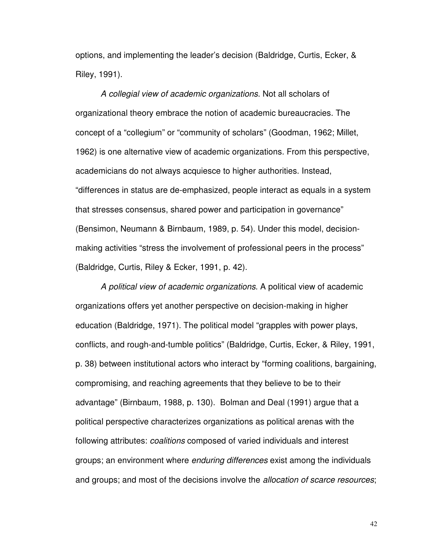options, and implementing the leader's decision (Baldridge, Curtis, Ecker, & Riley, 1991).

A collegial view of academic organizations. Not all scholars of organizational theory embrace the notion of academic bureaucracies. The concept of a "collegium" or "community of scholars" (Goodman, 1962; Millet, 1962) is one alternative view of academic organizations. From this perspective, academicians do not always acquiesce to higher authorities. Instead, "differences in status are de-emphasized, people interact as equals in a system that stresses consensus, shared power and participation in governance" (Bensimon, Neumann & Birnbaum, 1989, p. 54). Under this model, decisionmaking activities "stress the involvement of professional peers in the process" (Baldridge, Curtis, Riley & Ecker, 1991, p. 42).

A political view of academic organizations. A political view of academic organizations offers yet another perspective on decision-making in higher education (Baldridge, 1971). The political model "grapples with power plays, conflicts, and rough-and-tumble politics" (Baldridge, Curtis, Ecker, & Riley, 1991, p. 38) between institutional actors who interact by "forming coalitions, bargaining, compromising, and reaching agreements that they believe to be to their advantage" (Birnbaum, 1988, p. 130). Bolman and Deal (1991) argue that a political perspective characterizes organizations as political arenas with the following attributes: coalitions composed of varied individuals and interest groups; an environment where enduring differences exist among the individuals and groups; and most of the decisions involve the *allocation of scarce resources*;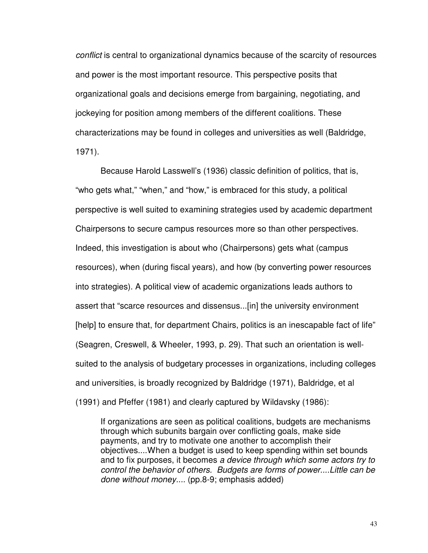conflict is central to organizational dynamics because of the scarcity of resources and power is the most important resource. This perspective posits that organizational goals and decisions emerge from bargaining, negotiating, and jockeying for position among members of the different coalitions. These characterizations may be found in colleges and universities as well (Baldridge, 1971).

 Because Harold Lasswell's (1936) classic definition of politics, that is, "who gets what," "when," and "how," is embraced for this study, a political perspective is well suited to examining strategies used by academic department Chairpersons to secure campus resources more so than other perspectives. Indeed, this investigation is about who (Chairpersons) gets what (campus resources), when (during fiscal years), and how (by converting power resources into strategies). A political view of academic organizations leads authors to assert that "scarce resources and dissensus...[in] the university environment [help] to ensure that, for department Chairs, politics is an inescapable fact of life" (Seagren, Creswell, & Wheeler, 1993, p. 29). That such an orientation is wellsuited to the analysis of budgetary processes in organizations, including colleges and universities, is broadly recognized by Baldridge (1971), Baldridge, et al (1991) and Pfeffer (1981) and clearly captured by Wildavsky (1986):

If organizations are seen as political coalitions, budgets are mechanisms through which subunits bargain over conflicting goals, make side payments, and try to motivate one another to accomplish their objectives....When a budget is used to keep spending within set bounds and to fix purposes, it becomes a device through which some actors try to control the behavior of others. Budgets are forms of power....Little can be done without money.... (pp.8-9; emphasis added)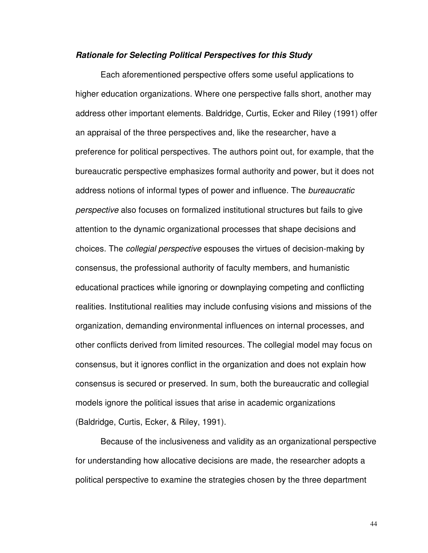#### **Rationale for Selecting Political Perspectives for this Study**

 Each aforementioned perspective offers some useful applications to higher education organizations. Where one perspective falls short, another may address other important elements. Baldridge, Curtis, Ecker and Riley (1991) offer an appraisal of the three perspectives and, like the researcher, have a preference for political perspectives. The authors point out, for example, that the bureaucratic perspective emphasizes formal authority and power, but it does not address notions of informal types of power and influence. The bureaucratic perspective also focuses on formalized institutional structures but fails to give attention to the dynamic organizational processes that shape decisions and choices. The collegial perspective espouses the virtues of decision-making by consensus, the professional authority of faculty members, and humanistic educational practices while ignoring or downplaying competing and conflicting realities. Institutional realities may include confusing visions and missions of the organization, demanding environmental influences on internal processes, and other conflicts derived from limited resources. The collegial model may focus on consensus, but it ignores conflict in the organization and does not explain how consensus is secured or preserved. In sum, both the bureaucratic and collegial models ignore the political issues that arise in academic organizations (Baldridge, Curtis, Ecker, & Riley, 1991).

 Because of the inclusiveness and validity as an organizational perspective for understanding how allocative decisions are made, the researcher adopts a political perspective to examine the strategies chosen by the three department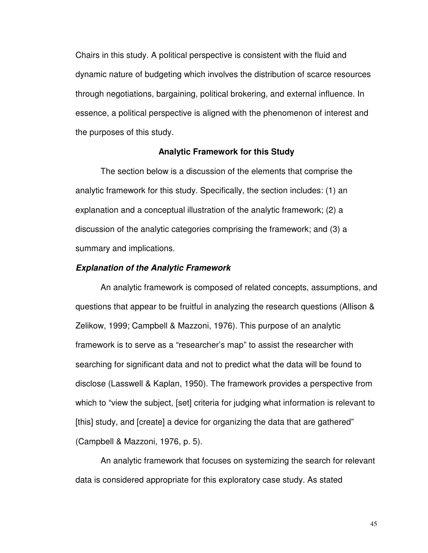Chairs in this study. A political perspective is consistent with the fluid and dynamic nature of budgeting which involves the distribution of scarce resources through negotiations, bargaining, political brokering, and external influence. In essence, a political perspective is aligned with the phenomenon of interest and the purposes of this study.

## **Analytic Framework for this Study**

 The section below is a discussion of the elements that comprise the analytic framework for this study. Specifically, the section includes: (1) an explanation and a conceptual illustration of the analytic framework; (2) a discussion of the analytic categories comprising the framework; and (3) a summary and implications.

## **Explanation of the Analytic Framework**

 An analytic framework is composed of related concepts, assumptions, and questions that appear to be fruitful in analyzing the research questions (Allison & Zelikow, 1999; Campbell & Mazzoni, 1976). This purpose of an analytic framework is to serve as a "researcher's map" to assist the researcher with searching for significant data and not to predict what the data will be found to disclose (Lasswell & Kaplan, 1950). The framework provides a perspective from which to "view the subject, [set] criteria for judging what information is relevant to [this] study, and [create] a device for organizing the data that are gathered" (Campbell & Mazzoni, 1976, p. 5).

 An analytic framework that focuses on systemizing the search for relevant data is considered appropriate for this exploratory case study. As stated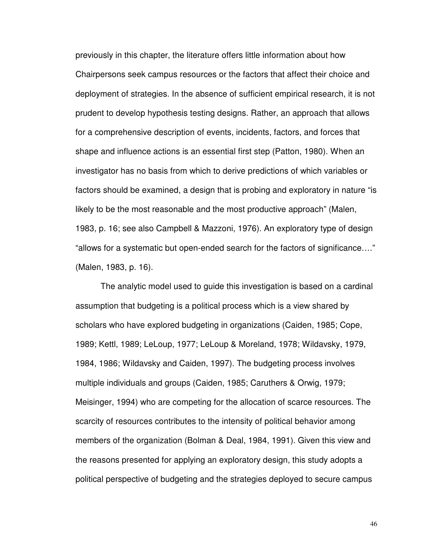previously in this chapter, the literature offers little information about how Chairpersons seek campus resources or the factors that affect their choice and deployment of strategies. In the absence of sufficient empirical research, it is not prudent to develop hypothesis testing designs. Rather, an approach that allows for a comprehensive description of events, incidents, factors, and forces that shape and influence actions is an essential first step (Patton, 1980). When an investigator has no basis from which to derive predictions of which variables or factors should be examined, a design that is probing and exploratory in nature "is likely to be the most reasonable and the most productive approach" (Malen, 1983, p. 16; see also Campbell & Mazzoni, 1976). An exploratory type of design "allows for a systematic but open-ended search for the factors of significance…." (Malen, 1983, p. 16).

 The analytic model used to guide this investigation is based on a cardinal assumption that budgeting is a political process which is a view shared by scholars who have explored budgeting in organizations (Caiden, 1985; Cope, 1989; Kettl, 1989; LeLoup, 1977; LeLoup & Moreland, 1978; Wildavsky, 1979, 1984, 1986; Wildavsky and Caiden, 1997). The budgeting process involves multiple individuals and groups (Caiden, 1985; Caruthers & Orwig, 1979; Meisinger, 1994) who are competing for the allocation of scarce resources. The scarcity of resources contributes to the intensity of political behavior among members of the organization (Bolman & Deal, 1984, 1991). Given this view and the reasons presented for applying an exploratory design, this study adopts a political perspective of budgeting and the strategies deployed to secure campus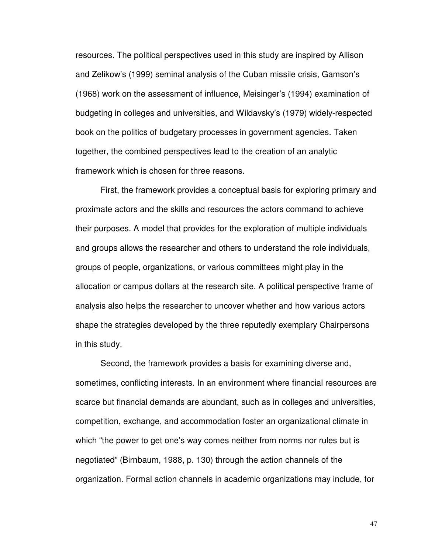resources. The political perspectives used in this study are inspired by Allison and Zelikow's (1999) seminal analysis of the Cuban missile crisis, Gamson's (1968) work on the assessment of influence, Meisinger's (1994) examination of budgeting in colleges and universities, and Wildavsky's (1979) widely-respected book on the politics of budgetary processes in government agencies. Taken together, the combined perspectives lead to the creation of an analytic framework which is chosen for three reasons.

First, the framework provides a conceptual basis for exploring primary and proximate actors and the skills and resources the actors command to achieve their purposes. A model that provides for the exploration of multiple individuals and groups allows the researcher and others to understand the role individuals, groups of people, organizations, or various committees might play in the allocation or campus dollars at the research site. A political perspective frame of analysis also helps the researcher to uncover whether and how various actors shape the strategies developed by the three reputedly exemplary Chairpersons in this study.

Second, the framework provides a basis for examining diverse and, sometimes, conflicting interests. In an environment where financial resources are scarce but financial demands are abundant, such as in colleges and universities, competition, exchange, and accommodation foster an organizational climate in which "the power to get one's way comes neither from norms nor rules but is negotiated" (Birnbaum, 1988, p. 130) through the action channels of the organization. Formal action channels in academic organizations may include, for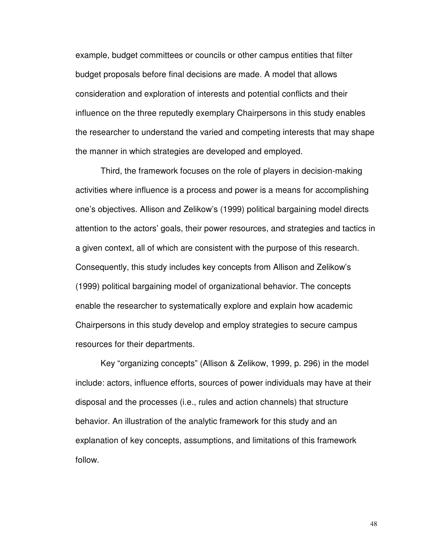example, budget committees or councils or other campus entities that filter budget proposals before final decisions are made. A model that allows consideration and exploration of interests and potential conflicts and their influence on the three reputedly exemplary Chairpersons in this study enables the researcher to understand the varied and competing interests that may shape the manner in which strategies are developed and employed.

Third, the framework focuses on the role of players in decision-making activities where influence is a process and power is a means for accomplishing one's objectives. Allison and Zelikow's (1999) political bargaining model directs attention to the actors' goals, their power resources, and strategies and tactics in a given context, all of which are consistent with the purpose of this research. Consequently, this study includes key concepts from Allison and Zelikow's (1999) political bargaining model of organizational behavior. The concepts enable the researcher to systematically explore and explain how academic Chairpersons in this study develop and employ strategies to secure campus resources for their departments.

Key "organizing concepts" (Allison & Zelikow, 1999, p. 296) in the model include: actors, influence efforts, sources of power individuals may have at their disposal and the processes (i.e., rules and action channels) that structure behavior. An illustration of the analytic framework for this study and an explanation of key concepts, assumptions, and limitations of this framework follow.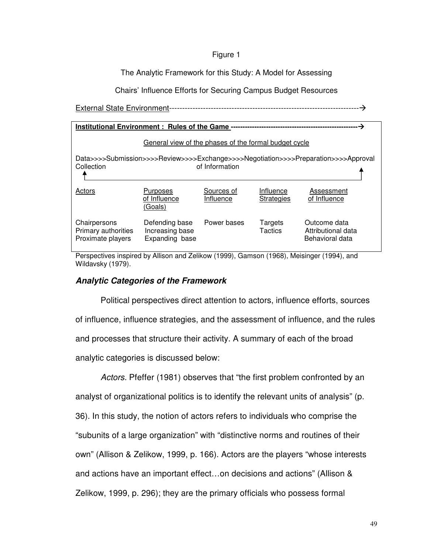## Figure 1

## The Analytic Framework for this Study: A Model for Assessing

Chairs' Influence Efforts for Securing Campus Budget Resources

External State Environment-------------------------------------------------------------------------

| Institutional Environment: Rules of the Game -                                     |                                                     |                         |                                |                                                       |
|------------------------------------------------------------------------------------|-----------------------------------------------------|-------------------------|--------------------------------|-------------------------------------------------------|
| General view of the phases of the formal budget cycle                              |                                                     |                         |                                |                                                       |
| Data>>>>Submission>>>>Review>>>>Exchange>>>>Negotiation>>>>Preparation>>>>Approval |                                                     |                         |                                |                                                       |
| Collection                                                                         |                                                     | of Information          |                                |                                                       |
| Actors                                                                             | <b>Purposes</b><br>of Influence<br>(Goals)          | Sources of<br>Influence | Influence<br><b>Strategies</b> | Assessment<br>of Influence                            |
| Chairpersons<br>Primary authorities<br>Proximate players                           | Defending base<br>Increasing base<br>Expanding base | Power bases             | Targets<br><b>Tactics</b>      | Outcome data<br>Attributional data<br>Behavioral data |

Perspectives inspired by Allison and Zelikow (1999), Gamson (1968), Meisinger (1994), and Wildavsky (1979).

# **Analytic Categories of the Framework**

 Political perspectives direct attention to actors, influence efforts, sources of influence, influence strategies, and the assessment of influence, and the rules and processes that structure their activity. A summary of each of the broad analytic categories is discussed below:

Actors. Pfeffer (1981) observes that "the first problem confronted by an analyst of organizational politics is to identify the relevant units of analysis" (p. 36). In this study, the notion of actors refers to individuals who comprise the "subunits of a large organization" with "distinctive norms and routines of their own" (Allison & Zelikow, 1999, p. 166). Actors are the players "whose interests and actions have an important effect…on decisions and actions" (Allison & Zelikow, 1999, p. 296); they are the primary officials who possess formal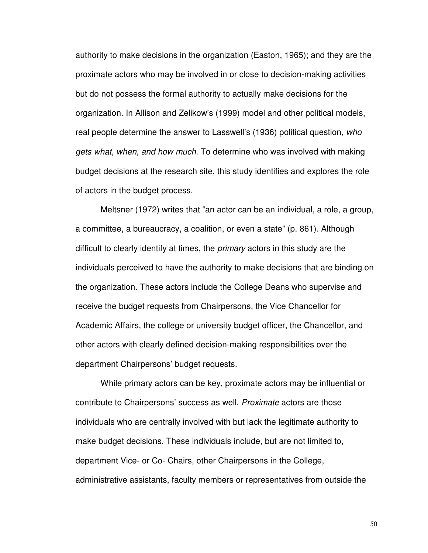authority to make decisions in the organization (Easton, 1965); and they are the proximate actors who may be involved in or close to decision-making activities but do not possess the formal authority to actually make decisions for the organization. In Allison and Zelikow's (1999) model and other political models, real people determine the answer to Lasswell's (1936) political question, who gets what, when, and how much. To determine who was involved with making budget decisions at the research site, this study identifies and explores the role of actors in the budget process.

Meltsner (1972) writes that "an actor can be an individual, a role, a group, a committee, a bureaucracy, a coalition, or even a state" (p. 861). Although difficult to clearly identify at times, the primary actors in this study are the individuals perceived to have the authority to make decisions that are binding on the organization. These actors include the College Deans who supervise and receive the budget requests from Chairpersons, the Vice Chancellor for Academic Affairs, the college or university budget officer, the Chancellor, and other actors with clearly defined decision-making responsibilities over the department Chairpersons' budget requests.

 While primary actors can be key, proximate actors may be influential or contribute to Chairpersons' success as well. Proximate actors are those individuals who are centrally involved with but lack the legitimate authority to make budget decisions. These individuals include, but are not limited to, department Vice- or Co- Chairs, other Chairpersons in the College, administrative assistants, faculty members or representatives from outside the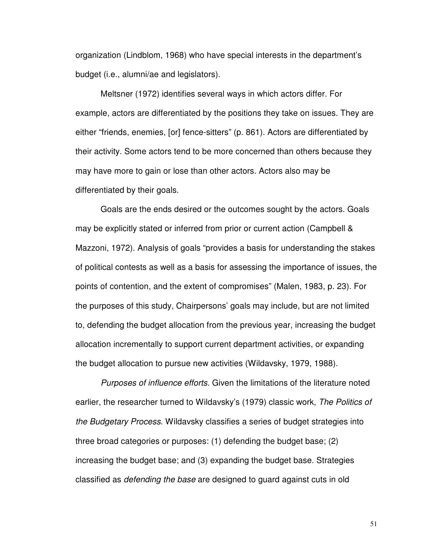organization (Lindblom, 1968) who have special interests in the department's budget (i.e., alumni/ae and legislators).

 Meltsner (1972) identifies several ways in which actors differ. For example, actors are differentiated by the positions they take on issues. They are either "friends, enemies, [or] fence-sitters" (p. 861). Actors are differentiated by their activity. Some actors tend to be more concerned than others because they may have more to gain or lose than other actors. Actors also may be differentiated by their goals.

 Goals are the ends desired or the outcomes sought by the actors. Goals may be explicitly stated or inferred from prior or current action (Campbell & Mazzoni, 1972). Analysis of goals "provides a basis for understanding the stakes of political contests as well as a basis for assessing the importance of issues, the points of contention, and the extent of compromises" (Malen, 1983, p. 23). For the purposes of this study, Chairpersons' goals may include, but are not limited to, defending the budget allocation from the previous year, increasing the budget allocation incrementally to support current department activities, or expanding the budget allocation to pursue new activities (Wildavsky, 1979, 1988).

Purposes of influence efforts. Given the limitations of the literature noted earlier, the researcher turned to Wildavsky's (1979) classic work, The Politics of the Budgetary Process. Wildavsky classifies a series of budget strategies into three broad categories or purposes: (1) defending the budget base; (2) increasing the budget base; and (3) expanding the budget base. Strategies classified as defending the base are designed to guard against cuts in old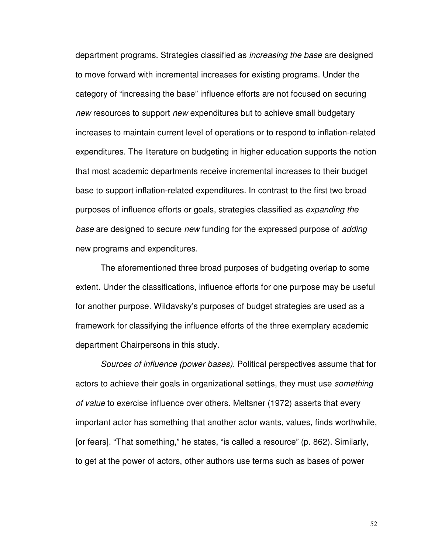department programs. Strategies classified as increasing the base are designed to move forward with incremental increases for existing programs. Under the category of "increasing the base" influence efforts are not focused on securing new resources to support new expenditures but to achieve small budgetary increases to maintain current level of operations or to respond to inflation-related expenditures. The literature on budgeting in higher education supports the notion that most academic departments receive incremental increases to their budget base to support inflation-related expenditures. In contrast to the first two broad purposes of influence efforts or goals, strategies classified as expanding the base are designed to secure new funding for the expressed purpose of adding new programs and expenditures.

 The aforementioned three broad purposes of budgeting overlap to some extent. Under the classifications, influence efforts for one purpose may be useful for another purpose. Wildavsky's purposes of budget strategies are used as a framework for classifying the influence efforts of the three exemplary academic department Chairpersons in this study.

Sources of influence (power bases). Political perspectives assume that for actors to achieve their goals in organizational settings, they must use something of value to exercise influence over others. Meltsner (1972) asserts that every important actor has something that another actor wants, values, finds worthwhile, [or fears]. "That something," he states, "is called a resource" (p. 862). Similarly, to get at the power of actors, other authors use terms such as bases of power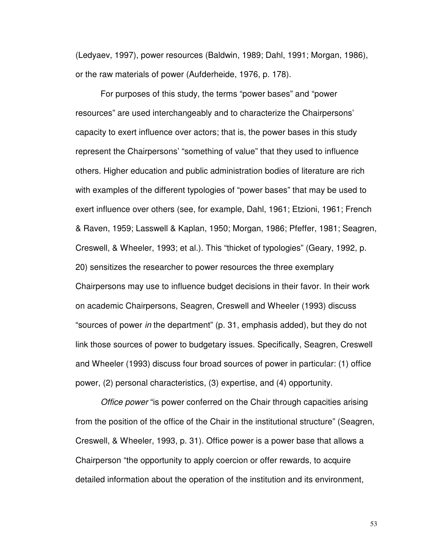(Ledyaev, 1997), power resources (Baldwin, 1989; Dahl, 1991; Morgan, 1986), or the raw materials of power (Aufderheide, 1976, p. 178).

For purposes of this study, the terms "power bases" and "power resources" are used interchangeably and to characterize the Chairpersons' capacity to exert influence over actors; that is, the power bases in this study represent the Chairpersons' "something of value" that they used to influence others. Higher education and public administration bodies of literature are rich with examples of the different typologies of "power bases" that may be used to exert influence over others (see, for example, Dahl, 1961; Etzioni, 1961; French & Raven, 1959; Lasswell & Kaplan, 1950; Morgan, 1986; Pfeffer, 1981; Seagren, Creswell, & Wheeler, 1993; et al.). This "thicket of typologies" (Geary, 1992, p. 20) sensitizes the researcher to power resources the three exemplary Chairpersons may use to influence budget decisions in their favor. In their work on academic Chairpersons, Seagren, Creswell and Wheeler (1993) discuss "sources of power in the department" (p. 31, emphasis added), but they do not link those sources of power to budgetary issues. Specifically, Seagren, Creswell and Wheeler (1993) discuss four broad sources of power in particular: (1) office power, (2) personal characteristics, (3) expertise, and (4) opportunity.

Office power "is power conferred on the Chair through capacities arising from the position of the office of the Chair in the institutional structure" (Seagren, Creswell, & Wheeler, 1993, p. 31). Office power is a power base that allows a Chairperson "the opportunity to apply coercion or offer rewards, to acquire detailed information about the operation of the institution and its environment,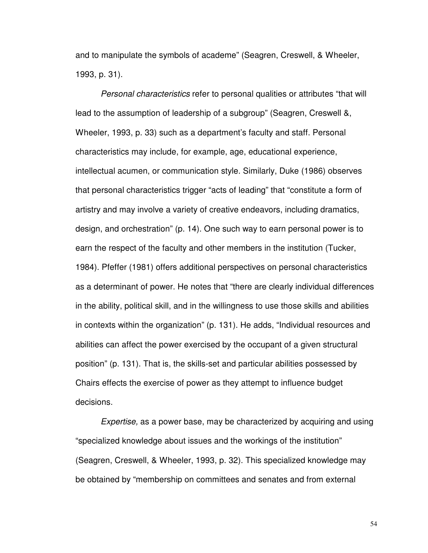and to manipulate the symbols of academe" (Seagren, Creswell, & Wheeler, 1993, p. 31).

Personal characteristics refer to personal qualities or attributes "that will lead to the assumption of leadership of a subgroup" (Seagren, Creswell &, Wheeler, 1993, p. 33) such as a department's faculty and staff. Personal characteristics may include, for example, age, educational experience, intellectual acumen, or communication style. Similarly, Duke (1986) observes that personal characteristics trigger "acts of leading" that "constitute a form of artistry and may involve a variety of creative endeavors, including dramatics, design, and orchestration" (p. 14). One such way to earn personal power is to earn the respect of the faculty and other members in the institution (Tucker, 1984). Pfeffer (1981) offers additional perspectives on personal characteristics as a determinant of power. He notes that "there are clearly individual differences in the ability, political skill, and in the willingness to use those skills and abilities in contexts within the organization" (p. 131). He adds, "Individual resources and abilities can affect the power exercised by the occupant of a given structural position" (p. 131). That is, the skills-set and particular abilities possessed by Chairs effects the exercise of power as they attempt to influence budget decisions.

Expertise, as a power base, may be characterized by acquiring and using "specialized knowledge about issues and the workings of the institution" (Seagren, Creswell, & Wheeler, 1993, p. 32). This specialized knowledge may be obtained by "membership on committees and senates and from external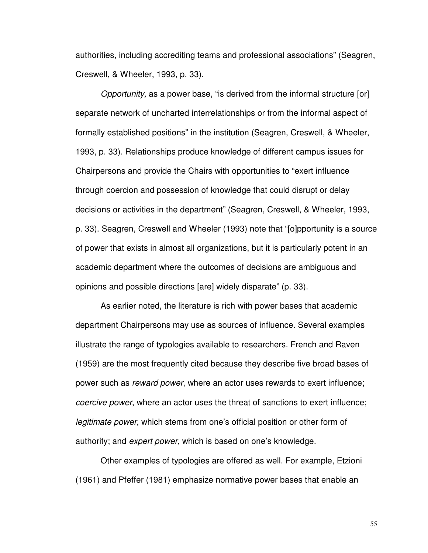authorities, including accrediting teams and professional associations" (Seagren, Creswell, & Wheeler, 1993, p. 33).

Opportunity, as a power base, "is derived from the informal structure [or] separate network of uncharted interrelationships or from the informal aspect of formally established positions" in the institution (Seagren, Creswell, & Wheeler, 1993, p. 33). Relationships produce knowledge of different campus issues for Chairpersons and provide the Chairs with opportunities to "exert influence through coercion and possession of knowledge that could disrupt or delay decisions or activities in the department" (Seagren, Creswell, & Wheeler, 1993, p. 33). Seagren, Creswell and Wheeler (1993) note that "[o]pportunity is a source of power that exists in almost all organizations, but it is particularly potent in an academic department where the outcomes of decisions are ambiguous and opinions and possible directions [are] widely disparate" (p. 33).

As earlier noted, the literature is rich with power bases that academic department Chairpersons may use as sources of influence. Several examples illustrate the range of typologies available to researchers. French and Raven (1959) are the most frequently cited because they describe five broad bases of power such as reward power, where an actor uses rewards to exert influence; coercive power, where an actor uses the threat of sanctions to exert influence; legitimate power, which stems from one's official position or other form of authority; and expert power, which is based on one's knowledge.

Other examples of typologies are offered as well. For example, Etzioni (1961) and Pfeffer (1981) emphasize normative power bases that enable an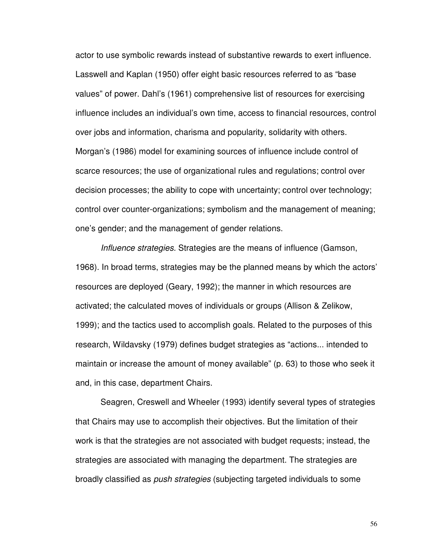actor to use symbolic rewards instead of substantive rewards to exert influence. Lasswell and Kaplan (1950) offer eight basic resources referred to as "base values" of power. Dahl's (1961) comprehensive list of resources for exercising influence includes an individual's own time, access to financial resources, control over jobs and information, charisma and popularity, solidarity with others. Morgan's (1986) model for examining sources of influence include control of scarce resources; the use of organizational rules and regulations; control over decision processes; the ability to cope with uncertainty; control over technology; control over counter-organizations; symbolism and the management of meaning; one's gender; and the management of gender relations.

Influence strategies. Strategies are the means of influence (Gamson, 1968). In broad terms, strategies may be the planned means by which the actors' resources are deployed (Geary, 1992); the manner in which resources are activated; the calculated moves of individuals or groups (Allison & Zelikow, 1999); and the tactics used to accomplish goals. Related to the purposes of this research, Wildavsky (1979) defines budget strategies as "actions... intended to maintain or increase the amount of money available" (p. 63) to those who seek it and, in this case, department Chairs.

 Seagren, Creswell and Wheeler (1993) identify several types of strategies that Chairs may use to accomplish their objectives. But the limitation of their work is that the strategies are not associated with budget requests; instead, the strategies are associated with managing the department. The strategies are broadly classified as push strategies (subjecting targeted individuals to some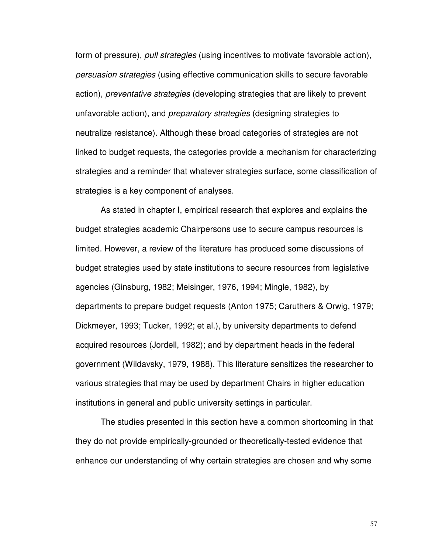form of pressure), pull strategies (using incentives to motivate favorable action), persuasion strategies (using effective communication skills to secure favorable action), preventative strategies (developing strategies that are likely to prevent unfavorable action), and preparatory strategies (designing strategies to neutralize resistance). Although these broad categories of strategies are not linked to budget requests, the categories provide a mechanism for characterizing strategies and a reminder that whatever strategies surface, some classification of strategies is a key component of analyses.

 As stated in chapter I, empirical research that explores and explains the budget strategies academic Chairpersons use to secure campus resources is limited. However, a review of the literature has produced some discussions of budget strategies used by state institutions to secure resources from legislative agencies (Ginsburg, 1982; Meisinger, 1976, 1994; Mingle, 1982), by departments to prepare budget requests (Anton 1975; Caruthers & Orwig, 1979; Dickmeyer, 1993; Tucker, 1992; et al.), by university departments to defend acquired resources (Jordell, 1982); and by department heads in the federal government (Wildavsky, 1979, 1988). This literature sensitizes the researcher to various strategies that may be used by department Chairs in higher education institutions in general and public university settings in particular.

The studies presented in this section have a common shortcoming in that they do not provide empirically-grounded or theoretically-tested evidence that enhance our understanding of why certain strategies are chosen and why some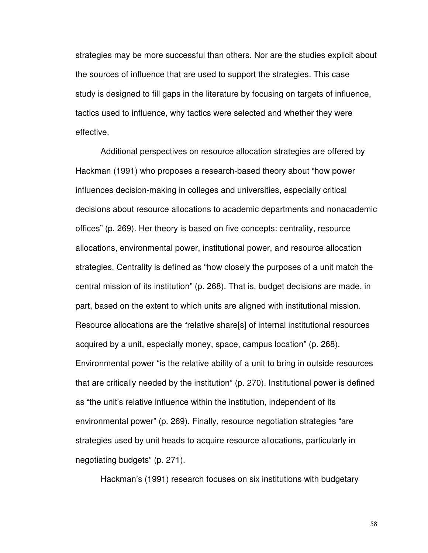strategies may be more successful than others. Nor are the studies explicit about the sources of influence that are used to support the strategies. This case study is designed to fill gaps in the literature by focusing on targets of influence, tactics used to influence, why tactics were selected and whether they were effective.

 Additional perspectives on resource allocation strategies are offered by Hackman (1991) who proposes a research-based theory about "how power influences decision-making in colleges and universities, especially critical decisions about resource allocations to academic departments and nonacademic offices" (p. 269). Her theory is based on five concepts: centrality, resource allocations, environmental power, institutional power, and resource allocation strategies. Centrality is defined as "how closely the purposes of a unit match the central mission of its institution" (p. 268). That is, budget decisions are made, in part, based on the extent to which units are aligned with institutional mission. Resource allocations are the "relative share[s] of internal institutional resources acquired by a unit, especially money, space, campus location" (p. 268). Environmental power "is the relative ability of a unit to bring in outside resources that are critically needed by the institution" (p. 270). Institutional power is defined as "the unit's relative influence within the institution, independent of its environmental power" (p. 269). Finally, resource negotiation strategies "are strategies used by unit heads to acquire resource allocations, particularly in negotiating budgets" (p. 271).

Hackman's (1991) research focuses on six institutions with budgetary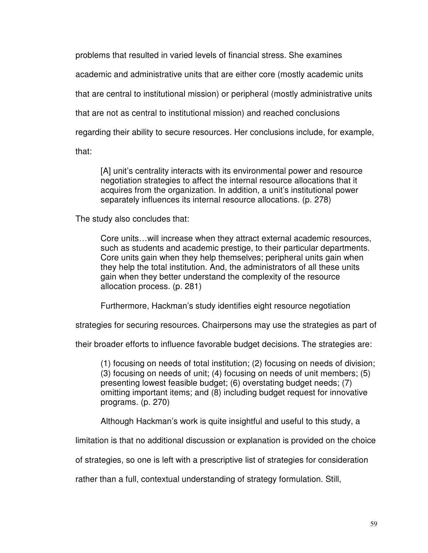problems that resulted in varied levels of financial stress. She examines academic and administrative units that are either core (mostly academic units that are central to institutional mission) or peripheral (mostly administrative units that are not as central to institutional mission) and reached conclusions regarding their ability to secure resources. Her conclusions include, for example, that:

[A] unit's centrality interacts with its environmental power and resource negotiation strategies to affect the internal resource allocations that it acquires from the organization. In addition, a unit's institutional power separately influences its internal resource allocations. (p. 278)

The study also concludes that:

Core units…will increase when they attract external academic resources, such as students and academic prestige, to their particular departments. Core units gain when they help themselves; peripheral units gain when they help the total institution. And, the administrators of all these units gain when they better understand the complexity of the resource allocation process. (p. 281)

Furthermore, Hackman's study identifies eight resource negotiation

strategies for securing resources. Chairpersons may use the strategies as part of

their broader efforts to influence favorable budget decisions. The strategies are:

(1) focusing on needs of total institution; (2) focusing on needs of division; (3) focusing on needs of unit; (4) focusing on needs of unit members; (5) presenting lowest feasible budget; (6) overstating budget needs; (7) omitting important items; and (8) including budget request for innovative programs. (p. 270)

Although Hackman's work is quite insightful and useful to this study, a

limitation is that no additional discussion or explanation is provided on the choice

of strategies, so one is left with a prescriptive list of strategies for consideration

rather than a full, contextual understanding of strategy formulation. Still,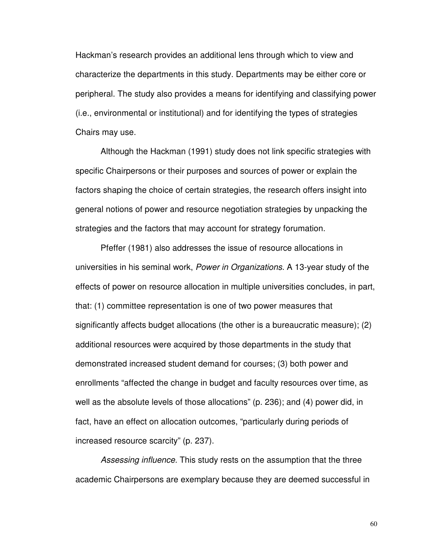Hackman's research provides an additional lens through which to view and characterize the departments in this study. Departments may be either core or peripheral. The study also provides a means for identifying and classifying power (i.e., environmental or institutional) and for identifying the types of strategies Chairs may use.

Although the Hackman (1991) study does not link specific strategies with specific Chairpersons or their purposes and sources of power or explain the factors shaping the choice of certain strategies, the research offers insight into general notions of power and resource negotiation strategies by unpacking the strategies and the factors that may account for strategy forumation.

 Pfeffer (1981) also addresses the issue of resource allocations in universities in his seminal work, Power in Organizations. A 13-year study of the effects of power on resource allocation in multiple universities concludes, in part, that: (1) committee representation is one of two power measures that significantly affects budget allocations (the other is a bureaucratic measure); (2) additional resources were acquired by those departments in the study that demonstrated increased student demand for courses; (3) both power and enrollments "affected the change in budget and faculty resources over time, as well as the absolute levels of those allocations" (p. 236); and (4) power did, in fact, have an effect on allocation outcomes, "particularly during periods of increased resource scarcity" (p. 237).

Assessing influence. This study rests on the assumption that the three academic Chairpersons are exemplary because they are deemed successful in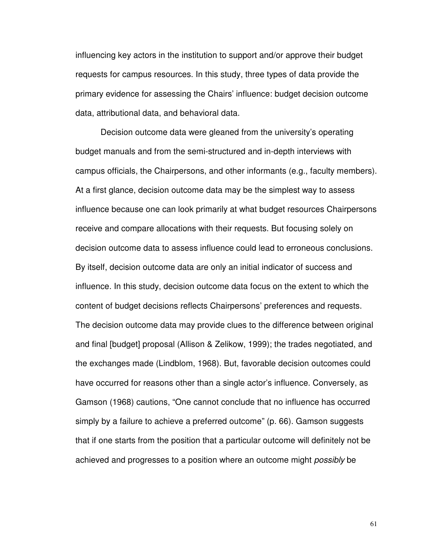influencing key actors in the institution to support and/or approve their budget requests for campus resources. In this study, three types of data provide the primary evidence for assessing the Chairs' influence: budget decision outcome data, attributional data, and behavioral data.

Decision outcome data were gleaned from the university's operating budget manuals and from the semi-structured and in-depth interviews with campus officials, the Chairpersons, and other informants (e.g., faculty members). At a first glance, decision outcome data may be the simplest way to assess influence because one can look primarily at what budget resources Chairpersons receive and compare allocations with their requests. But focusing solely on decision outcome data to assess influence could lead to erroneous conclusions. By itself, decision outcome data are only an initial indicator of success and influence. In this study, decision outcome data focus on the extent to which the content of budget decisions reflects Chairpersons' preferences and requests. The decision outcome data may provide clues to the difference between original and final [budget] proposal (Allison & Zelikow, 1999); the trades negotiated, and the exchanges made (Lindblom, 1968). But, favorable decision outcomes could have occurred for reasons other than a single actor's influence. Conversely, as Gamson (1968) cautions, "One cannot conclude that no influence has occurred simply by a failure to achieve a preferred outcome" (p. 66). Gamson suggests that if one starts from the position that a particular outcome will definitely not be achieved and progresses to a position where an outcome might *possibly* be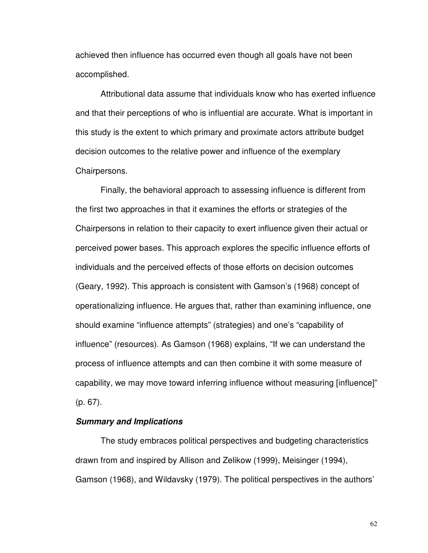achieved then influence has occurred even though all goals have not been accomplished.

 Attributional data assume that individuals know who has exerted influence and that their perceptions of who is influential are accurate. What is important in this study is the extent to which primary and proximate actors attribute budget decision outcomes to the relative power and influence of the exemplary Chairpersons.

 Finally, the behavioral approach to assessing influence is different from the first two approaches in that it examines the efforts or strategies of the Chairpersons in relation to their capacity to exert influence given their actual or perceived power bases. This approach explores the specific influence efforts of individuals and the perceived effects of those efforts on decision outcomes (Geary, 1992). This approach is consistent with Gamson's (1968) concept of operationalizing influence. He argues that, rather than examining influence, one should examine "influence attempts" (strategies) and one's "capability of influence" (resources). As Gamson (1968) explains, "If we can understand the process of influence attempts and can then combine it with some measure of capability, we may move toward inferring influence without measuring [influence]" (p. 67).

### **Summary and Implications**

The study embraces political perspectives and budgeting characteristics drawn from and inspired by Allison and Zelikow (1999), Meisinger (1994), Gamson (1968), and Wildavsky (1979). The political perspectives in the authors'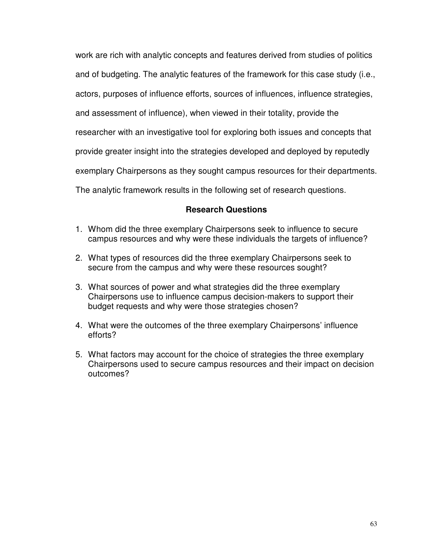work are rich with analytic concepts and features derived from studies of politics and of budgeting. The analytic features of the framework for this case study (i.e., actors, purposes of influence efforts, sources of influences, influence strategies, and assessment of influence), when viewed in their totality, provide the researcher with an investigative tool for exploring both issues and concepts that provide greater insight into the strategies developed and deployed by reputedly exemplary Chairpersons as they sought campus resources for their departments. The analytic framework results in the following set of research questions.

# **Research Questions**

- 1. Whom did the three exemplary Chairpersons seek to influence to secure campus resources and why were these individuals the targets of influence?
- 2. What types of resources did the three exemplary Chairpersons seek to secure from the campus and why were these resources sought?
- 3. What sources of power and what strategies did the three exemplary Chairpersons use to influence campus decision-makers to support their budget requests and why were those strategies chosen?
- 4. What were the outcomes of the three exemplary Chairpersons' influence efforts?
- 5. What factors may account for the choice of strategies the three exemplary Chairpersons used to secure campus resources and their impact on decision outcomes?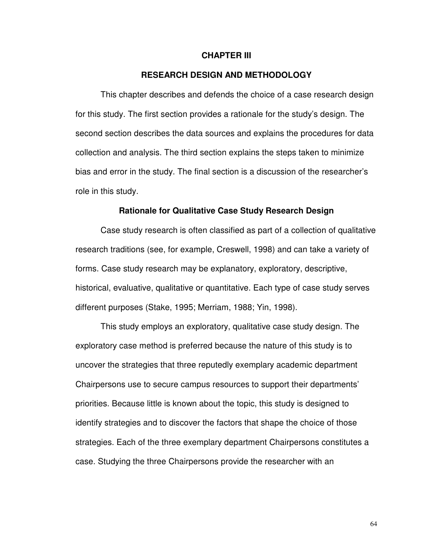### **CHAPTER III**

### **RESEARCH DESIGN AND METHODOLOGY**

This chapter describes and defends the choice of a case research design for this study. The first section provides a rationale for the study's design. The second section describes the data sources and explains the procedures for data collection and analysis. The third section explains the steps taken to minimize bias and error in the study. The final section is a discussion of the researcher's role in this study.

#### **Rationale for Qualitative Case Study Research Design**

 Case study research is often classified as part of a collection of qualitative research traditions (see, for example, Creswell, 1998) and can take a variety of forms. Case study research may be explanatory, exploratory, descriptive, historical, evaluative, qualitative or quantitative. Each type of case study serves different purposes (Stake, 1995; Merriam, 1988; Yin, 1998).

This study employs an exploratory, qualitative case study design. The exploratory case method is preferred because the nature of this study is to uncover the strategies that three reputedly exemplary academic department Chairpersons use to secure campus resources to support their departments' priorities. Because little is known about the topic, this study is designed to identify strategies and to discover the factors that shape the choice of those strategies. Each of the three exemplary department Chairpersons constitutes a case. Studying the three Chairpersons provide the researcher with an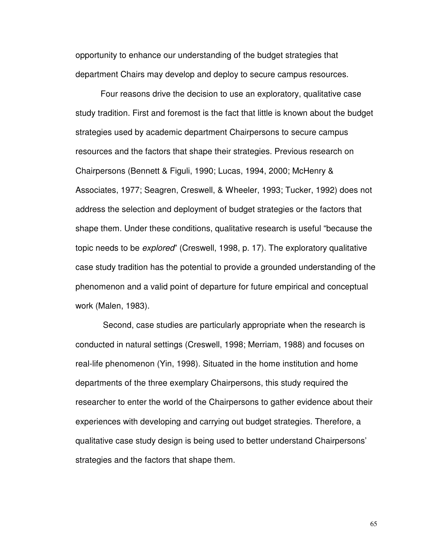opportunity to enhance our understanding of the budget strategies that department Chairs may develop and deploy to secure campus resources.

Four reasons drive the decision to use an exploratory, qualitative case study tradition. First and foremost is the fact that little is known about the budget strategies used by academic department Chairpersons to secure campus resources and the factors that shape their strategies. Previous research on Chairpersons (Bennett & Figuli, 1990; Lucas, 1994, 2000; McHenry & Associates, 1977; Seagren, Creswell, & Wheeler, 1993; Tucker, 1992) does not address the selection and deployment of budget strategies or the factors that shape them. Under these conditions, qualitative research is useful "because the topic needs to be explored" (Creswell, 1998, p. 17). The exploratory qualitative case study tradition has the potential to provide a grounded understanding of the phenomenon and a valid point of departure for future empirical and conceptual work (Malen, 1983).

 Second, case studies are particularly appropriate when the research is conducted in natural settings (Creswell, 1998; Merriam, 1988) and focuses on real-life phenomenon (Yin, 1998). Situated in the home institution and home departments of the three exemplary Chairpersons, this study required the researcher to enter the world of the Chairpersons to gather evidence about their experiences with developing and carrying out budget strategies. Therefore, a qualitative case study design is being used to better understand Chairpersons' strategies and the factors that shape them.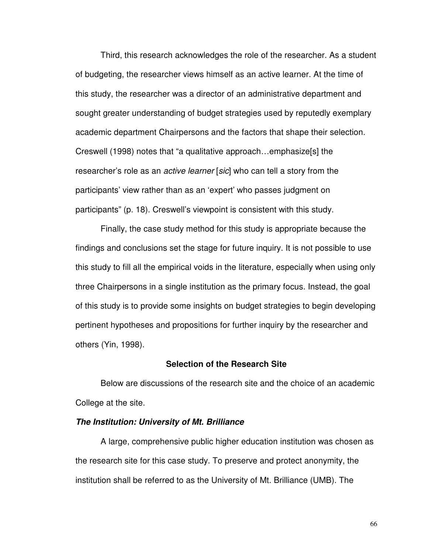Third, this research acknowledges the role of the researcher. As a student of budgeting, the researcher views himself as an active learner. At the time of this study, the researcher was a director of an administrative department and sought greater understanding of budget strategies used by reputedly exemplary academic department Chairpersons and the factors that shape their selection. Creswell (1998) notes that "a qualitative approach…emphasize[s] the researcher's role as an *active learner* [sic] who can tell a story from the participants' view rather than as an 'expert' who passes judgment on participants" (p. 18). Creswell's viewpoint is consistent with this study.

Finally, the case study method for this study is appropriate because the findings and conclusions set the stage for future inquiry. It is not possible to use this study to fill all the empirical voids in the literature, especially when using only three Chairpersons in a single institution as the primary focus. Instead, the goal of this study is to provide some insights on budget strategies to begin developing pertinent hypotheses and propositions for further inquiry by the researcher and others (Yin, 1998).

#### **Selection of the Research Site**

 Below are discussions of the research site and the choice of an academic College at the site.

### **The Institution: University of Mt. Brilliance**

 A large, comprehensive public higher education institution was chosen as the research site for this case study. To preserve and protect anonymity, the institution shall be referred to as the University of Mt. Brilliance (UMB). The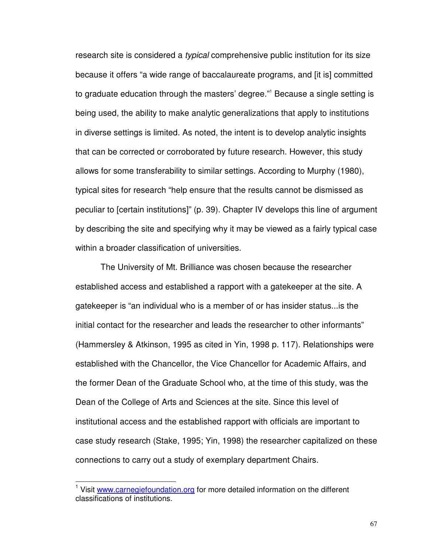research site is considered a typical comprehensive public institution for its size because it offers "a wide range of baccalaureate programs, and [it is] committed to graduate education through the masters' degree."<sup>1</sup> Because a single setting is being used, the ability to make analytic generalizations that apply to institutions in diverse settings is limited. As noted, the intent is to develop analytic insights that can be corrected or corroborated by future research. However, this study allows for some transferability to similar settings. According to Murphy (1980), typical sites for research "help ensure that the results cannot be dismissed as peculiar to [certain institutions]" (p. 39). Chapter IV develops this line of argument by describing the site and specifying why it may be viewed as a fairly typical case within a broader classification of universities.

The University of Mt. Brilliance was chosen because the researcher established access and established a rapport with a gatekeeper at the site. A gatekeeper is "an individual who is a member of or has insider status...is the initial contact for the researcher and leads the researcher to other informants" (Hammersley & Atkinson, 1995 as cited in Yin, 1998 p. 117). Relationships were established with the Chancellor, the Vice Chancellor for Academic Affairs, and the former Dean of the Graduate School who, at the time of this study, was the Dean of the College of Arts and Sciences at the site. Since this level of institutional access and the established rapport with officials are important to case study research (Stake, 1995; Yin, 1998) the researcher capitalized on these connections to carry out a study of exemplary department Chairs.

l

<sup>&</sup>lt;sup>1</sup> Visit www.carnegiefoundation.org for more detailed information on the different classifications of institutions.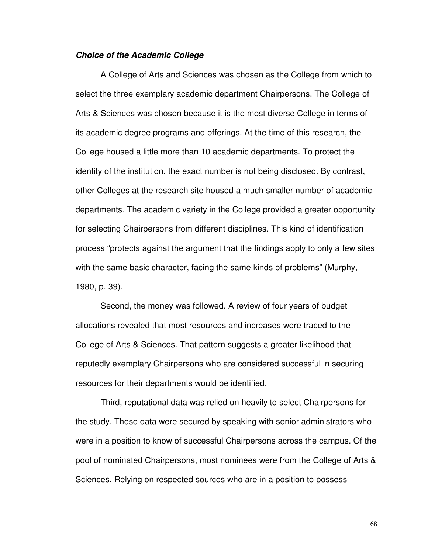#### **Choice of the Academic College**

 A College of Arts and Sciences was chosen as the College from which to select the three exemplary academic department Chairpersons. The College of Arts & Sciences was chosen because it is the most diverse College in terms of its academic degree programs and offerings. At the time of this research, the College housed a little more than 10 academic departments. To protect the identity of the institution, the exact number is not being disclosed. By contrast, other Colleges at the research site housed a much smaller number of academic departments. The academic variety in the College provided a greater opportunity for selecting Chairpersons from different disciplines. This kind of identification process "protects against the argument that the findings apply to only a few sites with the same basic character, facing the same kinds of problems" (Murphy, 1980, p. 39).

 Second, the money was followed. A review of four years of budget allocations revealed that most resources and increases were traced to the College of Arts & Sciences. That pattern suggests a greater likelihood that reputedly exemplary Chairpersons who are considered successful in securing resources for their departments would be identified.

Third, reputational data was relied on heavily to select Chairpersons for the study. These data were secured by speaking with senior administrators who were in a position to know of successful Chairpersons across the campus. Of the pool of nominated Chairpersons, most nominees were from the College of Arts & Sciences. Relying on respected sources who are in a position to possess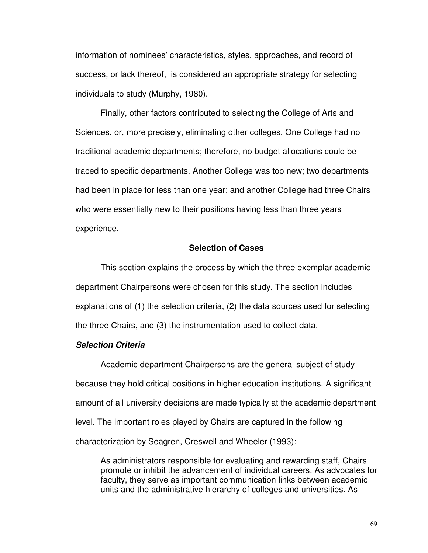information of nominees' characteristics, styles, approaches, and record of success, or lack thereof, is considered an appropriate strategy for selecting individuals to study (Murphy, 1980).

 Finally, other factors contributed to selecting the College of Arts and Sciences, or, more precisely, eliminating other colleges. One College had no traditional academic departments; therefore, no budget allocations could be traced to specific departments. Another College was too new; two departments had been in place for less than one year; and another College had three Chairs who were essentially new to their positions having less than three years experience.

# **Selection of Cases**

 This section explains the process by which the three exemplar academic department Chairpersons were chosen for this study. The section includes explanations of (1) the selection criteria, (2) the data sources used for selecting the three Chairs, and (3) the instrumentation used to collect data.

#### **Selection Criteria**

 Academic department Chairpersons are the general subject of study because they hold critical positions in higher education institutions. A significant amount of all university decisions are made typically at the academic department level. The important roles played by Chairs are captured in the following characterization by Seagren, Creswell and Wheeler (1993):

As administrators responsible for evaluating and rewarding staff, Chairs promote or inhibit the advancement of individual careers. As advocates for faculty, they serve as important communication links between academic units and the administrative hierarchy of colleges and universities. As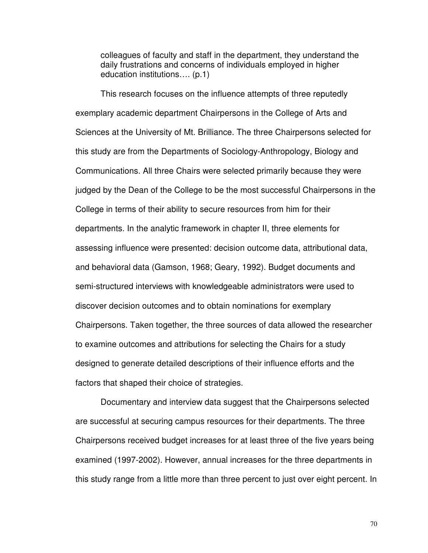colleagues of faculty and staff in the department, they understand the daily frustrations and concerns of individuals employed in higher education institutions…. (p.1)

 This research focuses on the influence attempts of three reputedly exemplary academic department Chairpersons in the College of Arts and Sciences at the University of Mt. Brilliance. The three Chairpersons selected for this study are from the Departments of Sociology-Anthropology, Biology and Communications. All three Chairs were selected primarily because they were judged by the Dean of the College to be the most successful Chairpersons in the College in terms of their ability to secure resources from him for their departments. In the analytic framework in chapter II, three elements for assessing influence were presented: decision outcome data, attributional data, and behavioral data (Gamson, 1968; Geary, 1992). Budget documents and semi-structured interviews with knowledgeable administrators were used to discover decision outcomes and to obtain nominations for exemplary Chairpersons. Taken together, the three sources of data allowed the researcher to examine outcomes and attributions for selecting the Chairs for a study designed to generate detailed descriptions of their influence efforts and the factors that shaped their choice of strategies.

Documentary and interview data suggest that the Chairpersons selected are successful at securing campus resources for their departments. The three Chairpersons received budget increases for at least three of the five years being examined (1997-2002). However, annual increases for the three departments in this study range from a little more than three percent to just over eight percent. In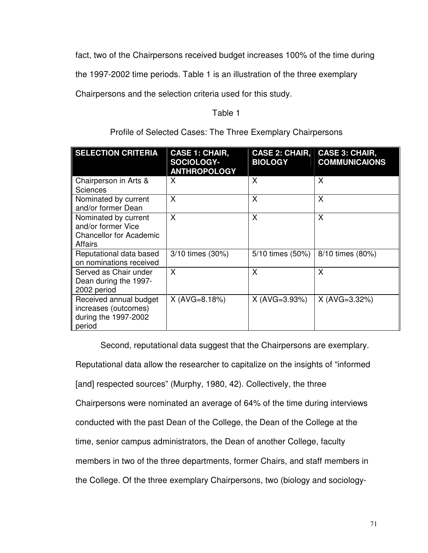fact, two of the Chairpersons received budget increases 100% of the time during

the 1997-2002 time periods. Table 1 is an illustration of the three exemplary

Chairpersons and the selection criteria used for this study.

# Table 1

| <b>SELECTION CRITERIA</b>                                                               | <b>CASE 1: CHAIR,</b><br>SOCIOLOGY-<br><b>ANTHROPOLOGY</b> | <b>CASE 2: CHAIR,</b><br><b>BIOLOGY</b> | <b>CASE 3: CHAIR,</b><br><b>COMMUNICAIONS</b> |
|-----------------------------------------------------------------------------------------|------------------------------------------------------------|-----------------------------------------|-----------------------------------------------|
| Chairperson in Arts &<br><b>Sciences</b>                                                | X                                                          | X                                       | X                                             |
| Nominated by current<br>and/or former Dean                                              | X                                                          | X                                       | X                                             |
| Nominated by current<br>and/or former Vice<br><b>Chancellor for Academic</b><br>Affairs | X                                                          | X                                       | X                                             |
| Reputational data based<br>on nominations received                                      | 3/10 times (30%)                                           | 5/10 times (50%)                        | 8/10 times (80%)                              |
| Served as Chair under<br>Dean during the 1997-<br>2002 period                           | X                                                          | X                                       | X                                             |
| Received annual budget<br>increases (outcomes)<br>during the 1997-2002<br>period        | $X (AVG=8.18%)$                                            | $X (AVG=3.93%)$                         | $X (AVG=3.32%)$                               |

Profile of Selected Cases: The Three Exemplary Chairpersons

 Second, reputational data suggest that the Chairpersons are exemplary. Reputational data allow the researcher to capitalize on the insights of "informed [and] respected sources" (Murphy, 1980, 42). Collectively, the three Chairpersons were nominated an average of 64% of the time during interviews conducted with the past Dean of the College, the Dean of the College at the time, senior campus administrators, the Dean of another College, faculty members in two of the three departments, former Chairs, and staff members in the College. Of the three exemplary Chairpersons, two (biology and sociology-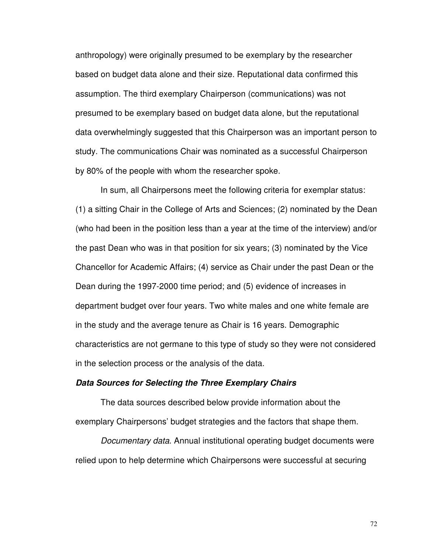anthropology) were originally presumed to be exemplary by the researcher based on budget data alone and their size. Reputational data confirmed this assumption. The third exemplary Chairperson (communications) was not presumed to be exemplary based on budget data alone, but the reputational data overwhelmingly suggested that this Chairperson was an important person to study. The communications Chair was nominated as a successful Chairperson by 80% of the people with whom the researcher spoke.

 In sum, all Chairpersons meet the following criteria for exemplar status: (1) a sitting Chair in the College of Arts and Sciences; (2) nominated by the Dean (who had been in the position less than a year at the time of the interview) and/or the past Dean who was in that position for six years; (3) nominated by the Vice Chancellor for Academic Affairs; (4) service as Chair under the past Dean or the Dean during the 1997-2000 time period; and (5) evidence of increases in department budget over four years. Two white males and one white female are in the study and the average tenure as Chair is 16 years. Demographic characteristics are not germane to this type of study so they were not considered in the selection process or the analysis of the data.

#### **Data Sources for Selecting the Three Exemplary Chairs**

The data sources described below provide information about the exemplary Chairpersons' budget strategies and the factors that shape them.

Documentary data. Annual institutional operating budget documents were relied upon to help determine which Chairpersons were successful at securing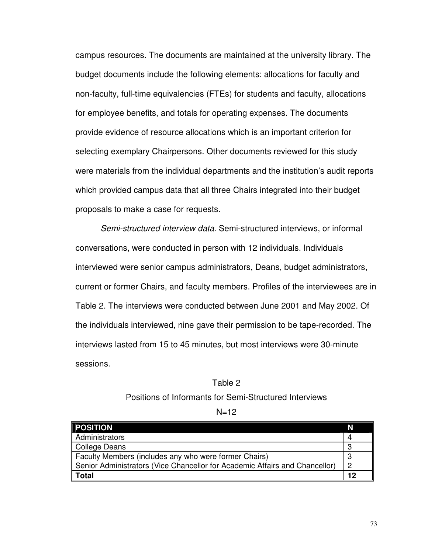campus resources. The documents are maintained at the university library. The budget documents include the following elements: allocations for faculty and non-faculty, full-time equivalencies (FTEs) for students and faculty, allocations for employee benefits, and totals for operating expenses. The documents provide evidence of resource allocations which is an important criterion for selecting exemplary Chairpersons. Other documents reviewed for this study were materials from the individual departments and the institution's audit reports which provided campus data that all three Chairs integrated into their budget proposals to make a case for requests.

Semi-structured interview data. Semi-structured interviews, or informal conversations, were conducted in person with 12 individuals. Individuals interviewed were senior campus administrators, Deans, budget administrators, current or former Chairs, and faculty members. Profiles of the interviewees are in Table 2. The interviews were conducted between June 2001 and May 2002. Of the individuals interviewed, nine gave their permission to be tape-recorded. The interviews lasted from 15 to 45 minutes, but most interviews were 30-minute sessions.

# Table 2 Positions of Informants for Semi-Structured Interviews

 $N=12$ 

| <b>POSITION</b>                                                             | N |
|-----------------------------------------------------------------------------|---|
| Administrators                                                              |   |
| College Deans                                                               |   |
| Faculty Members (includes any who were former Chairs)                       |   |
| Senior Administrators (Vice Chancellor for Academic Affairs and Chancellor) |   |
| $\parallel$ Total                                                           |   |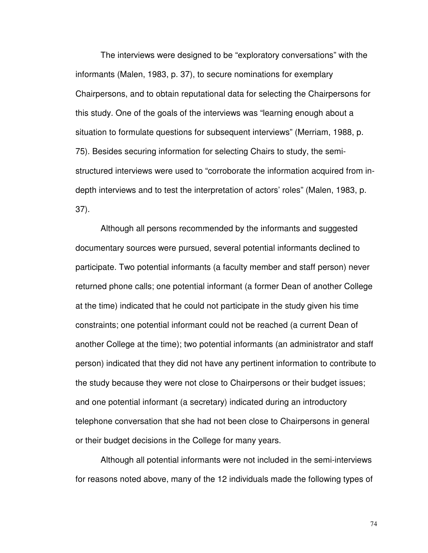The interviews were designed to be "exploratory conversations" with the informants (Malen, 1983, p. 37), to secure nominations for exemplary Chairpersons, and to obtain reputational data for selecting the Chairpersons for this study. One of the goals of the interviews was "learning enough about a situation to formulate questions for subsequent interviews" (Merriam, 1988, p. 75). Besides securing information for selecting Chairs to study, the semistructured interviews were used to "corroborate the information acquired from indepth interviews and to test the interpretation of actors' roles" (Malen, 1983, p. 37).

Although all persons recommended by the informants and suggested documentary sources were pursued, several potential informants declined to participate. Two potential informants (a faculty member and staff person) never returned phone calls; one potential informant (a former Dean of another College at the time) indicated that he could not participate in the study given his time constraints; one potential informant could not be reached (a current Dean of another College at the time); two potential informants (an administrator and staff person) indicated that they did not have any pertinent information to contribute to the study because they were not close to Chairpersons or their budget issues; and one potential informant (a secretary) indicated during an introductory telephone conversation that she had not been close to Chairpersons in general or their budget decisions in the College for many years.

 Although all potential informants were not included in the semi-interviews for reasons noted above, many of the 12 individuals made the following types of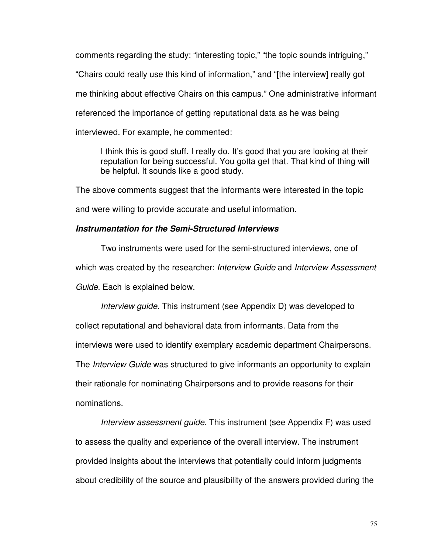comments regarding the study: "interesting topic," "the topic sounds intriguing," "Chairs could really use this kind of information," and "[the interview] really got me thinking about effective Chairs on this campus." One administrative informant referenced the importance of getting reputational data as he was being interviewed. For example, he commented:

I think this is good stuff. I really do. It's good that you are looking at their reputation for being successful. You gotta get that. That kind of thing will be helpful. It sounds like a good study.

The above comments suggest that the informants were interested in the topic

and were willing to provide accurate and useful information.

# **Instrumentation for the Semi-Structured Interviews**

Two instruments were used for the semi-structured interviews, one of which was created by the researcher: Interview Guide and Interview Assessment Guide. Each is explained below.

Interview guide. This instrument (see Appendix D) was developed to collect reputational and behavioral data from informants. Data from the interviews were used to identify exemplary academic department Chairpersons. The *Interview Guide* was structured to give informants an opportunity to explain their rationale for nominating Chairpersons and to provide reasons for their nominations.

Interview assessment guide. This instrument (see Appendix F) was used to assess the quality and experience of the overall interview. The instrument provided insights about the interviews that potentially could inform judgments about credibility of the source and plausibility of the answers provided during the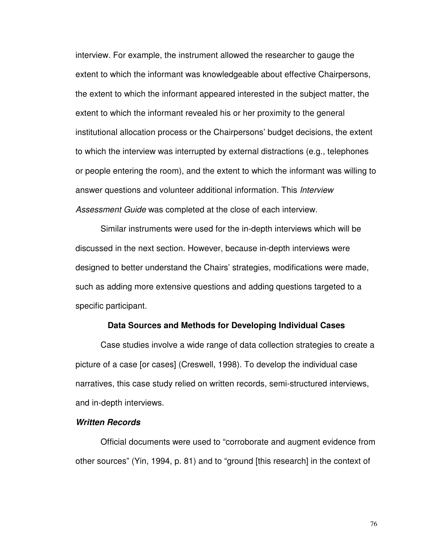interview. For example, the instrument allowed the researcher to gauge the extent to which the informant was knowledgeable about effective Chairpersons, the extent to which the informant appeared interested in the subject matter, the extent to which the informant revealed his or her proximity to the general institutional allocation process or the Chairpersons' budget decisions, the extent to which the interview was interrupted by external distractions (e.g., telephones or people entering the room), and the extent to which the informant was willing to answer questions and volunteer additional information. This Interview Assessment Guide was completed at the close of each interview.

 Similar instruments were used for the in-depth interviews which will be discussed in the next section. However, because in-depth interviews were designed to better understand the Chairs' strategies, modifications were made, such as adding more extensive questions and adding questions targeted to a specific participant.

#### **Data Sources and Methods for Developing Individual Cases**

Case studies involve a wide range of data collection strategies to create a picture of a case [or cases] (Creswell, 1998). To develop the individual case narratives, this case study relied on written records, semi-structured interviews, and in-depth interviews.

# **Written Records**

Official documents were used to "corroborate and augment evidence from other sources" (Yin, 1994, p. 81) and to "ground [this research] in the context of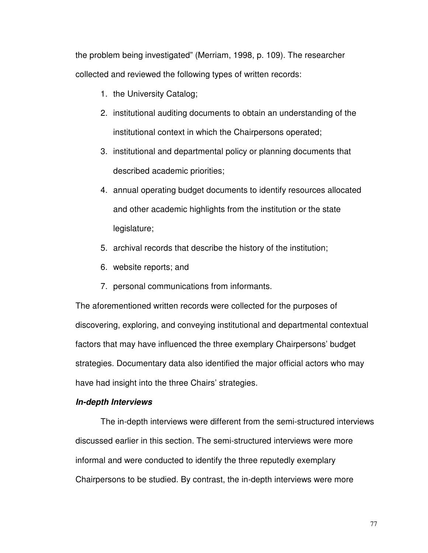the problem being investigated" (Merriam, 1998, p. 109). The researcher collected and reviewed the following types of written records:

- 1. the University Catalog;
- 2. institutional auditing documents to obtain an understanding of the institutional context in which the Chairpersons operated;
- 3. institutional and departmental policy or planning documents that described academic priorities;
- 4. annual operating budget documents to identify resources allocated and other academic highlights from the institution or the state legislature;
- 5. archival records that describe the history of the institution;
- 6. website reports; and
- 7. personal communications from informants.

The aforementioned written records were collected for the purposes of discovering, exploring, and conveying institutional and departmental contextual factors that may have influenced the three exemplary Chairpersons' budget strategies. Documentary data also identified the major official actors who may have had insight into the three Chairs' strategies.

#### **In-depth Interviews**

The in-depth interviews were different from the semi-structured interviews discussed earlier in this section. The semi-structured interviews were more informal and were conducted to identify the three reputedly exemplary Chairpersons to be studied. By contrast, the in-depth interviews were more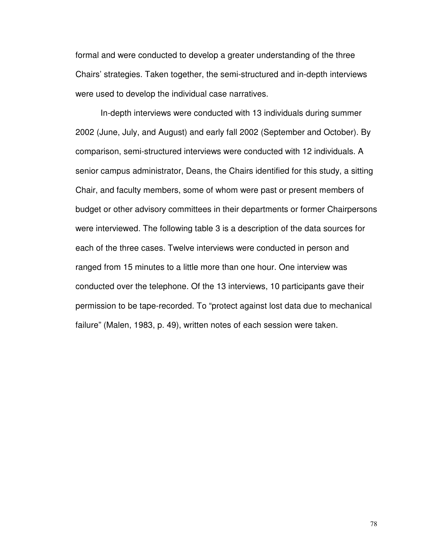formal and were conducted to develop a greater understanding of the three Chairs' strategies. Taken together, the semi-structured and in-depth interviews were used to develop the individual case narratives.

In-depth interviews were conducted with 13 individuals during summer 2002 (June, July, and August) and early fall 2002 (September and October). By comparison, semi-structured interviews were conducted with 12 individuals. A senior campus administrator, Deans, the Chairs identified for this study, a sitting Chair, and faculty members, some of whom were past or present members of budget or other advisory committees in their departments or former Chairpersons were interviewed. The following table 3 is a description of the data sources for each of the three cases. Twelve interviews were conducted in person and ranged from 15 minutes to a little more than one hour. One interview was conducted over the telephone. Of the 13 interviews, 10 participants gave their permission to be tape-recorded. To "protect against lost data due to mechanical failure" (Malen, 1983, p. 49), written notes of each session were taken.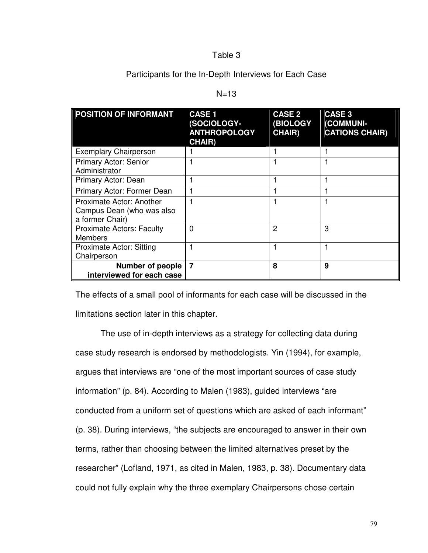# Table 3

Participants for the In-Depth Interviews for Each Case

|  | ۰, |
|--|----|
|--|----|

| <b>POSITION OF INFORMANT</b>                                             | <b>CASE 1</b><br>(SOCIOLOGY-<br><b>ANTHROPOLOGY</b><br><b>CHAIR)</b> | <b>CASE 2</b><br><b>(BIOLOGY</b><br><b>CHAIR)</b> | <b>CASE 3</b><br>(COMMUNI-<br><b>CATIONS CHAIR)</b> |
|--------------------------------------------------------------------------|----------------------------------------------------------------------|---------------------------------------------------|-----------------------------------------------------|
| <b>Exemplary Chairperson</b>                                             |                                                                      |                                                   |                                                     |
| <b>Primary Actor: Senior</b><br>Administrator                            |                                                                      |                                                   |                                                     |
| Primary Actor: Dean                                                      |                                                                      |                                                   |                                                     |
| Primary Actor: Former Dean                                               |                                                                      |                                                   |                                                     |
| Proximate Actor: Another<br>Campus Dean (who was also<br>a former Chair) |                                                                      |                                                   |                                                     |
| <b>Proximate Actors: Faculty</b><br><b>Members</b>                       | $\mathbf{0}$                                                         | $\overline{2}$                                    | 3                                                   |
| <b>Proximate Actor: Sitting</b><br>Chairperson                           |                                                                      |                                                   |                                                     |
| <b>Number of people</b><br>interviewed for each case                     | $\overline{7}$                                                       | 8                                                 | 9                                                   |

The effects of a small pool of informants for each case will be discussed in the limitations section later in this chapter.

The use of in-depth interviews as a strategy for collecting data during case study research is endorsed by methodologists. Yin (1994), for example, argues that interviews are "one of the most important sources of case study information" (p. 84). According to Malen (1983), guided interviews "are conducted from a uniform set of questions which are asked of each informant" (p. 38). During interviews, "the subjects are encouraged to answer in their own terms, rather than choosing between the limited alternatives preset by the researcher" (Lofland, 1971, as cited in Malen, 1983, p. 38). Documentary data could not fully explain why the three exemplary Chairpersons chose certain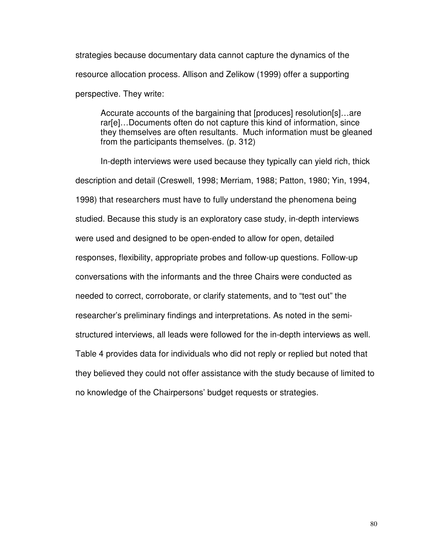strategies because documentary data cannot capture the dynamics of the resource allocation process. Allison and Zelikow (1999) offer a supporting perspective. They write:

Accurate accounts of the bargaining that [produces] resolution[s]…are rar[e]…Documents often do not capture this kind of information, since they themselves are often resultants. Much information must be gleaned from the participants themselves. (p. 312)

In-depth interviews were used because they typically can yield rich, thick description and detail (Creswell, 1998; Merriam, 1988; Patton, 1980; Yin, 1994, 1998) that researchers must have to fully understand the phenomena being studied. Because this study is an exploratory case study, in-depth interviews were used and designed to be open-ended to allow for open, detailed responses, flexibility, appropriate probes and follow-up questions. Follow-up conversations with the informants and the three Chairs were conducted as needed to correct, corroborate, or clarify statements, and to "test out" the researcher's preliminary findings and interpretations. As noted in the semistructured interviews, all leads were followed for the in-depth interviews as well. Table 4 provides data for individuals who did not reply or replied but noted that they believed they could not offer assistance with the study because of limited to no knowledge of the Chairpersons' budget requests or strategies.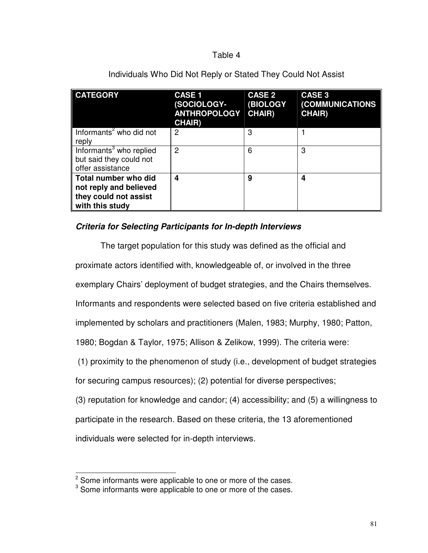# Table 4

| <b>CATEGORY</b>                                                                                   | <b>CASE 1</b><br>(SOCIOLOGY-<br><b>ANTHROPOLOGY</b><br><b>CHAIR)</b> | <b>CASE 2</b><br><b>(BIOLOGY</b><br><b>CHAIR)</b> | <b>CASE 3</b><br>(COMMUNICATIONS<br><b>CHAIR)</b> |
|---------------------------------------------------------------------------------------------------|----------------------------------------------------------------------|---------------------------------------------------|---------------------------------------------------|
| Informants <sup>2</sup> who did not<br>reply                                                      | 2                                                                    | 3                                                 |                                                   |
| Informants <sup>3</sup> who replied<br>but said they could not<br>offer assistance                | 2                                                                    | 6                                                 | 3                                                 |
| <b>Total number who did</b><br>not reply and believed<br>they could not assist<br>with this study | 4                                                                    | 9                                                 | 4                                                 |

# Individuals Who Did Not Reply or Stated They Could Not Assist

# **Criteria for Selecting Participants for In-depth Interviews**

The target population for this study was defined as the official and proximate actors identified with, knowledgeable of, or involved in the three

exemplary Chairs' deployment of budget strategies, and the Chairs themselves.

Informants and respondents were selected based on five criteria established and

implemented by scholars and practitioners (Malen, 1983; Murphy, 1980; Patton,

1980; Bogdan & Taylor, 1975; Allison & Zelikow, 1999). The criteria were:

(1) proximity to the phenomenon of study (i.e., development of budget strategies

for securing campus resources); (2) potential for diverse perspectives;

(3) reputation for knowledge and candor; (4) accessibility; and (5) a willingness to

participate in the research. Based on these criteria, the 13 aforementioned

individuals were selected for in-depth interviews.

l

 $^2$  Some informants were applicable to one or more of the cases.<br> $^3$  Some informants were applicable to one or more of the cases.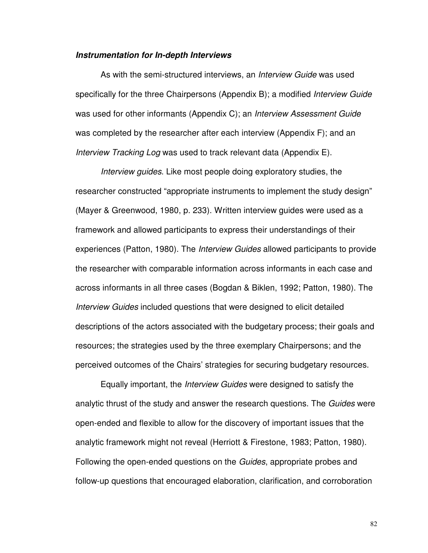#### **Instrumentation for In-depth Interviews**

As with the semi-structured interviews, an *Interview Guide* was used specifically for the three Chairpersons (Appendix B); a modified Interview Guide was used for other informants (Appendix C); an *Interview Assessment Guide* was completed by the researcher after each interview (Appendix F); and an Interview Tracking Log was used to track relevant data (Appendix E).

Interview guides. Like most people doing exploratory studies, the researcher constructed "appropriate instruments to implement the study design" (Mayer & Greenwood, 1980, p. 233). Written interview guides were used as a framework and allowed participants to express their understandings of their experiences (Patton, 1980). The *Interview Guides* allowed participants to provide the researcher with comparable information across informants in each case and across informants in all three cases (Bogdan & Biklen, 1992; Patton, 1980). The Interview Guides included questions that were designed to elicit detailed descriptions of the actors associated with the budgetary process; their goals and resources; the strategies used by the three exemplary Chairpersons; and the perceived outcomes of the Chairs' strategies for securing budgetary resources.

 Equally important, the Interview Guides were designed to satisfy the analytic thrust of the study and answer the research questions. The Guides were open-ended and flexible to allow for the discovery of important issues that the analytic framework might not reveal (Herriott & Firestone, 1983; Patton, 1980). Following the open-ended questions on the Guides, appropriate probes and follow-up questions that encouraged elaboration, clarification, and corroboration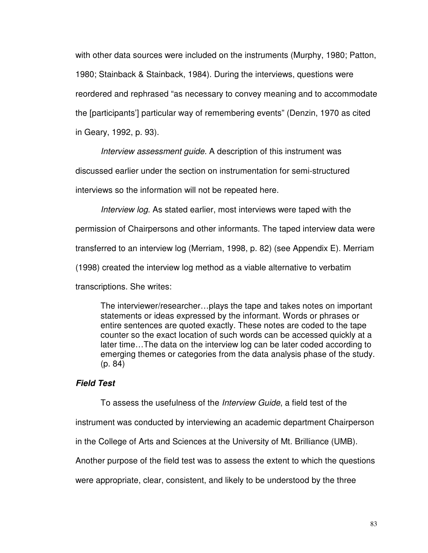with other data sources were included on the instruments (Murphy, 1980; Patton, 1980; Stainback & Stainback, 1984). During the interviews, questions were reordered and rephrased "as necessary to convey meaning and to accommodate the [participants'] particular way of remembering events" (Denzin, 1970 as cited in Geary, 1992, p. 93).

Interview assessment guide. A description of this instrument was

discussed earlier under the section on instrumentation for semi-structured

interviews so the information will not be repeated here.

Interview log. As stated earlier, most interviews were taped with the

permission of Chairpersons and other informants. The taped interview data were

transferred to an interview log (Merriam, 1998, p. 82) (see Appendix E). Merriam

(1998) created the interview log method as a viable alternative to verbatim

transcriptions. She writes:

The interviewer/researcher…plays the tape and takes notes on important statements or ideas expressed by the informant. Words or phrases or entire sentences are quoted exactly. These notes are coded to the tape counter so the exact location of such words can be accessed quickly at a later time…The data on the interview log can be later coded according to emerging themes or categories from the data analysis phase of the study. (p. 84)

# **Field Test**

To assess the usefulness of the Interview Guide, a field test of the

instrument was conducted by interviewing an academic department Chairperson

in the College of Arts and Sciences at the University of Mt. Brilliance (UMB).

Another purpose of the field test was to assess the extent to which the questions

were appropriate, clear, consistent, and likely to be understood by the three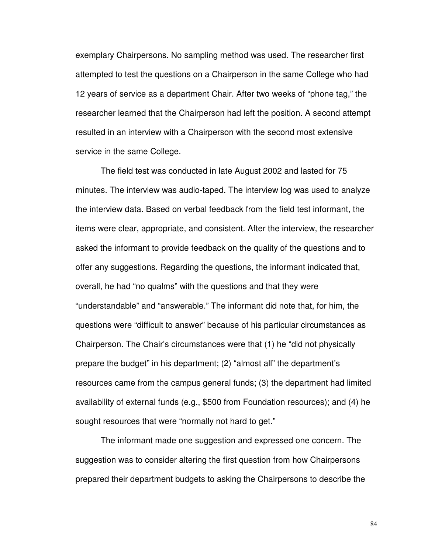exemplary Chairpersons. No sampling method was used. The researcher first attempted to test the questions on a Chairperson in the same College who had 12 years of service as a department Chair. After two weeks of "phone tag," the researcher learned that the Chairperson had left the position. A second attempt resulted in an interview with a Chairperson with the second most extensive service in the same College.

The field test was conducted in late August 2002 and lasted for 75 minutes. The interview was audio-taped. The interview log was used to analyze the interview data. Based on verbal feedback from the field test informant, the items were clear, appropriate, and consistent. After the interview, the researcher asked the informant to provide feedback on the quality of the questions and to offer any suggestions. Regarding the questions, the informant indicated that, overall, he had "no qualms" with the questions and that they were "understandable" and "answerable." The informant did note that, for him, the questions were "difficult to answer" because of his particular circumstances as Chairperson. The Chair's circumstances were that (1) he "did not physically prepare the budget" in his department; (2) "almost all" the department's resources came from the campus general funds; (3) the department had limited availability of external funds (e.g., \$500 from Foundation resources); and (4) he sought resources that were "normally not hard to get."

The informant made one suggestion and expressed one concern. The suggestion was to consider altering the first question from how Chairpersons prepared their department budgets to asking the Chairpersons to describe the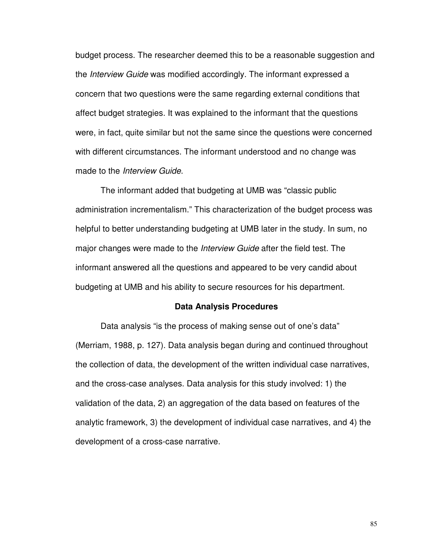budget process. The researcher deemed this to be a reasonable suggestion and the *Interview Guide* was modified accordingly. The informant expressed a concern that two questions were the same regarding external conditions that affect budget strategies. It was explained to the informant that the questions were, in fact, quite similar but not the same since the questions were concerned with different circumstances. The informant understood and no change was made to the *Interview Guide*.

The informant added that budgeting at UMB was "classic public administration incrementalism." This characterization of the budget process was helpful to better understanding budgeting at UMB later in the study. In sum, no major changes were made to the *Interview Guide* after the field test. The informant answered all the questions and appeared to be very candid about budgeting at UMB and his ability to secure resources for his department.

#### **Data Analysis Procedures**

Data analysis "is the process of making sense out of one's data" (Merriam, 1988, p. 127). Data analysis began during and continued throughout the collection of data, the development of the written individual case narratives, and the cross-case analyses. Data analysis for this study involved: 1) the validation of the data, 2) an aggregation of the data based on features of the analytic framework, 3) the development of individual case narratives, and 4) the development of a cross-case narrative.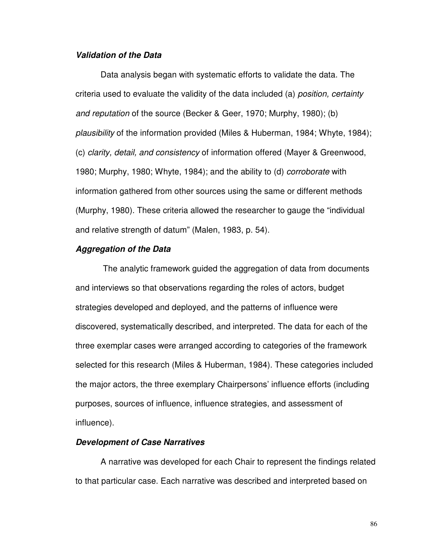# **Validation of the Data**

Data analysis began with systematic efforts to validate the data. The criteria used to evaluate the validity of the data included (a) position, certainty and reputation of the source (Becker & Geer, 1970; Murphy, 1980); (b) plausibility of the information provided (Miles & Huberman, 1984; Whyte, 1984); (c) clarity, detail, and consistency of information offered (Mayer & Greenwood, 1980; Murphy, 1980; Whyte, 1984); and the ability to (d) corroborate with information gathered from other sources using the same or different methods (Murphy, 1980). These criteria allowed the researcher to gauge the "individual and relative strength of datum" (Malen, 1983, p. 54).

#### **Aggregation of the Data**

The analytic framework guided the aggregation of data from documents and interviews so that observations regarding the roles of actors, budget strategies developed and deployed, and the patterns of influence were discovered, systematically described, and interpreted. The data for each of the three exemplar cases were arranged according to categories of the framework selected for this research (Miles & Huberman, 1984). These categories included the major actors, the three exemplary Chairpersons' influence efforts (including purposes, sources of influence, influence strategies, and assessment of influence).

# **Development of Case Narratives**

A narrative was developed for each Chair to represent the findings related to that particular case. Each narrative was described and interpreted based on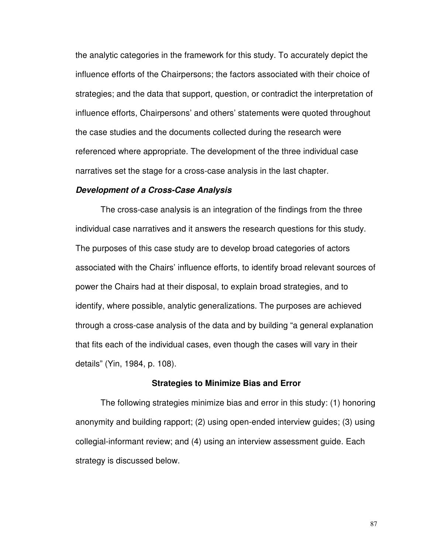the analytic categories in the framework for this study. To accurately depict the influence efforts of the Chairpersons; the factors associated with their choice of strategies; and the data that support, question, or contradict the interpretation of influence efforts, Chairpersons' and others' statements were quoted throughout the case studies and the documents collected during the research were referenced where appropriate. The development of the three individual case narratives set the stage for a cross-case analysis in the last chapter.

#### **Development of a Cross-Case Analysis**

The cross-case analysis is an integration of the findings from the three individual case narratives and it answers the research questions for this study. The purposes of this case study are to develop broad categories of actors associated with the Chairs' influence efforts, to identify broad relevant sources of power the Chairs had at their disposal, to explain broad strategies, and to identify, where possible, analytic generalizations. The purposes are achieved through a cross-case analysis of the data and by building "a general explanation that fits each of the individual cases, even though the cases will vary in their details" (Yin, 1984, p. 108).

#### **Strategies to Minimize Bias and Error**

The following strategies minimize bias and error in this study: (1) honoring anonymity and building rapport; (2) using open-ended interview guides; (3) using collegial-informant review; and (4) using an interview assessment guide. Each strategy is discussed below.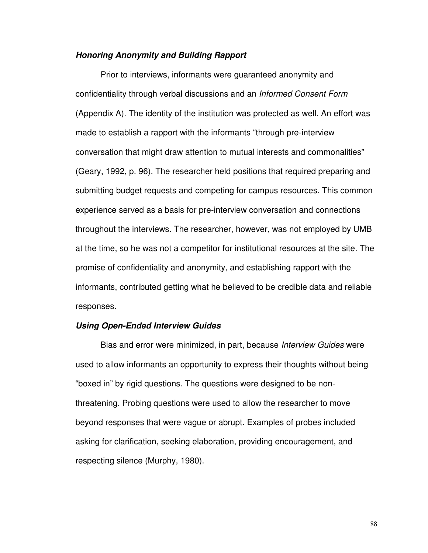### **Honoring Anonymity and Building Rapport**

Prior to interviews, informants were guaranteed anonymity and confidentiality through verbal discussions and an Informed Consent Form (Appendix A). The identity of the institution was protected as well. An effort was made to establish a rapport with the informants "through pre-interview conversation that might draw attention to mutual interests and commonalities" (Geary, 1992, p. 96). The researcher held positions that required preparing and submitting budget requests and competing for campus resources. This common experience served as a basis for pre-interview conversation and connections throughout the interviews. The researcher, however, was not employed by UMB at the time, so he was not a competitor for institutional resources at the site. The promise of confidentiality and anonymity, and establishing rapport with the informants, contributed getting what he believed to be credible data and reliable responses.

#### **Using Open-Ended Interview Guides**

Bias and error were minimized, in part, because Interview Guides were used to allow informants an opportunity to express their thoughts without being "boxed in" by rigid questions. The questions were designed to be nonthreatening. Probing questions were used to allow the researcher to move beyond responses that were vague or abrupt. Examples of probes included asking for clarification, seeking elaboration, providing encouragement, and respecting silence (Murphy, 1980).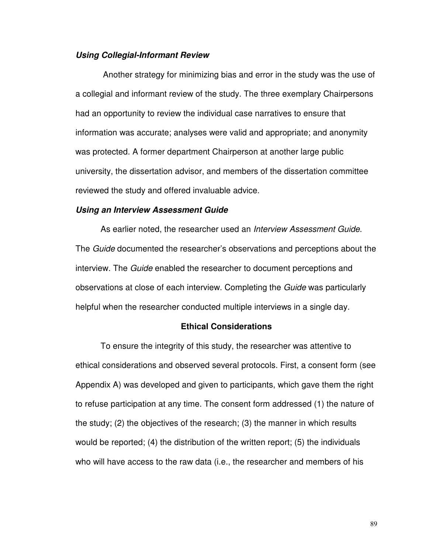### **Using Collegial-Informant Review**

 Another strategy for minimizing bias and error in the study was the use of a collegial and informant review of the study. The three exemplary Chairpersons had an opportunity to review the individual case narratives to ensure that information was accurate; analyses were valid and appropriate; and anonymity was protected. A former department Chairperson at another large public university, the dissertation advisor, and members of the dissertation committee reviewed the study and offered invaluable advice.

#### **Using an Interview Assessment Guide**

As earlier noted, the researcher used an *Interview Assessment Guide*. The *Guide* documented the researcher's observations and perceptions about the interview. The Guide enabled the researcher to document perceptions and observations at close of each interview. Completing the Guide was particularly helpful when the researcher conducted multiple interviews in a single day.

### **Ethical Considerations**

To ensure the integrity of this study, the researcher was attentive to ethical considerations and observed several protocols. First, a consent form (see Appendix A) was developed and given to participants, which gave them the right to refuse participation at any time. The consent form addressed (1) the nature of the study; (2) the objectives of the research; (3) the manner in which results would be reported; (4) the distribution of the written report; (5) the individuals who will have access to the raw data (i.e., the researcher and members of his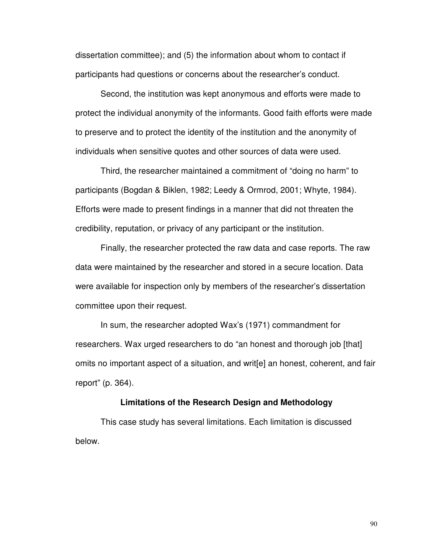dissertation committee); and (5) the information about whom to contact if participants had questions or concerns about the researcher's conduct.

 Second, the institution was kept anonymous and efforts were made to protect the individual anonymity of the informants. Good faith efforts were made to preserve and to protect the identity of the institution and the anonymity of individuals when sensitive quotes and other sources of data were used.

Third, the researcher maintained a commitment of "doing no harm" to participants (Bogdan & Biklen, 1982; Leedy & Ormrod, 2001; Whyte, 1984). Efforts were made to present findings in a manner that did not threaten the credibility, reputation, or privacy of any participant or the institution.

Finally, the researcher protected the raw data and case reports. The raw data were maintained by the researcher and stored in a secure location. Data were available for inspection only by members of the researcher's dissertation committee upon their request.

In sum, the researcher adopted Wax's (1971) commandment for researchers. Wax urged researchers to do "an honest and thorough job [that] omits no important aspect of a situation, and writ[e] an honest, coherent, and fair report" (p. 364).

#### **Limitations of the Research Design and Methodology**

This case study has several limitations. Each limitation is discussed below.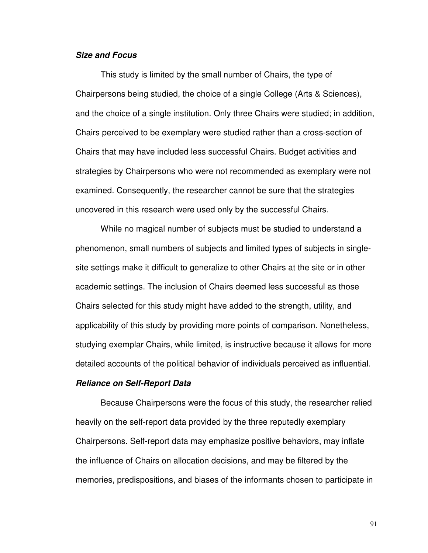### **Size and Focus**

This study is limited by the small number of Chairs, the type of Chairpersons being studied, the choice of a single College (Arts & Sciences), and the choice of a single institution. Only three Chairs were studied; in addition, Chairs perceived to be exemplary were studied rather than a cross-section of Chairs that may have included less successful Chairs. Budget activities and strategies by Chairpersons who were not recommended as exemplary were not examined. Consequently, the researcher cannot be sure that the strategies uncovered in this research were used only by the successful Chairs.

While no magical number of subjects must be studied to understand a phenomenon, small numbers of subjects and limited types of subjects in singlesite settings make it difficult to generalize to other Chairs at the site or in other academic settings. The inclusion of Chairs deemed less successful as those Chairs selected for this study might have added to the strength, utility, and applicability of this study by providing more points of comparison. Nonetheless, studying exemplar Chairs, while limited, is instructive because it allows for more detailed accounts of the political behavior of individuals perceived as influential.

#### **Reliance on Self-Report Data**

Because Chairpersons were the focus of this study, the researcher relied heavily on the self-report data provided by the three reputedly exemplary Chairpersons. Self-report data may emphasize positive behaviors, may inflate the influence of Chairs on allocation decisions, and may be filtered by the memories, predispositions, and biases of the informants chosen to participate in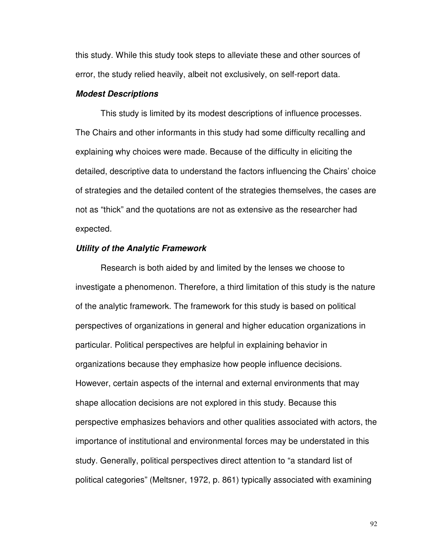this study. While this study took steps to alleviate these and other sources of error, the study relied heavily, albeit not exclusively, on self-report data.

#### **Modest Descriptions**

This study is limited by its modest descriptions of influence processes. The Chairs and other informants in this study had some difficulty recalling and explaining why choices were made. Because of the difficulty in eliciting the detailed, descriptive data to understand the factors influencing the Chairs' choice of strategies and the detailed content of the strategies themselves, the cases are not as "thick" and the quotations are not as extensive as the researcher had expected.

#### **Utility of the Analytic Framework**

Research is both aided by and limited by the lenses we choose to investigate a phenomenon. Therefore, a third limitation of this study is the nature of the analytic framework. The framework for this study is based on political perspectives of organizations in general and higher education organizations in particular. Political perspectives are helpful in explaining behavior in organizations because they emphasize how people influence decisions. However, certain aspects of the internal and external environments that may shape allocation decisions are not explored in this study. Because this perspective emphasizes behaviors and other qualities associated with actors, the importance of institutional and environmental forces may be understated in this study. Generally, political perspectives direct attention to "a standard list of political categories" (Meltsner, 1972, p. 861) typically associated with examining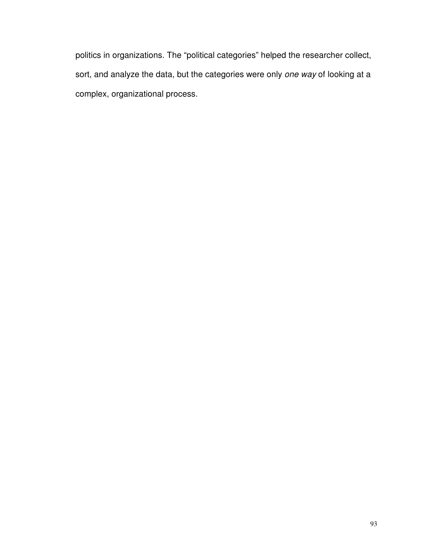politics in organizations. The "political categories" helped the researcher collect, sort, and analyze the data, but the categories were only one way of looking at a complex, organizational process.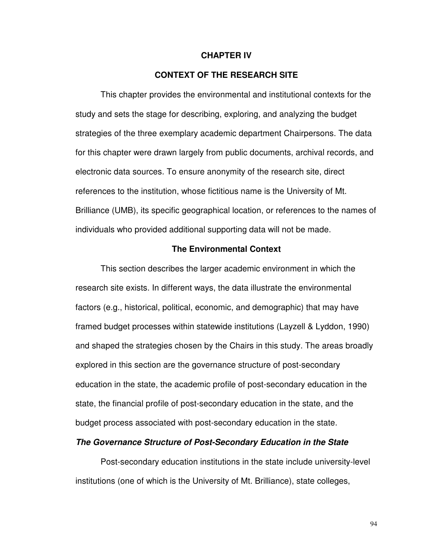#### **CHAPTER IV**

## **CONTEXT OF THE RESEARCH SITE**

 This chapter provides the environmental and institutional contexts for the study and sets the stage for describing, exploring, and analyzing the budget strategies of the three exemplary academic department Chairpersons. The data for this chapter were drawn largely from public documents, archival records, and electronic data sources. To ensure anonymity of the research site, direct references to the institution, whose fictitious name is the University of Mt. Brilliance (UMB), its specific geographical location, or references to the names of individuals who provided additional supporting data will not be made.

#### **The Environmental Context**

 This section describes the larger academic environment in which the research site exists. In different ways, the data illustrate the environmental factors (e.g., historical, political, economic, and demographic) that may have framed budget processes within statewide institutions (Layzell & Lyddon, 1990) and shaped the strategies chosen by the Chairs in this study. The areas broadly explored in this section are the governance structure of post-secondary education in the state, the academic profile of post-secondary education in the state, the financial profile of post-secondary education in the state, and the budget process associated with post-secondary education in the state.

### **The Governance Structure of Post-Secondary Education in the State**

Post-secondary education institutions in the state include university-level institutions (one of which is the University of Mt. Brilliance), state colleges,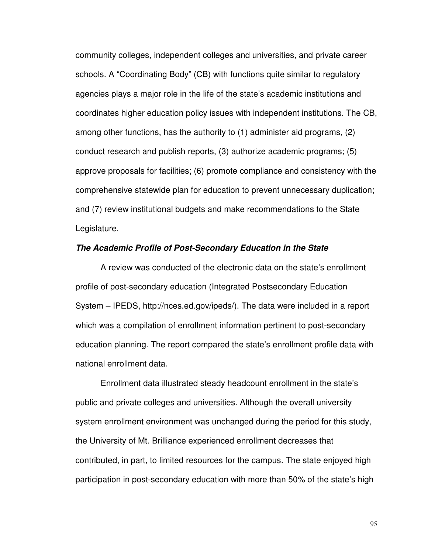community colleges, independent colleges and universities, and private career schools. A "Coordinating Body" (CB) with functions quite similar to regulatory agencies plays a major role in the life of the state's academic institutions and coordinates higher education policy issues with independent institutions. The CB, among other functions, has the authority to (1) administer aid programs, (2) conduct research and publish reports, (3) authorize academic programs; (5) approve proposals for facilities; (6) promote compliance and consistency with the comprehensive statewide plan for education to prevent unnecessary duplication; and (7) review institutional budgets and make recommendations to the State Legislature.

#### **The Academic Profile of Post-Secondary Education in the State**

 A review was conducted of the electronic data on the state's enrollment profile of post-secondary education (Integrated Postsecondary Education System – IPEDS, http://nces.ed.gov/ipeds/). The data were included in a report which was a compilation of enrollment information pertinent to post-secondary education planning. The report compared the state's enrollment profile data with national enrollment data.

 Enrollment data illustrated steady headcount enrollment in the state's public and private colleges and universities. Although the overall university system enrollment environment was unchanged during the period for this study, the University of Mt. Brilliance experienced enrollment decreases that contributed, in part, to limited resources for the campus. The state enjoyed high participation in post-secondary education with more than 50% of the state's high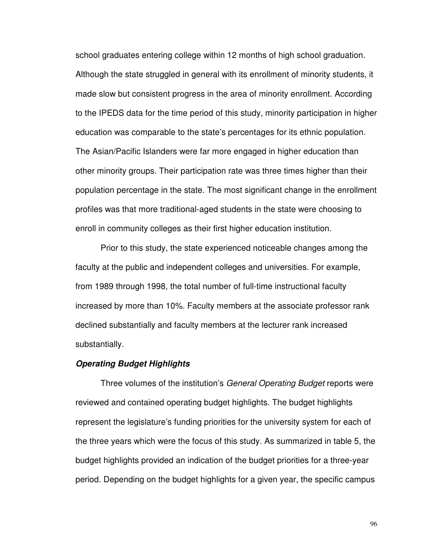school graduates entering college within 12 months of high school graduation. Although the state struggled in general with its enrollment of minority students, it made slow but consistent progress in the area of minority enrollment. According to the IPEDS data for the time period of this study, minority participation in higher education was comparable to the state's percentages for its ethnic population. The Asian/Pacific Islanders were far more engaged in higher education than other minority groups. Their participation rate was three times higher than their population percentage in the state. The most significant change in the enrollment profiles was that more traditional-aged students in the state were choosing to enroll in community colleges as their first higher education institution.

 Prior to this study, the state experienced noticeable changes among the faculty at the public and independent colleges and universities. For example, from 1989 through 1998, the total number of full-time instructional faculty increased by more than 10%. Faculty members at the associate professor rank declined substantially and faculty members at the lecturer rank increased substantially.

#### **Operating Budget Highlights**

Three volumes of the institution's *General Operating Budget* reports were reviewed and contained operating budget highlights. The budget highlights represent the legislature's funding priorities for the university system for each of the three years which were the focus of this study. As summarized in table 5, the budget highlights provided an indication of the budget priorities for a three-year period. Depending on the budget highlights for a given year, the specific campus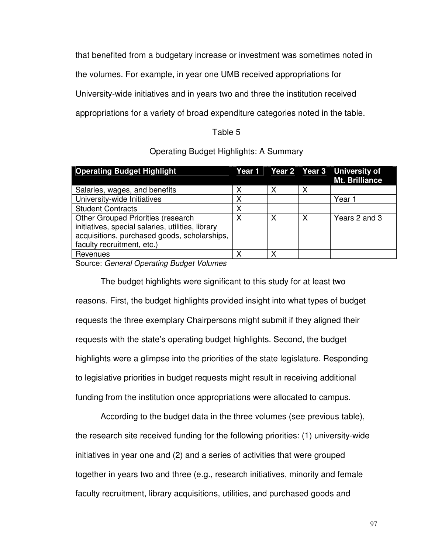that benefited from a budgetary increase or investment was sometimes noted in

the volumes. For example, in year one UMB received appropriations for

University-wide initiatives and in years two and three the institution received

appropriations for a variety of broad expenditure categories noted in the table.

## Table 5

## Operating Budget Highlights: A Summary

| <b>Operating Budget Highlight</b>                                                                                                                                            |   |   |   | Year 1   Year 2   Year 3   University of<br>Mt. Brilliance |
|------------------------------------------------------------------------------------------------------------------------------------------------------------------------------|---|---|---|------------------------------------------------------------|
| Salaries, wages, and benefits                                                                                                                                                | Χ | Χ | X |                                                            |
| University-wide Initiatives                                                                                                                                                  | Χ |   |   | Year 1                                                     |
| <b>Student Contracts</b>                                                                                                                                                     | Х |   |   |                                                            |
| <b>Other Grouped Priorities (research</b><br>initiatives, special salaries, utilities, library<br>acquisitions, purchased goods, scholarships,<br>faculty recruitment, etc.) | Χ | Χ | Χ | Years 2 and 3                                              |
| Revenues                                                                                                                                                                     | Х | x |   |                                                            |

Source: General Operating Budget Volumes

 The budget highlights were significant to this study for at least two reasons. First, the budget highlights provided insight into what types of budget requests the three exemplary Chairpersons might submit if they aligned their requests with the state's operating budget highlights. Second, the budget highlights were a glimpse into the priorities of the state legislature. Responding to legislative priorities in budget requests might result in receiving additional funding from the institution once appropriations were allocated to campus.

According to the budget data in the three volumes (see previous table), the research site received funding for the following priorities: (1) university-wide initiatives in year one and (2) and a series of activities that were grouped together in years two and three (e.g., research initiatives, minority and female faculty recruitment, library acquisitions, utilities, and purchased goods and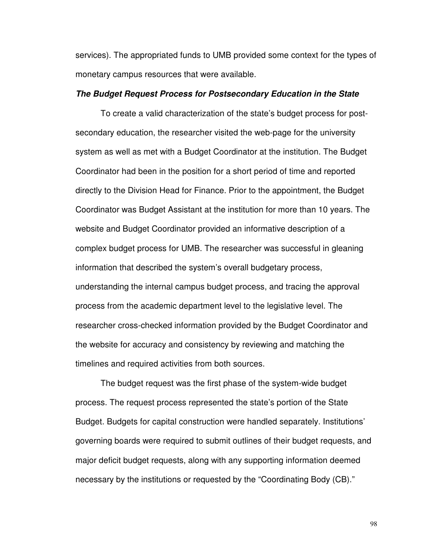services). The appropriated funds to UMB provided some context for the types of monetary campus resources that were available.

#### **The Budget Request Process for Postsecondary Education in the State**

To create a valid characterization of the state's budget process for postsecondary education, the researcher visited the web-page for the university system as well as met with a Budget Coordinator at the institution. The Budget Coordinator had been in the position for a short period of time and reported directly to the Division Head for Finance. Prior to the appointment, the Budget Coordinator was Budget Assistant at the institution for more than 10 years. The website and Budget Coordinator provided an informative description of a complex budget process for UMB. The researcher was successful in gleaning information that described the system's overall budgetary process, understanding the internal campus budget process, and tracing the approval process from the academic department level to the legislative level. The researcher cross-checked information provided by the Budget Coordinator and the website for accuracy and consistency by reviewing and matching the timelines and required activities from both sources.

The budget request was the first phase of the system-wide budget process. The request process represented the state's portion of the State Budget. Budgets for capital construction were handled separately. Institutions' governing boards were required to submit outlines of their budget requests, and major deficit budget requests, along with any supporting information deemed necessary by the institutions or requested by the "Coordinating Body (CB)."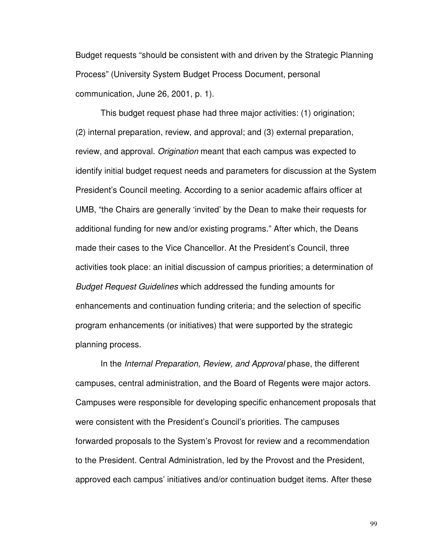Budget requests "should be consistent with and driven by the Strategic Planning Process" (University System Budget Process Document, personal communication, June 26, 2001, p. 1).

This budget request phase had three major activities: (1) origination; (2) internal preparation, review, and approval; and (3) external preparation, review, and approval. Origination meant that each campus was expected to identify initial budget request needs and parameters for discussion at the System President's Council meeting. According to a senior academic affairs officer at UMB, "the Chairs are generally 'invited' by the Dean to make their requests for additional funding for new and/or existing programs." After which, the Deans made their cases to the Vice Chancellor. At the President's Council, three activities took place: an initial discussion of campus priorities; a determination of Budget Request Guidelines which addressed the funding amounts for enhancements and continuation funding criteria; and the selection of specific program enhancements (or initiatives) that were supported by the strategic planning process.

 In the Internal Preparation, Review, and Approval phase, the different campuses, central administration, and the Board of Regents were major actors. Campuses were responsible for developing specific enhancement proposals that were consistent with the President's Council's priorities. The campuses forwarded proposals to the System's Provost for review and a recommendation to the President. Central Administration, led by the Provost and the President, approved each campus' initiatives and/or continuation budget items. After these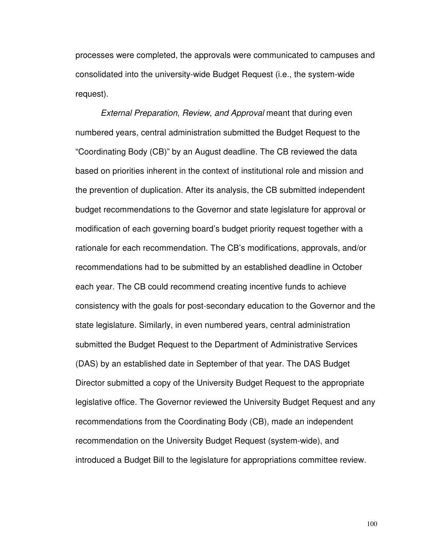processes were completed, the approvals were communicated to campuses and consolidated into the university-wide Budget Request (i.e., the system-wide request).

External Preparation, Review, and Approval meant that during even numbered years, central administration submitted the Budget Request to the "Coordinating Body (CB)" by an August deadline. The CB reviewed the data based on priorities inherent in the context of institutional role and mission and the prevention of duplication. After its analysis, the CB submitted independent budget recommendations to the Governor and state legislature for approval or modification of each governing board's budget priority request together with a rationale for each recommendation. The CB's modifications, approvals, and/or recommendations had to be submitted by an established deadline in October each year. The CB could recommend creating incentive funds to achieve consistency with the goals for post-secondary education to the Governor and the state legislature. Similarly, in even numbered years, central administration submitted the Budget Request to the Department of Administrative Services (DAS) by an established date in September of that year. The DAS Budget Director submitted a copy of the University Budget Request to the appropriate legislative office. The Governor reviewed the University Budget Request and any recommendations from the Coordinating Body (CB), made an independent recommendation on the University Budget Request (system-wide), and introduced a Budget Bill to the legislature for appropriations committee review.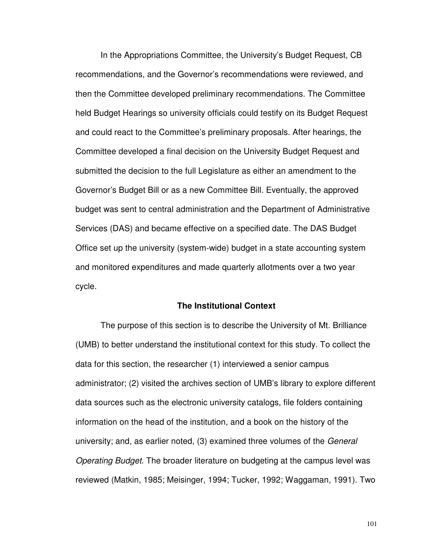In the Appropriations Committee, the University's Budget Request, CB recommendations, and the Governor's recommendations were reviewed, and then the Committee developed preliminary recommendations. The Committee held Budget Hearings so university officials could testify on its Budget Request and could react to the Committee's preliminary proposals. After hearings, the Committee developed a final decision on the University Budget Request and submitted the decision to the full Legislature as either an amendment to the Governor's Budget Bill or as a new Committee Bill. Eventually, the approved budget was sent to central administration and the Department of Administrative Services (DAS) and became effective on a specified date. The DAS Budget Office set up the university (system-wide) budget in a state accounting system and monitored expenditures and made quarterly allotments over a two year cycle.

#### **The Institutional Context**

 The purpose of this section is to describe the University of Mt. Brilliance (UMB) to better understand the institutional context for this study. To collect the data for this section, the researcher (1) interviewed a senior campus administrator; (2) visited the archives section of UMB's library to explore different data sources such as the electronic university catalogs, file folders containing information on the head of the institution, and a book on the history of the university; and, as earlier noted, (3) examined three volumes of the General Operating Budget. The broader literature on budgeting at the campus level was reviewed (Matkin, 1985; Meisinger, 1994; Tucker, 1992; Waggaman, 1991). Two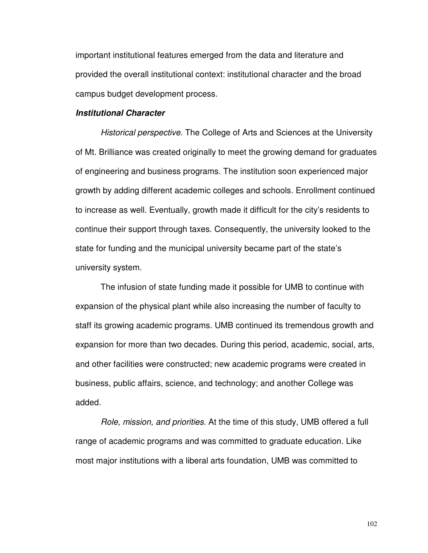important institutional features emerged from the data and literature and provided the overall institutional context: institutional character and the broad campus budget development process.

#### **Institutional Character**

Historical perspective. The College of Arts and Sciences at the University of Mt. Brilliance was created originally to meet the growing demand for graduates of engineering and business programs. The institution soon experienced major growth by adding different academic colleges and schools. Enrollment continued to increase as well. Eventually, growth made it difficult for the city's residents to continue their support through taxes. Consequently, the university looked to the state for funding and the municipal university became part of the state's university system.

The infusion of state funding made it possible for UMB to continue with expansion of the physical plant while also increasing the number of faculty to staff its growing academic programs. UMB continued its tremendous growth and expansion for more than two decades. During this period, academic, social, arts, and other facilities were constructed; new academic programs were created in business, public affairs, science, and technology; and another College was added.

Role, mission, and priorities. At the time of this study, UMB offered a full range of academic programs and was committed to graduate education. Like most major institutions with a liberal arts foundation, UMB was committed to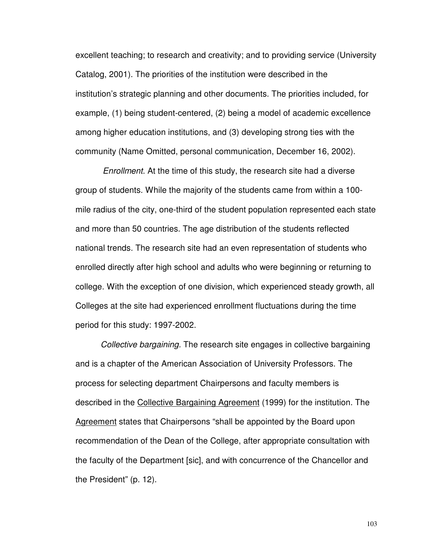excellent teaching; to research and creativity; and to providing service (University Catalog, 2001). The priorities of the institution were described in the institution's strategic planning and other documents. The priorities included, for example, (1) being student-centered, (2) being a model of academic excellence among higher education institutions, and (3) developing strong ties with the community (Name Omitted, personal communication, December 16, 2002).

 Enrollment. At the time of this study, the research site had a diverse group of students. While the majority of the students came from within a 100 mile radius of the city, one-third of the student population represented each state and more than 50 countries. The age distribution of the students reflected national trends. The research site had an even representation of students who enrolled directly after high school and adults who were beginning or returning to college. With the exception of one division, which experienced steady growth, all Colleges at the site had experienced enrollment fluctuations during the time period for this study: 1997-2002.

Collective bargaining. The research site engages in collective bargaining and is a chapter of the American Association of University Professors. The process for selecting department Chairpersons and faculty members is described in the Collective Bargaining Agreement (1999) for the institution. The Agreement states that Chairpersons "shall be appointed by the Board upon recommendation of the Dean of the College, after appropriate consultation with the faculty of the Department [sic], and with concurrence of the Chancellor and the President" (p. 12).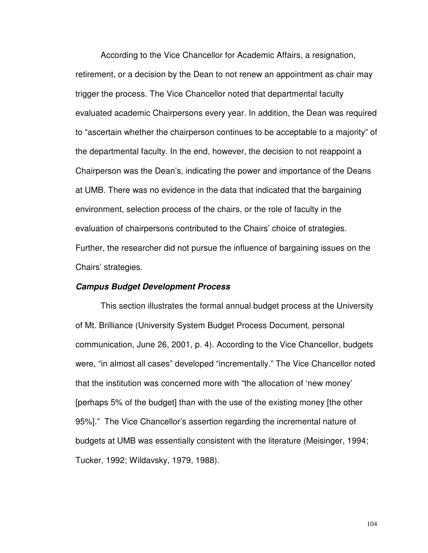According to the Vice Chancellor for Academic Affairs, a resignation, retirement, or a decision by the Dean to not renew an appointment as chair may trigger the process. The Vice Chancellor noted that departmental faculty evaluated academic Chairpersons every year. In addition, the Dean was required to "ascertain whether the chairperson continues to be acceptable to a majority" of the departmental faculty. In the end, however, the decision to not reappoint a Chairperson was the Dean's, indicating the power and importance of the Deans at UMB. There was no evidence in the data that indicated that the bargaining environment, selection process of the chairs, or the role of faculty in the evaluation of chairpersons contributed to the Chairs' choice of strategies. Further, the researcher did not pursue the influence of bargaining issues on the Chairs' strategies.

#### **Campus Budget Development Process**

 This section illustrates the formal annual budget process at the University of Mt. Brilliance (University System Budget Process Document, personal communication, June 26, 2001, p. 4). According to the Vice Chancellor, budgets were, "in almost all cases" developed "incrementally." The Vice Chancellor noted that the institution was concerned more with "the allocation of 'new money' [perhaps 5% of the budget] than with the use of the existing money [the other 95%]." The Vice Chancellor's assertion regarding the incremental nature of budgets at UMB was essentially consistent with the literature (Meisinger, 1994; Tucker, 1992; Wildavsky, 1979, 1988).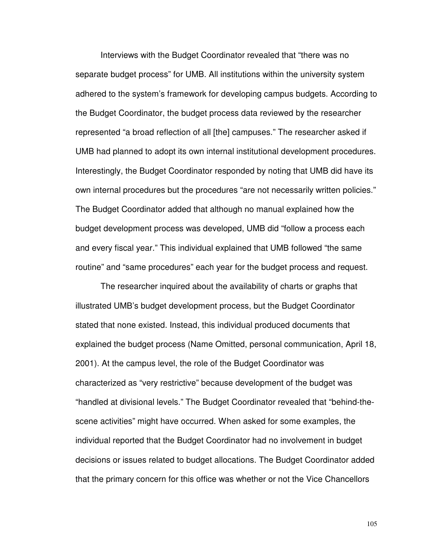Interviews with the Budget Coordinator revealed that "there was no separate budget process" for UMB. All institutions within the university system adhered to the system's framework for developing campus budgets. According to the Budget Coordinator, the budget process data reviewed by the researcher represented "a broad reflection of all [the] campuses." The researcher asked if UMB had planned to adopt its own internal institutional development procedures. Interestingly, the Budget Coordinator responded by noting that UMB did have its own internal procedures but the procedures "are not necessarily written policies." The Budget Coordinator added that although no manual explained how the budget development process was developed, UMB did "follow a process each and every fiscal year." This individual explained that UMB followed "the same routine" and "same procedures" each year for the budget process and request.

The researcher inquired about the availability of charts or graphs that illustrated UMB's budget development process, but the Budget Coordinator stated that none existed. Instead, this individual produced documents that explained the budget process (Name Omitted, personal communication, April 18, 2001). At the campus level, the role of the Budget Coordinator was characterized as "very restrictive" because development of the budget was "handled at divisional levels." The Budget Coordinator revealed that "behind-thescene activities" might have occurred. When asked for some examples, the individual reported that the Budget Coordinator had no involvement in budget decisions or issues related to budget allocations. The Budget Coordinator added that the primary concern for this office was whether or not the Vice Chancellors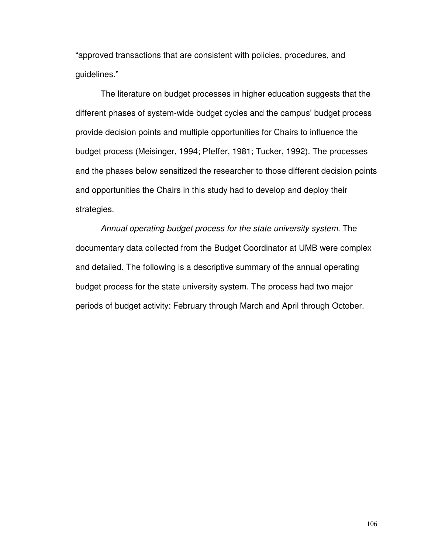"approved transactions that are consistent with policies, procedures, and guidelines."

The literature on budget processes in higher education suggests that the different phases of system-wide budget cycles and the campus' budget process provide decision points and multiple opportunities for Chairs to influence the budget process (Meisinger, 1994; Pfeffer, 1981; Tucker, 1992). The processes and the phases below sensitized the researcher to those different decision points and opportunities the Chairs in this study had to develop and deploy their strategies.

Annual operating budget process for the state university system. The documentary data collected from the Budget Coordinator at UMB were complex and detailed. The following is a descriptive summary of the annual operating budget process for the state university system. The process had two major periods of budget activity: February through March and April through October.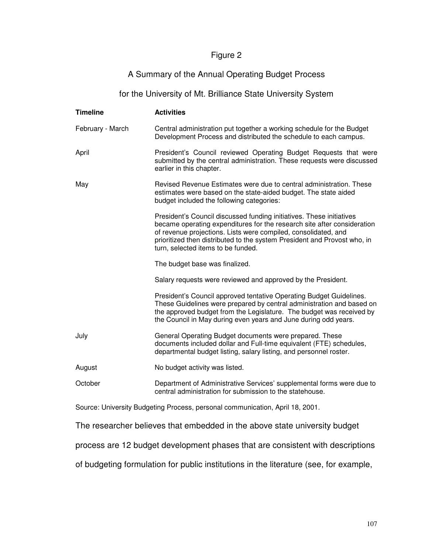# Figure 2

# A Summary of the Annual Operating Budget Process

# for the University of Mt. Brilliance State University System

| <b>Timeline</b>                                                                       | <b>Activities</b>                                                                                                                                                                                                                                                                                                                   |  |  |  |
|---------------------------------------------------------------------------------------|-------------------------------------------------------------------------------------------------------------------------------------------------------------------------------------------------------------------------------------------------------------------------------------------------------------------------------------|--|--|--|
| February - March                                                                      | Central administration put together a working schedule for the Budget<br>Development Process and distributed the schedule to each campus.                                                                                                                                                                                           |  |  |  |
| April                                                                                 | President's Council reviewed Operating Budget Requests that were<br>submitted by the central administration. These requests were discussed<br>earlier in this chapter.                                                                                                                                                              |  |  |  |
| May                                                                                   | Revised Revenue Estimates were due to central administration. These<br>estimates were based on the state-aided budget. The state aided<br>budget included the following categories:                                                                                                                                                 |  |  |  |
|                                                                                       | President's Council discussed funding initiatives. These initiatives<br>became operating expenditures for the research site after consideration<br>of revenue projections. Lists were compiled, consolidated, and<br>prioritized then distributed to the system President and Provost who, in<br>turn, selected items to be funded. |  |  |  |
|                                                                                       | The budget base was finalized.                                                                                                                                                                                                                                                                                                      |  |  |  |
|                                                                                       | Salary requests were reviewed and approved by the President.                                                                                                                                                                                                                                                                        |  |  |  |
|                                                                                       | President's Council approved tentative Operating Budget Guidelines.<br>These Guidelines were prepared by central administration and based on<br>the approved budget from the Legislature. The budget was received by<br>the Council in May during even years and June during odd years.                                             |  |  |  |
| July                                                                                  | General Operating Budget documents were prepared. These<br>documents included dollar and Full-time equivalent (FTE) schedules,<br>departmental budget listing, salary listing, and personnel roster.                                                                                                                                |  |  |  |
| August                                                                                | No budget activity was listed.                                                                                                                                                                                                                                                                                                      |  |  |  |
| October                                                                               | Department of Administrative Services' supplemental forms were due to<br>central administration for submission to the statehouse.                                                                                                                                                                                                   |  |  |  |
| Source: University Budgeting Process, personal communication, April 18, 2001.         |                                                                                                                                                                                                                                                                                                                                     |  |  |  |
| The researcher believes that embedded in the above state university budget            |                                                                                                                                                                                                                                                                                                                                     |  |  |  |
| process are 12 budget development phases that are consistent with descriptions        |                                                                                                                                                                                                                                                                                                                                     |  |  |  |
| of budgeting formulation for public institutions in the literature (see, for example, |                                                                                                                                                                                                                                                                                                                                     |  |  |  |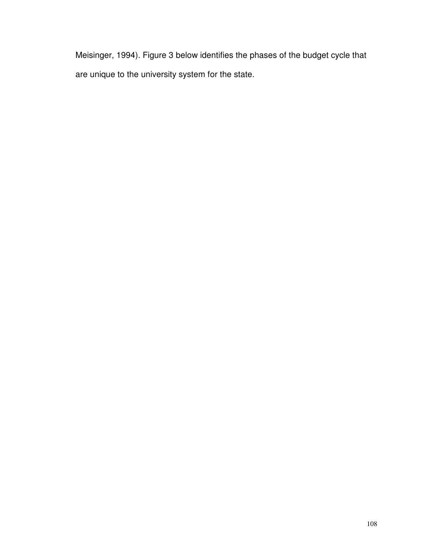Meisinger, 1994). Figure 3 below identifies the phases of the budget cycle that are unique to the university system for the state.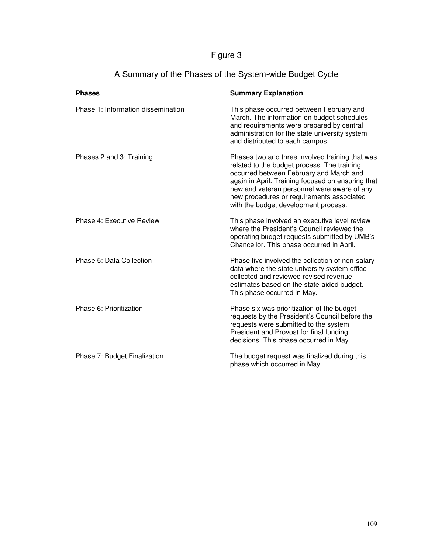# Figure 3

| A Summary of the Phases of the System-wide Budget Cycle |
|---------------------------------------------------------|
|---------------------------------------------------------|

| <b>Phases</b>                      | <b>Summary Explanation</b>                                                                                                                                                                                                                                                                                                         |
|------------------------------------|------------------------------------------------------------------------------------------------------------------------------------------------------------------------------------------------------------------------------------------------------------------------------------------------------------------------------------|
| Phase 1: Information dissemination | This phase occurred between February and<br>March. The information on budget schedules<br>and requirements were prepared by central<br>administration for the state university system<br>and distributed to each campus.                                                                                                           |
| Phases 2 and 3: Training           | Phases two and three involved training that was<br>related to the budget process. The training<br>occurred between February and March and<br>again in April. Training focused on ensuring that<br>new and veteran personnel were aware of any<br>new procedures or requirements associated<br>with the budget development process. |
| Phase 4: Executive Review          | This phase involved an executive level review<br>where the President's Council reviewed the<br>operating budget requests submitted by UMB's<br>Chancellor. This phase occurred in April.                                                                                                                                           |
| Phase 5: Data Collection           | Phase five involved the collection of non-salary<br>data where the state university system office<br>collected and reviewed revised revenue<br>estimates based on the state-aided budget.<br>This phase occurred in May.                                                                                                           |
| Phase 6: Prioritization            | Phase six was prioritization of the budget<br>requests by the President's Council before the<br>requests were submitted to the system<br>President and Provost for final funding<br>decisions. This phase occurred in May.                                                                                                         |
| Phase 7: Budget Finalization       | The budget request was finalized during this<br>phase which occurred in May.                                                                                                                                                                                                                                                       |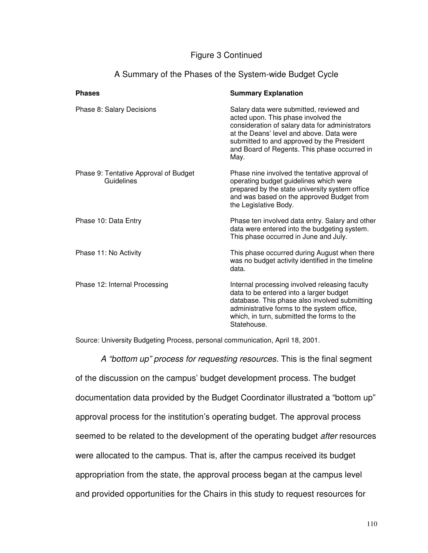## Figure 3 Continued

| A Summary of the Phases of the System-wide Budget Cycle |
|---------------------------------------------------------|
|---------------------------------------------------------|

| <b>Phases</b>                                       | <b>Summary Explanation</b>                                                                                                                                                                                                                                                           |
|-----------------------------------------------------|--------------------------------------------------------------------------------------------------------------------------------------------------------------------------------------------------------------------------------------------------------------------------------------|
| Phase 8: Salary Decisions                           | Salary data were submitted, reviewed and<br>acted upon. This phase involved the<br>consideration of salary data for administrators<br>at the Deans' level and above. Data were<br>submitted to and approved by the President<br>and Board of Regents. This phase occurred in<br>May. |
| Phase 9: Tentative Approval of Budget<br>Guidelines | Phase nine involved the tentative approval of<br>operating budget guidelines which were<br>prepared by the state university system office<br>and was based on the approved Budget from<br>the Legislative Body.                                                                      |
| Phase 10: Data Entry                                | Phase ten involved data entry. Salary and other<br>data were entered into the budgeting system.<br>This phase occurred in June and July.                                                                                                                                             |
| Phase 11: No Activity                               | This phase occurred during August when there<br>was no budget activity identified in the timeline<br>data.                                                                                                                                                                           |
| Phase 12: Internal Processing                       | Internal processing involved releasing faculty<br>data to be entered into a larger budget<br>database. This phase also involved submitting<br>administrative forms to the system office,<br>which, in turn, submitted the forms to the<br>Statehouse.                                |

Source: University Budgeting Process, personal communication, April 18, 2001.

A "bottom up" process for requesting resources. This is the final segment of the discussion on the campus' budget development process. The budget documentation data provided by the Budget Coordinator illustrated a "bottom up" approval process for the institution's operating budget. The approval process seemed to be related to the development of the operating budget *after* resources were allocated to the campus. That is, after the campus received its budget appropriation from the state, the approval process began at the campus level and provided opportunities for the Chairs in this study to request resources for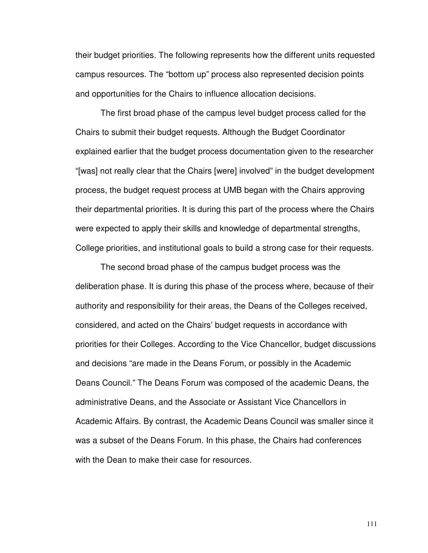their budget priorities. The following represents how the different units requested campus resources. The "bottom up" process also represented decision points and opportunities for the Chairs to influence allocation decisions.

The first broad phase of the campus level budget process called for the Chairs to submit their budget requests. Although the Budget Coordinator explained earlier that the budget process documentation given to the researcher "[was] not really clear that the Chairs [were] involved" in the budget development process, the budget request process at UMB began with the Chairs approving their departmental priorities. It is during this part of the process where the Chairs were expected to apply their skills and knowledge of departmental strengths, College priorities, and institutional goals to build a strong case for their requests.

The second broad phase of the campus budget process was the deliberation phase. It is during this phase of the process where, because of their authority and responsibility for their areas, the Deans of the Colleges received, considered, and acted on the Chairs' budget requests in accordance with priorities for their Colleges. According to the Vice Chancellor, budget discussions and decisions "are made in the Deans Forum, or possibly in the Academic Deans Council." The Deans Forum was composed of the academic Deans, the administrative Deans, and the Associate or Assistant Vice Chancellors in Academic Affairs. By contrast, the Academic Deans Council was smaller since it was a subset of the Deans Forum. In this phase, the Chairs had conferences with the Dean to make their case for resources.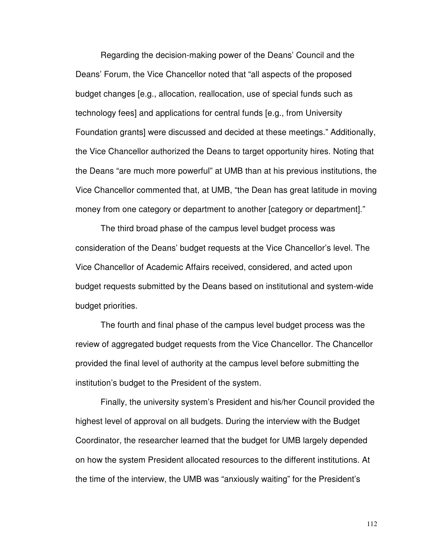Regarding the decision-making power of the Deans' Council and the Deans' Forum, the Vice Chancellor noted that "all aspects of the proposed budget changes [e.g., allocation, reallocation, use of special funds such as technology fees] and applications for central funds [e.g., from University Foundation grants] were discussed and decided at these meetings." Additionally, the Vice Chancellor authorized the Deans to target opportunity hires. Noting that the Deans "are much more powerful" at UMB than at his previous institutions, the Vice Chancellor commented that, at UMB, "the Dean has great latitude in moving money from one category or department to another [category or department]."

The third broad phase of the campus level budget process was consideration of the Deans' budget requests at the Vice Chancellor's level. The Vice Chancellor of Academic Affairs received, considered, and acted upon budget requests submitted by the Deans based on institutional and system-wide budget priorities.

The fourth and final phase of the campus level budget process was the review of aggregated budget requests from the Vice Chancellor. The Chancellor provided the final level of authority at the campus level before submitting the institution's budget to the President of the system.

Finally, the university system's President and his/her Council provided the highest level of approval on all budgets. During the interview with the Budget Coordinator, the researcher learned that the budget for UMB largely depended on how the system President allocated resources to the different institutions. At the time of the interview, the UMB was "anxiously waiting" for the President's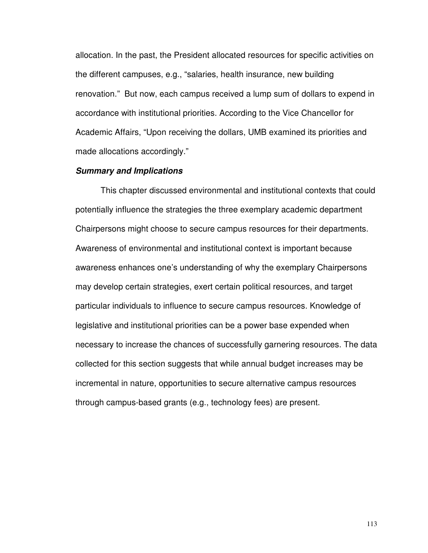allocation. In the past, the President allocated resources for specific activities on the different campuses, e.g., "salaries, health insurance, new building renovation." But now, each campus received a lump sum of dollars to expend in accordance with institutional priorities. According to the Vice Chancellor for Academic Affairs, "Upon receiving the dollars, UMB examined its priorities and made allocations accordingly."

#### **Summary and Implications**

This chapter discussed environmental and institutional contexts that could potentially influence the strategies the three exemplary academic department Chairpersons might choose to secure campus resources for their departments. Awareness of environmental and institutional context is important because awareness enhances one's understanding of why the exemplary Chairpersons may develop certain strategies, exert certain political resources, and target particular individuals to influence to secure campus resources. Knowledge of legislative and institutional priorities can be a power base expended when necessary to increase the chances of successfully garnering resources. The data collected for this section suggests that while annual budget increases may be incremental in nature, opportunities to secure alternative campus resources through campus-based grants (e.g., technology fees) are present.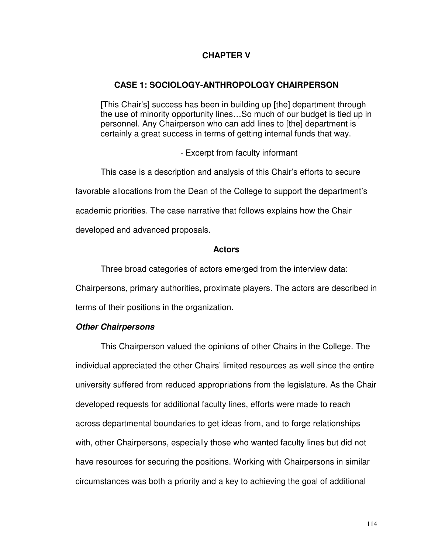## **CHAPTER V**

#### **CASE 1: SOCIOLOGY-ANTHROPOLOGY CHAIRPERSON**

[This Chair's] success has been in building up [the] department through the use of minority opportunity lines…So much of our budget is tied up in personnel. Any Chairperson who can add lines to [the] department is certainly a great success in terms of getting internal funds that way.

- Excerpt from faculty informant

This case is a description and analysis of this Chair's efforts to secure favorable allocations from the Dean of the College to support the department's academic priorities. The case narrative that follows explains how the Chair developed and advanced proposals.

#### **Actors**

Three broad categories of actors emerged from the interview data: Chairpersons, primary authorities, proximate players. The actors are described in terms of their positions in the organization.

#### **Other Chairpersons**

This Chairperson valued the opinions of other Chairs in the College. The individual appreciated the other Chairs' limited resources as well since the entire university suffered from reduced appropriations from the legislature. As the Chair developed requests for additional faculty lines, efforts were made to reach across departmental boundaries to get ideas from, and to forge relationships with, other Chairpersons, especially those who wanted faculty lines but did not have resources for securing the positions. Working with Chairpersons in similar circumstances was both a priority and a key to achieving the goal of additional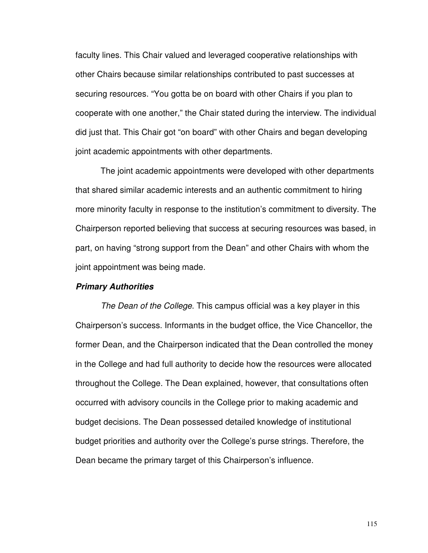faculty lines. This Chair valued and leveraged cooperative relationships with other Chairs because similar relationships contributed to past successes at securing resources. "You gotta be on board with other Chairs if you plan to cooperate with one another," the Chair stated during the interview. The individual did just that. This Chair got "on board" with other Chairs and began developing joint academic appointments with other departments.

The joint academic appointments were developed with other departments that shared similar academic interests and an authentic commitment to hiring more minority faculty in response to the institution's commitment to diversity. The Chairperson reported believing that success at securing resources was based, in part, on having "strong support from the Dean" and other Chairs with whom the joint appointment was being made.

#### **Primary Authorities**

The Dean of the College. This campus official was a key player in this Chairperson's success. Informants in the budget office, the Vice Chancellor, the former Dean, and the Chairperson indicated that the Dean controlled the money in the College and had full authority to decide how the resources were allocated throughout the College. The Dean explained, however, that consultations often occurred with advisory councils in the College prior to making academic and budget decisions. The Dean possessed detailed knowledge of institutional budget priorities and authority over the College's purse strings. Therefore, the Dean became the primary target of this Chairperson's influence.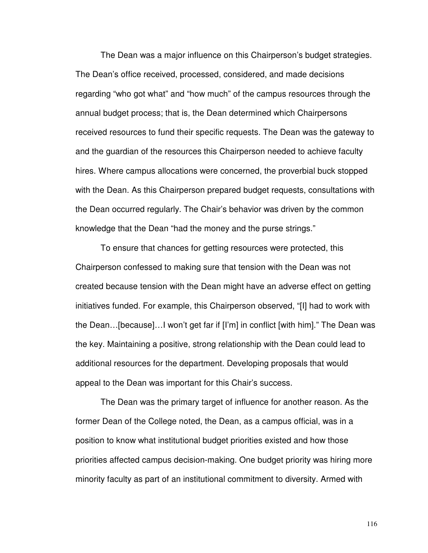The Dean was a major influence on this Chairperson's budget strategies. The Dean's office received, processed, considered, and made decisions regarding "who got what" and "how much" of the campus resources through the annual budget process; that is, the Dean determined which Chairpersons received resources to fund their specific requests. The Dean was the gateway to and the guardian of the resources this Chairperson needed to achieve faculty hires. Where campus allocations were concerned, the proverbial buck stopped with the Dean. As this Chairperson prepared budget requests, consultations with the Dean occurred regularly. The Chair's behavior was driven by the common knowledge that the Dean "had the money and the purse strings."

To ensure that chances for getting resources were protected, this Chairperson confessed to making sure that tension with the Dean was not created because tension with the Dean might have an adverse effect on getting initiatives funded. For example, this Chairperson observed, "[I] had to work with the Dean…[because]…I won't get far if [I'm] in conflict [with him]." The Dean was the key. Maintaining a positive, strong relationship with the Dean could lead to additional resources for the department. Developing proposals that would appeal to the Dean was important for this Chair's success.

The Dean was the primary target of influence for another reason. As the former Dean of the College noted, the Dean, as a campus official, was in a position to know what institutional budget priorities existed and how those priorities affected campus decision-making. One budget priority was hiring more minority faculty as part of an institutional commitment to diversity. Armed with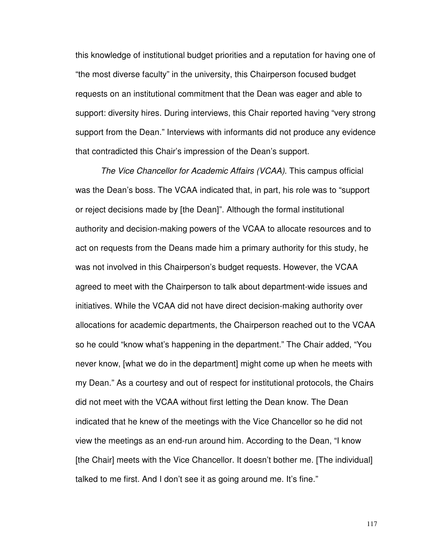this knowledge of institutional budget priorities and a reputation for having one of "the most diverse faculty" in the university, this Chairperson focused budget requests on an institutional commitment that the Dean was eager and able to support: diversity hires. During interviews, this Chair reported having "very strong support from the Dean." Interviews with informants did not produce any evidence that contradicted this Chair's impression of the Dean's support.

The Vice Chancellor for Academic Affairs (VCAA). This campus official was the Dean's boss. The VCAA indicated that, in part, his role was to "support or reject decisions made by [the Dean]". Although the formal institutional authority and decision-making powers of the VCAA to allocate resources and to act on requests from the Deans made him a primary authority for this study, he was not involved in this Chairperson's budget requests. However, the VCAA agreed to meet with the Chairperson to talk about department-wide issues and initiatives. While the VCAA did not have direct decision-making authority over allocations for academic departments, the Chairperson reached out to the VCAA so he could "know what's happening in the department." The Chair added, "You never know, [what we do in the department] might come up when he meets with my Dean." As a courtesy and out of respect for institutional protocols, the Chairs did not meet with the VCAA without first letting the Dean know. The Dean indicated that he knew of the meetings with the Vice Chancellor so he did not view the meetings as an end-run around him. According to the Dean, "I know [the Chair] meets with the Vice Chancellor. It doesn't bother me. [The individual] talked to me first. And I don't see it as going around me. It's fine."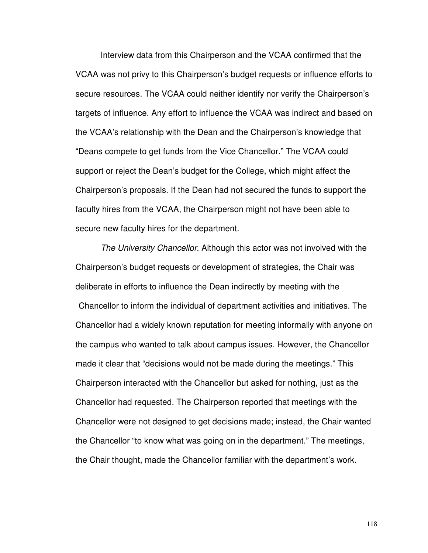Interview data from this Chairperson and the VCAA confirmed that the VCAA was not privy to this Chairperson's budget requests or influence efforts to secure resources. The VCAA could neither identify nor verify the Chairperson's targets of influence. Any effort to influence the VCAA was indirect and based on the VCAA's relationship with the Dean and the Chairperson's knowledge that "Deans compete to get funds from the Vice Chancellor." The VCAA could support or reject the Dean's budget for the College, which might affect the Chairperson's proposals. If the Dean had not secured the funds to support the faculty hires from the VCAA, the Chairperson might not have been able to secure new faculty hires for the department.

The University Chancellor. Although this actor was not involved with the Chairperson's budget requests or development of strategies, the Chair was deliberate in efforts to influence the Dean indirectly by meeting with the Chancellor to inform the individual of department activities and initiatives. The Chancellor had a widely known reputation for meeting informally with anyone on the campus who wanted to talk about campus issues. However, the Chancellor made it clear that "decisions would not be made during the meetings." This Chairperson interacted with the Chancellor but asked for nothing, just as the Chancellor had requested. The Chairperson reported that meetings with the Chancellor were not designed to get decisions made; instead, the Chair wanted the Chancellor "to know what was going on in the department." The meetings, the Chair thought, made the Chancellor familiar with the department's work.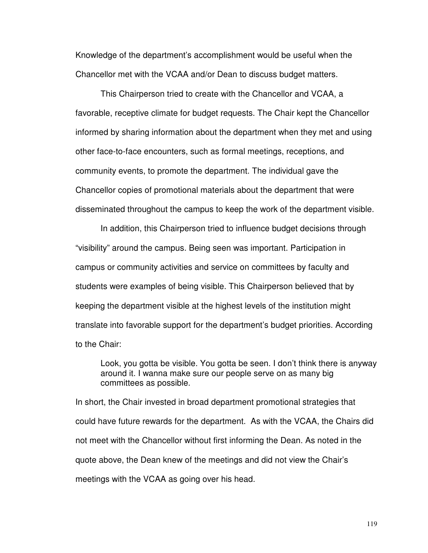Knowledge of the department's accomplishment would be useful when the Chancellor met with the VCAA and/or Dean to discuss budget matters.

This Chairperson tried to create with the Chancellor and VCAA, a favorable, receptive climate for budget requests. The Chair kept the Chancellor informed by sharing information about the department when they met and using other face-to-face encounters, such as formal meetings, receptions, and community events, to promote the department. The individual gave the Chancellor copies of promotional materials about the department that were disseminated throughout the campus to keep the work of the department visible.

In addition, this Chairperson tried to influence budget decisions through "visibility" around the campus. Being seen was important. Participation in campus or community activities and service on committees by faculty and students were examples of being visible. This Chairperson believed that by keeping the department visible at the highest levels of the institution might translate into favorable support for the department's budget priorities. According to the Chair:

Look, you gotta be visible. You gotta be seen. I don't think there is anyway around it. I wanna make sure our people serve on as many big committees as possible.

In short, the Chair invested in broad department promotional strategies that could have future rewards for the department. As with the VCAA, the Chairs did not meet with the Chancellor without first informing the Dean. As noted in the quote above, the Dean knew of the meetings and did not view the Chair's meetings with the VCAA as going over his head.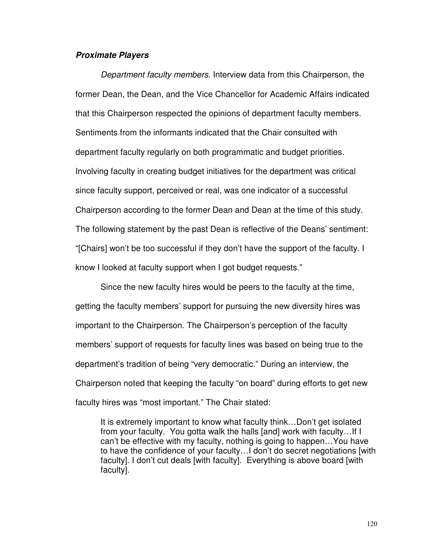#### **Proximate Players**

Department faculty members. Interview data from this Chairperson, the former Dean, the Dean, and the Vice Chancellor for Academic Affairs indicated that this Chairperson respected the opinions of department faculty members. Sentiments from the informants indicated that the Chair consulted with department faculty regularly on both programmatic and budget priorities. Involving faculty in creating budget initiatives for the department was critical since faculty support, perceived or real, was one indicator of a successful Chairperson according to the former Dean and Dean at the time of this study. The following statement by the past Dean is reflective of the Deans' sentiment: "[Chairs] won't be too successful if they don't have the support of the faculty. I know I looked at faculty support when I got budget requests."

Since the new faculty hires would be peers to the faculty at the time, getting the faculty members' support for pursuing the new diversity hires was important to the Chairperson. The Chairperson's perception of the faculty members' support of requests for faculty lines was based on being true to the department's tradition of being "very democratic." During an interview, the Chairperson noted that keeping the faculty "on board" during efforts to get new faculty hires was "most important." The Chair stated:

It is extremely important to know what faculty think…Don't get isolated from your faculty. You gotta walk the halls [and] work with faculty…If I can't be effective with my faculty, nothing is going to happen…You have to have the confidence of your faculty…I don't do secret negotiations [with faculty]. I don't cut deals [with faculty]. Everything is above board [with faculty].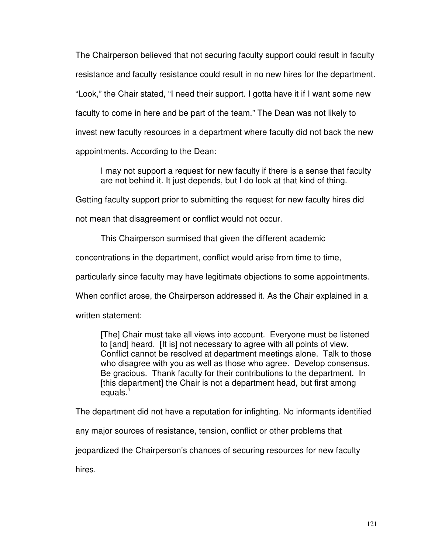The Chairperson believed that not securing faculty support could result in faculty resistance and faculty resistance could result in no new hires for the department. "Look," the Chair stated, "I need their support. I gotta have it if I want some new faculty to come in here and be part of the team." The Dean was not likely to invest new faculty resources in a department where faculty did not back the new appointments. According to the Dean:

I may not support a request for new faculty if there is a sense that faculty are not behind it. It just depends, but I do look at that kind of thing.

Getting faculty support prior to submitting the request for new faculty hires did

not mean that disagreement or conflict would not occur.

This Chairperson surmised that given the different academic

concentrations in the department, conflict would arise from time to time,

particularly since faculty may have legitimate objections to some appointments.

When conflict arose, the Chairperson addressed it. As the Chair explained in a

written statement:

[The] Chair must take all views into account. Everyone must be listened to [and] heard. [It is] not necessary to agree with all points of view. Conflict cannot be resolved at department meetings alone. Talk to those who disagree with you as well as those who agree. Develop consensus. Be gracious. Thank faculty for their contributions to the department. In [this department] the Chair is not a department head, but first among equals. $4$ 

The department did not have a reputation for infighting. No informants identified

any major sources of resistance, tension, conflict or other problems that

jeopardized the Chairperson's chances of securing resources for new faculty

hires.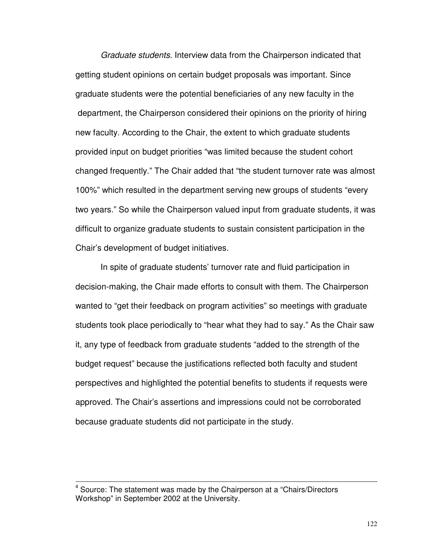Graduate students. Interview data from the Chairperson indicated that getting student opinions on certain budget proposals was important. Since graduate students were the potential beneficiaries of any new faculty in the department, the Chairperson considered their opinions on the priority of hiring new faculty. According to the Chair, the extent to which graduate students provided input on budget priorities "was limited because the student cohort changed frequently." The Chair added that "the student turnover rate was almost 100%" which resulted in the department serving new groups of students "every two years." So while the Chairperson valued input from graduate students, it was difficult to organize graduate students to sustain consistent participation in the Chair's development of budget initiatives.

In spite of graduate students' turnover rate and fluid participation in decision-making, the Chair made efforts to consult with them. The Chairperson wanted to "get their feedback on program activities" so meetings with graduate students took place periodically to "hear what they had to say." As the Chair saw it, any type of feedback from graduate students "added to the strength of the budget request" because the justifications reflected both faculty and student perspectives and highlighted the potential benefits to students if requests were approved. The Chair's assertions and impressions could not be corroborated because graduate students did not participate in the study.

l

<sup>4</sup> Source: The statement was made by the Chairperson at a "Chairs/Directors Workshop" in September 2002 at the University.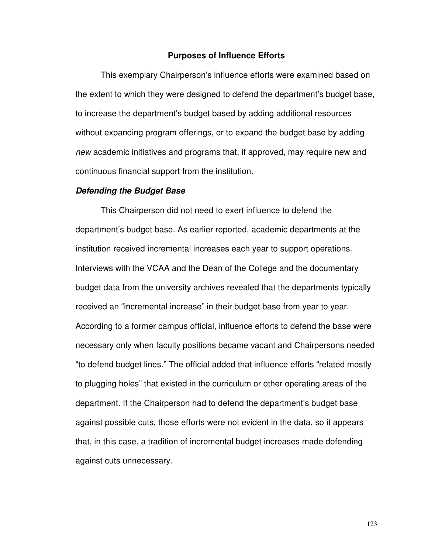#### **Purposes of Influence Efforts**

This exemplary Chairperson's influence efforts were examined based on the extent to which they were designed to defend the department's budget base, to increase the department's budget based by adding additional resources without expanding program offerings, or to expand the budget base by adding new academic initiatives and programs that, if approved, may require new and continuous financial support from the institution.

#### **Defending the Budget Base**

 This Chairperson did not need to exert influence to defend the department's budget base. As earlier reported, academic departments at the institution received incremental increases each year to support operations. Interviews with the VCAA and the Dean of the College and the documentary budget data from the university archives revealed that the departments typically received an "incremental increase" in their budget base from year to year. According to a former campus official, influence efforts to defend the base were necessary only when faculty positions became vacant and Chairpersons needed "to defend budget lines." The official added that influence efforts "related mostly to plugging holes" that existed in the curriculum or other operating areas of the department. If the Chairperson had to defend the department's budget base against possible cuts, those efforts were not evident in the data, so it appears that, in this case, a tradition of incremental budget increases made defending against cuts unnecessary.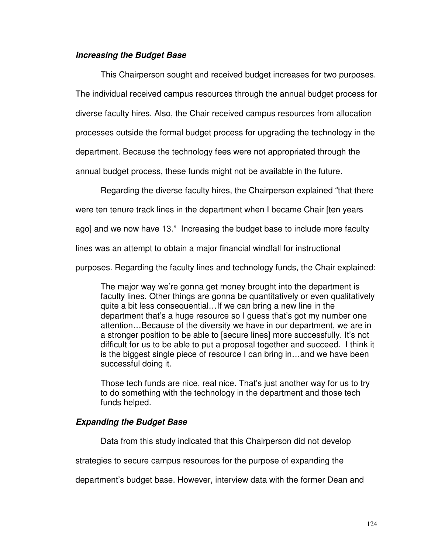### **Increasing the Budget Base**

This Chairperson sought and received budget increases for two purposes. The individual received campus resources through the annual budget process for diverse faculty hires. Also, the Chair received campus resources from allocation processes outside the formal budget process for upgrading the technology in the department. Because the technology fees were not appropriated through the annual budget process, these funds might not be available in the future.

Regarding the diverse faculty hires, the Chairperson explained "that there

were ten tenure track lines in the department when I became Chair [ten years

ago] and we now have 13." Increasing the budget base to include more faculty

lines was an attempt to obtain a major financial windfall for instructional

purposes. Regarding the faculty lines and technology funds, the Chair explained:

The major way we're gonna get money brought into the department is faculty lines. Other things are gonna be quantitatively or even qualitatively quite a bit less consequential…If we can bring a new line in the department that's a huge resource so I guess that's got my number one attention…Because of the diversity we have in our department, we are in a stronger position to be able to [secure lines] more successfully. It's not difficult for us to be able to put a proposal together and succeed. I think it is the biggest single piece of resource I can bring in…and we have been successful doing it.

Those tech funds are nice, real nice. That's just another way for us to try to do something with the technology in the department and those tech funds helped.

## **Expanding the Budget Base**

Data from this study indicated that this Chairperson did not develop

strategies to secure campus resources for the purpose of expanding the

department's budget base. However, interview data with the former Dean and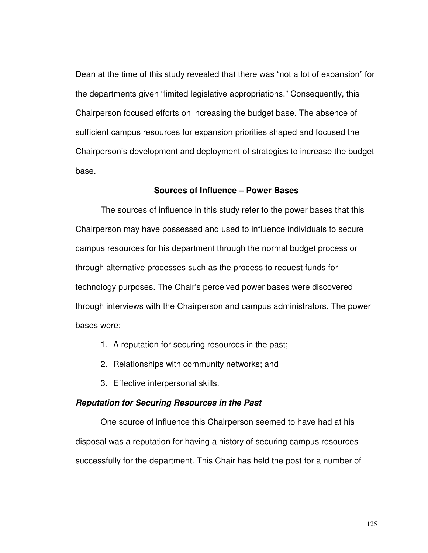Dean at the time of this study revealed that there was "not a lot of expansion" for the departments given "limited legislative appropriations." Consequently, this Chairperson focused efforts on increasing the budget base. The absence of sufficient campus resources for expansion priorities shaped and focused the Chairperson's development and deployment of strategies to increase the budget base.

#### **Sources of Influence – Power Bases**

 The sources of influence in this study refer to the power bases that this Chairperson may have possessed and used to influence individuals to secure campus resources for his department through the normal budget process or through alternative processes such as the process to request funds for technology purposes. The Chair's perceived power bases were discovered through interviews with the Chairperson and campus administrators. The power bases were:

- 1. A reputation for securing resources in the past;
- 2. Relationships with community networks; and
- 3. Effective interpersonal skills.

#### **Reputation for Securing Resources in the Past**

One source of influence this Chairperson seemed to have had at his disposal was a reputation for having a history of securing campus resources successfully for the department. This Chair has held the post for a number of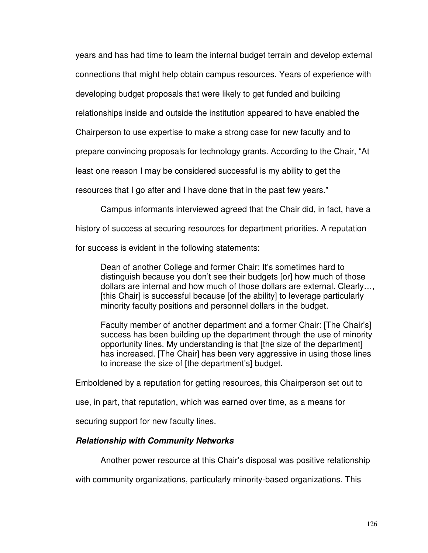years and has had time to learn the internal budget terrain and develop external connections that might help obtain campus resources. Years of experience with

developing budget proposals that were likely to get funded and building

relationships inside and outside the institution appeared to have enabled the

Chairperson to use expertise to make a strong case for new faculty and to

prepare convincing proposals for technology grants. According to the Chair, "At

least one reason I may be considered successful is my ability to get the

resources that I go after and I have done that in the past few years."

Campus informants interviewed agreed that the Chair did, in fact, have a

history of success at securing resources for department priorities. A reputation

for success is evident in the following statements:

Dean of another College and former Chair: It's sometimes hard to distinguish because you don't see their budgets [or] how much of those dollars are internal and how much of those dollars are external. Clearly…, [this Chair] is successful because [of the ability] to leverage particularly minority faculty positions and personnel dollars in the budget.

Faculty member of another department and a former Chair: [The Chair's] success has been building up the department through the use of minority opportunity lines. My understanding is that [the size of the department] has increased. [The Chair] has been very aggressive in using those lines to increase the size of [the department's] budget.

Emboldened by a reputation for getting resources, this Chairperson set out to

use, in part, that reputation, which was earned over time, as a means for

securing support for new faculty lines.

## **Relationship with Community Networks**

Another power resource at this Chair's disposal was positive relationship

with community organizations, particularly minority-based organizations. This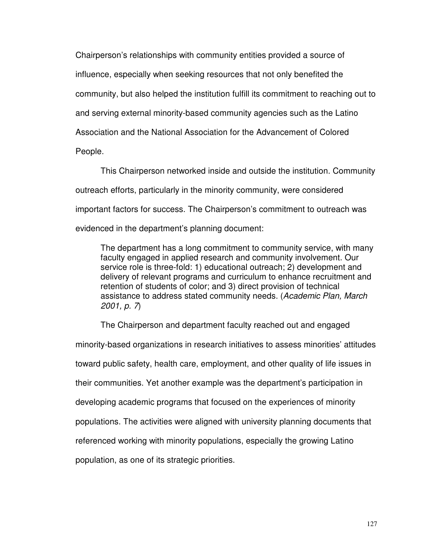Chairperson's relationships with community entities provided a source of influence, especially when seeking resources that not only benefited the community, but also helped the institution fulfill its commitment to reaching out to and serving external minority-based community agencies such as the Latino Association and the National Association for the Advancement of Colored People.

This Chairperson networked inside and outside the institution. Community outreach efforts, particularly in the minority community, were considered important factors for success. The Chairperson's commitment to outreach was evidenced in the department's planning document:

The department has a long commitment to community service, with many faculty engaged in applied research and community involvement. Our service role is three-fold: 1) educational outreach; 2) development and delivery of relevant programs and curriculum to enhance recruitment and retention of students of color; and 3) direct provision of technical assistance to address stated community needs. (Academic Plan, March 2001, p. 7)

The Chairperson and department faculty reached out and engaged minority-based organizations in research initiatives to assess minorities' attitudes toward public safety, health care, employment, and other quality of life issues in their communities. Yet another example was the department's participation in developing academic programs that focused on the experiences of minority populations. The activities were aligned with university planning documents that referenced working with minority populations, especially the growing Latino population, as one of its strategic priorities.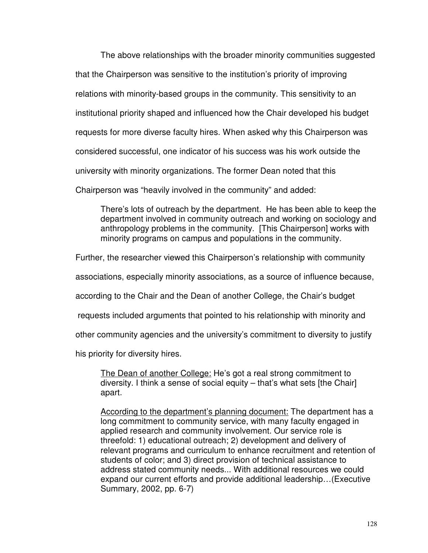The above relationships with the broader minority communities suggested that the Chairperson was sensitive to the institution's priority of improving relations with minority-based groups in the community. This sensitivity to an institutional priority shaped and influenced how the Chair developed his budget requests for more diverse faculty hires. When asked why this Chairperson was considered successful, one indicator of his success was his work outside the university with minority organizations. The former Dean noted that this Chairperson was "heavily involved in the community" and added:

There's lots of outreach by the department. He has been able to keep the department involved in community outreach and working on sociology and anthropology problems in the community. [This Chairperson] works with minority programs on campus and populations in the community.

Further, the researcher viewed this Chairperson's relationship with community

associations, especially minority associations, as a source of influence because,

according to the Chair and the Dean of another College, the Chair's budget

requests included arguments that pointed to his relationship with minority and

other community agencies and the university's commitment to diversity to justify

his priority for diversity hires.

The Dean of another College: He's got a real strong commitment to diversity. I think a sense of social equity – that's what sets [the Chair] apart.

According to the department's planning document: The department has a long commitment to community service, with many faculty engaged in applied research and community involvement. Our service role is threefold: 1) educational outreach; 2) development and delivery of relevant programs and curriculum to enhance recruitment and retention of students of color; and 3) direct provision of technical assistance to address stated community needs... With additional resources we could expand our current efforts and provide additional leadership…(Executive Summary, 2002, pp. 6-7)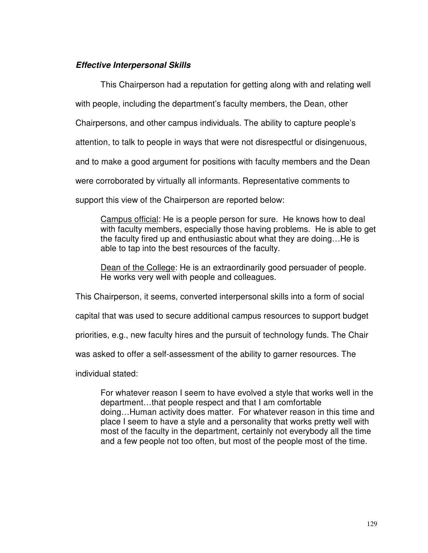## **Effective Interpersonal Skills**

This Chairperson had a reputation for getting along with and relating well

with people, including the department's faculty members, the Dean, other

Chairpersons, and other campus individuals. The ability to capture people's

attention, to talk to people in ways that were not disrespectful or disingenuous,

and to make a good argument for positions with faculty members and the Dean

were corroborated by virtually all informants. Representative comments to

support this view of the Chairperson are reported below:

Campus official: He is a people person for sure. He knows how to deal with faculty members, especially those having problems. He is able to get the faculty fired up and enthusiastic about what they are doing…He is able to tap into the best resources of the faculty.

Dean of the College: He is an extraordinarily good persuader of people. He works very well with people and colleagues.

This Chairperson, it seems, converted interpersonal skills into a form of social

capital that was used to secure additional campus resources to support budget

priorities, e.g., new faculty hires and the pursuit of technology funds. The Chair

was asked to offer a self-assessment of the ability to garner resources. The

individual stated:

For whatever reason I seem to have evolved a style that works well in the department…that people respect and that I am comfortable doing…Human activity does matter. For whatever reason in this time and place I seem to have a style and a personality that works pretty well with most of the faculty in the department, certainly not everybody all the time and a few people not too often, but most of the people most of the time.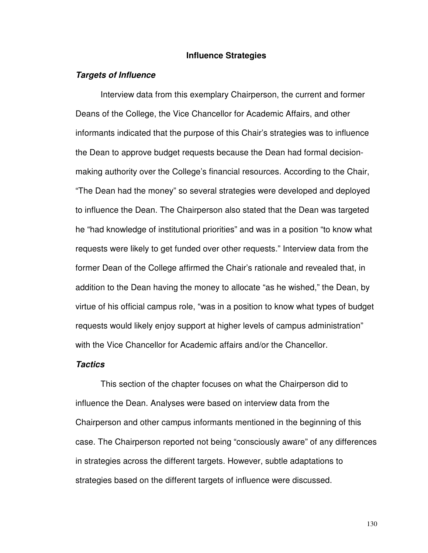#### **Influence Strategies**

#### **Targets of Influence**

Interview data from this exemplary Chairperson, the current and former Deans of the College, the Vice Chancellor for Academic Affairs, and other informants indicated that the purpose of this Chair's strategies was to influence the Dean to approve budget requests because the Dean had formal decisionmaking authority over the College's financial resources. According to the Chair, "The Dean had the money" so several strategies were developed and deployed to influence the Dean. The Chairperson also stated that the Dean was targeted he "had knowledge of institutional priorities" and was in a position "to know what requests were likely to get funded over other requests." Interview data from the former Dean of the College affirmed the Chair's rationale and revealed that, in addition to the Dean having the money to allocate "as he wished," the Dean, by virtue of his official campus role, "was in a position to know what types of budget requests would likely enjoy support at higher levels of campus administration" with the Vice Chancellor for Academic affairs and/or the Chancellor.

#### **Tactics**

 This section of the chapter focuses on what the Chairperson did to influence the Dean. Analyses were based on interview data from the Chairperson and other campus informants mentioned in the beginning of this case. The Chairperson reported not being "consciously aware" of any differences in strategies across the different targets. However, subtle adaptations to strategies based on the different targets of influence were discussed.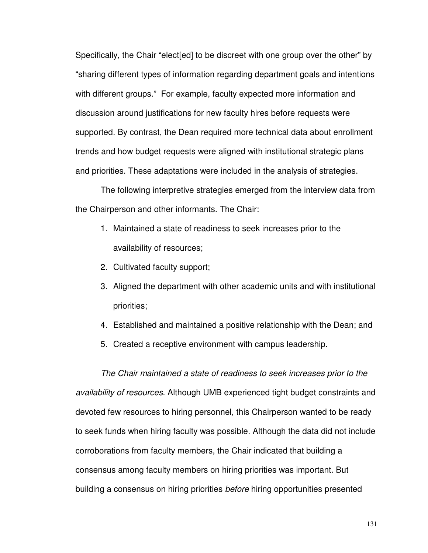Specifically, the Chair "elect[ed] to be discreet with one group over the other" by "sharing different types of information regarding department goals and intentions with different groups." For example, faculty expected more information and discussion around justifications for new faculty hires before requests were supported. By contrast, the Dean required more technical data about enrollment trends and how budget requests were aligned with institutional strategic plans and priorities. These adaptations were included in the analysis of strategies.

The following interpretive strategies emerged from the interview data from the Chairperson and other informants. The Chair:

- 1. Maintained a state of readiness to seek increases prior to the availability of resources;
- 2. Cultivated faculty support;
- 3. Aligned the department with other academic units and with institutional priorities;
- 4. Established and maintained a positive relationship with the Dean; and
- 5. Created a receptive environment with campus leadership.

The Chair maintained a state of readiness to seek increases prior to the availability of resources. Although UMB experienced tight budget constraints and devoted few resources to hiring personnel, this Chairperson wanted to be ready to seek funds when hiring faculty was possible. Although the data did not include corroborations from faculty members, the Chair indicated that building a consensus among faculty members on hiring priorities was important. But building a consensus on hiring priorities before hiring opportunities presented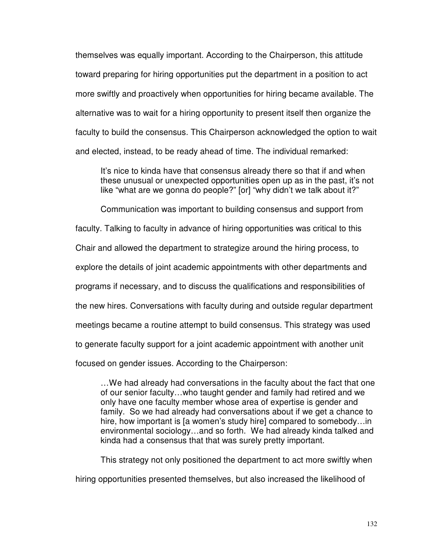themselves was equally important. According to the Chairperson, this attitude toward preparing for hiring opportunities put the department in a position to act more swiftly and proactively when opportunities for hiring became available. The alternative was to wait for a hiring opportunity to present itself then organize the faculty to build the consensus. This Chairperson acknowledged the option to wait and elected, instead, to be ready ahead of time. The individual remarked:

It's nice to kinda have that consensus already there so that if and when these unusual or unexpected opportunities open up as in the past, it's not like "what are we gonna do people?" [or] "why didn't we talk about it?"

Communication was important to building consensus and support from

faculty. Talking to faculty in advance of hiring opportunities was critical to this

Chair and allowed the department to strategize around the hiring process, to

explore the details of joint academic appointments with other departments and

programs if necessary, and to discuss the qualifications and responsibilities of

the new hires. Conversations with faculty during and outside regular department

meetings became a routine attempt to build consensus. This strategy was used

to generate faculty support for a joint academic appointment with another unit

focused on gender issues. According to the Chairperson:

…We had already had conversations in the faculty about the fact that one of our senior faculty…who taught gender and family had retired and we only have one faculty member whose area of expertise is gender and family. So we had already had conversations about if we get a chance to hire, how important is [a women's study hire] compared to somebody...in environmental sociology…and so forth. We had already kinda talked and kinda had a consensus that that was surely pretty important.

This strategy not only positioned the department to act more swiftly when

hiring opportunities presented themselves, but also increased the likelihood of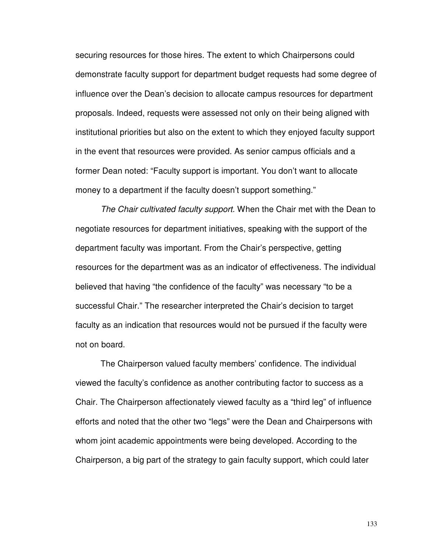securing resources for those hires. The extent to which Chairpersons could demonstrate faculty support for department budget requests had some degree of influence over the Dean's decision to allocate campus resources for department proposals. Indeed, requests were assessed not only on their being aligned with institutional priorities but also on the extent to which they enjoyed faculty support in the event that resources were provided. As senior campus officials and a former Dean noted: "Faculty support is important. You don't want to allocate money to a department if the faculty doesn't support something."

The Chair cultivated faculty support. When the Chair met with the Dean to negotiate resources for department initiatives, speaking with the support of the department faculty was important. From the Chair's perspective, getting resources for the department was as an indicator of effectiveness. The individual believed that having "the confidence of the faculty" was necessary "to be a successful Chair." The researcher interpreted the Chair's decision to target faculty as an indication that resources would not be pursued if the faculty were not on board.

The Chairperson valued faculty members' confidence. The individual viewed the faculty's confidence as another contributing factor to success as a Chair. The Chairperson affectionately viewed faculty as a "third leg" of influence efforts and noted that the other two "legs" were the Dean and Chairpersons with whom joint academic appointments were being developed. According to the Chairperson, a big part of the strategy to gain faculty support, which could later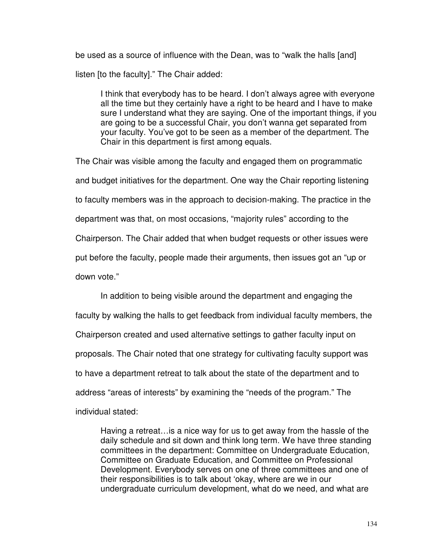be used as a source of influence with the Dean, was to "walk the halls [and] listen [to the faculty]." The Chair added:

I think that everybody has to be heard. I don't always agree with everyone all the time but they certainly have a right to be heard and I have to make sure I understand what they are saying. One of the important things, if you are going to be a successful Chair, you don't wanna get separated from your faculty. You've got to be seen as a member of the department. The Chair in this department is first among equals.

The Chair was visible among the faculty and engaged them on programmatic and budget initiatives for the department. One way the Chair reporting listening to faculty members was in the approach to decision-making. The practice in the department was that, on most occasions, "majority rules" according to the Chairperson. The Chair added that when budget requests or other issues were put before the faculty, people made their arguments, then issues got an "up or down vote."

In addition to being visible around the department and engaging the faculty by walking the halls to get feedback from individual faculty members, the Chairperson created and used alternative settings to gather faculty input on proposals. The Chair noted that one strategy for cultivating faculty support was to have a department retreat to talk about the state of the department and to address "areas of interests" by examining the "needs of the program." The individual stated:

Having a retreat…is a nice way for us to get away from the hassle of the daily schedule and sit down and think long term. We have three standing committees in the department: Committee on Undergraduate Education, Committee on Graduate Education, and Committee on Professional Development. Everybody serves on one of three committees and one of their responsibilities is to talk about 'okay, where are we in our undergraduate curriculum development, what do we need, and what are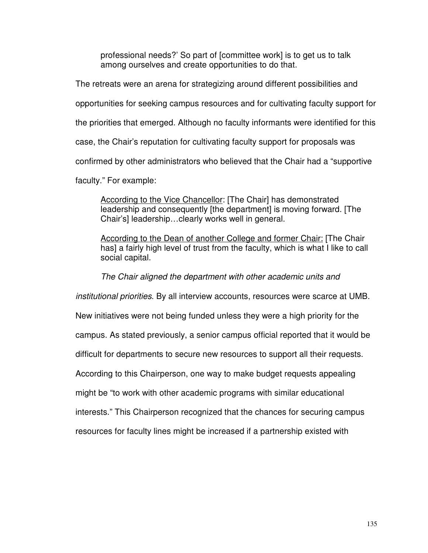professional needs?' So part of [committee work] is to get us to talk among ourselves and create opportunities to do that.

The retreats were an arena for strategizing around different possibilities and opportunities for seeking campus resources and for cultivating faculty support for the priorities that emerged. Although no faculty informants were identified for this case, the Chair's reputation for cultivating faculty support for proposals was confirmed by other administrators who believed that the Chair had a "supportive faculty." For example:

According to the Vice Chancellor: [The Chair] has demonstrated leadership and consequently [the department] is moving forward. [The Chair's] leadership…clearly works well in general.

According to the Dean of another College and former Chair: [The Chair has] a fairly high level of trust from the faculty, which is what I like to call social capital.

The Chair aligned the department with other academic units and

institutional priorities. By all interview accounts, resources were scarce at UMB.

New initiatives were not being funded unless they were a high priority for the

campus. As stated previously, a senior campus official reported that it would be

difficult for departments to secure new resources to support all their requests.

According to this Chairperson, one way to make budget requests appealing

might be "to work with other academic programs with similar educational

interests." This Chairperson recognized that the chances for securing campus

resources for faculty lines might be increased if a partnership existed with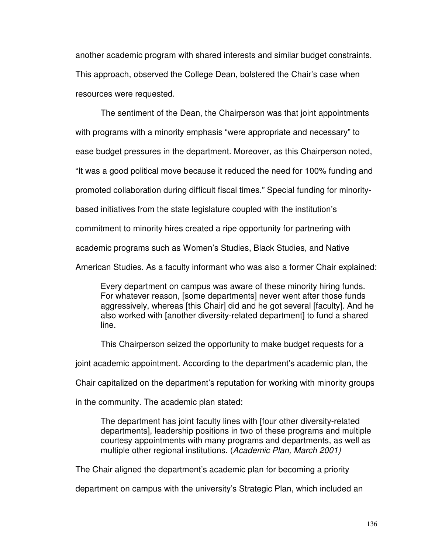another academic program with shared interests and similar budget constraints. This approach, observed the College Dean, bolstered the Chair's case when resources were requested.

The sentiment of the Dean, the Chairperson was that joint appointments with programs with a minority emphasis "were appropriate and necessary" to ease budget pressures in the department. Moreover, as this Chairperson noted, "It was a good political move because it reduced the need for 100% funding and promoted collaboration during difficult fiscal times." Special funding for minoritybased initiatives from the state legislature coupled with the institution's commitment to minority hires created a ripe opportunity for partnering with academic programs such as Women's Studies, Black Studies, and Native American Studies. As a faculty informant who was also a former Chair explained:

Every department on campus was aware of these minority hiring funds. For whatever reason, [some departments] never went after those funds aggressively, whereas [this Chair] did and he got several [faculty]. And he also worked with [another diversity-related department] to fund a shared line.

This Chairperson seized the opportunity to make budget requests for a

joint academic appointment. According to the department's academic plan, the

Chair capitalized on the department's reputation for working with minority groups

in the community. The academic plan stated:

The department has joint faculty lines with [four other diversity-related departments], leadership positions in two of these programs and multiple courtesy appointments with many programs and departments, as well as multiple other regional institutions. (Academic Plan, March 2001)

The Chair aligned the department's academic plan for becoming a priority

department on campus with the university's Strategic Plan, which included an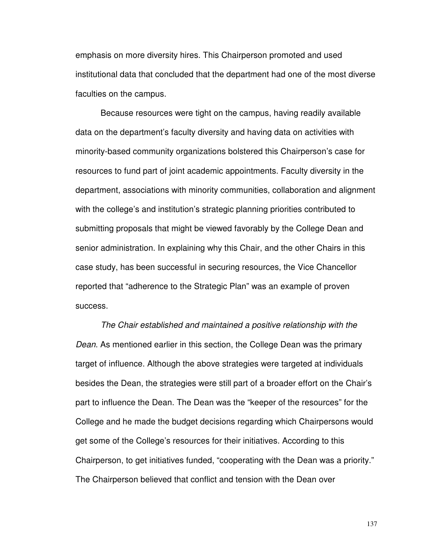emphasis on more diversity hires. This Chairperson promoted and used institutional data that concluded that the department had one of the most diverse faculties on the campus.

Because resources were tight on the campus, having readily available data on the department's faculty diversity and having data on activities with minority-based community organizations bolstered this Chairperson's case for resources to fund part of joint academic appointments. Faculty diversity in the department, associations with minority communities, collaboration and alignment with the college's and institution's strategic planning priorities contributed to submitting proposals that might be viewed favorably by the College Dean and senior administration. In explaining why this Chair, and the other Chairs in this case study, has been successful in securing resources, the Vice Chancellor reported that "adherence to the Strategic Plan" was an example of proven success.

The Chair established and maintained a positive relationship with the Dean. As mentioned earlier in this section, the College Dean was the primary target of influence. Although the above strategies were targeted at individuals besides the Dean, the strategies were still part of a broader effort on the Chair's part to influence the Dean. The Dean was the "keeper of the resources" for the College and he made the budget decisions regarding which Chairpersons would get some of the College's resources for their initiatives. According to this Chairperson, to get initiatives funded, "cooperating with the Dean was a priority." The Chairperson believed that conflict and tension with the Dean over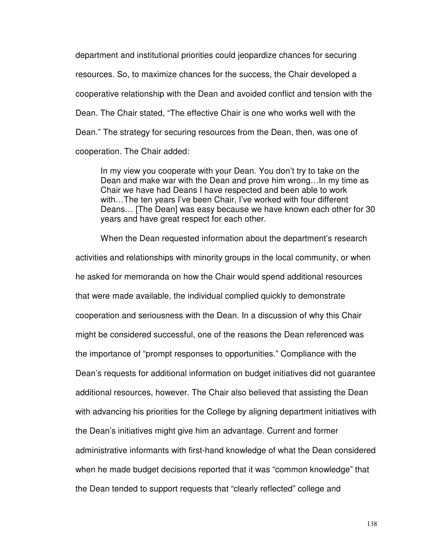department and institutional priorities could jeopardize chances for securing resources. So, to maximize chances for the success, the Chair developed a cooperative relationship with the Dean and avoided conflict and tension with the Dean. The Chair stated, "The effective Chair is one who works well with the Dean." The strategy for securing resources from the Dean, then, was one of cooperation. The Chair added:

In my view you cooperate with your Dean. You don't try to take on the Dean and make war with the Dean and prove him wrong…In my time as Chair we have had Deans I have respected and been able to work with…The ten years I've been Chair, I've worked with four different Deans… [The Dean] was easy because we have known each other for 30 years and have great respect for each other.

When the Dean requested information about the department's research activities and relationships with minority groups in the local community, or when he asked for memoranda on how the Chair would spend additional resources that were made available, the individual complied quickly to demonstrate cooperation and seriousness with the Dean. In a discussion of why this Chair might be considered successful, one of the reasons the Dean referenced was the importance of "prompt responses to opportunities." Compliance with the Dean's requests for additional information on budget initiatives did not guarantee additional resources, however. The Chair also believed that assisting the Dean with advancing his priorities for the College by aligning department initiatives with the Dean's initiatives might give him an advantage. Current and former administrative informants with first-hand knowledge of what the Dean considered when he made budget decisions reported that it was "common knowledge" that the Dean tended to support requests that "clearly reflected" college and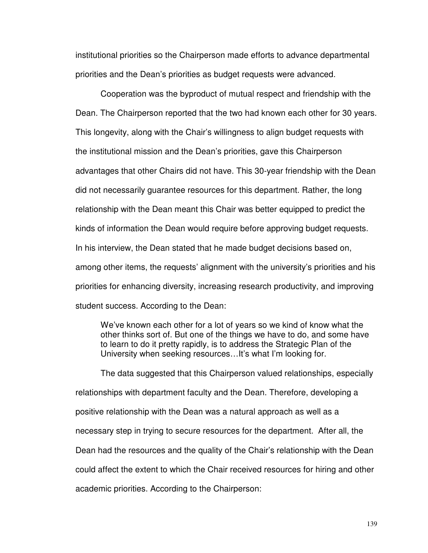institutional priorities so the Chairperson made efforts to advance departmental priorities and the Dean's priorities as budget requests were advanced.

Cooperation was the byproduct of mutual respect and friendship with the Dean. The Chairperson reported that the two had known each other for 30 years. This longevity, along with the Chair's willingness to align budget requests with the institutional mission and the Dean's priorities, gave this Chairperson advantages that other Chairs did not have. This 30-year friendship with the Dean did not necessarily guarantee resources for this department. Rather, the long relationship with the Dean meant this Chair was better equipped to predict the kinds of information the Dean would require before approving budget requests. In his interview, the Dean stated that he made budget decisions based on, among other items, the requests' alignment with the university's priorities and his priorities for enhancing diversity, increasing research productivity, and improving student success. According to the Dean:

We've known each other for a lot of years so we kind of know what the other thinks sort of. But one of the things we have to do, and some have to learn to do it pretty rapidly, is to address the Strategic Plan of the University when seeking resources…It's what I'm looking for.

The data suggested that this Chairperson valued relationships, especially relationships with department faculty and the Dean. Therefore, developing a positive relationship with the Dean was a natural approach as well as a necessary step in trying to secure resources for the department. After all, the Dean had the resources and the quality of the Chair's relationship with the Dean could affect the extent to which the Chair received resources for hiring and other academic priorities. According to the Chairperson: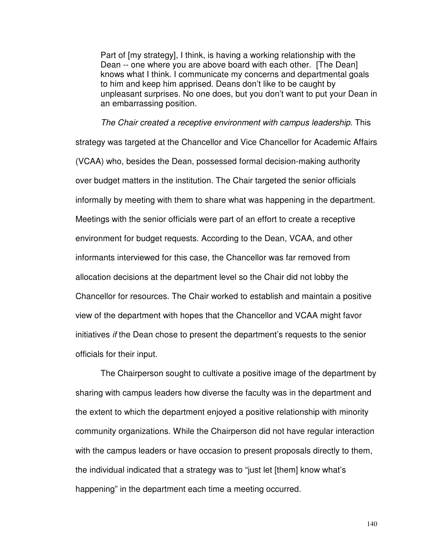Part of [my strategy], I think, is having a working relationship with the Dean -- one where you are above board with each other. [The Dean] knows what I think. I communicate my concerns and departmental goals to him and keep him apprised. Deans don't like to be caught by unpleasant surprises. No one does, but you don't want to put your Dean in an embarrassing position.

The Chair created a receptive environment with campus leadership. This strategy was targeted at the Chancellor and Vice Chancellor for Academic Affairs (VCAA) who, besides the Dean, possessed formal decision-making authority over budget matters in the institution. The Chair targeted the senior officials informally by meeting with them to share what was happening in the department. Meetings with the senior officials were part of an effort to create a receptive environment for budget requests. According to the Dean, VCAA, and other informants interviewed for this case, the Chancellor was far removed from allocation decisions at the department level so the Chair did not lobby the Chancellor for resources. The Chair worked to establish and maintain a positive view of the department with hopes that the Chancellor and VCAA might favor initiatives if the Dean chose to present the department's requests to the senior officials for their input.

The Chairperson sought to cultivate a positive image of the department by sharing with campus leaders how diverse the faculty was in the department and the extent to which the department enjoyed a positive relationship with minority community organizations. While the Chairperson did not have regular interaction with the campus leaders or have occasion to present proposals directly to them, the individual indicated that a strategy was to "just let [them] know what's happening" in the department each time a meeting occurred.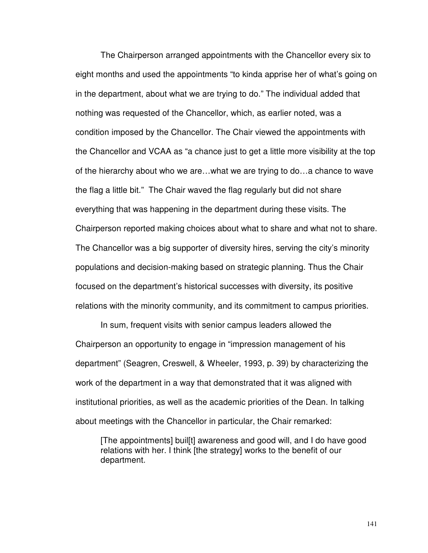The Chairperson arranged appointments with the Chancellor every six to eight months and used the appointments "to kinda apprise her of what's going on in the department, about what we are trying to do." The individual added that nothing was requested of the Chancellor, which, as earlier noted, was a condition imposed by the Chancellor. The Chair viewed the appointments with the Chancellor and VCAA as "a chance just to get a little more visibility at the top of the hierarchy about who we are…what we are trying to do…a chance to wave the flag a little bit." The Chair waved the flag regularly but did not share everything that was happening in the department during these visits. The Chairperson reported making choices about what to share and what not to share. The Chancellor was a big supporter of diversity hires, serving the city's minority populations and decision-making based on strategic planning. Thus the Chair focused on the department's historical successes with diversity, its positive relations with the minority community, and its commitment to campus priorities.

In sum, frequent visits with senior campus leaders allowed the Chairperson an opportunity to engage in "impression management of his department" (Seagren, Creswell, & Wheeler, 1993, p. 39) by characterizing the work of the department in a way that demonstrated that it was aligned with institutional priorities, as well as the academic priorities of the Dean. In talking about meetings with the Chancellor in particular, the Chair remarked:

[The appointments] buil[t] awareness and good will, and I do have good relations with her. I think [the strategy] works to the benefit of our department.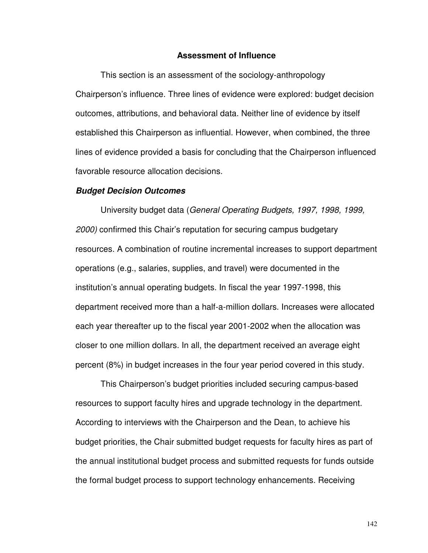#### **Assessment of Influence**

 This section is an assessment of the sociology-anthropology Chairperson's influence. Three lines of evidence were explored: budget decision outcomes, attributions, and behavioral data. Neither line of evidence by itself established this Chairperson as influential. However, when combined, the three lines of evidence provided a basis for concluding that the Chairperson influenced favorable resource allocation decisions.

#### **Budget Decision Outcomes**

 University budget data (General Operating Budgets, 1997, 1998, 1999, 2000) confirmed this Chair's reputation for securing campus budgetary resources. A combination of routine incremental increases to support department operations (e.g., salaries, supplies, and travel) were documented in the institution's annual operating budgets. In fiscal the year 1997-1998, this department received more than a half-a-million dollars. Increases were allocated each year thereafter up to the fiscal year 2001-2002 when the allocation was closer to one million dollars. In all, the department received an average eight percent (8%) in budget increases in the four year period covered in this study.

This Chairperson's budget priorities included securing campus-based resources to support faculty hires and upgrade technology in the department. According to interviews with the Chairperson and the Dean, to achieve his budget priorities, the Chair submitted budget requests for faculty hires as part of the annual institutional budget process and submitted requests for funds outside the formal budget process to support technology enhancements. Receiving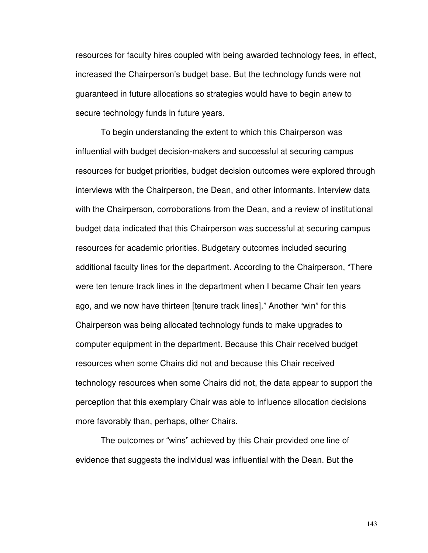resources for faculty hires coupled with being awarded technology fees, in effect, increased the Chairperson's budget base. But the technology funds were not guaranteed in future allocations so strategies would have to begin anew to secure technology funds in future years.

To begin understanding the extent to which this Chairperson was influential with budget decision-makers and successful at securing campus resources for budget priorities, budget decision outcomes were explored through interviews with the Chairperson, the Dean, and other informants. Interview data with the Chairperson, corroborations from the Dean, and a review of institutional budget data indicated that this Chairperson was successful at securing campus resources for academic priorities. Budgetary outcomes included securing additional faculty lines for the department. According to the Chairperson, "There were ten tenure track lines in the department when I became Chair ten years ago, and we now have thirteen [tenure track lines]." Another "win" for this Chairperson was being allocated technology funds to make upgrades to computer equipment in the department. Because this Chair received budget resources when some Chairs did not and because this Chair received technology resources when some Chairs did not, the data appear to support the perception that this exemplary Chair was able to influence allocation decisions more favorably than, perhaps, other Chairs.

 The outcomes or "wins" achieved by this Chair provided one line of evidence that suggests the individual was influential with the Dean. But the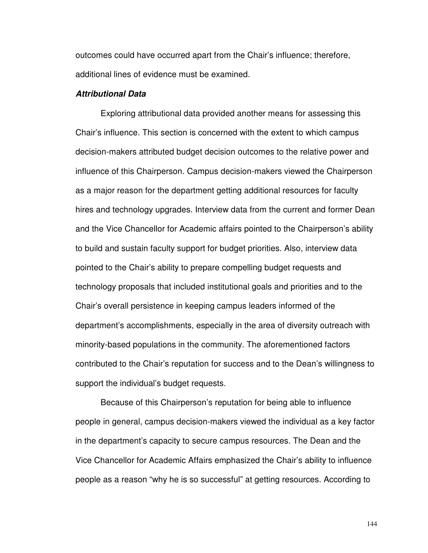outcomes could have occurred apart from the Chair's influence; therefore, additional lines of evidence must be examined.

## **Attributional Data**

Exploring attributional data provided another means for assessing this Chair's influence. This section is concerned with the extent to which campus decision-makers attributed budget decision outcomes to the relative power and influence of this Chairperson. Campus decision-makers viewed the Chairperson as a major reason for the department getting additional resources for faculty hires and technology upgrades. Interview data from the current and former Dean and the Vice Chancellor for Academic affairs pointed to the Chairperson's ability to build and sustain faculty support for budget priorities. Also, interview data pointed to the Chair's ability to prepare compelling budget requests and technology proposals that included institutional goals and priorities and to the Chair's overall persistence in keeping campus leaders informed of the department's accomplishments, especially in the area of diversity outreach with minority-based populations in the community. The aforementioned factors contributed to the Chair's reputation for success and to the Dean's willingness to support the individual's budget requests.

 Because of this Chairperson's reputation for being able to influence people in general, campus decision-makers viewed the individual as a key factor in the department's capacity to secure campus resources. The Dean and the Vice Chancellor for Academic Affairs emphasized the Chair's ability to influence people as a reason "why he is so successful" at getting resources. According to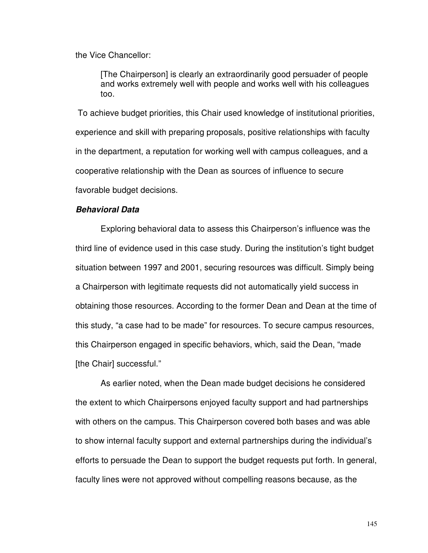the Vice Chancellor:

[The Chairperson] is clearly an extraordinarily good persuader of people and works extremely well with people and works well with his colleagues too.

 To achieve budget priorities, this Chair used knowledge of institutional priorities, experience and skill with preparing proposals, positive relationships with faculty in the department, a reputation for working well with campus colleagues, and a cooperative relationship with the Dean as sources of influence to secure favorable budget decisions.

# **Behavioral Data**

 Exploring behavioral data to assess this Chairperson's influence was the third line of evidence used in this case study. During the institution's tight budget situation between 1997 and 2001, securing resources was difficult. Simply being a Chairperson with legitimate requests did not automatically yield success in obtaining those resources. According to the former Dean and Dean at the time of this study, "a case had to be made" for resources. To secure campus resources, this Chairperson engaged in specific behaviors, which, said the Dean, "made [the Chair] successful."

 As earlier noted, when the Dean made budget decisions he considered the extent to which Chairpersons enjoyed faculty support and had partnerships with others on the campus. This Chairperson covered both bases and was able to show internal faculty support and external partnerships during the individual's efforts to persuade the Dean to support the budget requests put forth. In general, faculty lines were not approved without compelling reasons because, as the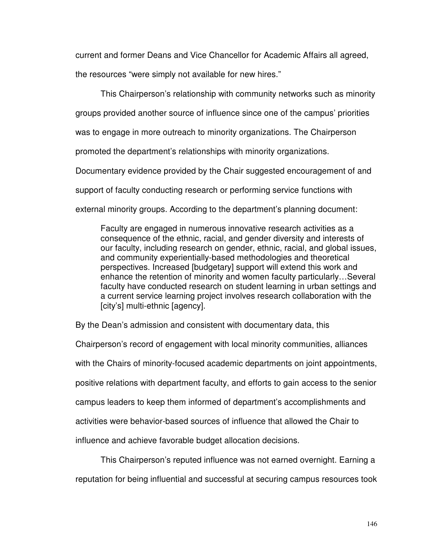current and former Deans and Vice Chancellor for Academic Affairs all agreed,

the resources "were simply not available for new hires."

This Chairperson's relationship with community networks such as minority

groups provided another source of influence since one of the campus' priorities

was to engage in more outreach to minority organizations. The Chairperson

promoted the department's relationships with minority organizations.

Documentary evidence provided by the Chair suggested encouragement of and

support of faculty conducting research or performing service functions with

external minority groups. According to the department's planning document:

Faculty are engaged in numerous innovative research activities as a consequence of the ethnic, racial, and gender diversity and interests of our faculty, including research on gender, ethnic, racial, and global issues, and community experientially-based methodologies and theoretical perspectives. Increased [budgetary] support will extend this work and enhance the retention of minority and women faculty particularly…Several faculty have conducted research on student learning in urban settings and a current service learning project involves research collaboration with the [city's] multi-ethnic [agency].

By the Dean's admission and consistent with documentary data, this

Chairperson's record of engagement with local minority communities, alliances with the Chairs of minority-focused academic departments on joint appointments, positive relations with department faculty, and efforts to gain access to the senior campus leaders to keep them informed of department's accomplishments and activities were behavior-based sources of influence that allowed the Chair to influence and achieve favorable budget allocation decisions.

 This Chairperson's reputed influence was not earned overnight. Earning a reputation for being influential and successful at securing campus resources took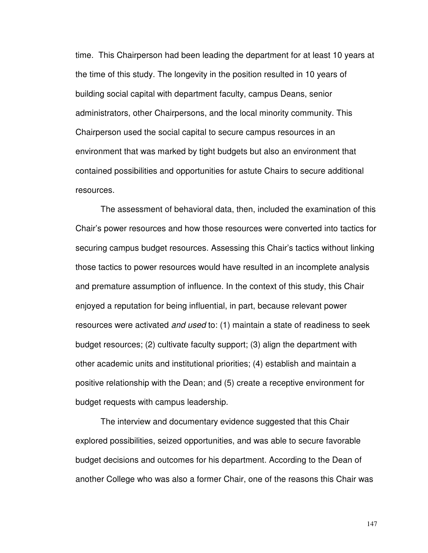time. This Chairperson had been leading the department for at least 10 years at the time of this study. The longevity in the position resulted in 10 years of building social capital with department faculty, campus Deans, senior administrators, other Chairpersons, and the local minority community. This Chairperson used the social capital to secure campus resources in an environment that was marked by tight budgets but also an environment that contained possibilities and opportunities for astute Chairs to secure additional resources.

 The assessment of behavioral data, then, included the examination of this Chair's power resources and how those resources were converted into tactics for securing campus budget resources. Assessing this Chair's tactics without linking those tactics to power resources would have resulted in an incomplete analysis and premature assumption of influence. In the context of this study, this Chair enjoyed a reputation for being influential, in part, because relevant power resources were activated and used to: (1) maintain a state of readiness to seek budget resources; (2) cultivate faculty support; (3) align the department with other academic units and institutional priorities; (4) establish and maintain a positive relationship with the Dean; and (5) create a receptive environment for budget requests with campus leadership.

The interview and documentary evidence suggested that this Chair explored possibilities, seized opportunities, and was able to secure favorable budget decisions and outcomes for his department. According to the Dean of another College who was also a former Chair, one of the reasons this Chair was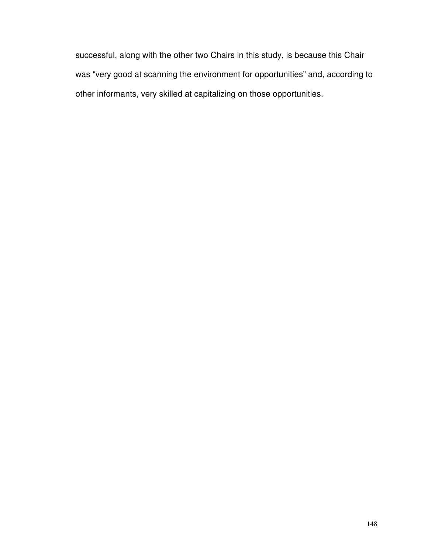successful, along with the other two Chairs in this study, is because this Chair was "very good at scanning the environment for opportunities" and, according to other informants, very skilled at capitalizing on those opportunities.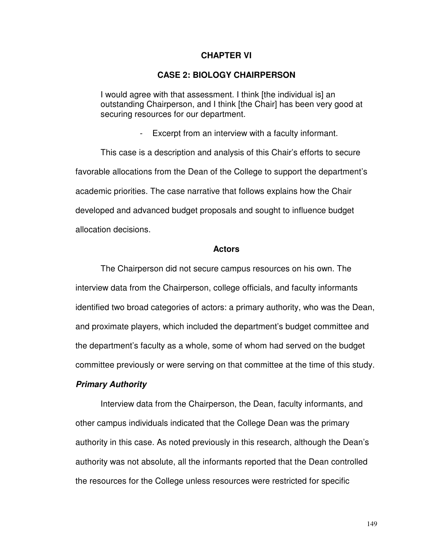## **CHAPTER VI**

## **CASE 2: BIOLOGY CHAIRPERSON**

I would agree with that assessment. I think [the individual is] an outstanding Chairperson, and I think [the Chair] has been very good at securing resources for our department.

- Excerpt from an interview with a faculty informant.

This case is a description and analysis of this Chair's efforts to secure favorable allocations from the Dean of the College to support the department's academic priorities. The case narrative that follows explains how the Chair developed and advanced budget proposals and sought to influence budget allocation decisions.

#### **Actors**

The Chairperson did not secure campus resources on his own. The interview data from the Chairperson, college officials, and faculty informants identified two broad categories of actors: a primary authority, who was the Dean, and proximate players, which included the department's budget committee and the department's faculty as a whole, some of whom had served on the budget committee previously or were serving on that committee at the time of this study.

# **Primary Authority**

 Interview data from the Chairperson, the Dean, faculty informants, and other campus individuals indicated that the College Dean was the primary authority in this case. As noted previously in this research, although the Dean's authority was not absolute, all the informants reported that the Dean controlled the resources for the College unless resources were restricted for specific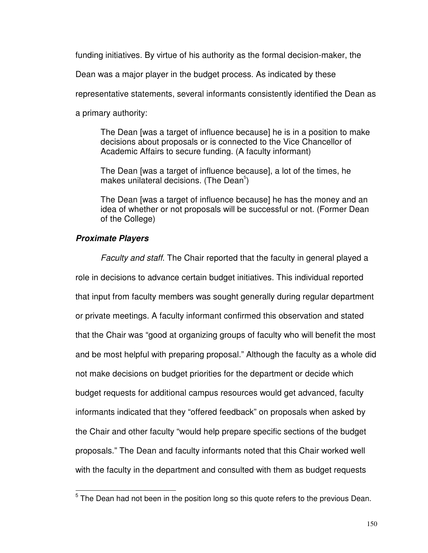funding initiatives. By virtue of his authority as the formal decision-maker, the

Dean was a major player in the budget process. As indicated by these

representative statements, several informants consistently identified the Dean as

a primary authority:

The Dean [was a target of influence because] he is in a position to make decisions about proposals or is connected to the Vice Chancellor of Academic Affairs to secure funding. (A faculty informant)

The Dean [was a target of influence because], a lot of the times, he makes unilateral decisions. (The Dean $5$ )

The Dean [was a target of influence because] he has the money and an idea of whether or not proposals will be successful or not. (Former Dean of the College)

# **Proximate Players**

l

Faculty and staff. The Chair reported that the faculty in general played a role in decisions to advance certain budget initiatives. This individual reported that input from faculty members was sought generally during regular department or private meetings. A faculty informant confirmed this observation and stated that the Chair was "good at organizing groups of faculty who will benefit the most and be most helpful with preparing proposal." Although the faculty as a whole did not make decisions on budget priorities for the department or decide which budget requests for additional campus resources would get advanced, faculty informants indicated that they "offered feedback" on proposals when asked by the Chair and other faculty "would help prepare specific sections of the budget proposals." The Dean and faculty informants noted that this Chair worked well with the faculty in the department and consulted with them as budget requests

 $5$  The Dean had not been in the position long so this quote refers to the previous Dean.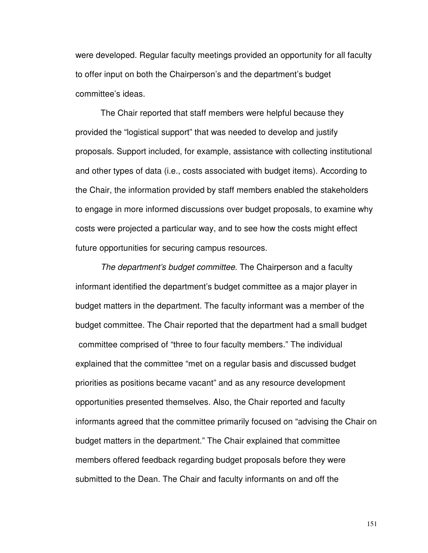were developed. Regular faculty meetings provided an opportunity for all faculty to offer input on both the Chairperson's and the department's budget committee's ideas.

The Chair reported that staff members were helpful because they provided the "logistical support" that was needed to develop and justify proposals. Support included, for example, assistance with collecting institutional and other types of data (i.e., costs associated with budget items). According to the Chair, the information provided by staff members enabled the stakeholders to engage in more informed discussions over budget proposals, to examine why costs were projected a particular way, and to see how the costs might effect future opportunities for securing campus resources.

The department's budget committee. The Chairperson and a faculty informant identified the department's budget committee as a major player in budget matters in the department. The faculty informant was a member of the budget committee. The Chair reported that the department had a small budget committee comprised of "three to four faculty members." The individual explained that the committee "met on a regular basis and discussed budget priorities as positions became vacant" and as any resource development opportunities presented themselves. Also, the Chair reported and faculty informants agreed that the committee primarily focused on "advising the Chair on budget matters in the department." The Chair explained that committee members offered feedback regarding budget proposals before they were submitted to the Dean. The Chair and faculty informants on and off the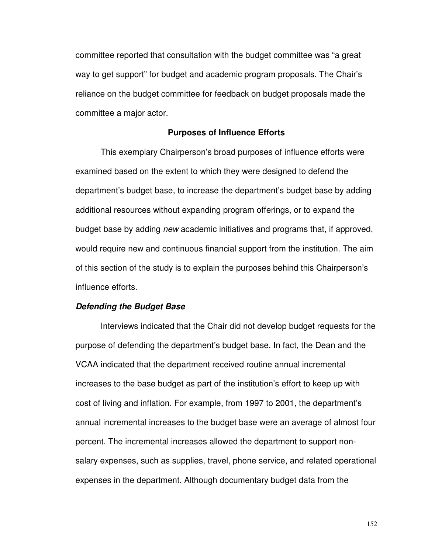committee reported that consultation with the budget committee was "a great way to get support" for budget and academic program proposals. The Chair's reliance on the budget committee for feedback on budget proposals made the committee a major actor.

#### **Purposes of Influence Efforts**

This exemplary Chairperson's broad purposes of influence efforts were examined based on the extent to which they were designed to defend the department's budget base, to increase the department's budget base by adding additional resources without expanding program offerings, or to expand the budget base by adding new academic initiatives and programs that, if approved, would require new and continuous financial support from the institution. The aim of this section of the study is to explain the purposes behind this Chairperson's influence efforts.

### **Defending the Budget Base**

 Interviews indicated that the Chair did not develop budget requests for the purpose of defending the department's budget base. In fact, the Dean and the VCAA indicated that the department received routine annual incremental increases to the base budget as part of the institution's effort to keep up with cost of living and inflation. For example, from 1997 to 2001, the department's annual incremental increases to the budget base were an average of almost four percent. The incremental increases allowed the department to support nonsalary expenses, such as supplies, travel, phone service, and related operational expenses in the department. Although documentary budget data from the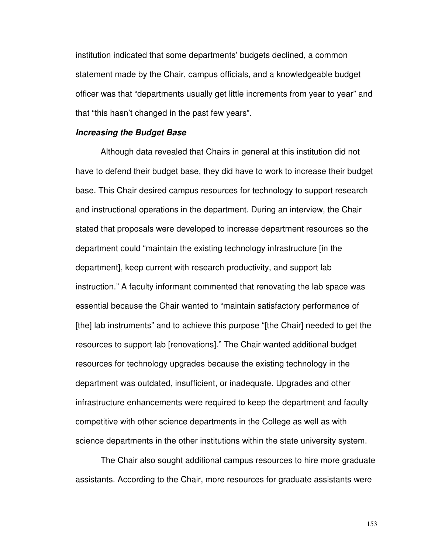institution indicated that some departments' budgets declined, a common statement made by the Chair, campus officials, and a knowledgeable budget officer was that "departments usually get little increments from year to year" and that "this hasn't changed in the past few years".

#### **Increasing the Budget Base**

Although data revealed that Chairs in general at this institution did not have to defend their budget base, they did have to work to increase their budget base. This Chair desired campus resources for technology to support research and instructional operations in the department. During an interview, the Chair stated that proposals were developed to increase department resources so the department could "maintain the existing technology infrastructure [in the department], keep current with research productivity, and support lab instruction." A faculty informant commented that renovating the lab space was essential because the Chair wanted to "maintain satisfactory performance of [the] lab instruments" and to achieve this purpose "[the Chair] needed to get the resources to support lab [renovations]." The Chair wanted additional budget resources for technology upgrades because the existing technology in the department was outdated, insufficient, or inadequate. Upgrades and other infrastructure enhancements were required to keep the department and faculty competitive with other science departments in the College as well as with science departments in the other institutions within the state university system.

The Chair also sought additional campus resources to hire more graduate assistants. According to the Chair, more resources for graduate assistants were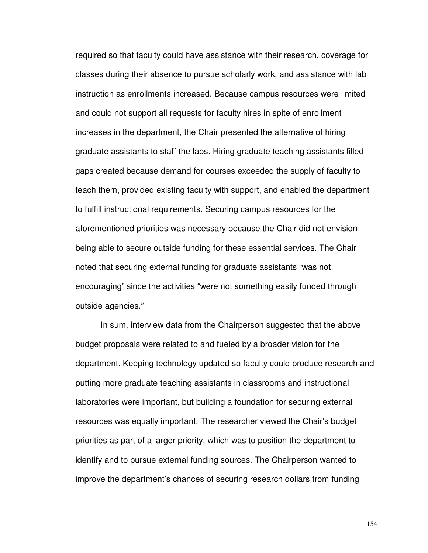required so that faculty could have assistance with their research, coverage for classes during their absence to pursue scholarly work, and assistance with lab instruction as enrollments increased. Because campus resources were limited and could not support all requests for faculty hires in spite of enrollment increases in the department, the Chair presented the alternative of hiring graduate assistants to staff the labs. Hiring graduate teaching assistants filled gaps created because demand for courses exceeded the supply of faculty to teach them, provided existing faculty with support, and enabled the department to fulfill instructional requirements. Securing campus resources for the aforementioned priorities was necessary because the Chair did not envision being able to secure outside funding for these essential services. The Chair noted that securing external funding for graduate assistants "was not encouraging" since the activities "were not something easily funded through outside agencies."

In sum, interview data from the Chairperson suggested that the above budget proposals were related to and fueled by a broader vision for the department. Keeping technology updated so faculty could produce research and putting more graduate teaching assistants in classrooms and instructional laboratories were important, but building a foundation for securing external resources was equally important. The researcher viewed the Chair's budget priorities as part of a larger priority, which was to position the department to identify and to pursue external funding sources. The Chairperson wanted to improve the department's chances of securing research dollars from funding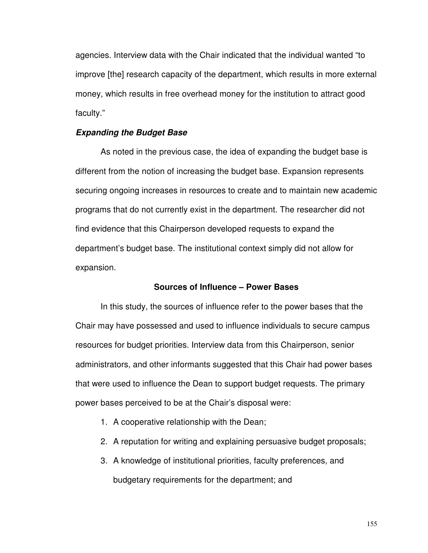agencies. Interview data with the Chair indicated that the individual wanted "to improve [the] research capacity of the department, which results in more external money, which results in free overhead money for the institution to attract good faculty."

### **Expanding the Budget Base**

As noted in the previous case, the idea of expanding the budget base is different from the notion of increasing the budget base. Expansion represents securing ongoing increases in resources to create and to maintain new academic programs that do not currently exist in the department. The researcher did not find evidence that this Chairperson developed requests to expand the department's budget base. The institutional context simply did not allow for expansion.

## **Sources of Influence – Power Bases**

 In this study, the sources of influence refer to the power bases that the Chair may have possessed and used to influence individuals to secure campus resources for budget priorities. Interview data from this Chairperson, senior administrators, and other informants suggested that this Chair had power bases that were used to influence the Dean to support budget requests. The primary power bases perceived to be at the Chair's disposal were:

- 1. A cooperative relationship with the Dean;
- 2. A reputation for writing and explaining persuasive budget proposals;
- 3. A knowledge of institutional priorities, faculty preferences, and budgetary requirements for the department; and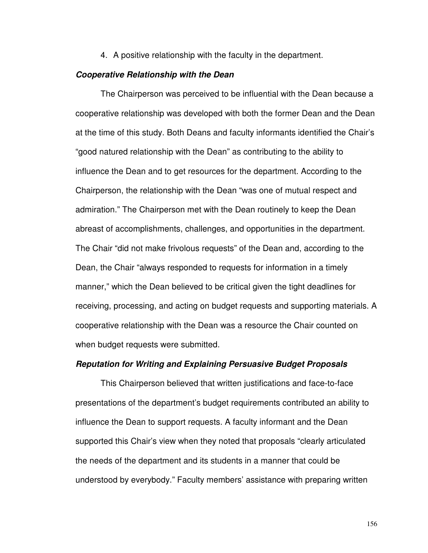4. A positive relationship with the faculty in the department.

#### **Cooperative Relationship with the Dean**

The Chairperson was perceived to be influential with the Dean because a cooperative relationship was developed with both the former Dean and the Dean at the time of this study. Both Deans and faculty informants identified the Chair's "good natured relationship with the Dean" as contributing to the ability to influence the Dean and to get resources for the department. According to the Chairperson, the relationship with the Dean "was one of mutual respect and admiration." The Chairperson met with the Dean routinely to keep the Dean abreast of accomplishments, challenges, and opportunities in the department. The Chair "did not make frivolous requests" of the Dean and, according to the Dean, the Chair "always responded to requests for information in a timely manner," which the Dean believed to be critical given the tight deadlines for receiving, processing, and acting on budget requests and supporting materials. A cooperative relationship with the Dean was a resource the Chair counted on when budget requests were submitted.

## **Reputation for Writing and Explaining Persuasive Budget Proposals**

This Chairperson believed that written justifications and face-to-face presentations of the department's budget requirements contributed an ability to influence the Dean to support requests. A faculty informant and the Dean supported this Chair's view when they noted that proposals "clearly articulated the needs of the department and its students in a manner that could be understood by everybody." Faculty members' assistance with preparing written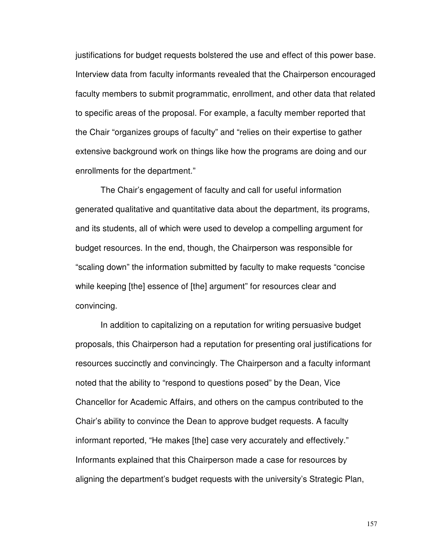justifications for budget requests bolstered the use and effect of this power base. Interview data from faculty informants revealed that the Chairperson encouraged faculty members to submit programmatic, enrollment, and other data that related to specific areas of the proposal. For example, a faculty member reported that the Chair "organizes groups of faculty" and "relies on their expertise to gather extensive background work on things like how the programs are doing and our enrollments for the department."

The Chair's engagement of faculty and call for useful information generated qualitative and quantitative data about the department, its programs, and its students, all of which were used to develop a compelling argument for budget resources. In the end, though, the Chairperson was responsible for "scaling down" the information submitted by faculty to make requests "concise while keeping [the] essence of [the] argument" for resources clear and convincing.

In addition to capitalizing on a reputation for writing persuasive budget proposals, this Chairperson had a reputation for presenting oral justifications for resources succinctly and convincingly. The Chairperson and a faculty informant noted that the ability to "respond to questions posed" by the Dean, Vice Chancellor for Academic Affairs, and others on the campus contributed to the Chair's ability to convince the Dean to approve budget requests. A faculty informant reported, "He makes [the] case very accurately and effectively." Informants explained that this Chairperson made a case for resources by aligning the department's budget requests with the university's Strategic Plan,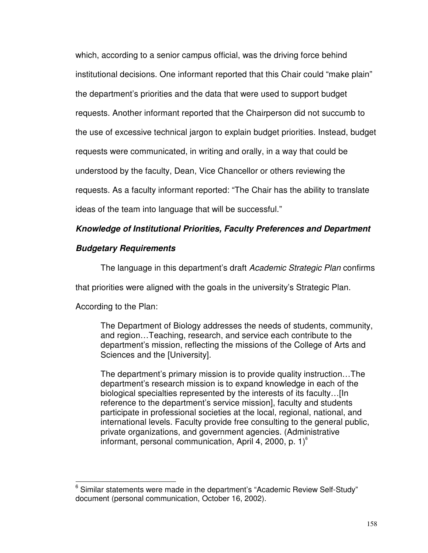which, according to a senior campus official, was the driving force behind institutional decisions. One informant reported that this Chair could "make plain" the department's priorities and the data that were used to support budget requests. Another informant reported that the Chairperson did not succumb to the use of excessive technical jargon to explain budget priorities. Instead, budget requests were communicated, in writing and orally, in a way that could be understood by the faculty, Dean, Vice Chancellor or others reviewing the requests. As a faculty informant reported: "The Chair has the ability to translate ideas of the team into language that will be successful."

# **Knowledge of Institutional Priorities, Faculty Preferences and Department**

# **Budgetary Requirements**

The language in this department's draft Academic Strategic Plan confirms

that priorities were aligned with the goals in the university's Strategic Plan.

According to the Plan:

l

The Department of Biology addresses the needs of students, community, and region…Teaching, research, and service each contribute to the department's mission, reflecting the missions of the College of Arts and Sciences and the [University].

The department's primary mission is to provide quality instruction…The department's research mission is to expand knowledge in each of the biological specialties represented by the interests of its faculty…[In reference to the department's service mission], faculty and students participate in professional societies at the local, regional, national, and international levels. Faculty provide free consulting to the general public, private organizations, and government agencies. (Administrative informant, personal communication, April 4, 2000, p.  $1)^6$ 

<sup>&</sup>lt;sup>6</sup> Similar statements were made in the department's "Academic Review Self-Study" document (personal communication, October 16, 2002).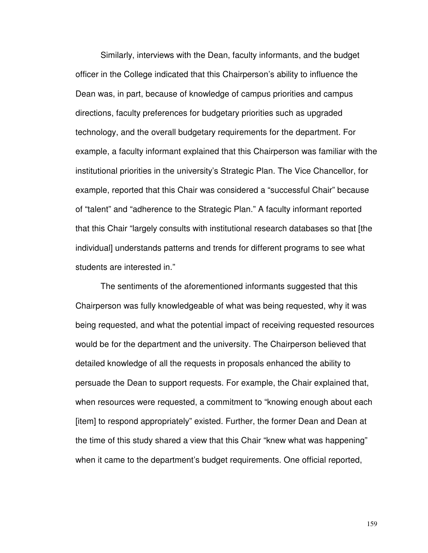Similarly, interviews with the Dean, faculty informants, and the budget officer in the College indicated that this Chairperson's ability to influence the Dean was, in part, because of knowledge of campus priorities and campus directions, faculty preferences for budgetary priorities such as upgraded technology, and the overall budgetary requirements for the department. For example, a faculty informant explained that this Chairperson was familiar with the institutional priorities in the university's Strategic Plan. The Vice Chancellor, for example, reported that this Chair was considered a "successful Chair" because of "talent" and "adherence to the Strategic Plan." A faculty informant reported that this Chair "largely consults with institutional research databases so that [the individual] understands patterns and trends for different programs to see what students are interested in."

The sentiments of the aforementioned informants suggested that this Chairperson was fully knowledgeable of what was being requested, why it was being requested, and what the potential impact of receiving requested resources would be for the department and the university. The Chairperson believed that detailed knowledge of all the requests in proposals enhanced the ability to persuade the Dean to support requests. For example, the Chair explained that, when resources were requested, a commitment to "knowing enough about each [item] to respond appropriately" existed. Further, the former Dean and Dean at the time of this study shared a view that this Chair "knew what was happening" when it came to the department's budget requirements. One official reported,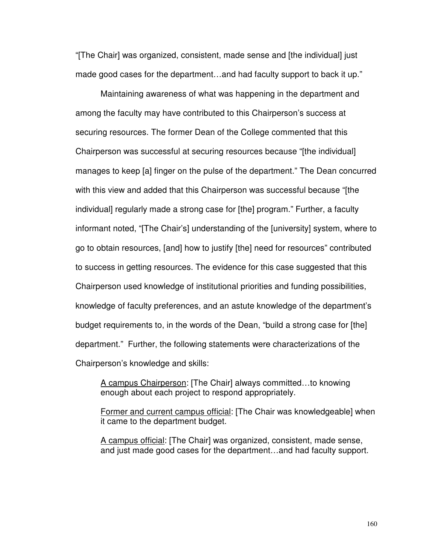"[The Chair] was organized, consistent, made sense and [the individual] just made good cases for the department…and had faculty support to back it up."

Maintaining awareness of what was happening in the department and among the faculty may have contributed to this Chairperson's success at securing resources. The former Dean of the College commented that this Chairperson was successful at securing resources because "[the individual] manages to keep [a] finger on the pulse of the department." The Dean concurred with this view and added that this Chairperson was successful because "[the individual] regularly made a strong case for [the] program." Further, a faculty informant noted, "[The Chair's] understanding of the [university] system, where to go to obtain resources, [and] how to justify [the] need for resources" contributed to success in getting resources. The evidence for this case suggested that this Chairperson used knowledge of institutional priorities and funding possibilities, knowledge of faculty preferences, and an astute knowledge of the department's budget requirements to, in the words of the Dean, "build a strong case for [the] department." Further, the following statements were characterizations of the Chairperson's knowledge and skills:

A campus Chairperson: [The Chair] always committed…to knowing enough about each project to respond appropriately.

Former and current campus official: [The Chair was knowledgeable] when it came to the department budget.

A campus official: [The Chair] was organized, consistent, made sense, and just made good cases for the department…and had faculty support.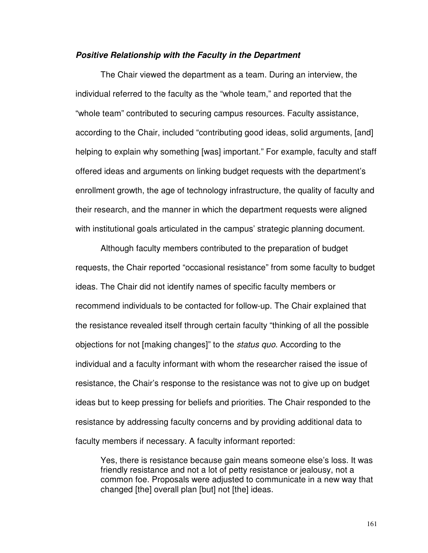#### **Positive Relationship with the Faculty in the Department**

The Chair viewed the department as a team. During an interview, the individual referred to the faculty as the "whole team," and reported that the "whole team" contributed to securing campus resources. Faculty assistance, according to the Chair, included "contributing good ideas, solid arguments, [and] helping to explain why something [was] important." For example, faculty and staff offered ideas and arguments on linking budget requests with the department's enrollment growth, the age of technology infrastructure, the quality of faculty and their research, and the manner in which the department requests were aligned with institutional goals articulated in the campus' strategic planning document.

 Although faculty members contributed to the preparation of budget requests, the Chair reported "occasional resistance" from some faculty to budget ideas. The Chair did not identify names of specific faculty members or recommend individuals to be contacted for follow-up. The Chair explained that the resistance revealed itself through certain faculty "thinking of all the possible objections for not [making changes]" to the status quo. According to the individual and a faculty informant with whom the researcher raised the issue of resistance, the Chair's response to the resistance was not to give up on budget ideas but to keep pressing for beliefs and priorities. The Chair responded to the resistance by addressing faculty concerns and by providing additional data to faculty members if necessary. A faculty informant reported:

Yes, there is resistance because gain means someone else's loss. It was friendly resistance and not a lot of petty resistance or jealousy, not a common foe. Proposals were adjusted to communicate in a new way that changed [the] overall plan [but] not [the] ideas.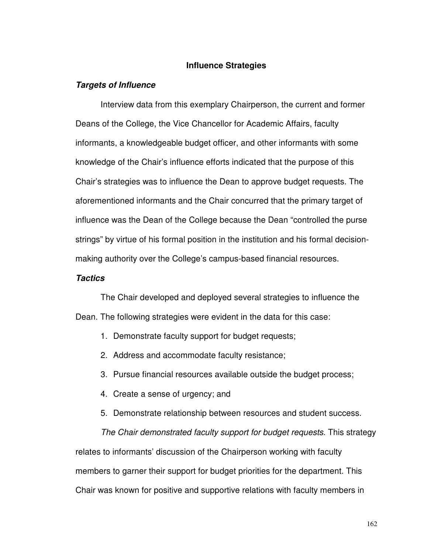# **Influence Strategies**

#### **Targets of Influence**

Interview data from this exemplary Chairperson, the current and former Deans of the College, the Vice Chancellor for Academic Affairs, faculty informants, a knowledgeable budget officer, and other informants with some knowledge of the Chair's influence efforts indicated that the purpose of this Chair's strategies was to influence the Dean to approve budget requests. The aforementioned informants and the Chair concurred that the primary target of influence was the Dean of the College because the Dean "controlled the purse strings" by virtue of his formal position in the institution and his formal decisionmaking authority over the College's campus-based financial resources.

# **Tactics**

The Chair developed and deployed several strategies to influence the Dean. The following strategies were evident in the data for this case:

- 1. Demonstrate faculty support for budget requests;
- 2. Address and accommodate faculty resistance;
- 3. Pursue financial resources available outside the budget process;
- 4. Create a sense of urgency; and
- 5. Demonstrate relationship between resources and student success.

The Chair demonstrated faculty support for budget requests. This strategy relates to informants' discussion of the Chairperson working with faculty members to garner their support for budget priorities for the department. This Chair was known for positive and supportive relations with faculty members in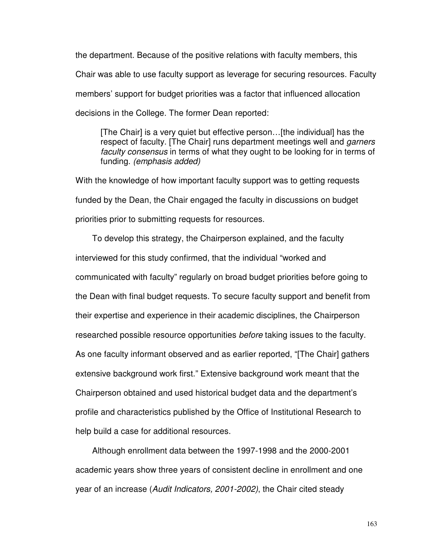the department. Because of the positive relations with faculty members, this Chair was able to use faculty support as leverage for securing resources. Faculty members' support for budget priorities was a factor that influenced allocation decisions in the College. The former Dean reported:

[The Chair] is a very quiet but effective person…[the individual] has the respect of faculty. [The Chair] runs department meetings well and *garners* faculty consensus in terms of what they ought to be looking for in terms of funding. (emphasis added)

With the knowledge of how important faculty support was to getting requests funded by the Dean, the Chair engaged the faculty in discussions on budget priorities prior to submitting requests for resources.

To develop this strategy, the Chairperson explained, and the faculty interviewed for this study confirmed, that the individual "worked and communicated with faculty" regularly on broad budget priorities before going to the Dean with final budget requests. To secure faculty support and benefit from their expertise and experience in their academic disciplines, the Chairperson researched possible resource opportunities *before* taking issues to the faculty. As one faculty informant observed and as earlier reported, "[The Chair] gathers extensive background work first." Extensive background work meant that the Chairperson obtained and used historical budget data and the department's profile and characteristics published by the Office of Institutional Research to help build a case for additional resources.

Although enrollment data between the 1997-1998 and the 2000-2001 academic years show three years of consistent decline in enrollment and one year of an increase (Audit Indicators, 2001-2002), the Chair cited steady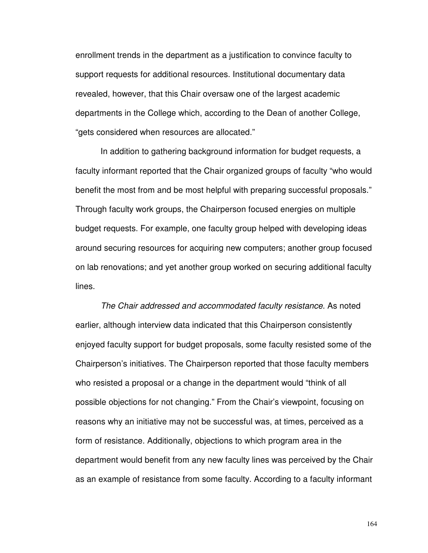enrollment trends in the department as a justification to convince faculty to support requests for additional resources. Institutional documentary data revealed, however, that this Chair oversaw one of the largest academic departments in the College which, according to the Dean of another College, "gets considered when resources are allocated."

In addition to gathering background information for budget requests, a faculty informant reported that the Chair organized groups of faculty "who would benefit the most from and be most helpful with preparing successful proposals." Through faculty work groups, the Chairperson focused energies on multiple budget requests. For example, one faculty group helped with developing ideas around securing resources for acquiring new computers; another group focused on lab renovations; and yet another group worked on securing additional faculty lines.

The Chair addressed and accommodated faculty resistance. As noted earlier, although interview data indicated that this Chairperson consistently enjoyed faculty support for budget proposals, some faculty resisted some of the Chairperson's initiatives. The Chairperson reported that those faculty members who resisted a proposal or a change in the department would "think of all possible objections for not changing." From the Chair's viewpoint, focusing on reasons why an initiative may not be successful was, at times, perceived as a form of resistance. Additionally, objections to which program area in the department would benefit from any new faculty lines was perceived by the Chair as an example of resistance from some faculty. According to a faculty informant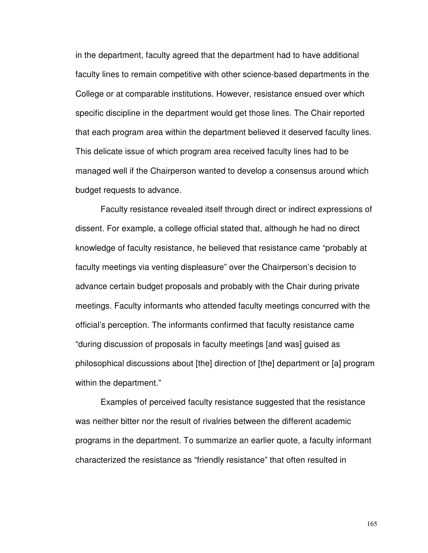in the department, faculty agreed that the department had to have additional faculty lines to remain competitive with other science-based departments in the College or at comparable institutions. However, resistance ensued over which specific discipline in the department would get those lines. The Chair reported that each program area within the department believed it deserved faculty lines. This delicate issue of which program area received faculty lines had to be managed well if the Chairperson wanted to develop a consensus around which budget requests to advance.

 Faculty resistance revealed itself through direct or indirect expressions of dissent. For example, a college official stated that, although he had no direct knowledge of faculty resistance, he believed that resistance came "probably at faculty meetings via venting displeasure" over the Chairperson's decision to advance certain budget proposals and probably with the Chair during private meetings. Faculty informants who attended faculty meetings concurred with the official's perception. The informants confirmed that faculty resistance came "during discussion of proposals in faculty meetings [and was] guised as philosophical discussions about [the] direction of [the] department or [a] program within the department."

Examples of perceived faculty resistance suggested that the resistance was neither bitter nor the result of rivalries between the different academic programs in the department. To summarize an earlier quote, a faculty informant characterized the resistance as "friendly resistance" that often resulted in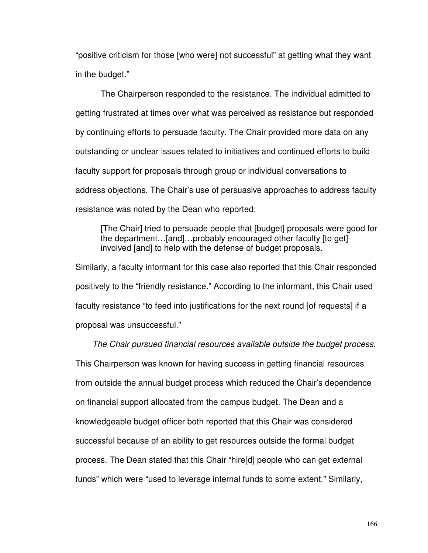"positive criticism for those [who were] not successful" at getting what they want in the budget."

The Chairperson responded to the resistance. The individual admitted to getting frustrated at times over what was perceived as resistance but responded by continuing efforts to persuade faculty. The Chair provided more data on any outstanding or unclear issues related to initiatives and continued efforts to build faculty support for proposals through group or individual conversations to address objections. The Chair's use of persuasive approaches to address faculty resistance was noted by the Dean who reported:

[The Chair] tried to persuade people that [budget] proposals were good for the department…[and]…probably encouraged other faculty [to get] involved [and] to help with the defense of budget proposals.

Similarly, a faculty informant for this case also reported that this Chair responded positively to the "friendly resistance." According to the informant, this Chair used faculty resistance "to feed into justifications for the next round [of requests] if a proposal was unsuccessful."

The Chair pursued financial resources available outside the budget process. This Chairperson was known for having success in getting financial resources from outside the annual budget process which reduced the Chair's dependence on financial support allocated from the campus budget. The Dean and a knowledgeable budget officer both reported that this Chair was considered successful because of an ability to get resources outside the formal budget process. The Dean stated that this Chair "hire[d] people who can get external funds" which were "used to leverage internal funds to some extent." Similarly,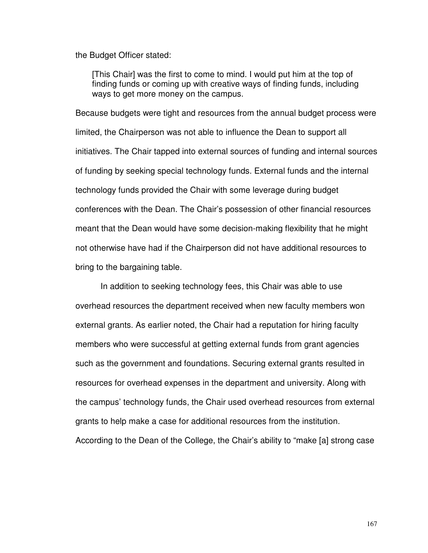the Budget Officer stated:

[This Chair] was the first to come to mind. I would put him at the top of finding funds or coming up with creative ways of finding funds, including ways to get more money on the campus.

Because budgets were tight and resources from the annual budget process were limited, the Chairperson was not able to influence the Dean to support all initiatives. The Chair tapped into external sources of funding and internal sources of funding by seeking special technology funds. External funds and the internal technology funds provided the Chair with some leverage during budget conferences with the Dean. The Chair's possession of other financial resources meant that the Dean would have some decision-making flexibility that he might not otherwise have had if the Chairperson did not have additional resources to bring to the bargaining table.

 In addition to seeking technology fees, this Chair was able to use overhead resources the department received when new faculty members won external grants. As earlier noted, the Chair had a reputation for hiring faculty members who were successful at getting external funds from grant agencies such as the government and foundations. Securing external grants resulted in resources for overhead expenses in the department and university. Along with the campus' technology funds, the Chair used overhead resources from external grants to help make a case for additional resources from the institution. According to the Dean of the College, the Chair's ability to "make [a] strong case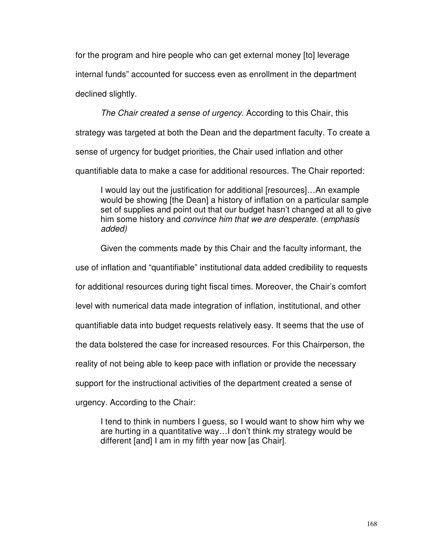for the program and hire people who can get external money [to] leverage internal funds" accounted for success even as enrollment in the department declined slightly.

The Chair created a sense of urgency. According to this Chair, this strategy was targeted at both the Dean and the department faculty. To create a sense of urgency for budget priorities, the Chair used inflation and other quantifiable data to make a case for additional resources. The Chair reported:

I would lay out the justification for additional [resources]…An example would be showing [the Dean] a history of inflation on a particular sample set of supplies and point out that our budget hasn't changed at all to give him some history and convince him that we are desperate. (emphasis added)

Given the comments made by this Chair and the faculty informant, the

use of inflation and "quantifiable" institutional data added credibility to requests

for additional resources during tight fiscal times. Moreover, the Chair's comfort

level with numerical data made integration of inflation, institutional, and other

quantifiable data into budget requests relatively easy. It seems that the use of

the data bolstered the case for increased resources. For this Chairperson, the

reality of not being able to keep pace with inflation or provide the necessary

support for the instructional activities of the department created a sense of

urgency. According to the Chair:

I tend to think in numbers I guess, so I would want to show him why we are hurting in a quantitative way…I don't think my strategy would be different [and] I am in my fifth year now [as Chair].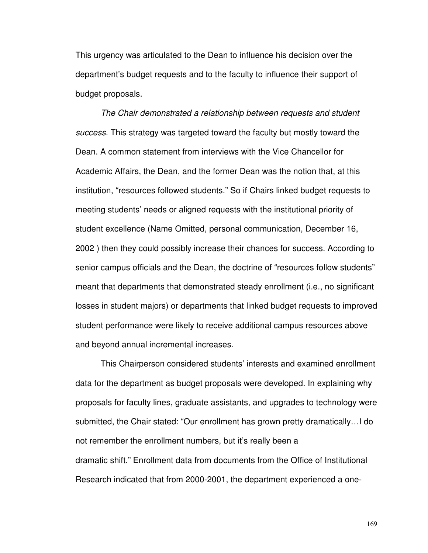This urgency was articulated to the Dean to influence his decision over the department's budget requests and to the faculty to influence their support of budget proposals.

 The Chair demonstrated a relationship between requests and student success. This strategy was targeted toward the faculty but mostly toward the Dean. A common statement from interviews with the Vice Chancellor for Academic Affairs, the Dean, and the former Dean was the notion that, at this institution, "resources followed students." So if Chairs linked budget requests to meeting students' needs or aligned requests with the institutional priority of student excellence (Name Omitted, personal communication, December 16, 2002 ) then they could possibly increase their chances for success. According to senior campus officials and the Dean, the doctrine of "resources follow students" meant that departments that demonstrated steady enrollment (i.e., no significant losses in student majors) or departments that linked budget requests to improved student performance were likely to receive additional campus resources above and beyond annual incremental increases.

 This Chairperson considered students' interests and examined enrollment data for the department as budget proposals were developed. In explaining why proposals for faculty lines, graduate assistants, and upgrades to technology were submitted, the Chair stated: "Our enrollment has grown pretty dramatically…I do not remember the enrollment numbers, but it's really been a dramatic shift." Enrollment data from documents from the Office of Institutional Research indicated that from 2000-2001, the department experienced a one-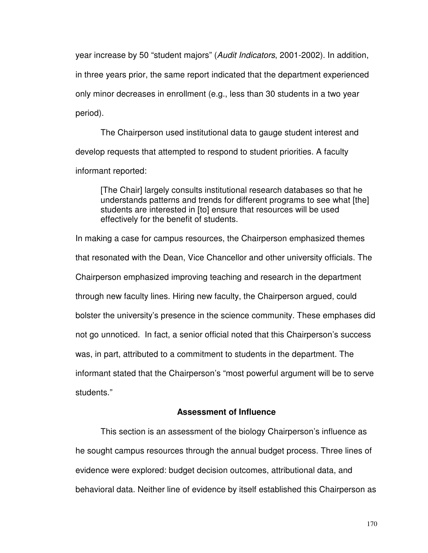year increase by 50 "student majors" (Audit Indicators, 2001-2002). In addition, in three years prior, the same report indicated that the department experienced only minor decreases in enrollment (e.g., less than 30 students in a two year period).

 The Chairperson used institutional data to gauge student interest and develop requests that attempted to respond to student priorities. A faculty informant reported:

[The Chair] largely consults institutional research databases so that he understands patterns and trends for different programs to see what [the] students are interested in [to] ensure that resources will be used effectively for the benefit of students.

In making a case for campus resources, the Chairperson emphasized themes that resonated with the Dean, Vice Chancellor and other university officials. The Chairperson emphasized improving teaching and research in the department through new faculty lines. Hiring new faculty, the Chairperson argued, could bolster the university's presence in the science community. These emphases did not go unnoticed. In fact, a senior official noted that this Chairperson's success was, in part, attributed to a commitment to students in the department. The informant stated that the Chairperson's "most powerful argument will be to serve students."

# **Assessment of Influence**

 This section is an assessment of the biology Chairperson's influence as he sought campus resources through the annual budget process. Three lines of evidence were explored: budget decision outcomes, attributional data, and behavioral data. Neither line of evidence by itself established this Chairperson as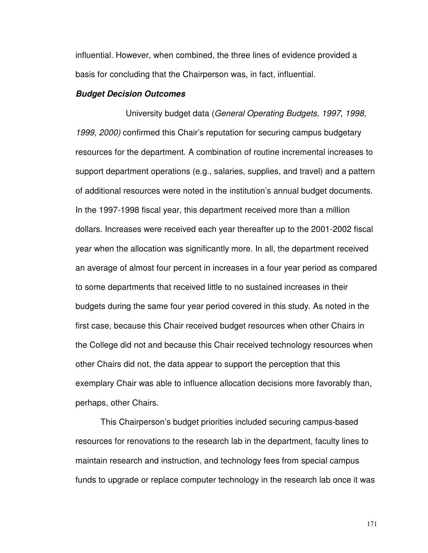influential. However, when combined, the three lines of evidence provided a basis for concluding that the Chairperson was, in fact, influential.

#### **Budget Decision Outcomes**

 University budget data (General Operating Budgets, 1997, 1998, 1999, 2000) confirmed this Chair's reputation for securing campus budgetary resources for the department. A combination of routine incremental increases to support department operations (e.g., salaries, supplies, and travel) and a pattern of additional resources were noted in the institution's annual budget documents. In the 1997-1998 fiscal year, this department received more than a million dollars. Increases were received each year thereafter up to the 2001-2002 fiscal year when the allocation was significantly more. In all, the department received an average of almost four percent in increases in a four year period as compared to some departments that received little to no sustained increases in their budgets during the same four year period covered in this study. As noted in the first case, because this Chair received budget resources when other Chairs in the College did not and because this Chair received technology resources when other Chairs did not, the data appear to support the perception that this exemplary Chair was able to influence allocation decisions more favorably than, perhaps, other Chairs.

 This Chairperson's budget priorities included securing campus-based resources for renovations to the research lab in the department, faculty lines to maintain research and instruction, and technology fees from special campus funds to upgrade or replace computer technology in the research lab once it was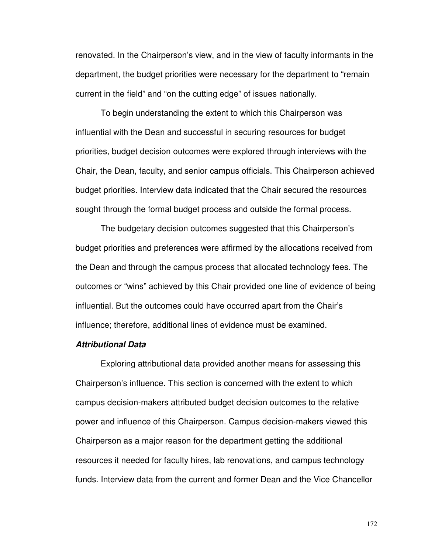renovated. In the Chairperson's view, and in the view of faculty informants in the department, the budget priorities were necessary for the department to "remain current in the field" and "on the cutting edge" of issues nationally.

 To begin understanding the extent to which this Chairperson was influential with the Dean and successful in securing resources for budget priorities, budget decision outcomes were explored through interviews with the Chair, the Dean, faculty, and senior campus officials. This Chairperson achieved budget priorities. Interview data indicated that the Chair secured the resources sought through the formal budget process and outside the formal process.

 The budgetary decision outcomes suggested that this Chairperson's budget priorities and preferences were affirmed by the allocations received from the Dean and through the campus process that allocated technology fees. The outcomes or "wins" achieved by this Chair provided one line of evidence of being influential. But the outcomes could have occurred apart from the Chair's influence; therefore, additional lines of evidence must be examined.

## **Attributional Data**

 Exploring attributional data provided another means for assessing this Chairperson's influence. This section is concerned with the extent to which campus decision-makers attributed budget decision outcomes to the relative power and influence of this Chairperson. Campus decision-makers viewed this Chairperson as a major reason for the department getting the additional resources it needed for faculty hires, lab renovations, and campus technology funds. Interview data from the current and former Dean and the Vice Chancellor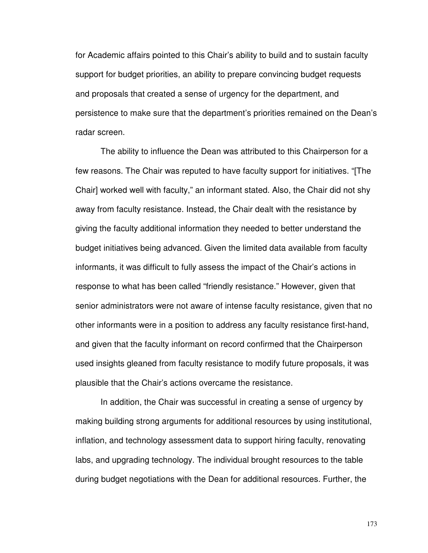for Academic affairs pointed to this Chair's ability to build and to sustain faculty support for budget priorities, an ability to prepare convincing budget requests and proposals that created a sense of urgency for the department, and persistence to make sure that the department's priorities remained on the Dean's radar screen.

 The ability to influence the Dean was attributed to this Chairperson for a few reasons. The Chair was reputed to have faculty support for initiatives. "[The Chair] worked well with faculty," an informant stated. Also, the Chair did not shy away from faculty resistance. Instead, the Chair dealt with the resistance by giving the faculty additional information they needed to better understand the budget initiatives being advanced. Given the limited data available from faculty informants, it was difficult to fully assess the impact of the Chair's actions in response to what has been called "friendly resistance." However, given that senior administrators were not aware of intense faculty resistance, given that no other informants were in a position to address any faculty resistance first-hand, and given that the faculty informant on record confirmed that the Chairperson used insights gleaned from faculty resistance to modify future proposals, it was plausible that the Chair's actions overcame the resistance.

In addition, the Chair was successful in creating a sense of urgency by making building strong arguments for additional resources by using institutional, inflation, and technology assessment data to support hiring faculty, renovating labs, and upgrading technology. The individual brought resources to the table during budget negotiations with the Dean for additional resources. Further, the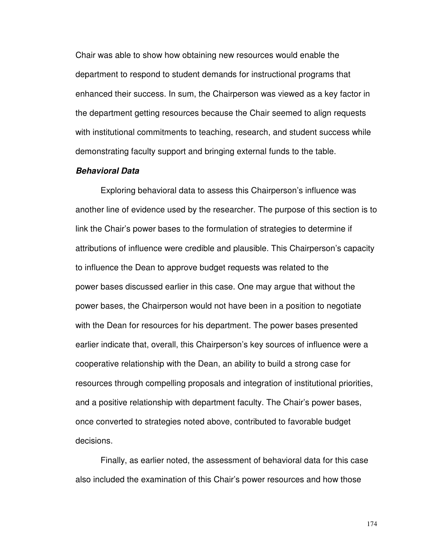Chair was able to show how obtaining new resources would enable the department to respond to student demands for instructional programs that enhanced their success. In sum, the Chairperson was viewed as a key factor in the department getting resources because the Chair seemed to align requests with institutional commitments to teaching, research, and student success while demonstrating faculty support and bringing external funds to the table.

## **Behavioral Data**

Exploring behavioral data to assess this Chairperson's influence was another line of evidence used by the researcher. The purpose of this section is to link the Chair's power bases to the formulation of strategies to determine if attributions of influence were credible and plausible. This Chairperson's capacity to influence the Dean to approve budget requests was related to the power bases discussed earlier in this case. One may argue that without the power bases, the Chairperson would not have been in a position to negotiate with the Dean for resources for his department. The power bases presented earlier indicate that, overall, this Chairperson's key sources of influence were a cooperative relationship with the Dean, an ability to build a strong case for resources through compelling proposals and integration of institutional priorities, and a positive relationship with department faculty. The Chair's power bases, once converted to strategies noted above, contributed to favorable budget decisions.

Finally, as earlier noted, the assessment of behavioral data for this case also included the examination of this Chair's power resources and how those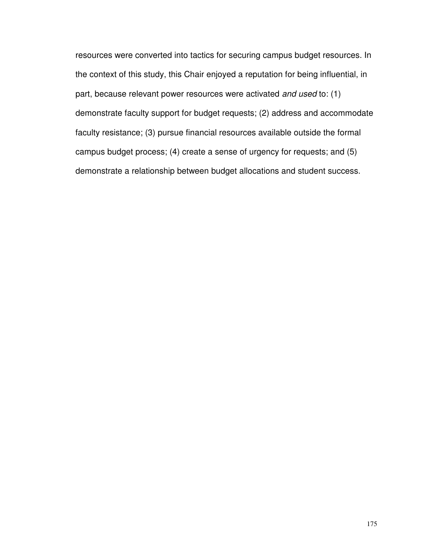resources were converted into tactics for securing campus budget resources. In the context of this study, this Chair enjoyed a reputation for being influential, in part, because relevant power resources were activated and used to: (1) demonstrate faculty support for budget requests; (2) address and accommodate faculty resistance; (3) pursue financial resources available outside the formal campus budget process; (4) create a sense of urgency for requests; and (5) demonstrate a relationship between budget allocations and student success.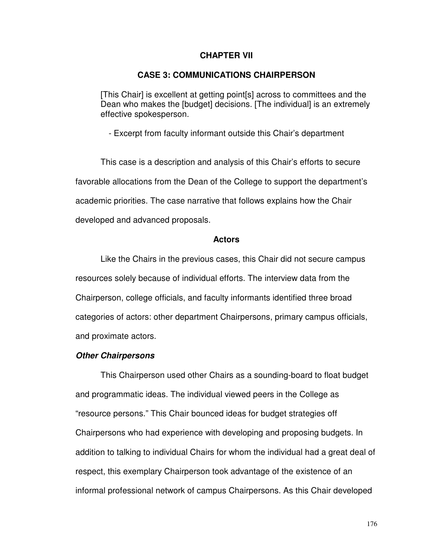## **CHAPTER VII**

### **CASE 3: COMMUNICATIONS CHAIRPERSON**

[This Chair] is excellent at getting point[s] across to committees and the Dean who makes the [budget] decisions. [The individual] is an extremely effective spokesperson.

- Excerpt from faculty informant outside this Chair's department

This case is a description and analysis of this Chair's efforts to secure favorable allocations from the Dean of the College to support the department's academic priorities. The case narrative that follows explains how the Chair developed and advanced proposals.

### **Actors**

Like the Chairs in the previous cases, this Chair did not secure campus resources solely because of individual efforts. The interview data from the Chairperson, college officials, and faculty informants identified three broad categories of actors: other department Chairpersons, primary campus officials, and proximate actors.

### **Other Chairpersons**

This Chairperson used other Chairs as a sounding-board to float budget and programmatic ideas. The individual viewed peers in the College as "resource persons." This Chair bounced ideas for budget strategies off Chairpersons who had experience with developing and proposing budgets. In addition to talking to individual Chairs for whom the individual had a great deal of respect, this exemplary Chairperson took advantage of the existence of an informal professional network of campus Chairpersons. As this Chair developed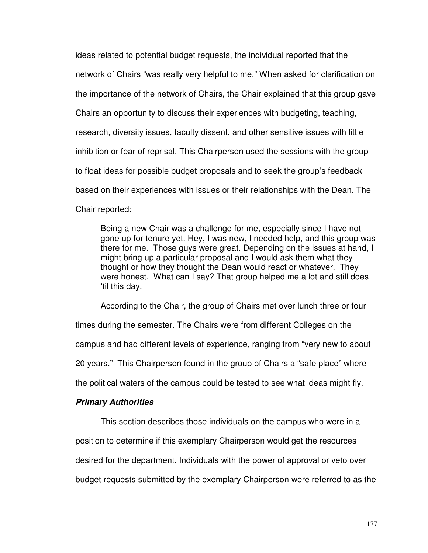ideas related to potential budget requests, the individual reported that the network of Chairs "was really very helpful to me." When asked for clarification on the importance of the network of Chairs, the Chair explained that this group gave Chairs an opportunity to discuss their experiences with budgeting, teaching, research, diversity issues, faculty dissent, and other sensitive issues with little inhibition or fear of reprisal. This Chairperson used the sessions with the group to float ideas for possible budget proposals and to seek the group's feedback based on their experiences with issues or their relationships with the Dean. The Chair reported:

Being a new Chair was a challenge for me, especially since I have not gone up for tenure yet. Hey, I was new, I needed help, and this group was there for me. Those guys were great. Depending on the issues at hand, I might bring up a particular proposal and I would ask them what they thought or how they thought the Dean would react or whatever. They were honest. What can I say? That group helped me a lot and still does 'til this day.

According to the Chair, the group of Chairs met over lunch three or four times during the semester. The Chairs were from different Colleges on the campus and had different levels of experience, ranging from "very new to about 20 years." This Chairperson found in the group of Chairs a "safe place" where the political waters of the campus could be tested to see what ideas might fly.

# **Primary Authorities**

 This section describes those individuals on the campus who were in a position to determine if this exemplary Chairperson would get the resources desired for the department. Individuals with the power of approval or veto over budget requests submitted by the exemplary Chairperson were referred to as the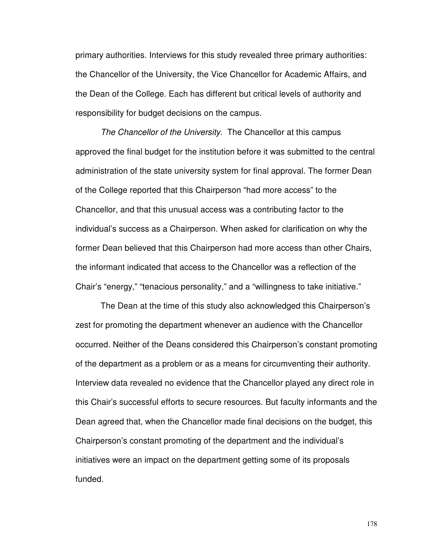primary authorities. Interviews for this study revealed three primary authorities: the Chancellor of the University, the Vice Chancellor for Academic Affairs, and the Dean of the College. Each has different but critical levels of authority and responsibility for budget decisions on the campus.

The Chancellor of the University. The Chancellor at this campus approved the final budget for the institution before it was submitted to the central administration of the state university system for final approval. The former Dean of the College reported that this Chairperson "had more access" to the Chancellor, and that this unusual access was a contributing factor to the individual's success as a Chairperson. When asked for clarification on why the former Dean believed that this Chairperson had more access than other Chairs, the informant indicated that access to the Chancellor was a reflection of the Chair's "energy," "tenacious personality," and a "willingness to take initiative."

The Dean at the time of this study also acknowledged this Chairperson's zest for promoting the department whenever an audience with the Chancellor occurred. Neither of the Deans considered this Chairperson's constant promoting of the department as a problem or as a means for circumventing their authority. Interview data revealed no evidence that the Chancellor played any direct role in this Chair's successful efforts to secure resources. But faculty informants and the Dean agreed that, when the Chancellor made final decisions on the budget, this Chairperson's constant promoting of the department and the individual's initiatives were an impact on the department getting some of its proposals funded.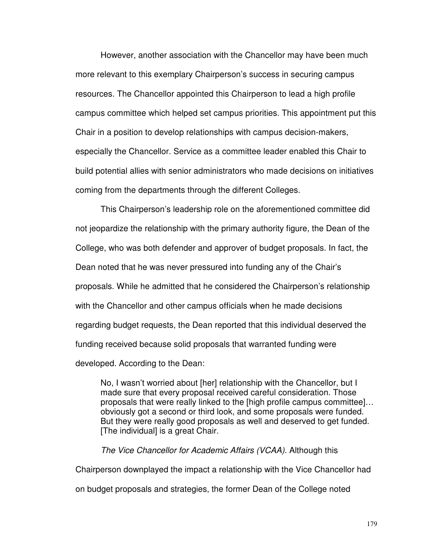However, another association with the Chancellor may have been much more relevant to this exemplary Chairperson's success in securing campus resources. The Chancellor appointed this Chairperson to lead a high profile campus committee which helped set campus priorities. This appointment put this Chair in a position to develop relationships with campus decision-makers, especially the Chancellor. Service as a committee leader enabled this Chair to build potential allies with senior administrators who made decisions on initiatives coming from the departments through the different Colleges.

This Chairperson's leadership role on the aforementioned committee did not jeopardize the relationship with the primary authority figure, the Dean of the College, who was both defender and approver of budget proposals. In fact, the Dean noted that he was never pressured into funding any of the Chair's proposals. While he admitted that he considered the Chairperson's relationship with the Chancellor and other campus officials when he made decisions regarding budget requests, the Dean reported that this individual deserved the funding received because solid proposals that warranted funding were developed. According to the Dean:

No, I wasn't worried about [her] relationship with the Chancellor, but I made sure that every proposal received careful consideration. Those proposals that were really linked to the [high profile campus committee]… obviously got a second or third look, and some proposals were funded. But they were really good proposals as well and deserved to get funded. [The individual] is a great Chair.

The Vice Chancellor for Academic Affairs (VCAA). Although this Chairperson downplayed the impact a relationship with the Vice Chancellor had on budget proposals and strategies, the former Dean of the College noted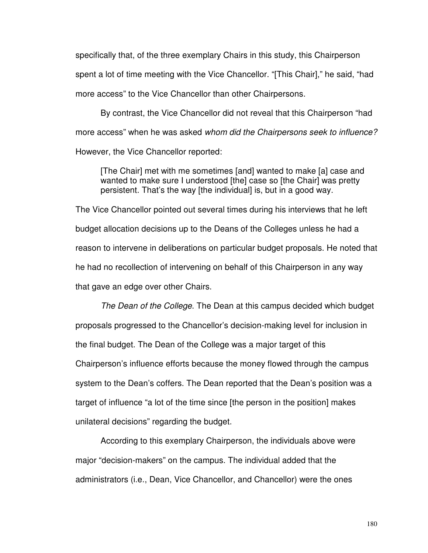specifically that, of the three exemplary Chairs in this study, this Chairperson spent a lot of time meeting with the Vice Chancellor. "[This Chair]," he said, "had more access" to the Vice Chancellor than other Chairpersons.

By contrast, the Vice Chancellor did not reveal that this Chairperson "had more access" when he was asked whom did the Chairpersons seek to influence? However, the Vice Chancellor reported:

[The Chair] met with me sometimes [and] wanted to make [a] case and wanted to make sure I understood [the] case so [the Chair] was pretty persistent. That's the way [the individual] is, but in a good way.

The Vice Chancellor pointed out several times during his interviews that he left budget allocation decisions up to the Deans of the Colleges unless he had a reason to intervene in deliberations on particular budget proposals. He noted that he had no recollection of intervening on behalf of this Chairperson in any way that gave an edge over other Chairs.

The Dean of the College. The Dean at this campus decided which budget proposals progressed to the Chancellor's decision-making level for inclusion in the final budget. The Dean of the College was a major target of this Chairperson's influence efforts because the money flowed through the campus system to the Dean's coffers. The Dean reported that the Dean's position was a target of influence "a lot of the time since [the person in the position] makes unilateral decisions" regarding the budget.

According to this exemplary Chairperson, the individuals above were major "decision-makers" on the campus. The individual added that the administrators (i.e., Dean, Vice Chancellor, and Chancellor) were the ones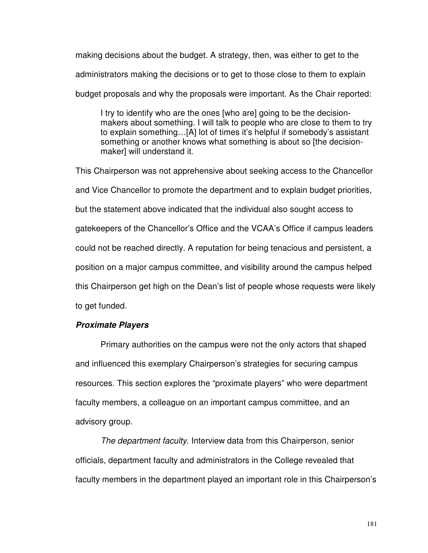making decisions about the budget. A strategy, then, was either to get to the administrators making the decisions or to get to those close to them to explain budget proposals and why the proposals were important. As the Chair reported:

I try to identify who are the ones [who are] going to be the decisionmakers about something. I will talk to people who are close to them to try to explain something…[A] lot of times it's helpful if somebody's assistant something or another knows what something is about so [the decisionmaker] will understand it.

This Chairperson was not apprehensive about seeking access to the Chancellor and Vice Chancellor to promote the department and to explain budget priorities, but the statement above indicated that the individual also sought access to gatekeepers of the Chancellor's Office and the VCAA's Office if campus leaders could not be reached directly. A reputation for being tenacious and persistent, a position on a major campus committee, and visibility around the campus helped this Chairperson get high on the Dean's list of people whose requests were likely to get funded.

# **Proximate Players**

Primary authorities on the campus were not the only actors that shaped and influenced this exemplary Chairperson's strategies for securing campus resources. This section explores the "proximate players" who were department faculty members, a colleague on an important campus committee, and an advisory group.

The department faculty. Interview data from this Chairperson, senior officials, department faculty and administrators in the College revealed that faculty members in the department played an important role in this Chairperson's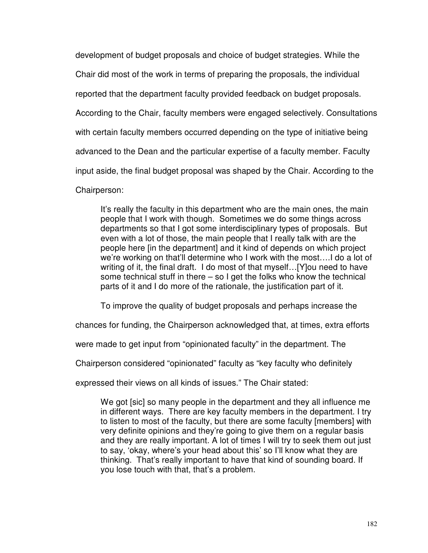development of budget proposals and choice of budget strategies. While the Chair did most of the work in terms of preparing the proposals, the individual reported that the department faculty provided feedback on budget proposals. According to the Chair, faculty members were engaged selectively. Consultations with certain faculty members occurred depending on the type of initiative being advanced to the Dean and the particular expertise of a faculty member. Faculty input aside, the final budget proposal was shaped by the Chair. According to the Chairperson:

It's really the faculty in this department who are the main ones, the main people that I work with though. Sometimes we do some things across departments so that I got some interdisciplinary types of proposals. But even with a lot of those, the main people that I really talk with are the people here [in the department] and it kind of depends on which project we're working on that'll determine who I work with the most….I do a lot of writing of it, the final draft. I do most of that myself...[Y] ou need to have some technical stuff in there – so I get the folks who know the technical parts of it and I do more of the rationale, the justification part of it.

To improve the quality of budget proposals and perhaps increase the

chances for funding, the Chairperson acknowledged that, at times, extra efforts

were made to get input from "opinionated faculty" in the department. The

Chairperson considered "opinionated" faculty as "key faculty who definitely

expressed their views on all kinds of issues." The Chair stated:

We got [sic] so many people in the department and they all influence me in different ways. There are key faculty members in the department. I try to listen to most of the faculty, but there are some faculty [members] with very definite opinions and they're going to give them on a regular basis and they are really important. A lot of times I will try to seek them out just to say, 'okay, where's your head about this' so I'll know what they are thinking. That's really important to have that kind of sounding board. If you lose touch with that, that's a problem.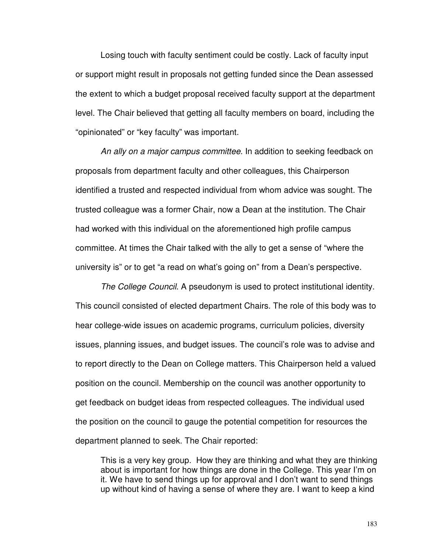Losing touch with faculty sentiment could be costly. Lack of faculty input or support might result in proposals not getting funded since the Dean assessed the extent to which a budget proposal received faculty support at the department level. The Chair believed that getting all faculty members on board, including the "opinionated" or "key faculty" was important.

An ally on a major campus committee. In addition to seeking feedback on proposals from department faculty and other colleagues, this Chairperson identified a trusted and respected individual from whom advice was sought. The trusted colleague was a former Chair, now a Dean at the institution. The Chair had worked with this individual on the aforementioned high profile campus committee. At times the Chair talked with the ally to get a sense of "where the university is" or to get "a read on what's going on" from a Dean's perspective.

The College Council. A pseudonym is used to protect institutional identity. This council consisted of elected department Chairs. The role of this body was to hear college-wide issues on academic programs, curriculum policies, diversity issues, planning issues, and budget issues. The council's role was to advise and to report directly to the Dean on College matters. This Chairperson held a valued position on the council. Membership on the council was another opportunity to get feedback on budget ideas from respected colleagues. The individual used the position on the council to gauge the potential competition for resources the department planned to seek. The Chair reported:

This is a very key group. How they are thinking and what they are thinking about is important for how things are done in the College. This year I'm on it. We have to send things up for approval and I don't want to send things up without kind of having a sense of where they are. I want to keep a kind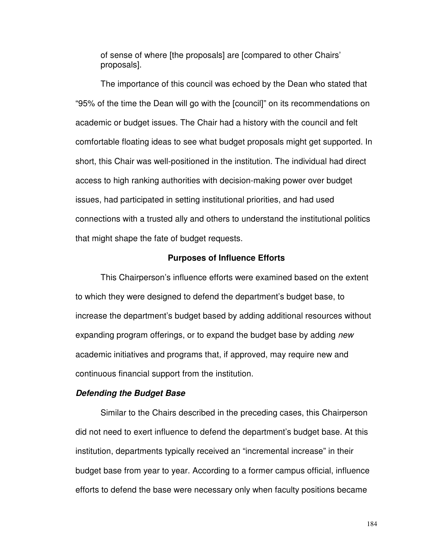of sense of where [the proposals] are [compared to other Chairs' proposals].

The importance of this council was echoed by the Dean who stated that "95% of the time the Dean will go with the [council]" on its recommendations on academic or budget issues. The Chair had a history with the council and felt comfortable floating ideas to see what budget proposals might get supported. In short, this Chair was well-positioned in the institution. The individual had direct access to high ranking authorities with decision-making power over budget issues, had participated in setting institutional priorities, and had used connections with a trusted ally and others to understand the institutional politics that might shape the fate of budget requests.

## **Purposes of Influence Efforts**

This Chairperson's influence efforts were examined based on the extent to which they were designed to defend the department's budget base, to increase the department's budget based by adding additional resources without expanding program offerings, or to expand the budget base by adding new academic initiatives and programs that, if approved, may require new and continuous financial support from the institution.

## **Defending the Budget Base**

Similar to the Chairs described in the preceding cases, this Chairperson did not need to exert influence to defend the department's budget base. At this institution, departments typically received an "incremental increase" in their budget base from year to year. According to a former campus official, influence efforts to defend the base were necessary only when faculty positions became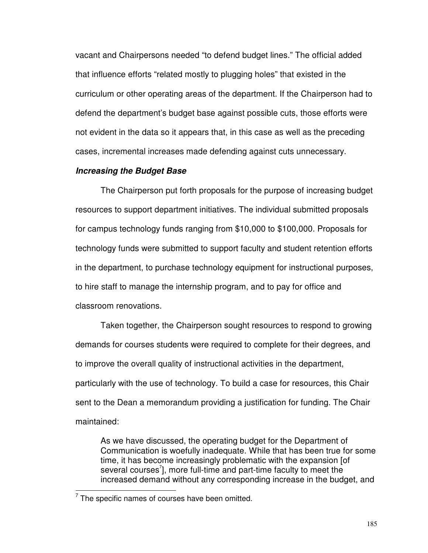vacant and Chairpersons needed "to defend budget lines." The official added that influence efforts "related mostly to plugging holes" that existed in the curriculum or other operating areas of the department. If the Chairperson had to defend the department's budget base against possible cuts, those efforts were not evident in the data so it appears that, in this case as well as the preceding cases, incremental increases made defending against cuts unnecessary.

## **Increasing the Budget Base**

The Chairperson put forth proposals for the purpose of increasing budget resources to support department initiatives. The individual submitted proposals for campus technology funds ranging from \$10,000 to \$100,000. Proposals for technology funds were submitted to support faculty and student retention efforts in the department, to purchase technology equipment for instructional purposes, to hire staff to manage the internship program, and to pay for office and classroom renovations.

Taken together, the Chairperson sought resources to respond to growing demands for courses students were required to complete for their degrees, and to improve the overall quality of instructional activities in the department, particularly with the use of technology. To build a case for resources, this Chair sent to the Dean a memorandum providing a justification for funding. The Chair maintained:

As we have discussed, the operating budget for the Department of Communication is woefully inadequate. While that has been true for some time, it has become increasingly problematic with the expansion [of several courses $\vec{\ }$ ], more full-time and part-time faculty to meet the increased demand without any corresponding increase in the budget, and

l

 $7$  The specific names of courses have been omitted.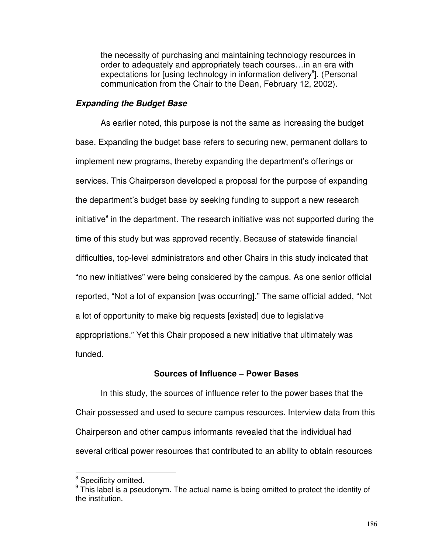the necessity of purchasing and maintaining technology resources in order to adequately and appropriately teach courses…in an era with expectations for [using technology in information delivery<sup>8</sup>]. (Personal communication from the Chair to the Dean, February 12, 2002).

## **Expanding the Budget Base**

As earlier noted, this purpose is not the same as increasing the budget base. Expanding the budget base refers to securing new, permanent dollars to implement new programs, thereby expanding the department's offerings or services. This Chairperson developed a proposal for the purpose of expanding the department's budget base by seeking funding to support a new research initiative<sup>9</sup> in the department. The research initiative was not supported during the time of this study but was approved recently. Because of statewide financial difficulties, top-level administrators and other Chairs in this study indicated that "no new initiatives" were being considered by the campus. As one senior official reported, "Not a lot of expansion [was occurring]." The same official added, "Not a lot of opportunity to make big requests [existed] due to legislative appropriations." Yet this Chair proposed a new initiative that ultimately was funded.

# **Sources of Influence – Power Bases**

 In this study, the sources of influence refer to the power bases that the Chair possessed and used to secure campus resources. Interview data from this Chairperson and other campus informants revealed that the individual had several critical power resources that contributed to an ability to obtain resources

l

<sup>&</sup>lt;sup>8</sup> Specificity omitted.

 $9$  This label is a pseudonym. The actual name is being omitted to protect the identity of the institution.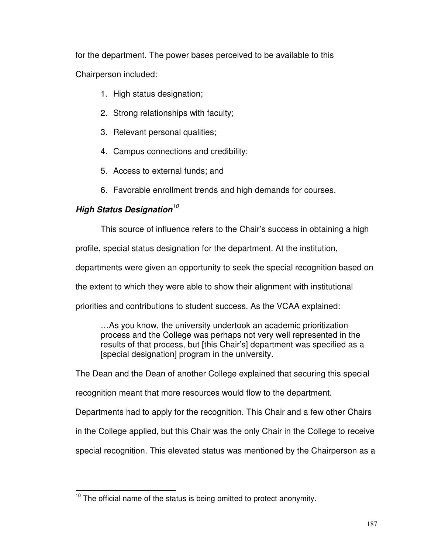for the department. The power bases perceived to be available to this Chairperson included:

- 1. High status designation;
- 2. Strong relationships with faculty;
- 3. Relevant personal qualities;
- 4. Campus connections and credibility;
- 5. Access to external funds; and
- 6. Favorable enrollment trends and high demands for courses.

# **High Status Designation**<sup>10</sup>

l

This source of influence refers to the Chair's success in obtaining a high

profile, special status designation for the department. At the institution,

departments were given an opportunity to seek the special recognition based on

the extent to which they were able to show their alignment with institutional

priorities and contributions to student success. As the VCAA explained:

…As you know, the university undertook an academic prioritization process and the College was perhaps not very well represented in the results of that process, but [this Chair's] department was specified as a [special designation] program in the university.

The Dean and the Dean of another College explained that securing this special

recognition meant that more resources would flow to the department.

Departments had to apply for the recognition. This Chair and a few other Chairs

in the College applied, but this Chair was the only Chair in the College to receive

special recognition. This elevated status was mentioned by the Chairperson as a

 $10$  The official name of the status is being omitted to protect anonymity.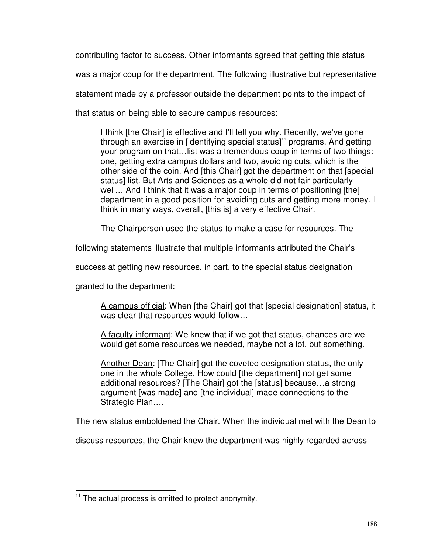contributing factor to success. Other informants agreed that getting this status was a major coup for the department. The following illustrative but representative statement made by a professor outside the department points to the impact of that status on being able to secure campus resources:

I think [the Chair] is effective and I'll tell you why. Recently, we've gone through an exercise in  $[identitying special status]$ <sup>11</sup> programs. And getting your program on that…list was a tremendous coup in terms of two things: one, getting extra campus dollars and two, avoiding cuts, which is the other side of the coin. And [this Chair] got the department on that [special status] list. But Arts and Sciences as a whole did not fair particularly well... And I think that it was a major coup in terms of positioning [the] department in a good position for avoiding cuts and getting more money. I think in many ways, overall, [this is] a very effective Chair.

The Chairperson used the status to make a case for resources. The

following statements illustrate that multiple informants attributed the Chair's

success at getting new resources, in part, to the special status designation

granted to the department:

l

A campus official: When [the Chair] got that [special designation] status, it was clear that resources would follow…

A faculty informant: We knew that if we got that status, chances are we would get some resources we needed, maybe not a lot, but something.

Another Dean: [The Chair] got the coveted designation status, the only one in the whole College. How could [the department] not get some additional resources? [The Chair] got the [status] because…a strong argument [was made] and [the individual] made connections to the Strategic Plan….

The new status emboldened the Chair. When the individual met with the Dean to

discuss resources, the Chair knew the department was highly regarded across

 $11$  The actual process is omitted to protect anonymity.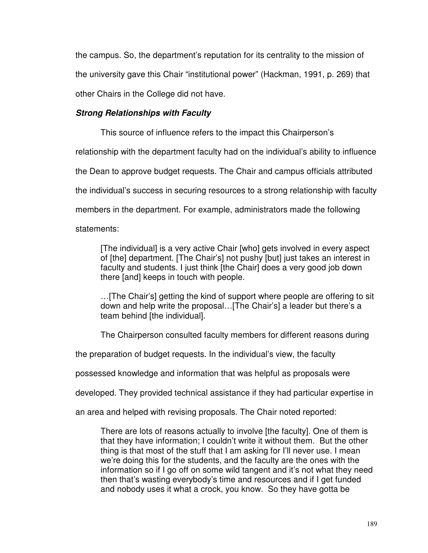the campus. So, the department's reputation for its centrality to the mission of the university gave this Chair "institutional power" (Hackman, 1991, p. 269) that other Chairs in the College did not have.

# **Strong Relationships with Faculty**

This source of influence refers to the impact this Chairperson's

relationship with the department faculty had on the individual's ability to influence

the Dean to approve budget requests. The Chair and campus officials attributed

the individual's success in securing resources to a strong relationship with faculty

members in the department. For example, administrators made the following

# statements:

[The individual] is a very active Chair [who] gets involved in every aspect of [the] department. [The Chair's] not pushy [but] just takes an interest in faculty and students. I just think [the Chair] does a very good job down there [and] keeps in touch with people.

…[The Chair's] getting the kind of support where people are offering to sit down and help write the proposal…[The Chair's] a leader but there's a team behind [the individual].

The Chairperson consulted faculty members for different reasons during

the preparation of budget requests. In the individual's view, the faculty

possessed knowledge and information that was helpful as proposals were

developed. They provided technical assistance if they had particular expertise in

an area and helped with revising proposals. The Chair noted reported:

There are lots of reasons actually to involve [the faculty]. One of them is that they have information; I couldn't write it without them. But the other thing is that most of the stuff that I am asking for I'll never use. I mean we're doing this for the students, and the faculty are the ones with the information so if I go off on some wild tangent and it's not what they need then that's wasting everybody's time and resources and if I get funded and nobody uses it what a crock, you know. So they have gotta be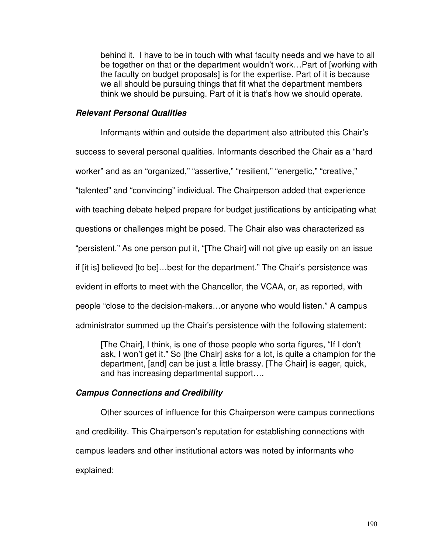behind it. I have to be in touch with what faculty needs and we have to all be together on that or the department wouldn't work…Part of [working with the faculty on budget proposals] is for the expertise. Part of it is because we all should be pursuing things that fit what the department members think we should be pursuing. Part of it is that's how we should operate.

## **Relevant Personal Qualities**

Informants within and outside the department also attributed this Chair's

success to several personal qualities. Informants described the Chair as a "hard

worker" and as an "organized," "assertive," "resilient," "energetic," "creative,"

"talented" and "convincing" individual. The Chairperson added that experience

with teaching debate helped prepare for budget justifications by anticipating what

questions or challenges might be posed. The Chair also was characterized as

"persistent." As one person put it, "[The Chair] will not give up easily on an issue

if [it is] believed [to be]…best for the department." The Chair's persistence was

evident in efforts to meet with the Chancellor, the VCAA, or, as reported, with

people "close to the decision-makers…or anyone who would listen." A campus

administrator summed up the Chair's persistence with the following statement:

[The Chair], I think, is one of those people who sorta figures, "If I don't ask, I won't get it." So [the Chair] asks for a lot, is quite a champion for the department, [and] can be just a little brassy. [The Chair] is eager, quick, and has increasing departmental support….

# **Campus Connections and Credibility**

Other sources of influence for this Chairperson were campus connections and credibility. This Chairperson's reputation for establishing connections with campus leaders and other institutional actors was noted by informants who explained: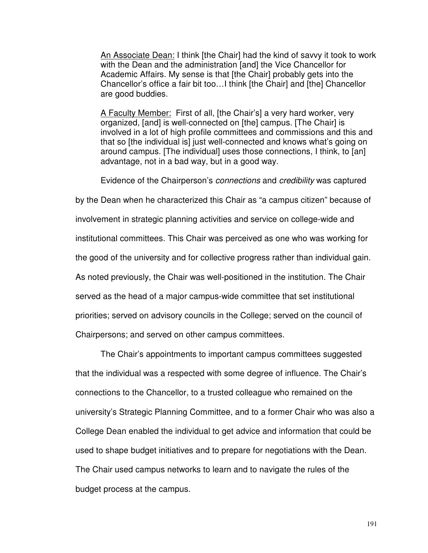An Associate Dean: I think [the Chair] had the kind of savvy it took to work with the Dean and the administration [and] the Vice Chancellor for Academic Affairs. My sense is that [the Chair] probably gets into the Chancellor's office a fair bit too…I think [the Chair] and [the] Chancellor are good buddies.

A Faculty Member: First of all, [the Chair's] a very hard worker, very organized, [and] is well-connected on [the] campus. [The Chair] is involved in a lot of high profile committees and commissions and this and that so [the individual is] just well-connected and knows what's going on around campus. [The individual] uses those connections, I think, to [an] advantage, not in a bad way, but in a good way.

Evidence of the Chairperson's connections and credibility was captured

by the Dean when he characterized this Chair as "a campus citizen" because of involvement in strategic planning activities and service on college-wide and institutional committees. This Chair was perceived as one who was working for the good of the university and for collective progress rather than individual gain. As noted previously, the Chair was well-positioned in the institution. The Chair served as the head of a major campus-wide committee that set institutional priorities; served on advisory councils in the College; served on the council of Chairpersons; and served on other campus committees.

The Chair's appointments to important campus committees suggested that the individual was a respected with some degree of influence. The Chair's connections to the Chancellor, to a trusted colleague who remained on the university's Strategic Planning Committee, and to a former Chair who was also a College Dean enabled the individual to get advice and information that could be used to shape budget initiatives and to prepare for negotiations with the Dean. The Chair used campus networks to learn and to navigate the rules of the budget process at the campus.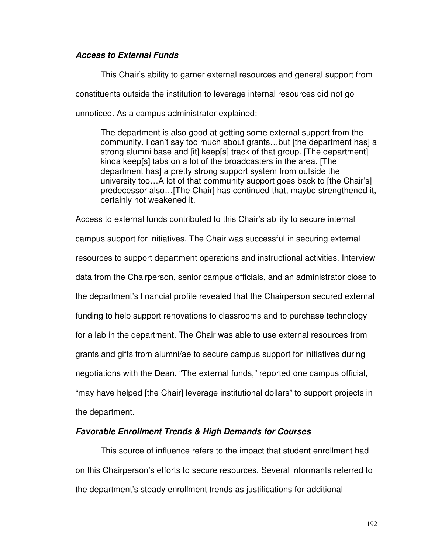# **Access to External Funds**

This Chair's ability to garner external resources and general support from constituents outside the institution to leverage internal resources did not go unnoticed. As a campus administrator explained:

The department is also good at getting some external support from the community. I can't say too much about grants…but [the department has] a strong alumni base and [it] keep[s] track of that group. [The department] kinda keep[s] tabs on a lot of the broadcasters in the area. [The department has] a pretty strong support system from outside the university too…A lot of that community support goes back to [the Chair's] predecessor also…[The Chair] has continued that, maybe strengthened it, certainly not weakened it.

Access to external funds contributed to this Chair's ability to secure internal campus support for initiatives. The Chair was successful in securing external resources to support department operations and instructional activities. Interview data from the Chairperson, senior campus officials, and an administrator close to the department's financial profile revealed that the Chairperson secured external funding to help support renovations to classrooms and to purchase technology for a lab in the department. The Chair was able to use external resources from grants and gifts from alumni/ae to secure campus support for initiatives during negotiations with the Dean. "The external funds," reported one campus official, "may have helped [the Chair] leverage institutional dollars" to support projects in the department.

# **Favorable Enrollment Trends & High Demands for Courses**

This source of influence refers to the impact that student enrollment had on this Chairperson's efforts to secure resources. Several informants referred to the department's steady enrollment trends as justifications for additional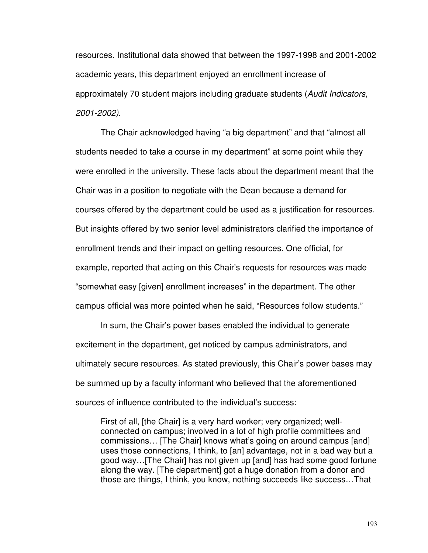resources. Institutional data showed that between the 1997-1998 and 2001-2002 academic years, this department enjoyed an enrollment increase of approximately 70 student majors including graduate students (Audit Indicators, 2001-2002).

The Chair acknowledged having "a big department" and that "almost all students needed to take a course in my department" at some point while they were enrolled in the university. These facts about the department meant that the Chair was in a position to negotiate with the Dean because a demand for courses offered by the department could be used as a justification for resources. But insights offered by two senior level administrators clarified the importance of enrollment trends and their impact on getting resources. One official, for example, reported that acting on this Chair's requests for resources was made "somewhat easy [given] enrollment increases" in the department. The other campus official was more pointed when he said, "Resources follow students."

In sum, the Chair's power bases enabled the individual to generate excitement in the department, get noticed by campus administrators, and ultimately secure resources. As stated previously, this Chair's power bases may be summed up by a faculty informant who believed that the aforementioned sources of influence contributed to the individual's success:

First of all, [the Chair] is a very hard worker; very organized; wellconnected on campus; involved in a lot of high profile committees and commissions… [The Chair] knows what's going on around campus [and] uses those connections, I think, to [an] advantage, not in a bad way but a good way…[The Chair] has not given up [and] has had some good fortune along the way. [The department] got a huge donation from a donor and those are things, I think, you know, nothing succeeds like success…That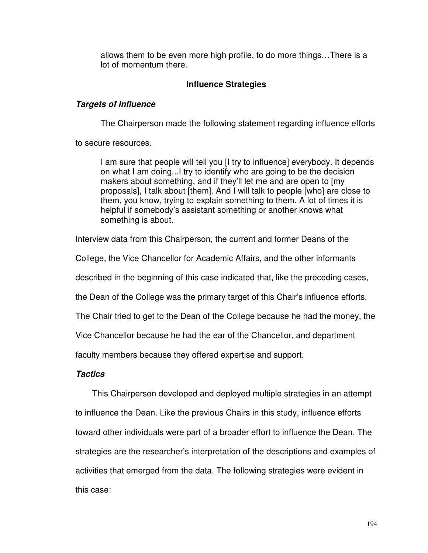allows them to be even more high profile, to do more things…There is a lot of momentum there.

# **Influence Strategies**

# **Targets of Influence**

The Chairperson made the following statement regarding influence efforts

to secure resources.

I am sure that people will tell you [I try to influence] everybody. It depends on what I am doing...I try to identify who are going to be the decision makers about something, and if they'll let me and are open to [my proposals], I talk about [them]. And I will talk to people [who] are close to them, you know, trying to explain something to them. A lot of times it is helpful if somebody's assistant something or another knows what something is about.

Interview data from this Chairperson, the current and former Deans of the

College, the Vice Chancellor for Academic Affairs, and the other informants

described in the beginning of this case indicated that, like the preceding cases,

the Dean of the College was the primary target of this Chair's influence efforts.

The Chair tried to get to the Dean of the College because he had the money, the

Vice Chancellor because he had the ear of the Chancellor, and department

faculty members because they offered expertise and support.

# **Tactics**

This Chairperson developed and deployed multiple strategies in an attempt to influence the Dean. Like the previous Chairs in this study, influence efforts toward other individuals were part of a broader effort to influence the Dean. The strategies are the researcher's interpretation of the descriptions and examples of activities that emerged from the data. The following strategies were evident in this case: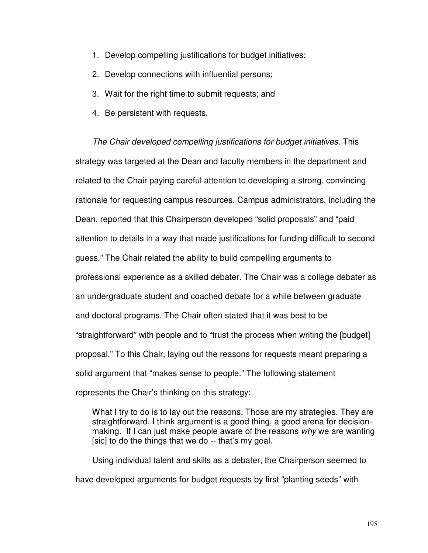- 1. Develop compelling justifications for budget initiatives;
- 2. Develop connections with influential persons;
- 3. Wait for the right time to submit requests; and
- 4. Be persistent with requests.

The Chair developed compelling justifications for budget initiatives. This strategy was targeted at the Dean and faculty members in the department and related to the Chair paying careful attention to developing a strong, convincing rationale for requesting campus resources. Campus administrators, including the Dean, reported that this Chairperson developed "solid proposals" and "paid attention to details in a way that made justifications for funding difficult to second guess." The Chair related the ability to build compelling arguments to professional experience as a skilled debater. The Chair was a college debater as an undergraduate student and coached debate for a while between graduate and doctoral programs. The Chair often stated that it was best to be "straightforward" with people and to "trust the process when writing the [budget] proposal." To this Chair, laying out the reasons for requests meant preparing a solid argument that "makes sense to people." The following statement represents the Chair's thinking on this strategy:

What I try to do is to lay out the reasons. Those are my strategies. They are straightforward. I think argument is a good thing, a good arena for decisionmaking. If I can just make people aware of the reasons why we are wanting [sic] to do the things that we do -- that's my goal.

 Using individual talent and skills as a debater, the Chairperson seemed to have developed arguments for budget requests by first "planting seeds" with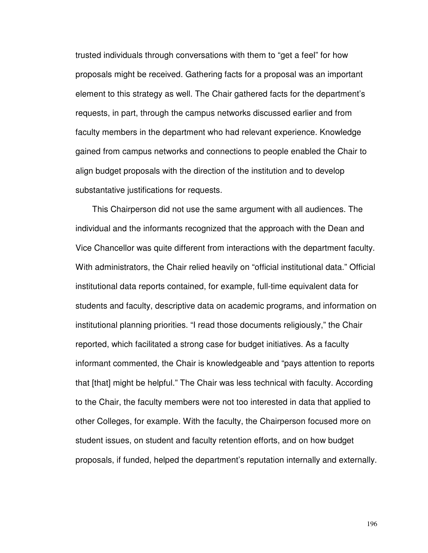trusted individuals through conversations with them to "get a feel" for how proposals might be received. Gathering facts for a proposal was an important element to this strategy as well. The Chair gathered facts for the department's requests, in part, through the campus networks discussed earlier and from faculty members in the department who had relevant experience. Knowledge gained from campus networks and connections to people enabled the Chair to align budget proposals with the direction of the institution and to develop substantative justifications for requests.

 This Chairperson did not use the same argument with all audiences. The individual and the informants recognized that the approach with the Dean and Vice Chancellor was quite different from interactions with the department faculty. With administrators, the Chair relied heavily on "official institutional data." Official institutional data reports contained, for example, full-time equivalent data for students and faculty, descriptive data on academic programs, and information on institutional planning priorities. "I read those documents religiously," the Chair reported, which facilitated a strong case for budget initiatives. As a faculty informant commented, the Chair is knowledgeable and "pays attention to reports that [that] might be helpful." The Chair was less technical with faculty. According to the Chair, the faculty members were not too interested in data that applied to other Colleges, for example. With the faculty, the Chairperson focused more on student issues, on student and faculty retention efforts, and on how budget proposals, if funded, helped the department's reputation internally and externally.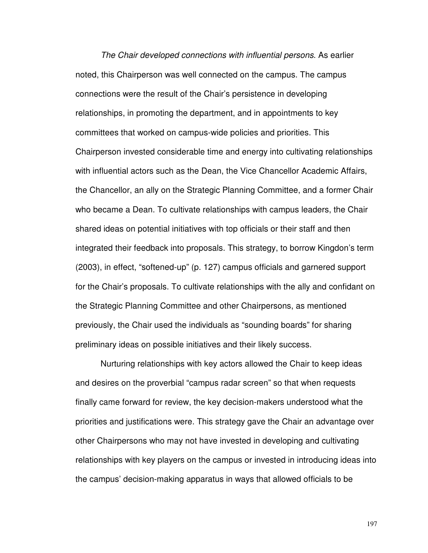The Chair developed connections with influential persons. As earlier noted, this Chairperson was well connected on the campus. The campus connections were the result of the Chair's persistence in developing relationships, in promoting the department, and in appointments to key committees that worked on campus-wide policies and priorities. This Chairperson invested considerable time and energy into cultivating relationships with influential actors such as the Dean, the Vice Chancellor Academic Affairs, the Chancellor, an ally on the Strategic Planning Committee, and a former Chair who became a Dean. To cultivate relationships with campus leaders, the Chair shared ideas on potential initiatives with top officials or their staff and then integrated their feedback into proposals. This strategy, to borrow Kingdon's term (2003), in effect, "softened-up" (p. 127) campus officials and garnered support for the Chair's proposals. To cultivate relationships with the ally and confidant on the Strategic Planning Committee and other Chairpersons, as mentioned previously, the Chair used the individuals as "sounding boards" for sharing preliminary ideas on possible initiatives and their likely success.

 Nurturing relationships with key actors allowed the Chair to keep ideas and desires on the proverbial "campus radar screen" so that when requests finally came forward for review, the key decision-makers understood what the priorities and justifications were. This strategy gave the Chair an advantage over other Chairpersons who may not have invested in developing and cultivating relationships with key players on the campus or invested in introducing ideas into the campus' decision-making apparatus in ways that allowed officials to be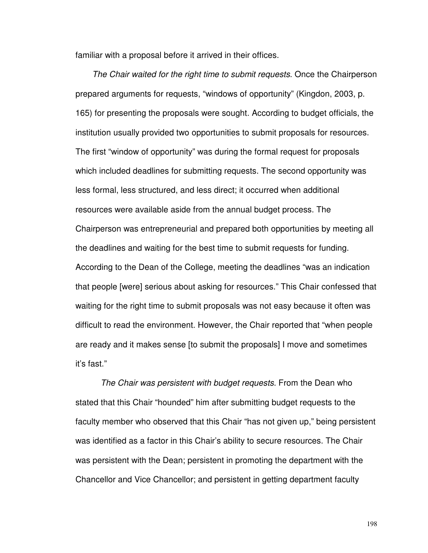familiar with a proposal before it arrived in their offices.

The Chair waited for the right time to submit requests. Once the Chairperson prepared arguments for requests, "windows of opportunity" (Kingdon, 2003, p. 165) for presenting the proposals were sought. According to budget officials, the institution usually provided two opportunities to submit proposals for resources. The first "window of opportunity" was during the formal request for proposals which included deadlines for submitting requests. The second opportunity was less formal, less structured, and less direct; it occurred when additional resources were available aside from the annual budget process. The Chairperson was entrepreneurial and prepared both opportunities by meeting all the deadlines and waiting for the best time to submit requests for funding. According to the Dean of the College, meeting the deadlines "was an indication that people [were] serious about asking for resources." This Chair confessed that waiting for the right time to submit proposals was not easy because it often was difficult to read the environment. However, the Chair reported that "when people are ready and it makes sense [to submit the proposals] I move and sometimes it's fast."

 The Chair was persistent with budget requests. From the Dean who stated that this Chair "hounded" him after submitting budget requests to the faculty member who observed that this Chair "has not given up," being persistent was identified as a factor in this Chair's ability to secure resources. The Chair was persistent with the Dean; persistent in promoting the department with the Chancellor and Vice Chancellor; and persistent in getting department faculty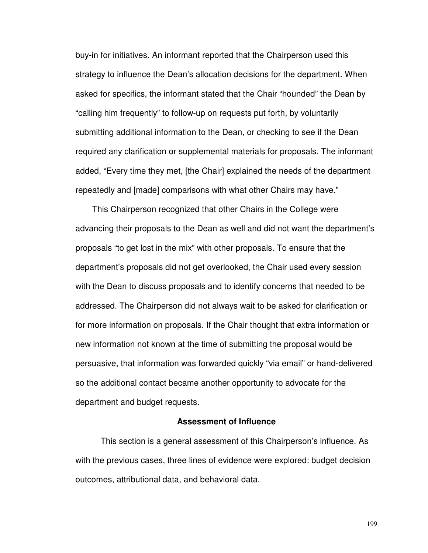buy-in for initiatives. An informant reported that the Chairperson used this strategy to influence the Dean's allocation decisions for the department. When asked for specifics, the informant stated that the Chair "hounded" the Dean by "calling him frequently" to follow-up on requests put forth, by voluntarily submitting additional information to the Dean, or checking to see if the Dean required any clarification or supplemental materials for proposals. The informant added, "Every time they met, [the Chair] explained the needs of the department repeatedly and [made] comparisons with what other Chairs may have."

 This Chairperson recognized that other Chairs in the College were advancing their proposals to the Dean as well and did not want the department's proposals "to get lost in the mix" with other proposals. To ensure that the department's proposals did not get overlooked, the Chair used every session with the Dean to discuss proposals and to identify concerns that needed to be addressed. The Chairperson did not always wait to be asked for clarification or for more information on proposals. If the Chair thought that extra information or new information not known at the time of submitting the proposal would be persuasive, that information was forwarded quickly "via email" or hand-delivered so the additional contact became another opportunity to advocate for the department and budget requests.

#### **Assessment of Influence**

 This section is a general assessment of this Chairperson's influence. As with the previous cases, three lines of evidence were explored: budget decision outcomes, attributional data, and behavioral data.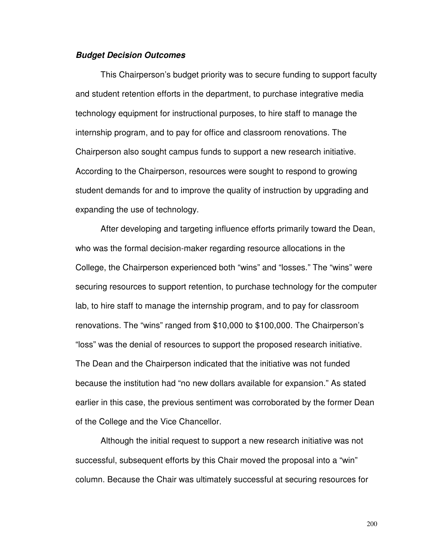### **Budget Decision Outcomes**

 This Chairperson's budget priority was to secure funding to support faculty and student retention efforts in the department, to purchase integrative media technology equipment for instructional purposes, to hire staff to manage the internship program, and to pay for office and classroom renovations. The Chairperson also sought campus funds to support a new research initiative. According to the Chairperson, resources were sought to respond to growing student demands for and to improve the quality of instruction by upgrading and expanding the use of technology.

 After developing and targeting influence efforts primarily toward the Dean, who was the formal decision-maker regarding resource allocations in the College, the Chairperson experienced both "wins" and "losses." The "wins" were securing resources to support retention, to purchase technology for the computer lab, to hire staff to manage the internship program, and to pay for classroom renovations. The "wins" ranged from \$10,000 to \$100,000. The Chairperson's "loss" was the denial of resources to support the proposed research initiative. The Dean and the Chairperson indicated that the initiative was not funded because the institution had "no new dollars available for expansion." As stated earlier in this case, the previous sentiment was corroborated by the former Dean of the College and the Vice Chancellor.

 Although the initial request to support a new research initiative was not successful, subsequent efforts by this Chair moved the proposal into a "win" column. Because the Chair was ultimately successful at securing resources for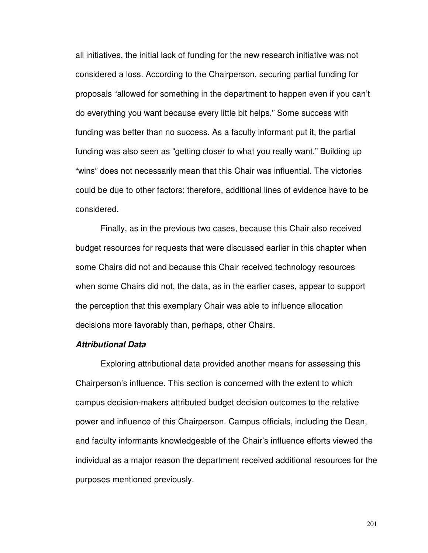all initiatives, the initial lack of funding for the new research initiative was not considered a loss. According to the Chairperson, securing partial funding for proposals "allowed for something in the department to happen even if you can't do everything you want because every little bit helps." Some success with funding was better than no success. As a faculty informant put it, the partial funding was also seen as "getting closer to what you really want." Building up "wins" does not necessarily mean that this Chair was influential. The victories could be due to other factors; therefore, additional lines of evidence have to be considered.

 Finally, as in the previous two cases, because this Chair also received budget resources for requests that were discussed earlier in this chapter when some Chairs did not and because this Chair received technology resources when some Chairs did not, the data, as in the earlier cases, appear to support the perception that this exemplary Chair was able to influence allocation decisions more favorably than, perhaps, other Chairs.

# **Attributional Data**

Exploring attributional data provided another means for assessing this Chairperson's influence. This section is concerned with the extent to which campus decision-makers attributed budget decision outcomes to the relative power and influence of this Chairperson. Campus officials, including the Dean, and faculty informants knowledgeable of the Chair's influence efforts viewed the individual as a major reason the department received additional resources for the purposes mentioned previously.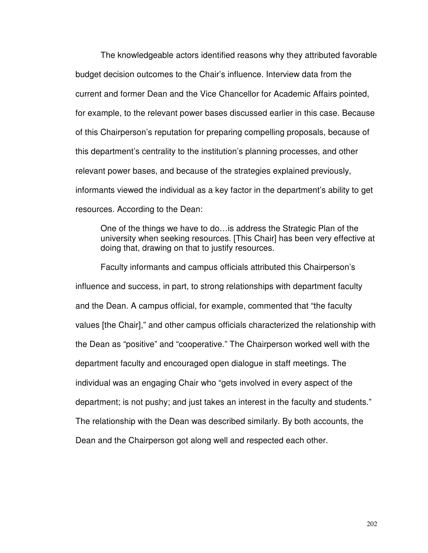The knowledgeable actors identified reasons why they attributed favorable budget decision outcomes to the Chair's influence. Interview data from the current and former Dean and the Vice Chancellor for Academic Affairs pointed, for example, to the relevant power bases discussed earlier in this case. Because of this Chairperson's reputation for preparing compelling proposals, because of this department's centrality to the institution's planning processes, and other relevant power bases, and because of the strategies explained previously, informants viewed the individual as a key factor in the department's ability to get resources. According to the Dean:

One of the things we have to do…is address the Strategic Plan of the university when seeking resources. [This Chair] has been very effective at doing that, drawing on that to justify resources.

 Faculty informants and campus officials attributed this Chairperson's influence and success, in part, to strong relationships with department faculty and the Dean. A campus official, for example, commented that "the faculty values [the Chair]," and other campus officials characterized the relationship with the Dean as "positive" and "cooperative." The Chairperson worked well with the department faculty and encouraged open dialogue in staff meetings. The individual was an engaging Chair who "gets involved in every aspect of the department; is not pushy; and just takes an interest in the faculty and students." The relationship with the Dean was described similarly. By both accounts, the Dean and the Chairperson got along well and respected each other.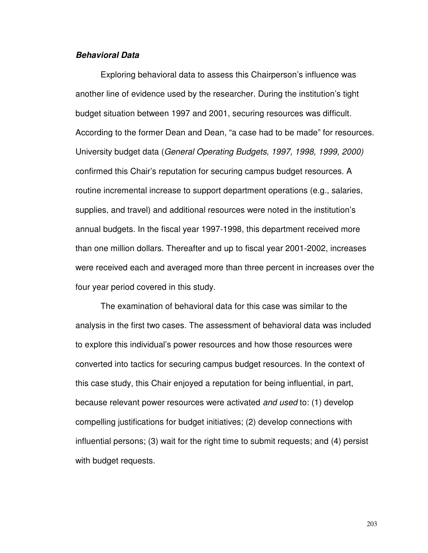#### **Behavioral Data**

Exploring behavioral data to assess this Chairperson's influence was another line of evidence used by the researcher. During the institution's tight budget situation between 1997 and 2001, securing resources was difficult. According to the former Dean and Dean, "a case had to be made" for resources. University budget data (General Operating Budgets, 1997, 1998, 1999, 2000) confirmed this Chair's reputation for securing campus budget resources. A routine incremental increase to support department operations (e.g., salaries, supplies, and travel) and additional resources were noted in the institution's annual budgets. In the fiscal year 1997-1998, this department received more than one million dollars. Thereafter and up to fiscal year 2001-2002, increases were received each and averaged more than three percent in increases over the four year period covered in this study.

The examination of behavioral data for this case was similar to the analysis in the first two cases. The assessment of behavioral data was included to explore this individual's power resources and how those resources were converted into tactics for securing campus budget resources. In the context of this case study, this Chair enjoyed a reputation for being influential, in part, because relevant power resources were activated and used to: (1) develop compelling justifications for budget initiatives; (2) develop connections with influential persons; (3) wait for the right time to submit requests; and (4) persist with budget requests.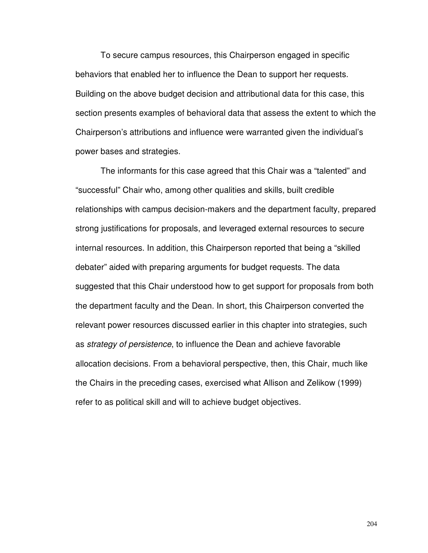To secure campus resources, this Chairperson engaged in specific behaviors that enabled her to influence the Dean to support her requests. Building on the above budget decision and attributional data for this case, this section presents examples of behavioral data that assess the extent to which the Chairperson's attributions and influence were warranted given the individual's power bases and strategies.

 The informants for this case agreed that this Chair was a "talented" and "successful" Chair who, among other qualities and skills, built credible relationships with campus decision-makers and the department faculty, prepared strong justifications for proposals, and leveraged external resources to secure internal resources. In addition, this Chairperson reported that being a "skilled debater" aided with preparing arguments for budget requests. The data suggested that this Chair understood how to get support for proposals from both the department faculty and the Dean. In short, this Chairperson converted the relevant power resources discussed earlier in this chapter into strategies, such as strategy of persistence, to influence the Dean and achieve favorable allocation decisions. From a behavioral perspective, then, this Chair, much like the Chairs in the preceding cases, exercised what Allison and Zelikow (1999) refer to as political skill and will to achieve budget objectives.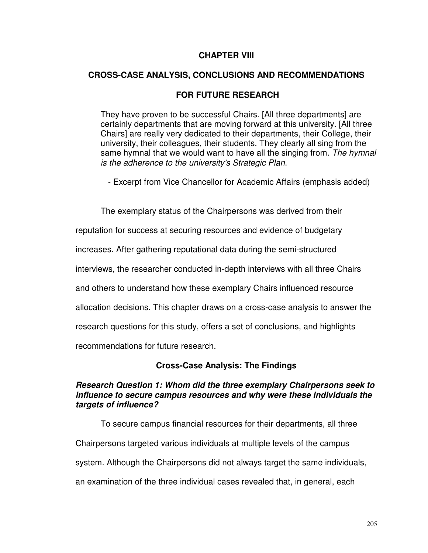## **CHAPTER VIII**

## **CROSS-CASE ANALYSIS, CONCLUSIONS AND RECOMMENDATIONS**

# **FOR FUTURE RESEARCH**

They have proven to be successful Chairs. [All three departments] are certainly departments that are moving forward at this university. [All three Chairs] are really very dedicated to their departments, their College, their university, their colleagues, their students. They clearly all sing from the same hymnal that we would want to have all the singing from. The hymnal is the adherence to the university's Strategic Plan.

- Excerpt from Vice Chancellor for Academic Affairs (emphasis added)

The exemplary status of the Chairpersons was derived from their

reputation for success at securing resources and evidence of budgetary

increases. After gathering reputational data during the semi-structured

interviews, the researcher conducted in-depth interviews with all three Chairs

and others to understand how these exemplary Chairs influenced resource

allocation decisions. This chapter draws on a cross-case analysis to answer the

research questions for this study, offers a set of conclusions, and highlights

recommendations for future research.

# **Cross-Case Analysis: The Findings**

## **Research Question 1: Whom did the three exemplary Chairpersons seek to influence to secure campus resources and why were these individuals the targets of influence?**

To secure campus financial resources for their departments, all three Chairpersons targeted various individuals at multiple levels of the campus system. Although the Chairpersons did not always target the same individuals, an examination of the three individual cases revealed that, in general, each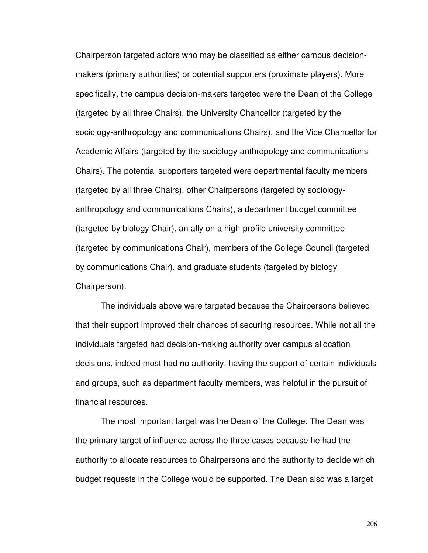Chairperson targeted actors who may be classified as either campus decisionmakers (primary authorities) or potential supporters (proximate players). More specifically, the campus decision-makers targeted were the Dean of the College (targeted by all three Chairs), the University Chancellor (targeted by the sociology-anthropology and communications Chairs), and the Vice Chancellor for Academic Affairs (targeted by the sociology-anthropology and communications Chairs). The potential supporters targeted were departmental faculty members (targeted by all three Chairs), other Chairpersons (targeted by sociologyanthropology and communications Chairs), a department budget committee (targeted by biology Chair), an ally on a high-profile university committee (targeted by communications Chair), members of the College Council (targeted by communications Chair), and graduate students (targeted by biology Chairperson).

The individuals above were targeted because the Chairpersons believed that their support improved their chances of securing resources. While not all the individuals targeted had decision-making authority over campus allocation decisions, indeed most had no authority, having the support of certain individuals and groups, such as department faculty members, was helpful in the pursuit of financial resources.

The most important target was the Dean of the College. The Dean was the primary target of influence across the three cases because he had the authority to allocate resources to Chairpersons and the authority to decide which budget requests in the College would be supported. The Dean also was a target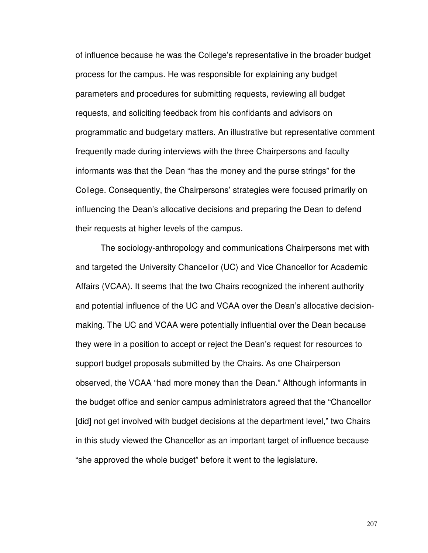of influence because he was the College's representative in the broader budget process for the campus. He was responsible for explaining any budget parameters and procedures for submitting requests, reviewing all budget requests, and soliciting feedback from his confidants and advisors on programmatic and budgetary matters. An illustrative but representative comment frequently made during interviews with the three Chairpersons and faculty informants was that the Dean "has the money and the purse strings" for the College. Consequently, the Chairpersons' strategies were focused primarily on influencing the Dean's allocative decisions and preparing the Dean to defend their requests at higher levels of the campus.

The sociology-anthropology and communications Chairpersons met with and targeted the University Chancellor (UC) and Vice Chancellor for Academic Affairs (VCAA). It seems that the two Chairs recognized the inherent authority and potential influence of the UC and VCAA over the Dean's allocative decisionmaking. The UC and VCAA were potentially influential over the Dean because they were in a position to accept or reject the Dean's request for resources to support budget proposals submitted by the Chairs. As one Chairperson observed, the VCAA "had more money than the Dean." Although informants in the budget office and senior campus administrators agreed that the "Chancellor [did] not get involved with budget decisions at the department level," two Chairs in this study viewed the Chancellor as an important target of influence because "she approved the whole budget" before it went to the legislature.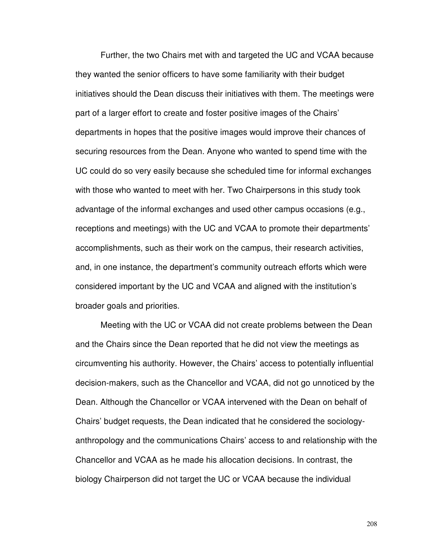Further, the two Chairs met with and targeted the UC and VCAA because they wanted the senior officers to have some familiarity with their budget initiatives should the Dean discuss their initiatives with them. The meetings were part of a larger effort to create and foster positive images of the Chairs' departments in hopes that the positive images would improve their chances of securing resources from the Dean. Anyone who wanted to spend time with the UC could do so very easily because she scheduled time for informal exchanges with those who wanted to meet with her. Two Chairpersons in this study took advantage of the informal exchanges and used other campus occasions (e.g., receptions and meetings) with the UC and VCAA to promote their departments' accomplishments, such as their work on the campus, their research activities, and, in one instance, the department's community outreach efforts which were considered important by the UC and VCAA and aligned with the institution's broader goals and priorities.

Meeting with the UC or VCAA did not create problems between the Dean and the Chairs since the Dean reported that he did not view the meetings as circumventing his authority. However, the Chairs' access to potentially influential decision-makers, such as the Chancellor and VCAA, did not go unnoticed by the Dean. Although the Chancellor or VCAA intervened with the Dean on behalf of Chairs' budget requests, the Dean indicated that he considered the sociologyanthropology and the communications Chairs' access to and relationship with the Chancellor and VCAA as he made his allocation decisions. In contrast, the biology Chairperson did not target the UC or VCAA because the individual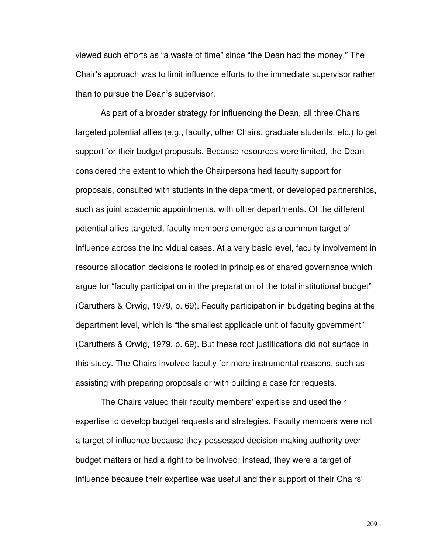viewed such efforts as "a waste of time" since "the Dean had the money." The Chair's approach was to limit influence efforts to the immediate supervisor rather than to pursue the Dean's supervisor.

As part of a broader strategy for influencing the Dean, all three Chairs targeted potential allies (e.g., faculty, other Chairs, graduate students, etc.) to get support for their budget proposals. Because resources were limited, the Dean considered the extent to which the Chairpersons had faculty support for proposals, consulted with students in the department, or developed partnerships, such as joint academic appointments, with other departments. Of the different potential allies targeted, faculty members emerged as a common target of influence across the individual cases. At a very basic level, faculty involvement in resource allocation decisions is rooted in principles of shared governance which argue for "faculty participation in the preparation of the total institutional budget" (Caruthers & Orwig, 1979, p. 69). Faculty participation in budgeting begins at the department level, which is "the smallest applicable unit of faculty government" (Caruthers & Orwig, 1979, p. 69). But these root justifications did not surface in this study. The Chairs involved faculty for more instrumental reasons, such as assisting with preparing proposals or with building a case for requests.

The Chairs valued their faculty members' expertise and used their expertise to develop budget requests and strategies. Faculty members were not a target of influence because they possessed decision-making authority over budget matters or had a right to be involved; instead, they were a target of influence because their expertise was useful and their support of their Chairs'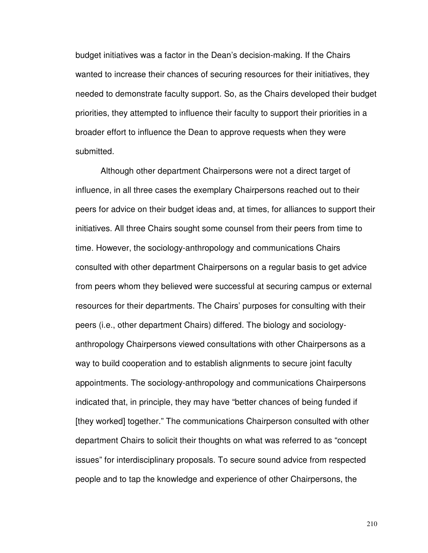budget initiatives was a factor in the Dean's decision-making. If the Chairs wanted to increase their chances of securing resources for their initiatives, they needed to demonstrate faculty support. So, as the Chairs developed their budget priorities, they attempted to influence their faculty to support their priorities in a broader effort to influence the Dean to approve requests when they were submitted.

Although other department Chairpersons were not a direct target of influence, in all three cases the exemplary Chairpersons reached out to their peers for advice on their budget ideas and, at times, for alliances to support their initiatives. All three Chairs sought some counsel from their peers from time to time. However, the sociology-anthropology and communications Chairs consulted with other department Chairpersons on a regular basis to get advice from peers whom they believed were successful at securing campus or external resources for their departments. The Chairs' purposes for consulting with their peers (i.e., other department Chairs) differed. The biology and sociologyanthropology Chairpersons viewed consultations with other Chairpersons as a way to build cooperation and to establish alignments to secure joint faculty appointments. The sociology-anthropology and communications Chairpersons indicated that, in principle, they may have "better chances of being funded if [they worked] together." The communications Chairperson consulted with other department Chairs to solicit their thoughts on what was referred to as "concept issues" for interdisciplinary proposals. To secure sound advice from respected people and to tap the knowledge and experience of other Chairpersons, the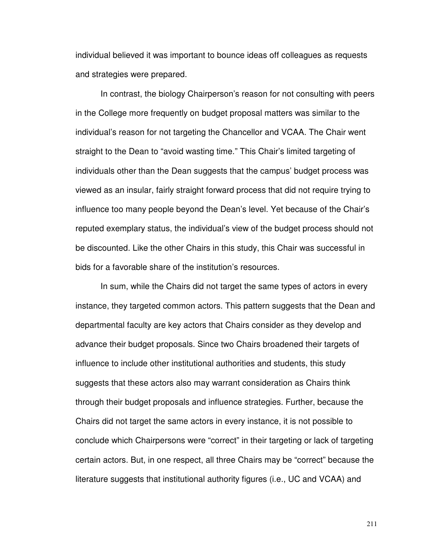individual believed it was important to bounce ideas off colleagues as requests and strategies were prepared.

In contrast, the biology Chairperson's reason for not consulting with peers in the College more frequently on budget proposal matters was similar to the individual's reason for not targeting the Chancellor and VCAA. The Chair went straight to the Dean to "avoid wasting time." This Chair's limited targeting of individuals other than the Dean suggests that the campus' budget process was viewed as an insular, fairly straight forward process that did not require trying to influence too many people beyond the Dean's level. Yet because of the Chair's reputed exemplary status, the individual's view of the budget process should not be discounted. Like the other Chairs in this study, this Chair was successful in bids for a favorable share of the institution's resources.

In sum, while the Chairs did not target the same types of actors in every instance, they targeted common actors. This pattern suggests that the Dean and departmental faculty are key actors that Chairs consider as they develop and advance their budget proposals. Since two Chairs broadened their targets of influence to include other institutional authorities and students, this study suggests that these actors also may warrant consideration as Chairs think through their budget proposals and influence strategies. Further, because the Chairs did not target the same actors in every instance, it is not possible to conclude which Chairpersons were "correct" in their targeting or lack of targeting certain actors. But, in one respect, all three Chairs may be "correct" because the literature suggests that institutional authority figures (i.e., UC and VCAA) and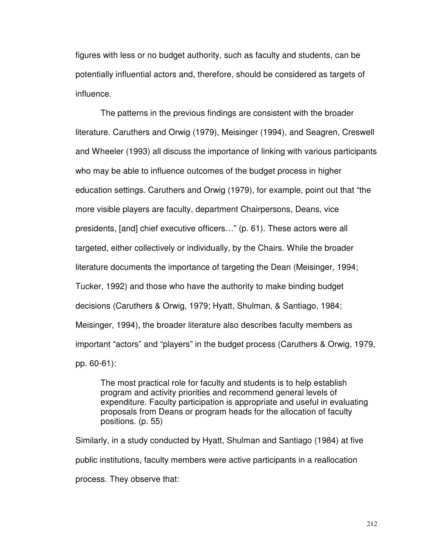figures with less or no budget authority, such as faculty and students, can be potentially influential actors and, therefore, should be considered as targets of influence.

The patterns in the previous findings are consistent with the broader literature. Caruthers and Orwig (1979), Meisinger (1994), and Seagren, Creswell and Wheeler (1993) all discuss the importance of linking with various participants who may be able to influence outcomes of the budget process in higher education settings. Caruthers and Orwig (1979), for example, point out that "the more visible players are faculty, department Chairpersons, Deans, vice presidents, [and] chief executive officers…" (p. 61). These actors were all targeted, either collectively or individually, by the Chairs. While the broader literature documents the importance of targeting the Dean (Meisinger, 1994; Tucker, 1992) and those who have the authority to make binding budget decisions (Caruthers & Orwig, 1979; Hyatt, Shulman, & Santiago, 1984; Meisinger, 1994), the broader literature also describes faculty members as important "actors" and "players" in the budget process (Caruthers & Orwig, 1979, pp. 60-61):

The most practical role for faculty and students is to help establish program and activity priorities and recommend general levels of expenditure. Faculty participation is appropriate and useful in evaluating proposals from Deans or program heads for the allocation of faculty positions. (p. 55)

Similarly, in a study conducted by Hyatt, Shulman and Santiago (1984) at five public institutions, faculty members were active participants in a reallocation process. They observe that: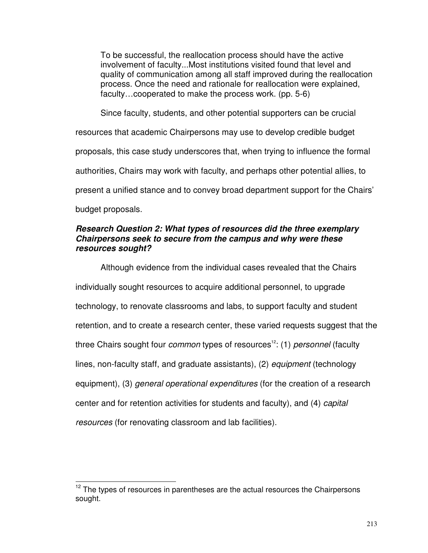To be successful, the reallocation process should have the active involvement of faculty...Most institutions visited found that level and quality of communication among all staff improved during the reallocation process. Once the need and rationale for reallocation were explained, faculty…cooperated to make the process work. (pp. 5-6)

Since faculty, students, and other potential supporters can be crucial resources that academic Chairpersons may use to develop credible budget proposals, this case study underscores that, when trying to influence the formal authorities, Chairs may work with faculty, and perhaps other potential allies, to present a unified stance and to convey broad department support for the Chairs' budget proposals.

## **Research Question 2: What types of resources did the three exemplary Chairpersons seek to secure from the campus and why were these resources sought?**

Although evidence from the individual cases revealed that the Chairs individually sought resources to acquire additional personnel, to upgrade technology, to renovate classrooms and labs, to support faculty and student retention, and to create a research center, these varied requests suggest that the three Chairs sought four *common* types of resources<sup>12</sup>: (1) personnel (faculty lines, non-faculty staff, and graduate assistants), (2) equipment (technology equipment), (3) *general operational expenditures* (for the creation of a research center and for retention activities for students and faculty), and (4) capital resources (for renovating classroom and lab facilities).

l

 $12$  The types of resources in parentheses are the actual resources the Chairpersons sought.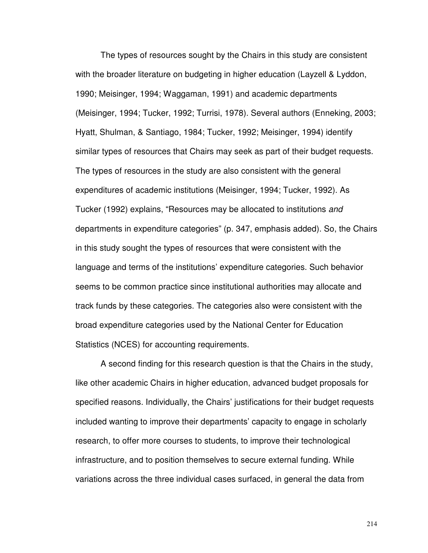The types of resources sought by the Chairs in this study are consistent with the broader literature on budgeting in higher education (Layzell & Lyddon, 1990; Meisinger, 1994; Waggaman, 1991) and academic departments (Meisinger, 1994; Tucker, 1992; Turrisi, 1978). Several authors (Enneking, 2003; Hyatt, Shulman, & Santiago, 1984; Tucker, 1992; Meisinger, 1994) identify similar types of resources that Chairs may seek as part of their budget requests. The types of resources in the study are also consistent with the general expenditures of academic institutions (Meisinger, 1994; Tucker, 1992). As Tucker (1992) explains, "Resources may be allocated to institutions and departments in expenditure categories" (p. 347, emphasis added). So, the Chairs in this study sought the types of resources that were consistent with the language and terms of the institutions' expenditure categories. Such behavior seems to be common practice since institutional authorities may allocate and track funds by these categories. The categories also were consistent with the broad expenditure categories used by the National Center for Education Statistics (NCES) for accounting requirements.

A second finding for this research question is that the Chairs in the study, like other academic Chairs in higher education, advanced budget proposals for specified reasons. Individually, the Chairs' justifications for their budget requests included wanting to improve their departments' capacity to engage in scholarly research, to offer more courses to students, to improve their technological infrastructure, and to position themselves to secure external funding. While variations across the three individual cases surfaced, in general the data from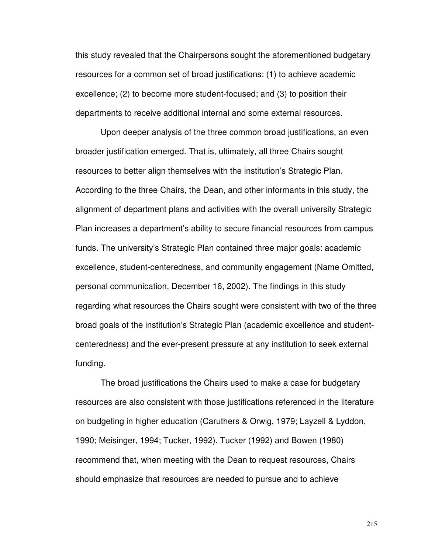this study revealed that the Chairpersons sought the aforementioned budgetary resources for a common set of broad justifications: (1) to achieve academic excellence; (2) to become more student-focused; and (3) to position their departments to receive additional internal and some external resources.

Upon deeper analysis of the three common broad justifications, an even broader justification emerged. That is, ultimately, all three Chairs sought resources to better align themselves with the institution's Strategic Plan. According to the three Chairs, the Dean, and other informants in this study, the alignment of department plans and activities with the overall university Strategic Plan increases a department's ability to secure financial resources from campus funds. The university's Strategic Plan contained three major goals: academic excellence, student-centeredness, and community engagement (Name Omitted, personal communication, December 16, 2002). The findings in this study regarding what resources the Chairs sought were consistent with two of the three broad goals of the institution's Strategic Plan (academic excellence and studentcenteredness) and the ever-present pressure at any institution to seek external funding.

The broad justifications the Chairs used to make a case for budgetary resources are also consistent with those justifications referenced in the literature on budgeting in higher education (Caruthers & Orwig, 1979; Layzell & Lyddon, 1990; Meisinger, 1994; Tucker, 1992). Tucker (1992) and Bowen (1980) recommend that, when meeting with the Dean to request resources, Chairs should emphasize that resources are needed to pursue and to achieve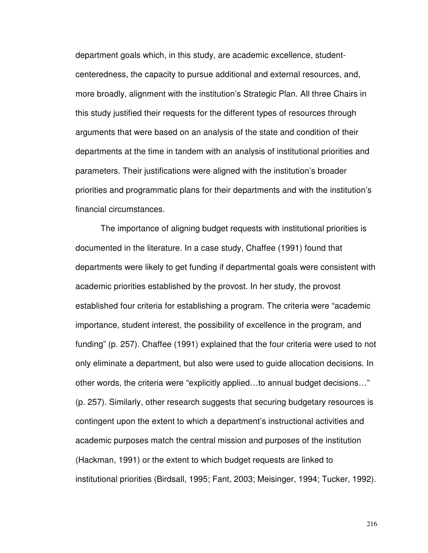department goals which, in this study, are academic excellence, studentcenteredness, the capacity to pursue additional and external resources, and, more broadly, alignment with the institution's Strategic Plan. All three Chairs in this study justified their requests for the different types of resources through arguments that were based on an analysis of the state and condition of their departments at the time in tandem with an analysis of institutional priorities and parameters. Their justifications were aligned with the institution's broader priorities and programmatic plans for their departments and with the institution's financial circumstances.

The importance of aligning budget requests with institutional priorities is documented in the literature. In a case study, Chaffee (1991) found that departments were likely to get funding if departmental goals were consistent with academic priorities established by the provost. In her study, the provost established four criteria for establishing a program. The criteria were "academic importance, student interest, the possibility of excellence in the program, and funding" (p. 257). Chaffee (1991) explained that the four criteria were used to not only eliminate a department, but also were used to guide allocation decisions. In other words, the criteria were "explicitly applied…to annual budget decisions…" (p. 257). Similarly, other research suggests that securing budgetary resources is contingent upon the extent to which a department's instructional activities and academic purposes match the central mission and purposes of the institution (Hackman, 1991) or the extent to which budget requests are linked to institutional priorities (Birdsall, 1995; Fant, 2003; Meisinger, 1994; Tucker, 1992).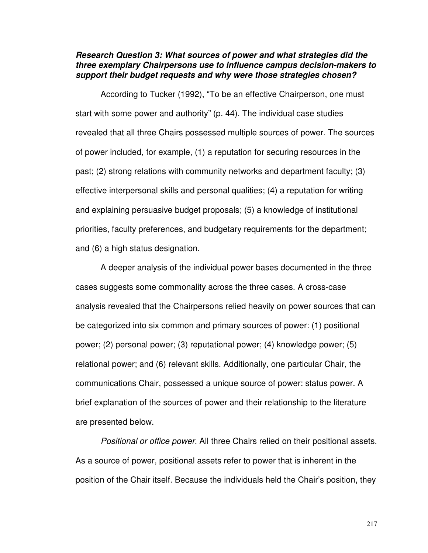#### **Research Question 3: What sources of power and what strategies did the three exemplary Chairpersons use to influence campus decision-makers to support their budget requests and why were those strategies chosen?**

 According to Tucker (1992), "To be an effective Chairperson, one must start with some power and authority" (p. 44). The individual case studies revealed that all three Chairs possessed multiple sources of power. The sources of power included, for example, (1) a reputation for securing resources in the past; (2) strong relations with community networks and department faculty; (3) effective interpersonal skills and personal qualities; (4) a reputation for writing and explaining persuasive budget proposals; (5) a knowledge of institutional priorities, faculty preferences, and budgetary requirements for the department; and (6) a high status designation.

 A deeper analysis of the individual power bases documented in the three cases suggests some commonality across the three cases. A cross-case analysis revealed that the Chairpersons relied heavily on power sources that can be categorized into six common and primary sources of power: (1) positional power; (2) personal power; (3) reputational power; (4) knowledge power; (5) relational power; and (6) relevant skills. Additionally, one particular Chair, the communications Chair, possessed a unique source of power: status power. A brief explanation of the sources of power and their relationship to the literature are presented below.

Positional or office power. All three Chairs relied on their positional assets. As a source of power, positional assets refer to power that is inherent in the position of the Chair itself. Because the individuals held the Chair's position, they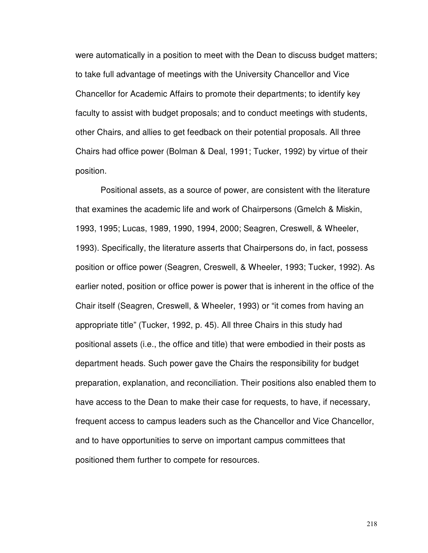were automatically in a position to meet with the Dean to discuss budget matters; to take full advantage of meetings with the University Chancellor and Vice Chancellor for Academic Affairs to promote their departments; to identify key faculty to assist with budget proposals; and to conduct meetings with students, other Chairs, and allies to get feedback on their potential proposals. All three Chairs had office power (Bolman & Deal, 1991; Tucker, 1992) by virtue of their position.

Positional assets, as a source of power, are consistent with the literature that examines the academic life and work of Chairpersons (Gmelch & Miskin, 1993, 1995; Lucas, 1989, 1990, 1994, 2000; Seagren, Creswell, & Wheeler, 1993). Specifically, the literature asserts that Chairpersons do, in fact, possess position or office power (Seagren, Creswell, & Wheeler, 1993; Tucker, 1992). As earlier noted, position or office power is power that is inherent in the office of the Chair itself (Seagren, Creswell, & Wheeler, 1993) or "it comes from having an appropriate title" (Tucker, 1992, p. 45). All three Chairs in this study had positional assets (i.e., the office and title) that were embodied in their posts as department heads. Such power gave the Chairs the responsibility for budget preparation, explanation, and reconciliation. Their positions also enabled them to have access to the Dean to make their case for requests, to have, if necessary, frequent access to campus leaders such as the Chancellor and Vice Chancellor, and to have opportunities to serve on important campus committees that positioned them further to compete for resources.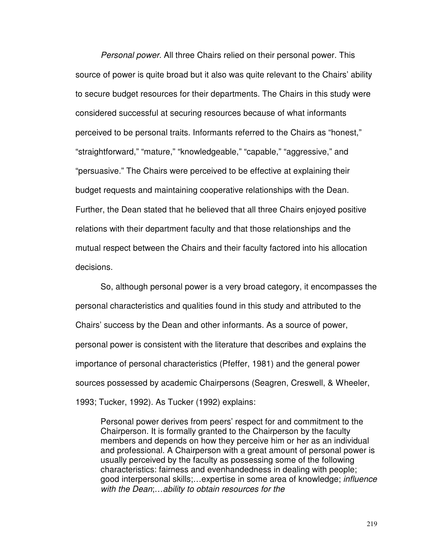Personal power. All three Chairs relied on their personal power. This source of power is quite broad but it also was quite relevant to the Chairs' ability to secure budget resources for their departments. The Chairs in this study were considered successful at securing resources because of what informants perceived to be personal traits. Informants referred to the Chairs as "honest," "straightforward," "mature," "knowledgeable," "capable," "aggressive," and "persuasive." The Chairs were perceived to be effective at explaining their budget requests and maintaining cooperative relationships with the Dean. Further, the Dean stated that he believed that all three Chairs enjoyed positive relations with their department faculty and that those relationships and the mutual respect between the Chairs and their faculty factored into his allocation decisions.

So, although personal power is a very broad category, it encompasses the personal characteristics and qualities found in this study and attributed to the Chairs' success by the Dean and other informants. As a source of power, personal power is consistent with the literature that describes and explains the importance of personal characteristics (Pfeffer, 1981) and the general power sources possessed by academic Chairpersons (Seagren, Creswell, & Wheeler, 1993; Tucker, 1992). As Tucker (1992) explains:

Personal power derives from peers' respect for and commitment to the Chairperson. It is formally granted to the Chairperson by the faculty members and depends on how they perceive him or her as an individual and professional. A Chairperson with a great amount of personal power is usually perceived by the faculty as possessing some of the following characteristics: fairness and evenhandedness in dealing with people; good interpersonal skills;…expertise in some area of knowledge; influence with the Dean;…ability to obtain resources for the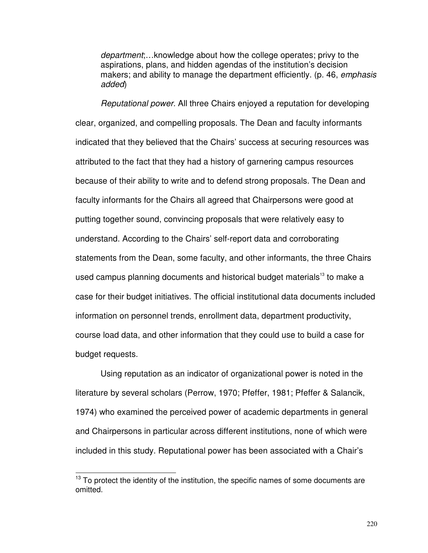department;…knowledge about how the college operates; privy to the aspirations, plans, and hidden agendas of the institution's decision makers; and ability to manage the department efficiently. (p. 46, emphasis added)

Reputational power. All three Chairs enjoyed a reputation for developing clear, organized, and compelling proposals. The Dean and faculty informants indicated that they believed that the Chairs' success at securing resources was attributed to the fact that they had a history of garnering campus resources because of their ability to write and to defend strong proposals. The Dean and faculty informants for the Chairs all agreed that Chairpersons were good at putting together sound, convincing proposals that were relatively easy to understand. According to the Chairs' self-report data and corroborating statements from the Dean, some faculty, and other informants, the three Chairs used campus planning documents and historical budget materials<sup>13</sup> to make a case for their budget initiatives. The official institutional data documents included information on personnel trends, enrollment data, department productivity, course load data, and other information that they could use to build a case for budget requests.

Using reputation as an indicator of organizational power is noted in the literature by several scholars (Perrow, 1970; Pfeffer, 1981; Pfeffer & Salancik, 1974) who examined the perceived power of academic departments in general and Chairpersons in particular across different institutions, none of which were included in this study. Reputational power has been associated with a Chair's

l

 $13$  To protect the identity of the institution, the specific names of some documents are omitted.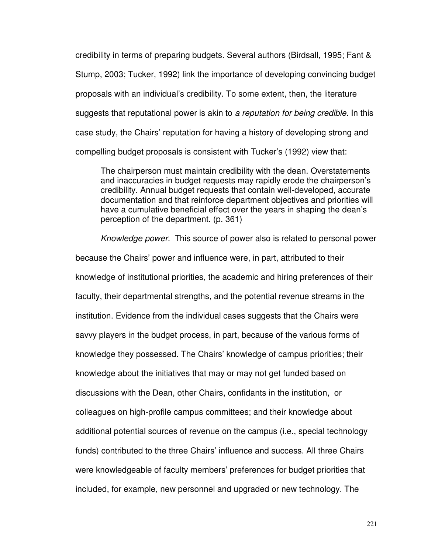credibility in terms of preparing budgets. Several authors (Birdsall, 1995; Fant & Stump, 2003; Tucker, 1992) link the importance of developing convincing budget proposals with an individual's credibility. To some extent, then, the literature suggests that reputational power is akin to a reputation for being credible. In this case study, the Chairs' reputation for having a history of developing strong and compelling budget proposals is consistent with Tucker's (1992) view that:

The chairperson must maintain credibility with the dean. Overstatements and inaccuracies in budget requests may rapidly erode the chairperson's credibility. Annual budget requests that contain well-developed, accurate documentation and that reinforce department objectives and priorities will have a cumulative beneficial effect over the years in shaping the dean's perception of the department. (p. 361)

Knowledge power. This source of power also is related to personal power because the Chairs' power and influence were, in part, attributed to their knowledge of institutional priorities, the academic and hiring preferences of their faculty, their departmental strengths, and the potential revenue streams in the institution. Evidence from the individual cases suggests that the Chairs were savvy players in the budget process, in part, because of the various forms of knowledge they possessed. The Chairs' knowledge of campus priorities; their knowledge about the initiatives that may or may not get funded based on discussions with the Dean, other Chairs, confidants in the institution, or colleagues on high-profile campus committees; and their knowledge about additional potential sources of revenue on the campus (i.e., special technology funds) contributed to the three Chairs' influence and success. All three Chairs were knowledgeable of faculty members' preferences for budget priorities that included, for example, new personnel and upgraded or new technology. The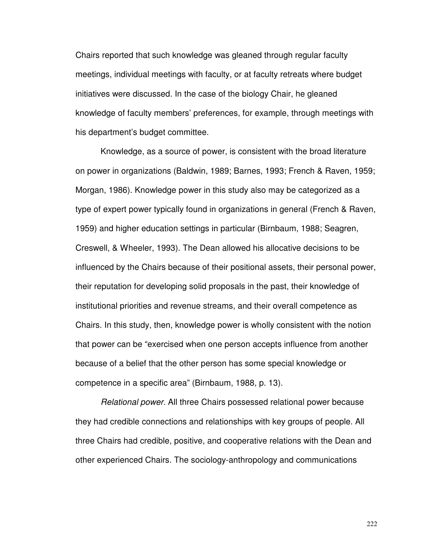Chairs reported that such knowledge was gleaned through regular faculty meetings, individual meetings with faculty, or at faculty retreats where budget initiatives were discussed. In the case of the biology Chair, he gleaned knowledge of faculty members' preferences, for example, through meetings with his department's budget committee.

Knowledge, as a source of power, is consistent with the broad literature on power in organizations (Baldwin, 1989; Barnes, 1993; French & Raven, 1959; Morgan, 1986). Knowledge power in this study also may be categorized as a type of expert power typically found in organizations in general (French & Raven, 1959) and higher education settings in particular (Birnbaum, 1988; Seagren, Creswell, & Wheeler, 1993). The Dean allowed his allocative decisions to be influenced by the Chairs because of their positional assets, their personal power, their reputation for developing solid proposals in the past, their knowledge of institutional priorities and revenue streams, and their overall competence as Chairs. In this study, then, knowledge power is wholly consistent with the notion that power can be "exercised when one person accepts influence from another because of a belief that the other person has some special knowledge or competence in a specific area" (Birnbaum, 1988, p. 13).

Relational power. All three Chairs possessed relational power because they had credible connections and relationships with key groups of people. All three Chairs had credible, positive, and cooperative relations with the Dean and other experienced Chairs. The sociology-anthropology and communications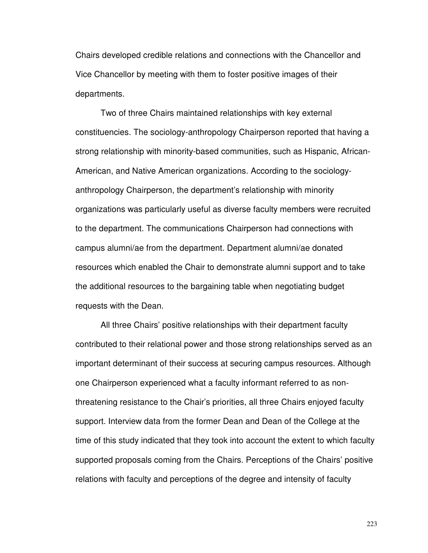Chairs developed credible relations and connections with the Chancellor and Vice Chancellor by meeting with them to foster positive images of their departments.

Two of three Chairs maintained relationships with key external constituencies. The sociology-anthropology Chairperson reported that having a strong relationship with minority-based communities, such as Hispanic, African-American, and Native American organizations. According to the sociologyanthropology Chairperson, the department's relationship with minority organizations was particularly useful as diverse faculty members were recruited to the department. The communications Chairperson had connections with campus alumni/ae from the department. Department alumni/ae donated resources which enabled the Chair to demonstrate alumni support and to take the additional resources to the bargaining table when negotiating budget requests with the Dean.

All three Chairs' positive relationships with their department faculty contributed to their relational power and those strong relationships served as an important determinant of their success at securing campus resources. Although one Chairperson experienced what a faculty informant referred to as nonthreatening resistance to the Chair's priorities, all three Chairs enjoyed faculty support. Interview data from the former Dean and Dean of the College at the time of this study indicated that they took into account the extent to which faculty supported proposals coming from the Chairs. Perceptions of the Chairs' positive relations with faculty and perceptions of the degree and intensity of faculty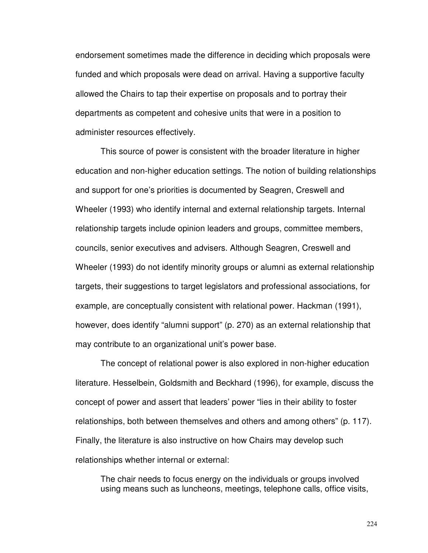endorsement sometimes made the difference in deciding which proposals were funded and which proposals were dead on arrival. Having a supportive faculty allowed the Chairs to tap their expertise on proposals and to portray their departments as competent and cohesive units that were in a position to administer resources effectively.

This source of power is consistent with the broader literature in higher education and non-higher education settings. The notion of building relationships and support for one's priorities is documented by Seagren, Creswell and Wheeler (1993) who identify internal and external relationship targets. Internal relationship targets include opinion leaders and groups, committee members, councils, senior executives and advisers. Although Seagren, Creswell and Wheeler (1993) do not identify minority groups or alumni as external relationship targets, their suggestions to target legislators and professional associations, for example, are conceptually consistent with relational power. Hackman (1991), however, does identify "alumni support" (p. 270) as an external relationship that may contribute to an organizational unit's power base.

The concept of relational power is also explored in non-higher education literature. Hesselbein, Goldsmith and Beckhard (1996), for example, discuss the concept of power and assert that leaders' power "lies in their ability to foster relationships, both between themselves and others and among others" (p. 117). Finally, the literature is also instructive on how Chairs may develop such relationships whether internal or external:

The chair needs to focus energy on the individuals or groups involved using means such as luncheons, meetings, telephone calls, office visits,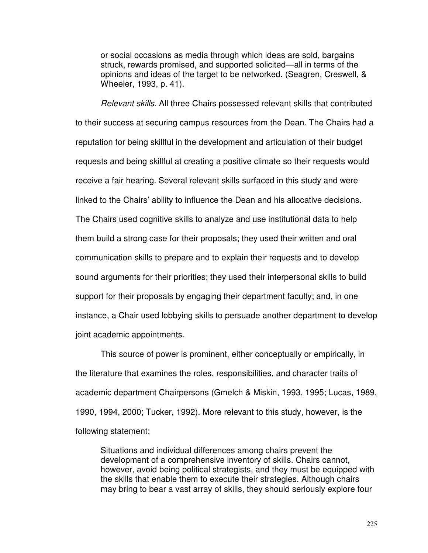or social occasions as media through which ideas are sold, bargains struck, rewards promised, and supported solicited—all in terms of the opinions and ideas of the target to be networked. (Seagren, Creswell, & Wheeler, 1993, p. 41).

Relevant skills. All three Chairs possessed relevant skills that contributed to their success at securing campus resources from the Dean. The Chairs had a reputation for being skillful in the development and articulation of their budget requests and being skillful at creating a positive climate so their requests would receive a fair hearing. Several relevant skills surfaced in this study and were linked to the Chairs' ability to influence the Dean and his allocative decisions. The Chairs used cognitive skills to analyze and use institutional data to help them build a strong case for their proposals; they used their written and oral communication skills to prepare and to explain their requests and to develop sound arguments for their priorities; they used their interpersonal skills to build support for their proposals by engaging their department faculty; and, in one instance, a Chair used lobbying skills to persuade another department to develop joint academic appointments.

This source of power is prominent, either conceptually or empirically, in the literature that examines the roles, responsibilities, and character traits of academic department Chairpersons (Gmelch & Miskin, 1993, 1995; Lucas, 1989, 1990, 1994, 2000; Tucker, 1992). More relevant to this study, however, is the following statement:

Situations and individual differences among chairs prevent the development of a comprehensive inventory of skills. Chairs cannot, however, avoid being political strategists, and they must be equipped with the skills that enable them to execute their strategies. Although chairs may bring to bear a vast array of skills, they should seriously explore four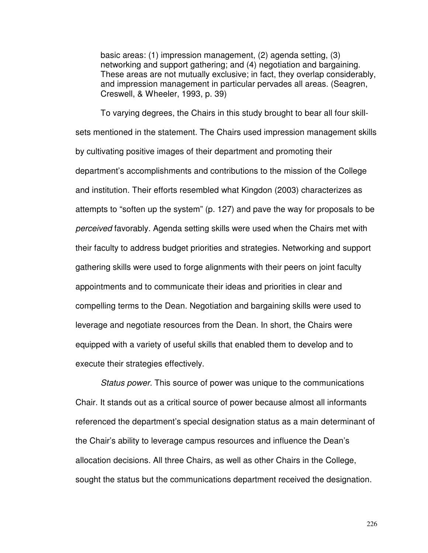basic areas: (1) impression management, (2) agenda setting, (3) networking and support gathering; and (4) negotiation and bargaining. These areas are not mutually exclusive; in fact, they overlap considerably, and impression management in particular pervades all areas. (Seagren, Creswell, & Wheeler, 1993, p. 39)

To varying degrees, the Chairs in this study brought to bear all four skillsets mentioned in the statement. The Chairs used impression management skills by cultivating positive images of their department and promoting their department's accomplishments and contributions to the mission of the College and institution. Their efforts resembled what Kingdon (2003) characterizes as attempts to "soften up the system" (p. 127) and pave the way for proposals to be perceived favorably. Agenda setting skills were used when the Chairs met with their faculty to address budget priorities and strategies. Networking and support gathering skills were used to forge alignments with their peers on joint faculty appointments and to communicate their ideas and priorities in clear and compelling terms to the Dean. Negotiation and bargaining skills were used to leverage and negotiate resources from the Dean. In short, the Chairs were equipped with a variety of useful skills that enabled them to develop and to execute their strategies effectively.

Status power. This source of power was unique to the communications Chair. It stands out as a critical source of power because almost all informants referenced the department's special designation status as a main determinant of the Chair's ability to leverage campus resources and influence the Dean's allocation decisions. All three Chairs, as well as other Chairs in the College, sought the status but the communications department received the designation.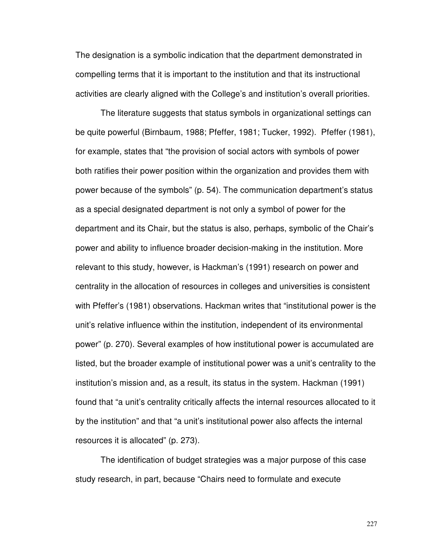The designation is a symbolic indication that the department demonstrated in compelling terms that it is important to the institution and that its instructional activities are clearly aligned with the College's and institution's overall priorities.

The literature suggests that status symbols in organizational settings can be quite powerful (Birnbaum, 1988; Pfeffer, 1981; Tucker, 1992). Pfeffer (1981), for example, states that "the provision of social actors with symbols of power both ratifies their power position within the organization and provides them with power because of the symbols" (p. 54). The communication department's status as a special designated department is not only a symbol of power for the department and its Chair, but the status is also, perhaps, symbolic of the Chair's power and ability to influence broader decision-making in the institution. More relevant to this study, however, is Hackman's (1991) research on power and centrality in the allocation of resources in colleges and universities is consistent with Pfeffer's (1981) observations. Hackman writes that "institutional power is the unit's relative influence within the institution, independent of its environmental power" (p. 270). Several examples of how institutional power is accumulated are listed, but the broader example of institutional power was a unit's centrality to the institution's mission and, as a result, its status in the system. Hackman (1991) found that "a unit's centrality critically affects the internal resources allocated to it by the institution" and that "a unit's institutional power also affects the internal resources it is allocated" (p. 273).

The identification of budget strategies was a major purpose of this case study research, in part, because "Chairs need to formulate and execute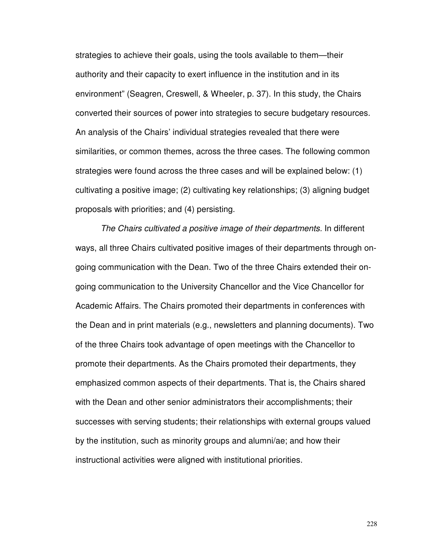strategies to achieve their goals, using the tools available to them—their authority and their capacity to exert influence in the institution and in its environment" (Seagren, Creswell, & Wheeler, p. 37). In this study, the Chairs converted their sources of power into strategies to secure budgetary resources. An analysis of the Chairs' individual strategies revealed that there were similarities, or common themes, across the three cases. The following common strategies were found across the three cases and will be explained below: (1) cultivating a positive image; (2) cultivating key relationships; (3) aligning budget proposals with priorities; and (4) persisting.

The Chairs cultivated a positive image of their departments. In different ways, all three Chairs cultivated positive images of their departments through ongoing communication with the Dean. Two of the three Chairs extended their ongoing communication to the University Chancellor and the Vice Chancellor for Academic Affairs. The Chairs promoted their departments in conferences with the Dean and in print materials (e.g., newsletters and planning documents). Two of the three Chairs took advantage of open meetings with the Chancellor to promote their departments. As the Chairs promoted their departments, they emphasized common aspects of their departments. That is, the Chairs shared with the Dean and other senior administrators their accomplishments; their successes with serving students; their relationships with external groups valued by the institution, such as minority groups and alumni/ae; and how their instructional activities were aligned with institutional priorities.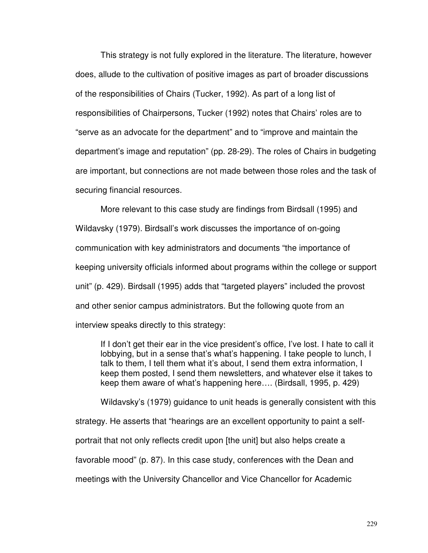This strategy is not fully explored in the literature. The literature, however does, allude to the cultivation of positive images as part of broader discussions of the responsibilities of Chairs (Tucker, 1992). As part of a long list of responsibilities of Chairpersons, Tucker (1992) notes that Chairs' roles are to "serve as an advocate for the department" and to "improve and maintain the department's image and reputation" (pp. 28-29). The roles of Chairs in budgeting are important, but connections are not made between those roles and the task of securing financial resources.

More relevant to this case study are findings from Birdsall (1995) and Wildavsky (1979). Birdsall's work discusses the importance of on-going communication with key administrators and documents "the importance of keeping university officials informed about programs within the college or support unit" (p. 429). Birdsall (1995) adds that "targeted players" included the provost and other senior campus administrators. But the following quote from an interview speaks directly to this strategy:

If I don't get their ear in the vice president's office, I've lost. I hate to call it lobbying, but in a sense that's what's happening. I take people to lunch, I talk to them, I tell them what it's about, I send them extra information, I keep them posted, I send them newsletters, and whatever else it takes to keep them aware of what's happening here…. (Birdsall, 1995, p. 429)

Wildavsky's (1979) guidance to unit heads is generally consistent with this strategy. He asserts that "hearings are an excellent opportunity to paint a selfportrait that not only reflects credit upon [the unit] but also helps create a favorable mood" (p. 87). In this case study, conferences with the Dean and meetings with the University Chancellor and Vice Chancellor for Academic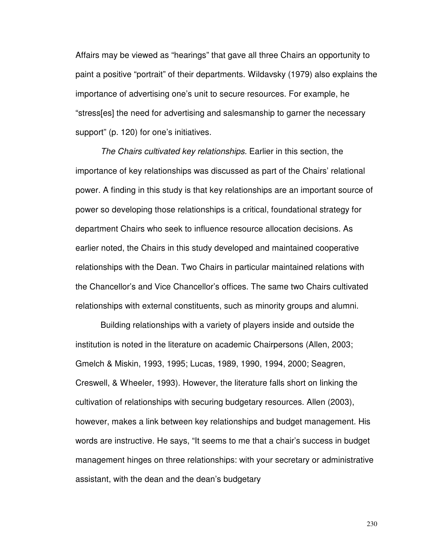Affairs may be viewed as "hearings" that gave all three Chairs an opportunity to paint a positive "portrait" of their departments. Wildavsky (1979) also explains the importance of advertising one's unit to secure resources. For example, he "stress[es] the need for advertising and salesmanship to garner the necessary support" (p. 120) for one's initiatives.

The Chairs cultivated key relationships. Earlier in this section, the importance of key relationships was discussed as part of the Chairs' relational power. A finding in this study is that key relationships are an important source of power so developing those relationships is a critical, foundational strategy for department Chairs who seek to influence resource allocation decisions. As earlier noted, the Chairs in this study developed and maintained cooperative relationships with the Dean. Two Chairs in particular maintained relations with the Chancellor's and Vice Chancellor's offices. The same two Chairs cultivated relationships with external constituents, such as minority groups and alumni.

Building relationships with a variety of players inside and outside the institution is noted in the literature on academic Chairpersons (Allen, 2003; Gmelch & Miskin, 1993, 1995; Lucas, 1989, 1990, 1994, 2000; Seagren, Creswell, & Wheeler, 1993). However, the literature falls short on linking the cultivation of relationships with securing budgetary resources. Allen (2003), however, makes a link between key relationships and budget management. His words are instructive. He says, "It seems to me that a chair's success in budget management hinges on three relationships: with your secretary or administrative assistant, with the dean and the dean's budgetary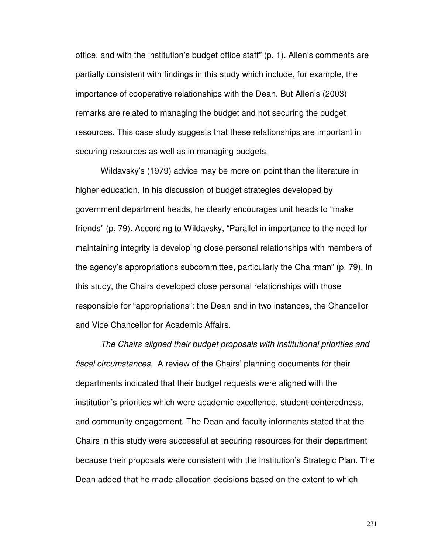office, and with the institution's budget office staff" (p. 1). Allen's comments are partially consistent with findings in this study which include, for example, the importance of cooperative relationships with the Dean. But Allen's (2003) remarks are related to managing the budget and not securing the budget resources. This case study suggests that these relationships are important in securing resources as well as in managing budgets.

Wildavsky's (1979) advice may be more on point than the literature in higher education. In his discussion of budget strategies developed by government department heads, he clearly encourages unit heads to "make friends" (p. 79). According to Wildavsky, "Parallel in importance to the need for maintaining integrity is developing close personal relationships with members of the agency's appropriations subcommittee, particularly the Chairman" (p. 79). In this study, the Chairs developed close personal relationships with those responsible for "appropriations": the Dean and in two instances, the Chancellor and Vice Chancellor for Academic Affairs.

The Chairs aligned their budget proposals with institutional priorities and fiscal circumstances. A review of the Chairs' planning documents for their departments indicated that their budget requests were aligned with the institution's priorities which were academic excellence, student-centeredness, and community engagement. The Dean and faculty informants stated that the Chairs in this study were successful at securing resources for their department because their proposals were consistent with the institution's Strategic Plan. The Dean added that he made allocation decisions based on the extent to which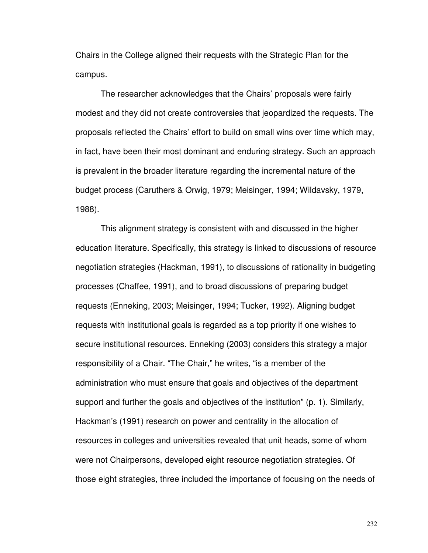Chairs in the College aligned their requests with the Strategic Plan for the campus.

The researcher acknowledges that the Chairs' proposals were fairly modest and they did not create controversies that jeopardized the requests. The proposals reflected the Chairs' effort to build on small wins over time which may, in fact, have been their most dominant and enduring strategy. Such an approach is prevalent in the broader literature regarding the incremental nature of the budget process (Caruthers & Orwig, 1979; Meisinger, 1994; Wildavsky, 1979, 1988).

This alignment strategy is consistent with and discussed in the higher education literature. Specifically, this strategy is linked to discussions of resource negotiation strategies (Hackman, 1991), to discussions of rationality in budgeting processes (Chaffee, 1991), and to broad discussions of preparing budget requests (Enneking, 2003; Meisinger, 1994; Tucker, 1992). Aligning budget requests with institutional goals is regarded as a top priority if one wishes to secure institutional resources. Enneking (2003) considers this strategy a major responsibility of a Chair. "The Chair," he writes, "is a member of the administration who must ensure that goals and objectives of the department support and further the goals and objectives of the institution" (p. 1). Similarly, Hackman's (1991) research on power and centrality in the allocation of resources in colleges and universities revealed that unit heads, some of whom were not Chairpersons, developed eight resource negotiation strategies. Of those eight strategies, three included the importance of focusing on the needs of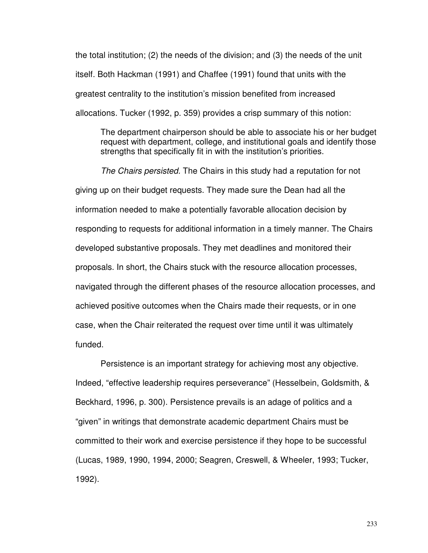the total institution; (2) the needs of the division; and (3) the needs of the unit itself. Both Hackman (1991) and Chaffee (1991) found that units with the greatest centrality to the institution's mission benefited from increased allocations. Tucker (1992, p. 359) provides a crisp summary of this notion:

The department chairperson should be able to associate his or her budget request with department, college, and institutional goals and identify those strengths that specifically fit in with the institution's priorities.

The Chairs persisted. The Chairs in this study had a reputation for not giving up on their budget requests. They made sure the Dean had all the information needed to make a potentially favorable allocation decision by responding to requests for additional information in a timely manner. The Chairs developed substantive proposals. They met deadlines and monitored their proposals. In short, the Chairs stuck with the resource allocation processes, navigated through the different phases of the resource allocation processes, and achieved positive outcomes when the Chairs made their requests, or in one case, when the Chair reiterated the request over time until it was ultimately funded.

Persistence is an important strategy for achieving most any objective. Indeed, "effective leadership requires perseverance" (Hesselbein, Goldsmith, & Beckhard, 1996, p. 300). Persistence prevails is an adage of politics and a "given" in writings that demonstrate academic department Chairs must be committed to their work and exercise persistence if they hope to be successful (Lucas, 1989, 1990, 1994, 2000; Seagren, Creswell, & Wheeler, 1993; Tucker, 1992).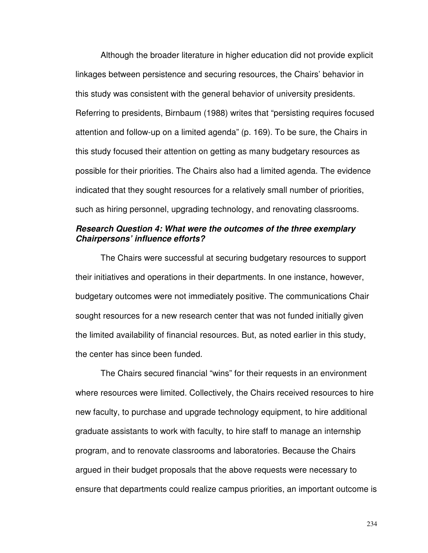Although the broader literature in higher education did not provide explicit linkages between persistence and securing resources, the Chairs' behavior in this study was consistent with the general behavior of university presidents. Referring to presidents, Birnbaum (1988) writes that "persisting requires focused attention and follow-up on a limited agenda" (p. 169). To be sure, the Chairs in this study focused their attention on getting as many budgetary resources as possible for their priorities. The Chairs also had a limited agenda. The evidence indicated that they sought resources for a relatively small number of priorities, such as hiring personnel, upgrading technology, and renovating classrooms.

#### **Research Question 4: What were the outcomes of the three exemplary Chairpersons' influence efforts?**

 The Chairs were successful at securing budgetary resources to support their initiatives and operations in their departments. In one instance, however, budgetary outcomes were not immediately positive. The communications Chair sought resources for a new research center that was not funded initially given the limited availability of financial resources. But, as noted earlier in this study, the center has since been funded.

The Chairs secured financial "wins" for their requests in an environment where resources were limited. Collectively, the Chairs received resources to hire new faculty, to purchase and upgrade technology equipment, to hire additional graduate assistants to work with faculty, to hire staff to manage an internship program, and to renovate classrooms and laboratories. Because the Chairs argued in their budget proposals that the above requests were necessary to ensure that departments could realize campus priorities, an important outcome is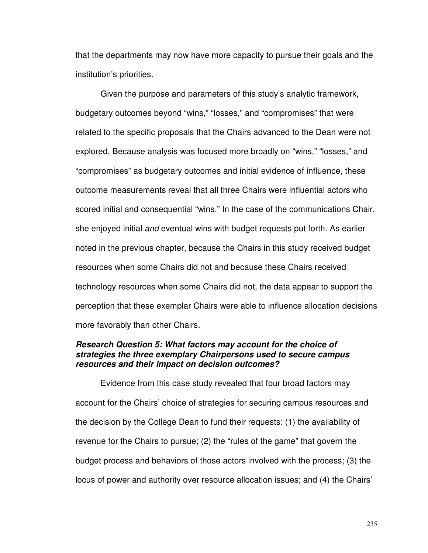that the departments may now have more capacity to pursue their goals and the institution's priorities.

Given the purpose and parameters of this study's analytic framework, budgetary outcomes beyond "wins," "losses," and "compromises" that were related to the specific proposals that the Chairs advanced to the Dean were not explored. Because analysis was focused more broadly on "wins," "losses," and "compromises" as budgetary outcomes and initial evidence of influence, these outcome measurements reveal that all three Chairs were influential actors who scored initial and consequential "wins." In the case of the communications Chair, she enjoyed initial and eventual wins with budget requests put forth. As earlier noted in the previous chapter, because the Chairs in this study received budget resources when some Chairs did not and because these Chairs received technology resources when some Chairs did not, the data appear to support the perception that these exemplar Chairs were able to influence allocation decisions more favorably than other Chairs.

#### **Research Question 5: What factors may account for the choice of strategies the three exemplary Chairpersons used to secure campus resources and their impact on decision outcomes?**

 Evidence from this case study revealed that four broad factors may account for the Chairs' choice of strategies for securing campus resources and the decision by the College Dean to fund their requests: (1) the availability of revenue for the Chairs to pursue; (2) the "rules of the game" that govern the budget process and behaviors of those actors involved with the process; (3) the locus of power and authority over resource allocation issues; and (4) the Chairs'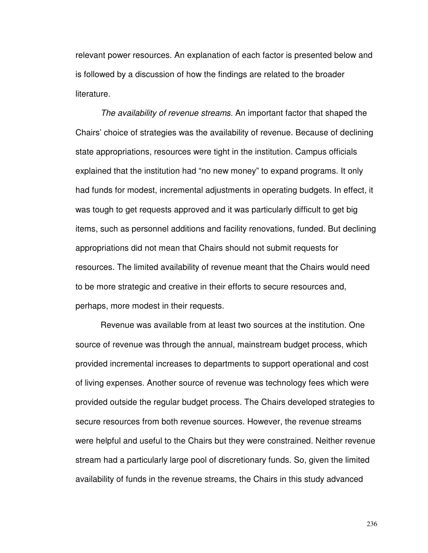relevant power resources. An explanation of each factor is presented below and is followed by a discussion of how the findings are related to the broader literature.

The availability of revenue streams. An important factor that shaped the Chairs' choice of strategies was the availability of revenue. Because of declining state appropriations, resources were tight in the institution. Campus officials explained that the institution had "no new money" to expand programs. It only had funds for modest, incremental adjustments in operating budgets. In effect, it was tough to get requests approved and it was particularly difficult to get big items, such as personnel additions and facility renovations, funded. But declining appropriations did not mean that Chairs should not submit requests for resources. The limited availability of revenue meant that the Chairs would need to be more strategic and creative in their efforts to secure resources and, perhaps, more modest in their requests.

Revenue was available from at least two sources at the institution. One source of revenue was through the annual, mainstream budget process, which provided incremental increases to departments to support operational and cost of living expenses. Another source of revenue was technology fees which were provided outside the regular budget process. The Chairs developed strategies to secure resources from both revenue sources. However, the revenue streams were helpful and useful to the Chairs but they were constrained. Neither revenue stream had a particularly large pool of discretionary funds. So, given the limited availability of funds in the revenue streams, the Chairs in this study advanced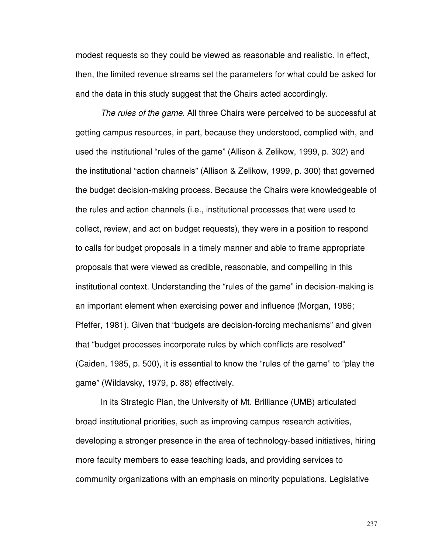modest requests so they could be viewed as reasonable and realistic. In effect, then, the limited revenue streams set the parameters for what could be asked for and the data in this study suggest that the Chairs acted accordingly.

The rules of the game. All three Chairs were perceived to be successful at getting campus resources, in part, because they understood, complied with, and used the institutional "rules of the game" (Allison & Zelikow, 1999, p. 302) and the institutional "action channels" (Allison & Zelikow, 1999, p. 300) that governed the budget decision-making process. Because the Chairs were knowledgeable of the rules and action channels (i.e., institutional processes that were used to collect, review, and act on budget requests), they were in a position to respond to calls for budget proposals in a timely manner and able to frame appropriate proposals that were viewed as credible, reasonable, and compelling in this institutional context. Understanding the "rules of the game" in decision-making is an important element when exercising power and influence (Morgan, 1986; Pfeffer, 1981). Given that "budgets are decision-forcing mechanisms" and given that "budget processes incorporate rules by which conflicts are resolved" (Caiden, 1985, p. 500), it is essential to know the "rules of the game" to "play the game" (Wildavsky, 1979, p. 88) effectively.

In its Strategic Plan, the University of Mt. Brilliance (UMB) articulated broad institutional priorities, such as improving campus research activities, developing a stronger presence in the area of technology-based initiatives, hiring more faculty members to ease teaching loads, and providing services to community organizations with an emphasis on minority populations. Legislative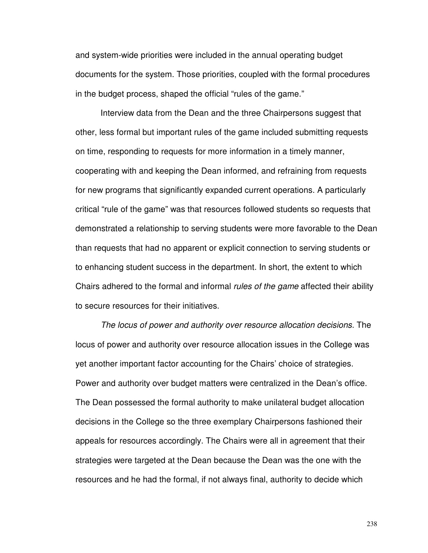and system-wide priorities were included in the annual operating budget documents for the system. Those priorities, coupled with the formal procedures in the budget process, shaped the official "rules of the game."

Interview data from the Dean and the three Chairpersons suggest that other, less formal but important rules of the game included submitting requests on time, responding to requests for more information in a timely manner, cooperating with and keeping the Dean informed, and refraining from requests for new programs that significantly expanded current operations. A particularly critical "rule of the game" was that resources followed students so requests that demonstrated a relationship to serving students were more favorable to the Dean than requests that had no apparent or explicit connection to serving students or to enhancing student success in the department. In short, the extent to which Chairs adhered to the formal and informal rules of the game affected their ability to secure resources for their initiatives.

The locus of power and authority over resource allocation decisions. The locus of power and authority over resource allocation issues in the College was yet another important factor accounting for the Chairs' choice of strategies. Power and authority over budget matters were centralized in the Dean's office. The Dean possessed the formal authority to make unilateral budget allocation decisions in the College so the three exemplary Chairpersons fashioned their appeals for resources accordingly. The Chairs were all in agreement that their strategies were targeted at the Dean because the Dean was the one with the resources and he had the formal, if not always final, authority to decide which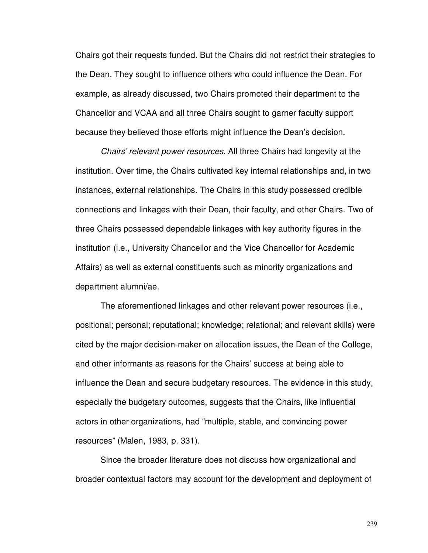Chairs got their requests funded. But the Chairs did not restrict their strategies to the Dean. They sought to influence others who could influence the Dean. For example, as already discussed, two Chairs promoted their department to the Chancellor and VCAA and all three Chairs sought to garner faculty support because they believed those efforts might influence the Dean's decision.

Chairs' relevant power resources. All three Chairs had longevity at the institution. Over time, the Chairs cultivated key internal relationships and, in two instances, external relationships. The Chairs in this study possessed credible connections and linkages with their Dean, their faculty, and other Chairs. Two of three Chairs possessed dependable linkages with key authority figures in the institution (i.e., University Chancellor and the Vice Chancellor for Academic Affairs) as well as external constituents such as minority organizations and department alumni/ae.

The aforementioned linkages and other relevant power resources (i.e., positional; personal; reputational; knowledge; relational; and relevant skills) were cited by the major decision-maker on allocation issues, the Dean of the College, and other informants as reasons for the Chairs' success at being able to influence the Dean and secure budgetary resources. The evidence in this study, especially the budgetary outcomes, suggests that the Chairs, like influential actors in other organizations, had "multiple, stable, and convincing power resources" (Malen, 1983, p. 331).

Since the broader literature does not discuss how organizational and broader contextual factors may account for the development and deployment of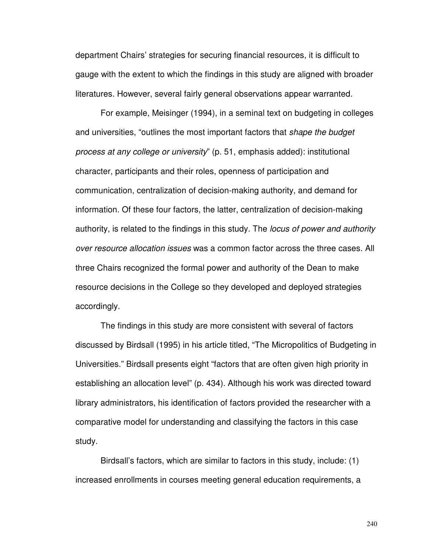department Chairs' strategies for securing financial resources, it is difficult to gauge with the extent to which the findings in this study are aligned with broader literatures. However, several fairly general observations appear warranted.

For example, Meisinger (1994), in a seminal text on budgeting in colleges and universities, "outlines the most important factors that *shape the budget* process at any college or university" (p. 51, emphasis added): institutional character, participants and their roles, openness of participation and communication, centralization of decision-making authority, and demand for information. Of these four factors, the latter, centralization of decision-making authority, is related to the findings in this study. The *locus of power and authority* over resource allocation issues was a common factor across the three cases. All three Chairs recognized the formal power and authority of the Dean to make resource decisions in the College so they developed and deployed strategies accordingly.

The findings in this study are more consistent with several of factors discussed by Birdsall (1995) in his article titled, "The Micropolitics of Budgeting in Universities." Birdsall presents eight "factors that are often given high priority in establishing an allocation level" (p. 434). Although his work was directed toward library administrators, his identification of factors provided the researcher with a comparative model for understanding and classifying the factors in this case study.

Birdsall's factors, which are similar to factors in this study, include: (1) increased enrollments in courses meeting general education requirements, a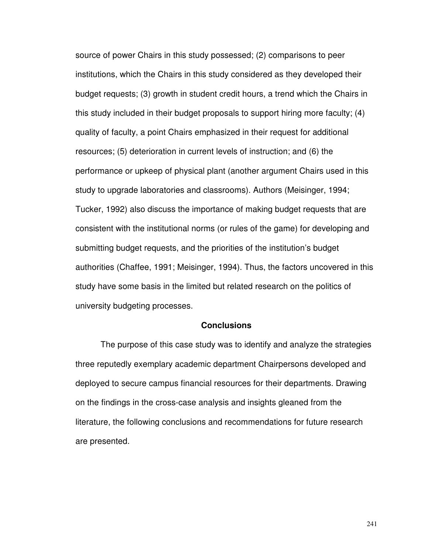source of power Chairs in this study possessed; (2) comparisons to peer institutions, which the Chairs in this study considered as they developed their budget requests; (3) growth in student credit hours, a trend which the Chairs in this study included in their budget proposals to support hiring more faculty; (4) quality of faculty, a point Chairs emphasized in their request for additional resources; (5) deterioration in current levels of instruction; and (6) the performance or upkeep of physical plant (another argument Chairs used in this study to upgrade laboratories and classrooms). Authors (Meisinger, 1994; Tucker, 1992) also discuss the importance of making budget requests that are consistent with the institutional norms (or rules of the game) for developing and submitting budget requests, and the priorities of the institution's budget authorities (Chaffee, 1991; Meisinger, 1994). Thus, the factors uncovered in this study have some basis in the limited but related research on the politics of university budgeting processes.

#### **Conclusions**

The purpose of this case study was to identify and analyze the strategies three reputedly exemplary academic department Chairpersons developed and deployed to secure campus financial resources for their departments. Drawing on the findings in the cross-case analysis and insights gleaned from the literature, the following conclusions and recommendations for future research are presented.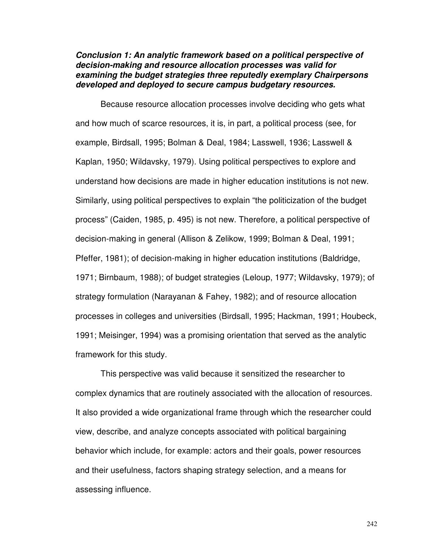## **Conclusion 1: An analytic framework based on a political perspective of decision-making and resource allocation processes was valid for examining the budget strategies three reputedly exemplary Chairpersons developed and deployed to secure campus budgetary resources.**

Because resource allocation processes involve deciding who gets what and how much of scarce resources, it is, in part, a political process (see, for example, Birdsall, 1995; Bolman & Deal, 1984; Lasswell, 1936; Lasswell & Kaplan, 1950; Wildavsky, 1979). Using political perspectives to explore and understand how decisions are made in higher education institutions is not new. Similarly, using political perspectives to explain "the politicization of the budget process" (Caiden, 1985, p. 495) is not new. Therefore, a political perspective of decision-making in general (Allison & Zelikow, 1999; Bolman & Deal, 1991; Pfeffer, 1981); of decision-making in higher education institutions (Baldridge, 1971; Birnbaum, 1988); of budget strategies (Leloup, 1977; Wildavsky, 1979); of strategy formulation (Narayanan & Fahey, 1982); and of resource allocation processes in colleges and universities (Birdsall, 1995; Hackman, 1991; Houbeck, 1991; Meisinger, 1994) was a promising orientation that served as the analytic framework for this study.

This perspective was valid because it sensitized the researcher to complex dynamics that are routinely associated with the allocation of resources. It also provided a wide organizational frame through which the researcher could view, describe, and analyze concepts associated with political bargaining behavior which include, for example: actors and their goals, power resources and their usefulness, factors shaping strategy selection, and a means for assessing influence.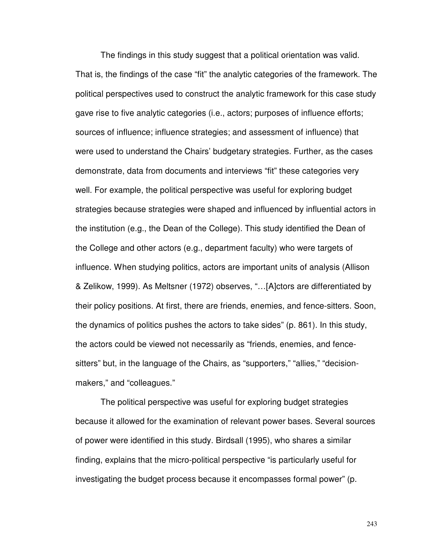The findings in this study suggest that a political orientation was valid. That is, the findings of the case "fit" the analytic categories of the framework. The political perspectives used to construct the analytic framework for this case study gave rise to five analytic categories (i.e., actors; purposes of influence efforts; sources of influence; influence strategies; and assessment of influence) that were used to understand the Chairs' budgetary strategies. Further, as the cases demonstrate, data from documents and interviews "fit" these categories very well. For example, the political perspective was useful for exploring budget strategies because strategies were shaped and influenced by influential actors in the institution (e.g., the Dean of the College). This study identified the Dean of the College and other actors (e.g., department faculty) who were targets of influence. When studying politics, actors are important units of analysis (Allison & Zelikow, 1999). As Meltsner (1972) observes, "…[A]ctors are differentiated by their policy positions. At first, there are friends, enemies, and fence-sitters. Soon, the dynamics of politics pushes the actors to take sides" (p. 861). In this study, the actors could be viewed not necessarily as "friends, enemies, and fencesitters" but, in the language of the Chairs, as "supporters," "allies," "decisionmakers," and "colleagues."

The political perspective was useful for exploring budget strategies because it allowed for the examination of relevant power bases. Several sources of power were identified in this study. Birdsall (1995), who shares a similar finding, explains that the micro-political perspective "is particularly useful for investigating the budget process because it encompasses formal power" (p.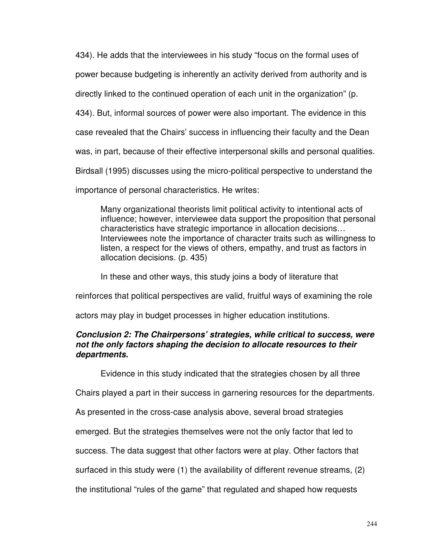434). He adds that the interviewees in his study "focus on the formal uses of

power because budgeting is inherently an activity derived from authority and is

directly linked to the continued operation of each unit in the organization" (p.

434). But, informal sources of power were also important. The evidence in this

case revealed that the Chairs' success in influencing their faculty and the Dean

was, in part, because of their effective interpersonal skills and personal qualities.

Birdsall (1995) discusses using the micro-political perspective to understand the

importance of personal characteristics. He writes:

Many organizational theorists limit political activity to intentional acts of influence; however, interviewee data support the proposition that personal characteristics have strategic importance in allocation decisions… Interviewees note the importance of character traits such as willingness to listen, a respect for the views of others, empathy, and trust as factors in allocation decisions. (p. 435)

In these and other ways, this study joins a body of literature that

reinforces that political perspectives are valid, fruitful ways of examining the role

actors may play in budget processes in higher education institutions.

## **Conclusion 2: The Chairpersons' strategies, while critical to success, were not the only factors shaping the decision to allocate resources to their departments.**

Evidence in this study indicated that the strategies chosen by all three

Chairs played a part in their success in garnering resources for the departments.

As presented in the cross-case analysis above, several broad strategies

emerged. But the strategies themselves were not the only factor that led to

success. The data suggest that other factors were at play. Other factors that

surfaced in this study were (1) the availability of different revenue streams, (2)

the institutional "rules of the game" that regulated and shaped how requests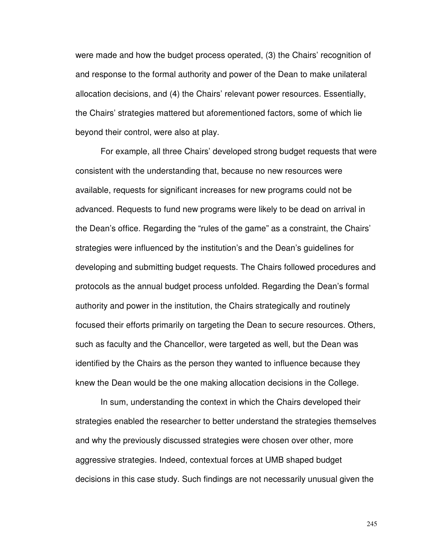were made and how the budget process operated, (3) the Chairs' recognition of and response to the formal authority and power of the Dean to make unilateral allocation decisions, and (4) the Chairs' relevant power resources. Essentially, the Chairs' strategies mattered but aforementioned factors, some of which lie beyond their control, were also at play.

For example, all three Chairs' developed strong budget requests that were consistent with the understanding that, because no new resources were available, requests for significant increases for new programs could not be advanced. Requests to fund new programs were likely to be dead on arrival in the Dean's office. Regarding the "rules of the game" as a constraint, the Chairs' strategies were influenced by the institution's and the Dean's guidelines for developing and submitting budget requests. The Chairs followed procedures and protocols as the annual budget process unfolded. Regarding the Dean's formal authority and power in the institution, the Chairs strategically and routinely focused their efforts primarily on targeting the Dean to secure resources. Others, such as faculty and the Chancellor, were targeted as well, but the Dean was identified by the Chairs as the person they wanted to influence because they knew the Dean would be the one making allocation decisions in the College.

In sum, understanding the context in which the Chairs developed their strategies enabled the researcher to better understand the strategies themselves and why the previously discussed strategies were chosen over other, more aggressive strategies. Indeed, contextual forces at UMB shaped budget decisions in this case study. Such findings are not necessarily unusual given the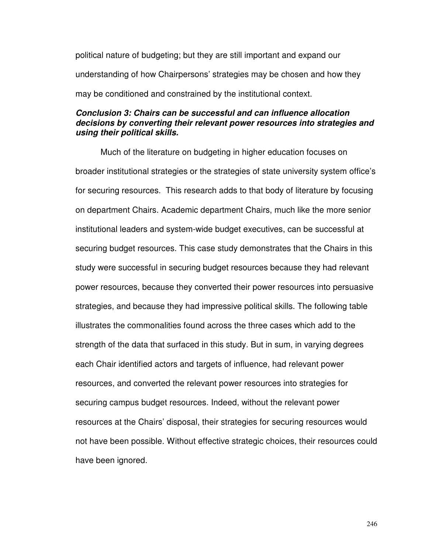political nature of budgeting; but they are still important and expand our understanding of how Chairpersons' strategies may be chosen and how they may be conditioned and constrained by the institutional context.

## **Conclusion 3: Chairs can be successful and can influence allocation decisions by converting their relevant power resources into strategies and using their political skills.**

Much of the literature on budgeting in higher education focuses on broader institutional strategies or the strategies of state university system office's for securing resources. This research adds to that body of literature by focusing on department Chairs. Academic department Chairs, much like the more senior institutional leaders and system-wide budget executives, can be successful at securing budget resources. This case study demonstrates that the Chairs in this study were successful in securing budget resources because they had relevant power resources, because they converted their power resources into persuasive strategies, and because they had impressive political skills. The following table illustrates the commonalities found across the three cases which add to the strength of the data that surfaced in this study. But in sum, in varying degrees each Chair identified actors and targets of influence, had relevant power resources, and converted the relevant power resources into strategies for securing campus budget resources. Indeed, without the relevant power resources at the Chairs' disposal, their strategies for securing resources would not have been possible. Without effective strategic choices, their resources could have been ignored.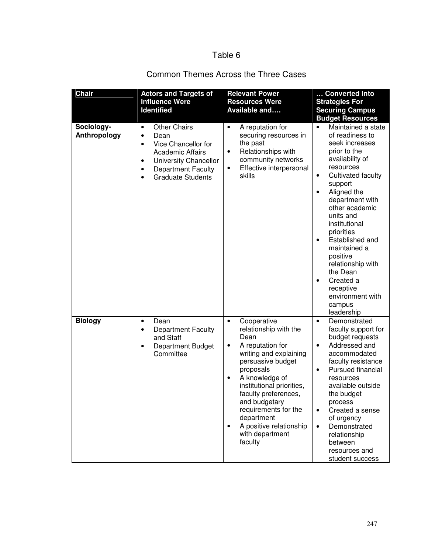# Table 6

# Common Themes Across the Three Cases

| <b>Chair</b>               | <b>Actors and Targets of</b><br><b>Influence Were</b><br><b>Identified</b>                                                                                                                                                                   | <b>Relevant Power</b><br><b>Resources Were</b><br>Available and                                                                                                                                                                                                                                                                                         | Converted Into<br><b>Strategies For</b><br><b>Securing Campus</b><br><b>Budget Resources</b>                                                                                                                                                                                                                                                                                                                                                       |
|----------------------------|----------------------------------------------------------------------------------------------------------------------------------------------------------------------------------------------------------------------------------------------|---------------------------------------------------------------------------------------------------------------------------------------------------------------------------------------------------------------------------------------------------------------------------------------------------------------------------------------------------------|----------------------------------------------------------------------------------------------------------------------------------------------------------------------------------------------------------------------------------------------------------------------------------------------------------------------------------------------------------------------------------------------------------------------------------------------------|
| Sociology-<br>Anthropology | <b>Other Chairs</b><br>$\bullet$<br>Dean<br>$\bullet$<br>Vice Chancellor for<br>$\bullet$<br><b>Academic Affairs</b><br><b>University Chancellor</b><br>٠<br><b>Department Faculty</b><br>$\bullet$<br><b>Graduate Students</b><br>$\bullet$ | A reputation for<br>$\bullet$<br>securing resources in<br>the past<br>Relationships with<br>٠<br>community networks<br>Effective interpersonal<br>٠<br>skills                                                                                                                                                                                           | Maintained a state<br>$\bullet$<br>of readiness to<br>seek increases<br>prior to the<br>availability of<br>resources<br>Cultivated faculty<br>$\bullet$<br>support<br>Aligned the<br>$\bullet$<br>department with<br>other academic<br>units and<br>institutional<br>priorities<br>Established and<br>maintained a<br>positive<br>relationship with<br>the Dean<br>Created a<br>$\bullet$<br>receptive<br>environment with<br>campus<br>leadership |
| <b>Biology</b>             | Dean<br>$\bullet$<br><b>Department Faculty</b><br>$\bullet$<br>and Staff<br>Department Budget<br>$\bullet$<br>Committee                                                                                                                      | Cooperative<br>$\bullet$<br>relationship with the<br>Dean<br>A reputation for<br>٠<br>writing and explaining<br>persuasive budget<br>proposals<br>A knowledge of<br>٠<br>institutional priorities,<br>faculty preferences,<br>and budgetary<br>requirements for the<br>department<br>A positive relationship<br>$\bullet$<br>with department<br>faculty | Demonstrated<br>$\bullet$<br>faculty support for<br>budget requests<br>Addressed and<br>$\bullet$<br>accommodated<br>faculty resistance<br>Pursued financial<br>$\bullet$<br>resources<br>available outside<br>the budget<br>process<br>Created a sense<br>$\bullet$<br>of urgency<br>Demonstrated<br>$\bullet$<br>relationship<br>between<br>resources and<br>student success                                                                     |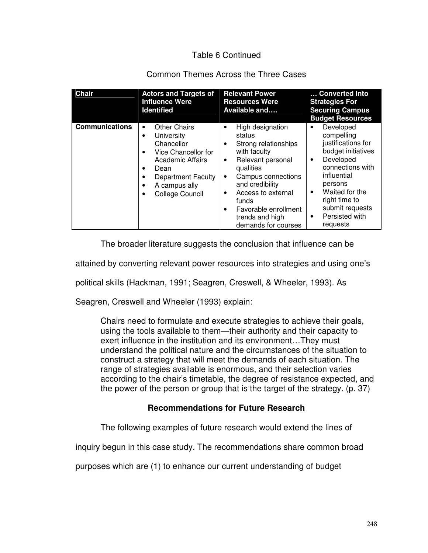# Table 6 Continued

# Common Themes Across the Three Cases

| <b>Chair</b>          | <b>Actors and Targets of</b><br><b>Influence Were</b><br><b>Identified</b>                                                                                                                                                                       | <b>Relevant Power</b><br><b>Resources Were</b><br>Available and                                                                                                                                                                                                              | Converted Into<br><b>Strategies For</b><br><b>Securing Campus</b><br><b>Budget Resources</b>                                                                                                                                                      |
|-----------------------|--------------------------------------------------------------------------------------------------------------------------------------------------------------------------------------------------------------------------------------------------|------------------------------------------------------------------------------------------------------------------------------------------------------------------------------------------------------------------------------------------------------------------------------|---------------------------------------------------------------------------------------------------------------------------------------------------------------------------------------------------------------------------------------------------|
| <b>Communications</b> | <b>Other Chairs</b><br>٠<br>University<br>$\bullet$<br>Chancellor<br>Vice Chancellor for<br>$\bullet$<br><b>Academic Affairs</b><br>Dean<br><b>Department Faculty</b><br>$\bullet$<br>A campus ally<br>$\bullet$<br>College Council<br>$\bullet$ | High designation<br>٠<br>status<br>Strong relationships<br>٠<br>with faculty<br>Relevant personal<br>٠<br>qualities<br>Campus connections<br>٠<br>and credibility<br>Access to external<br>٠<br>funds<br>Favorable enrollment<br>٠<br>trends and high<br>demands for courses | Developed<br>compelling<br>justifications for<br>budget initiatives<br>Developed<br>$\bullet$<br>connections with<br>influential<br>persons<br>Waited for the<br>$\bullet$<br>right time to<br>submit requests<br>Persisted with<br>٠<br>requests |

The broader literature suggests the conclusion that influence can be

attained by converting relevant power resources into strategies and using one's

political skills (Hackman, 1991; Seagren, Creswell, & Wheeler, 1993). As

Seagren, Creswell and Wheeler (1993) explain:

Chairs need to formulate and execute strategies to achieve their goals, using the tools available to them—their authority and their capacity to exert influence in the institution and its environment…They must understand the political nature and the circumstances of the situation to construct a strategy that will meet the demands of each situation. The range of strategies available is enormous, and their selection varies according to the chair's timetable, the degree of resistance expected, and the power of the person or group that is the target of the strategy. (p. 37)

## **Recommendations for Future Research**

The following examples of future research would extend the lines of

inquiry begun in this case study. The recommendations share common broad

purposes which are (1) to enhance our current understanding of budget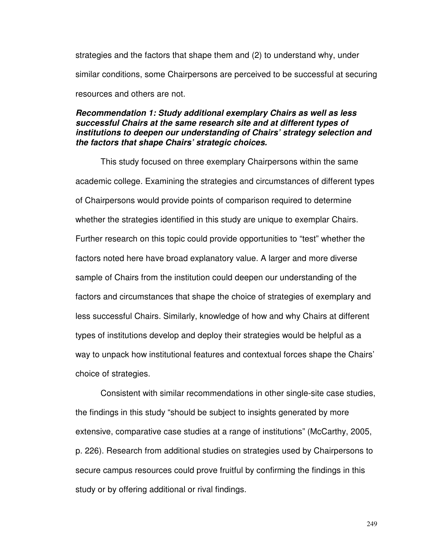strategies and the factors that shape them and (2) to understand why, under similar conditions, some Chairpersons are perceived to be successful at securing resources and others are not.

## **Recommendation 1: Study additional exemplary Chairs as well as less successful Chairs at the same research site and at different types of institutions to deepen our understanding of Chairs' strategy selection and the factors that shape Chairs' strategic choices.**

This study focused on three exemplary Chairpersons within the same academic college. Examining the strategies and circumstances of different types of Chairpersons would provide points of comparison required to determine whether the strategies identified in this study are unique to exemplar Chairs. Further research on this topic could provide opportunities to "test" whether the factors noted here have broad explanatory value. A larger and more diverse sample of Chairs from the institution could deepen our understanding of the factors and circumstances that shape the choice of strategies of exemplary and less successful Chairs. Similarly, knowledge of how and why Chairs at different types of institutions develop and deploy their strategies would be helpful as a way to unpack how institutional features and contextual forces shape the Chairs' choice of strategies.

 Consistent with similar recommendations in other single-site case studies, the findings in this study "should be subject to insights generated by more extensive, comparative case studies at a range of institutions" (McCarthy, 2005, p. 226). Research from additional studies on strategies used by Chairpersons to secure campus resources could prove fruitful by confirming the findings in this study or by offering additional or rival findings.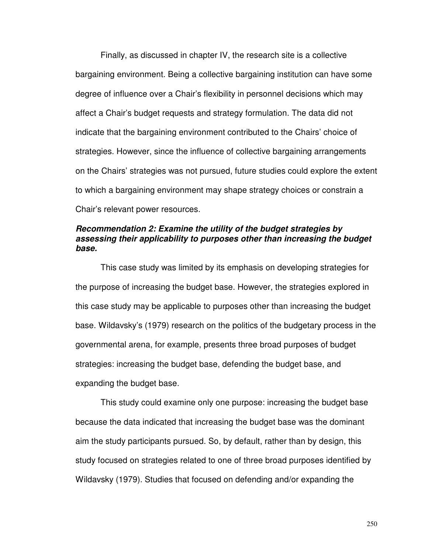Finally, as discussed in chapter IV, the research site is a collective bargaining environment. Being a collective bargaining institution can have some degree of influence over a Chair's flexibility in personnel decisions which may affect a Chair's budget requests and strategy formulation. The data did not indicate that the bargaining environment contributed to the Chairs' choice of strategies. However, since the influence of collective bargaining arrangements on the Chairs' strategies was not pursued, future studies could explore the extent to which a bargaining environment may shape strategy choices or constrain a Chair's relevant power resources.

## **Recommendation 2: Examine the utility of the budget strategies by assessing their applicability to purposes other than increasing the budget base.**

 This case study was limited by its emphasis on developing strategies for the purpose of increasing the budget base. However, the strategies explored in this case study may be applicable to purposes other than increasing the budget base. Wildavsky's (1979) research on the politics of the budgetary process in the governmental arena, for example, presents three broad purposes of budget strategies: increasing the budget base, defending the budget base, and expanding the budget base.

This study could examine only one purpose: increasing the budget base because the data indicated that increasing the budget base was the dominant aim the study participants pursued. So, by default, rather than by design, this study focused on strategies related to one of three broad purposes identified by Wildavsky (1979). Studies that focused on defending and/or expanding the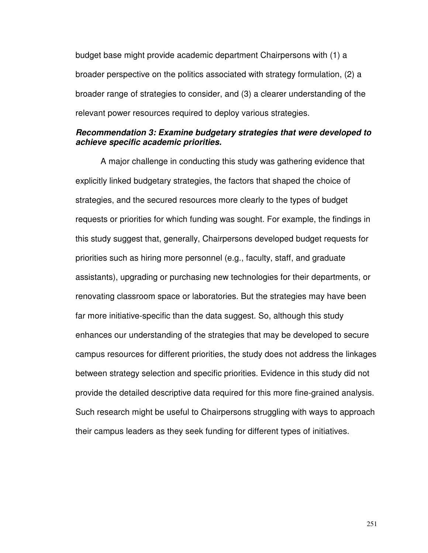budget base might provide academic department Chairpersons with (1) a broader perspective on the politics associated with strategy formulation, (2) a broader range of strategies to consider, and (3) a clearer understanding of the relevant power resources required to deploy various strategies.

## **Recommendation 3: Examine budgetary strategies that were developed to achieve specific academic priorities.**

 A major challenge in conducting this study was gathering evidence that explicitly linked budgetary strategies, the factors that shaped the choice of strategies, and the secured resources more clearly to the types of budget requests or priorities for which funding was sought. For example, the findings in this study suggest that, generally, Chairpersons developed budget requests for priorities such as hiring more personnel (e.g., faculty, staff, and graduate assistants), upgrading or purchasing new technologies for their departments, or renovating classroom space or laboratories. But the strategies may have been far more initiative-specific than the data suggest. So, although this study enhances our understanding of the strategies that may be developed to secure campus resources for different priorities, the study does not address the linkages between strategy selection and specific priorities. Evidence in this study did not provide the detailed descriptive data required for this more fine-grained analysis. Such research might be useful to Chairpersons struggling with ways to approach their campus leaders as they seek funding for different types of initiatives.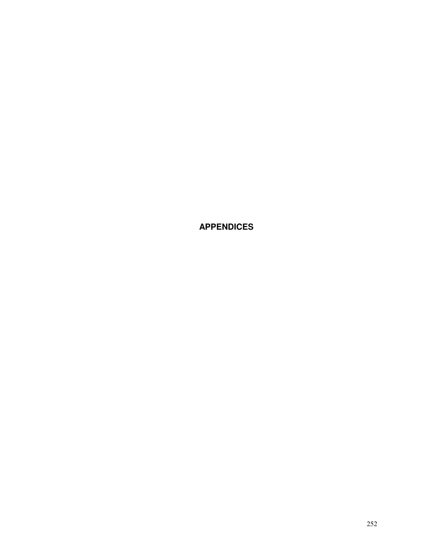**APPENDICES**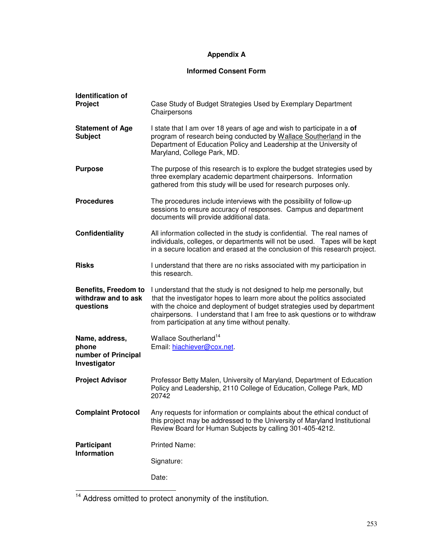# **Appendix A**

# **Informed Consent Form**

| <b>Identification of</b><br>Project                             | Case Study of Budget Strategies Used by Exemplary Department<br>Chairpersons                                                                                                                                                                                                                                                                                |
|-----------------------------------------------------------------|-------------------------------------------------------------------------------------------------------------------------------------------------------------------------------------------------------------------------------------------------------------------------------------------------------------------------------------------------------------|
| <b>Statement of Age</b><br><b>Subject</b>                       | I state that I am over 18 years of age and wish to participate in a of<br>program of research being conducted by Wallace Southerland in the<br>Department of Education Policy and Leadership at the University of<br>Maryland, College Park, MD.                                                                                                            |
| <b>Purpose</b>                                                  | The purpose of this research is to explore the budget strategies used by<br>three exemplary academic department chairpersons. Information<br>gathered from this study will be used for research purposes only.                                                                                                                                              |
| <b>Procedures</b>                                               | The procedures include interviews with the possibility of follow-up<br>sessions to ensure accuracy of responses. Campus and department<br>documents will provide additional data.                                                                                                                                                                           |
| <b>Confidentiality</b>                                          | All information collected in the study is confidential. The real names of<br>individuals, colleges, or departments will not be used.  Tapes will be kept<br>in a secure location and erased at the conclusion of this research project.                                                                                                                     |
| <b>Risks</b>                                                    | I understand that there are no risks associated with my participation in<br>this research.                                                                                                                                                                                                                                                                  |
| <b>Benefits, Freedom to</b><br>withdraw and to ask<br>questions | I understand that the study is not designed to help me personally, but<br>that the investigator hopes to learn more about the politics associated<br>with the choice and deployment of budget strategies used by department<br>chairpersons. I understand that I am free to ask questions or to withdraw<br>from participation at any time without penalty. |
| Name, address,<br>phone<br>number of Principal                  | Wallace Southerland <sup>14</sup>                                                                                                                                                                                                                                                                                                                           |
| Investigator                                                    | Email: hiachiever@cox.net                                                                                                                                                                                                                                                                                                                                   |
| <b>Project Advisor</b>                                          | Professor Betty Malen, University of Maryland, Department of Education<br>Policy and Leadership, 2110 College of Education, College Park, MD<br>20742                                                                                                                                                                                                       |
| <b>Complaint Protocol</b>                                       | Any requests for information or complaints about the ethical conduct of<br>this project may be addressed to the University of Maryland Institutional<br>Review Board for Human Subjects by calling 301-405-4212.                                                                                                                                            |
| <b>Participant</b>                                              | <b>Printed Name:</b>                                                                                                                                                                                                                                                                                                                                        |
| <b>Information</b>                                              | Signature:                                                                                                                                                                                                                                                                                                                                                  |

<sup>&</sup>lt;sup>14</sup> Address omitted to protect anonymity of the institution.

 $\overline{\phantom{0}}$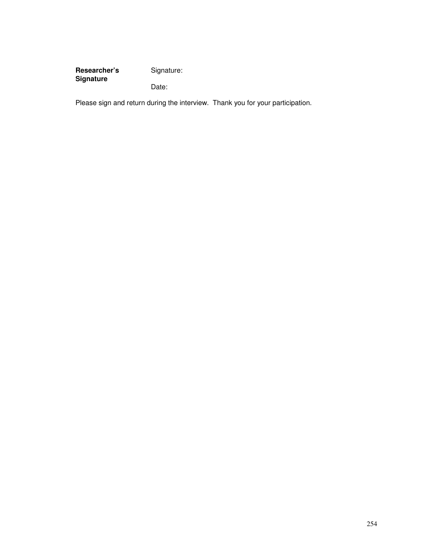Researcher's Signature: **Signature**  Date:

Please sign and return during the interview. Thank you for your participation.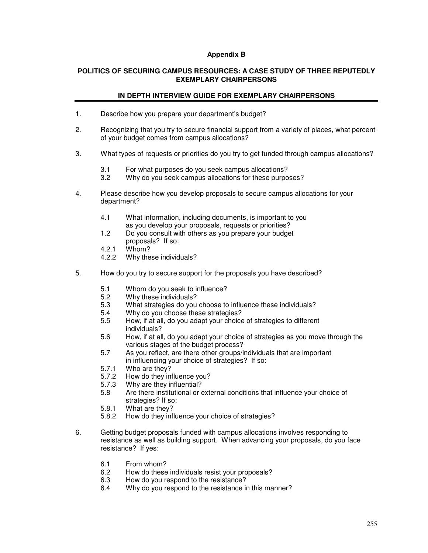#### **Appendix B**

#### **POLITICS OF SECURING CAMPUS RESOURCES: A CASE STUDY OF THREE REPUTEDLY EXEMPLARY CHAIRPERSONS**

#### **IN DEPTH INTERVIEW GUIDE FOR EXEMPLARY CHAIRPERSONS**

- 1. Describe how you prepare your department's budget?
- 2. Recognizing that you try to secure financial support from a variety of places, what percent of your budget comes from campus allocations?
- 3. What types of requests or priorities do you try to get funded through campus allocations?
	- 3.1 For what purposes do you seek campus allocations?
	- 3.2 Why do you seek campus allocations for these purposes?
- 4. Please describe how you develop proposals to secure campus allocations for your department?
	- 4.1 What information, including documents, is important to you as you develop your proposals, requests or priorities?
	- 1.2 Do you consult with others as you prepare your budget proposals? If so:
	- 4.2.1 Whom?<br>4.2.2 Why the
	- Why these individuals?
- 5. How do you try to secure support for the proposals you have described?
	- 5.1 Whom do you seek to influence?
	- 5.2 Why these individuals?
	- 5.3 What strategies do you choose to influence these individuals?<br>5.4 Why do you choose these strategies?
	- Why do you choose these strategies?
	- 5.5 How, if at all, do you adapt your choice of strategies to different individuals?
	- 5.6 How, if at all, do you adapt your choice of strategies as you move through the various stages of the budget process?
	- 5.7 As you reflect, are there other groups/individuals that are important in influencing your choice of strategies? If so:
	- 5.7.1 Who are they?
	- 5.7.2 How do they influence you?<br>5.7.3 Why are they influential?
	- Why are they influential?
	- 5.8 Are there institutional or external conditions that influence your choice of strategies? If so:
	- 5.8.1 What are they?<br>5.8.2 How do they infl
	- How do they influence your choice of strategies?
- 6. Getting budget proposals funded with campus allocations involves responding to resistance as well as building support. When advancing your proposals, do you face resistance? If yes:
	- 6.1 From whom?
	- 6.2 How do these individuals resist your proposals?<br>6.3 How do you respond to the resistance?
	- 6.3 How do you respond to the resistance?<br>6.4 Why do you respond to the resistance in
	- Why do you respond to the resistance in this manner?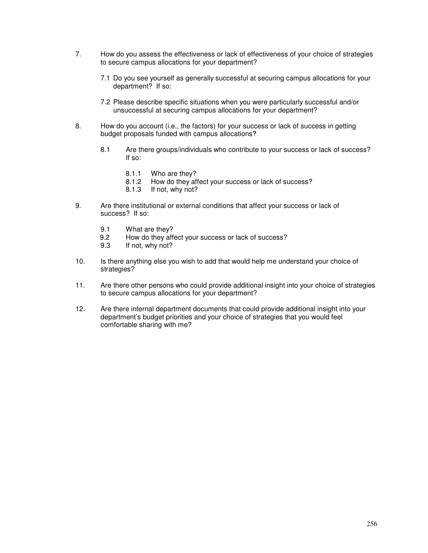- 7. How do you assess the effectiveness or lack of effectiveness of your choice of strategies to secure campus allocations for your department?
	- 7.1 Do you see yourself as generally successful at securing campus allocations for your department? If so:
	- 7.2 Please describe specific situations when you were particularly successful and/or unsuccessful at securing campus allocations for your department?
- 8. How do you account (i.e., the factors) for your success or lack of success in getting budget proposals funded with campus allocations?
	- 8.1 Are there groups/individuals who contribute to your success or lack of success? If so:
		- 8.1.1 Who are they?<br>8.1.2 How do they af
		- How do they affect your success or lack of success?
		- 8.1.3 If not, why not?
- 9. Are there institutional or external conditions that affect your success or lack of success? If so:
	- 9.1 What are they?
	- 9.2 How do they affect your success or lack of success?
	- 9.3 If not, why not?
- 10. Is there anything else you wish to add that would help me understand your choice of strategies?
- 11. Are there other persons who could provide additional insight into your choice of strategies to secure campus allocations for your department?
- 12. Are there internal department documents that could provide additional insight into your department's budget priorities and your choice of strategies that you would feel comfortable sharing with me?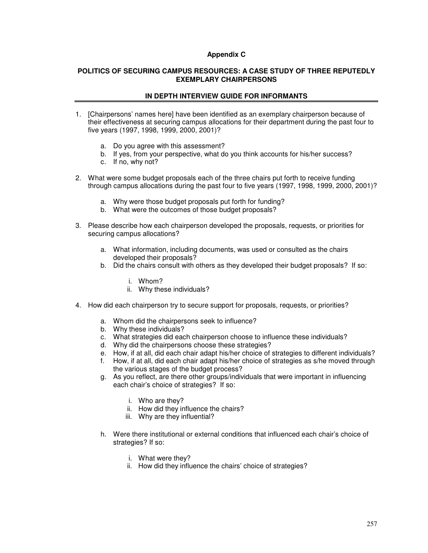#### **Appendix C**

#### **POLITICS OF SECURING CAMPUS RESOURCES: A CASE STUDY OF THREE REPUTEDLY EXEMPLARY CHAIRPERSONS**

#### **IN DEPTH INTERVIEW GUIDE FOR INFORMANTS**

- 1. [Chairpersons' names here] have been identified as an exemplary chairperson because of their effectiveness at securing campus allocations for their department during the past four to five years (1997, 1998, 1999, 2000, 2001)?
	- a. Do you agree with this assessment?
	- b. If yes, from your perspective, what do you think accounts for his/her success?
	- c. If no, why not?
- 2. What were some budget proposals each of the three chairs put forth to receive funding through campus allocations during the past four to five years (1997, 1998, 1999, 2000, 2001)?
	- a. Why were those budget proposals put forth for funding?
	- b. What were the outcomes of those budget proposals?
- 3. Please describe how each chairperson developed the proposals, requests, or priorities for securing campus allocations?
	- a. What information, including documents, was used or consulted as the chairs developed their proposals?
	- b. Did the chairs consult with others as they developed their budget proposals? If so:
		- i. Whom?
		- ii. Why these individuals?
- 4. How did each chairperson try to secure support for proposals, requests, or priorities?
	- a. Whom did the chairpersons seek to influence?
	- b. Why these individuals?
	- c. What strategies did each chairperson choose to influence these individuals?
	- d. Why did the chairpersons choose these strategies?
	- e. How, if at all, did each chair adapt his/her choice of strategies to different individuals?
	- f. How, if at all, did each chair adapt his/her choice of strategies as s/he moved through the various stages of the budget process?
	- g. As you reflect, are there other groups/individuals that were important in influencing each chair's choice of strategies? If so:
		- i. Who are they?
		- ii. How did they influence the chairs?
		- iii. Why are they influential?
	- h. Were there institutional or external conditions that influenced each chair's choice of strategies? If so:
		- i. What were they?
		- ii. How did they influence the chairs' choice of strategies?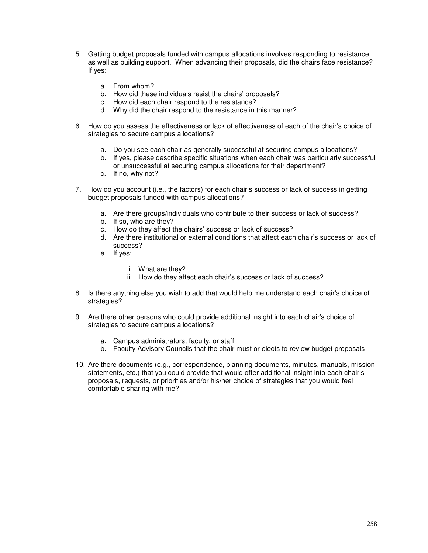- 5. Getting budget proposals funded with campus allocations involves responding to resistance as well as building support. When advancing their proposals, did the chairs face resistance? If yes:
	- a. From whom?
	- b. How did these individuals resist the chairs' proposals?
	- c. How did each chair respond to the resistance?
	- d. Why did the chair respond to the resistance in this manner?
- 6. How do you assess the effectiveness or lack of effectiveness of each of the chair's choice of strategies to secure campus allocations?
	- a. Do you see each chair as generally successful at securing campus allocations?
	- b. If yes, please describe specific situations when each chair was particularly successful or unsuccessful at securing campus allocations for their department?
	- c. If no, why not?
- 7. How do you account (i.e., the factors) for each chair's success or lack of success in getting budget proposals funded with campus allocations?
	- a. Are there groups/individuals who contribute to their success or lack of success?
	- b. If so, who are they?
	- c. How do they affect the chairs' success or lack of success?
	- d. Are there institutional or external conditions that affect each chair's success or lack of success?
	- e. If yes:
		- i. What are they?
		- ii. How do they affect each chair's success or lack of success?
- 8. Is there anything else you wish to add that would help me understand each chair's choice of strategies?
- 9. Are there other persons who could provide additional insight into each chair's choice of strategies to secure campus allocations?
	- a. Campus administrators, faculty, or staff
	- b. Faculty Advisory Councils that the chair must or elects to review budget proposals
- 10. Are there documents (e.g., correspondence, planning documents, minutes, manuals, mission statements, etc.) that you could provide that would offer additional insight into each chair's proposals, requests, or priorities and/or his/her choice of strategies that you would feel comfortable sharing with me?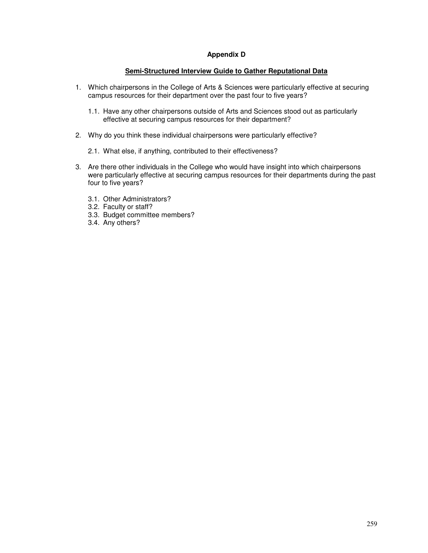#### **Appendix D**

#### **Semi-Structured Interview Guide to Gather Reputational Data**

- 1. Which chairpersons in the College of Arts & Sciences were particularly effective at securing campus resources for their department over the past four to five years?
	- 1.1. Have any other chairpersons outside of Arts and Sciences stood out as particularly effective at securing campus resources for their department?
- 2. Why do you think these individual chairpersons were particularly effective?
	- 2.1. What else, if anything, contributed to their effectiveness?
- 3. Are there other individuals in the College who would have insight into which chairpersons were particularly effective at securing campus resources for their departments during the past four to five years?
	- 3.1. Other Administrators?
	- 3.2. Faculty or staff?
	- 3.3. Budget committee members?
	- 3.4. Any others?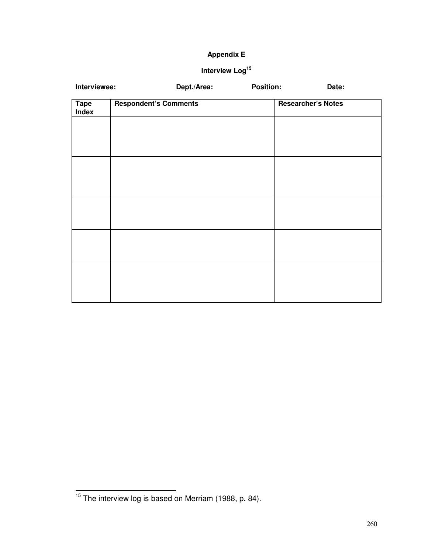# **Appendix E**

# **Interview Log<sup>15</sup>**

| Interviewee:         | Dept./Area:                  |  | <b>Position:</b> |                           | Date: |  |
|----------------------|------------------------------|--|------------------|---------------------------|-------|--|
| <b>Tape</b><br>Index | <b>Respondent's Comments</b> |  |                  | <b>Researcher's Notes</b> |       |  |
|                      |                              |  |                  |                           |       |  |
|                      |                              |  |                  |                           |       |  |
|                      |                              |  |                  |                           |       |  |
|                      |                              |  |                  |                           |       |  |
|                      |                              |  |                  |                           |       |  |
|                      |                              |  |                  |                           |       |  |
|                      |                              |  |                  |                           |       |  |
|                      |                              |  |                  |                           |       |  |
|                      |                              |  |                  |                           |       |  |
|                      |                              |  |                  |                           |       |  |
|                      |                              |  |                  |                           |       |  |

 $\overline{a}$ 

 $15$  The interview log is based on Merriam (1988, p. 84).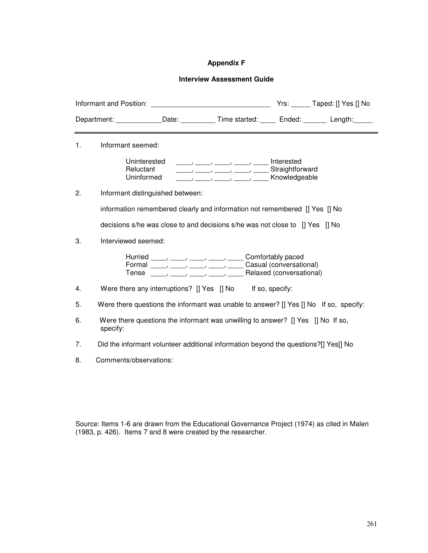## **Appendix F**

## **Interview Assessment Guide**

|                | Department: ______________Date: ____________Time started: _______ Ended: ________ Length: ______                                                                                  |  |  |
|----------------|-----------------------------------------------------------------------------------------------------------------------------------------------------------------------------------|--|--|
| 1 <sub>1</sub> | Informant seemed:                                                                                                                                                                 |  |  |
|                | Uninterested<br>Reluctant<br>Straightforward<br>Uninformed                                                                                                                        |  |  |
| 2.             | Informant distinguished between:                                                                                                                                                  |  |  |
|                | information remembered clearly and information not remembered [] Yes [] No                                                                                                        |  |  |
|                | decisions s/he was close to and decisions s/he was not close to [] Yes [] No                                                                                                      |  |  |
| 3.             | Interviewed seemed:                                                                                                                                                               |  |  |
|                | Hurried _____, _____, _____, _____, Comfortably paced<br>Formal _____, _____, _____, _____, Casual (conversational)<br>Tense _____, _____, _____, _____, Relaxed (conversational) |  |  |
| 4.             | Were there any interruptions? [] Yes [] No If so, specify:                                                                                                                        |  |  |
| 5.             | Were there questions the informant was unable to answer? [] Yes [] No If so, specify:                                                                                             |  |  |
| 6.             | Were there questions the informant was unwilling to answer? [] Yes [] No If so,<br>specify:                                                                                       |  |  |
| 7.             | Did the informant volunteer additional information beyond the questions?[] Yes[] No                                                                                               |  |  |
| 8.             | Comments/observations:                                                                                                                                                            |  |  |

Source: Items 1-6 are drawn from the Educational Governance Project (1974) as cited in Malen (1983, p. 426). Items 7 and 8 were created by the researcher.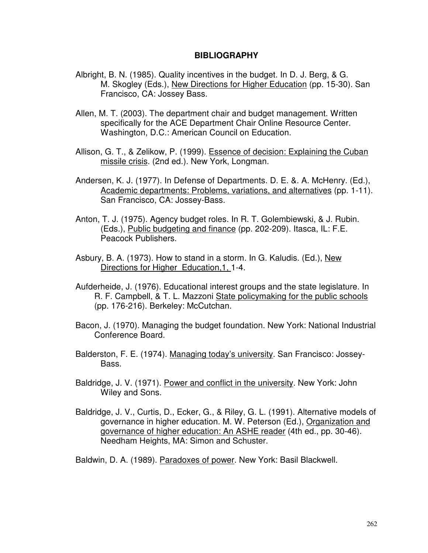## **BIBLIOGRAPHY**

- Albright, B. N. (1985). Quality incentives in the budget. In D. J. Berg, & G. M. Skogley (Eds.), New Directions for Higher Education (pp. 15-30). San Francisco, CA: Jossey Bass.
- Allen, M. T. (2003). The department chair and budget management. Written specifically for the ACE Department Chair Online Resource Center. Washington, D.C.: American Council on Education.
- Allison, G. T., & Zelikow, P. (1999). Essence of decision: Explaining the Cuban missile crisis. (2nd ed.). New York, Longman.
- Andersen, K. J. (1977). In Defense of Departments. D. E. &. A. McHenry. (Ed.), Academic departments: Problems, variations, and alternatives (pp. 1-11). San Francisco, CA: Jossey-Bass.
- Anton, T. J. (1975). Agency budget roles. In R. T. Golembiewski, & J. Rubin. (Eds.), Public budgeting and finance (pp. 202-209). Itasca, IL: F.E. Peacock Publishers.
- Asbury, B. A. (1973). How to stand in a storm. In G. Kaludis. (Ed.), New Directions for Higher Education,1, 1-4.
- Aufderheide, J. (1976). Educational interest groups and the state legislature. In R. F. Campbell, & T. L. Mazzoni State policymaking for the public schools (pp. 176-216). Berkeley: McCutchan.
- Bacon, J. (1970). Managing the budget foundation. New York: National Industrial Conference Board.
- Balderston, F. E. (1974). Managing today's university. San Francisco: Jossey-Bass.
- Baldridge, J. V. (1971). Power and conflict in the university. New York: John Wiley and Sons.
- Baldridge, J. V., Curtis, D., Ecker, G., & Riley, G. L. (1991). Alternative models of governance in higher education. M. W. Peterson (Ed.), Organization and governance of higher education: An ASHE reader (4th ed., pp. 30-46). Needham Heights, MA: Simon and Schuster.

Baldwin, D. A. (1989). Paradoxes of power. New York: Basil Blackwell.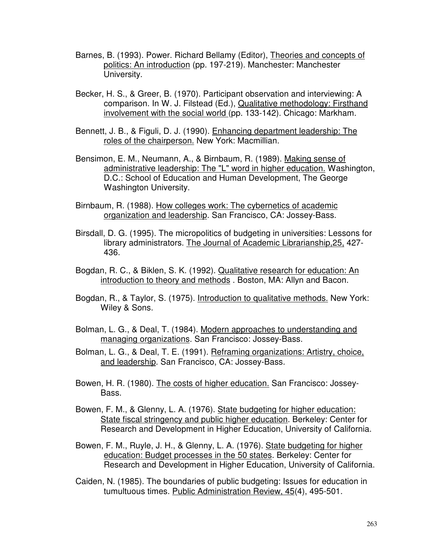- Barnes, B. (1993). Power. Richard Bellamy (Editor), Theories and concepts of politics: An introduction (pp. 197-219). Manchester: Manchester University.
- Becker, H. S., & Greer, B. (1970). Participant observation and interviewing: A comparison. In W. J. Filstead (Ed.), Qualitative methodology: Firsthand involvement with the social world (pp. 133-142). Chicago: Markham.
- Bennett, J. B., & Figuli, D. J. (1990). Enhancing department leadership: The roles of the chairperson. New York: Macmillian.
- Bensimon, E. M., Neumann, A., & Birnbaum, R. (1989). Making sense of administrative leadership: The "L" word in higher education. Washington, D.C.: School of Education and Human Development, The George Washington University.
- Birnbaum, R. (1988). How colleges work: The cybernetics of academic organization and leadership. San Francisco, CA: Jossey-Bass.
- Birsdall, D. G. (1995). The micropolitics of budgeting in universities: Lessons for library administrators. The Journal of Academic Librarianship,25, 427- 436.
- Bogdan, R. C., & Biklen, S. K. (1992). Qualitative research for education: An introduction to theory and methods . Boston, MA: Allyn and Bacon.
- Bogdan, R., & Taylor, S. (1975). Introduction to qualitative methods. New York: Wiley & Sons.
- Bolman, L. G., & Deal, T. (1984). Modern approaches to understanding and managing organizations. San Francisco: Jossey-Bass.
- Bolman, L. G., & Deal, T. E. (1991). Reframing organizations: Artistry, choice, and leadership. San Francisco, CA: Jossey-Bass.
- Bowen, H. R. (1980). The costs of higher education. San Francisco: Jossey-Bass.
- Bowen, F. M., & Glenny, L. A. (1976). State budgeting for higher education: State fiscal stringency and public higher education. Berkeley: Center for Research and Development in Higher Education, University of California.
- Bowen, F. M., Ruyle, J. H., & Glenny, L. A. (1976). State budgeting for higher education: Budget processes in the 50 states. Berkeley: Center for Research and Development in Higher Education, University of California.
- Caiden, N. (1985). The boundaries of public budgeting: Issues for education in tumultuous times. Public Administration Review, 45(4), 495-501.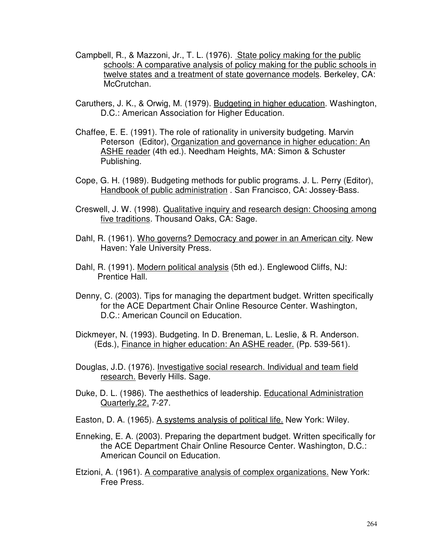- Campbell, R., & Mazzoni, Jr., T. L. (1976). State policy making for the public schools: A comparative analysis of policy making for the public schools in twelve states and a treatment of state governance models. Berkeley, CA: McCrutchan.
- Caruthers, J. K., & Orwig, M. (1979). Budgeting in higher education. Washington, D.C.: American Association for Higher Education.
- Chaffee, E. E. (1991). The role of rationality in university budgeting. Marvin Peterson (Editor), Organization and governance in higher education: An ASHE reader (4th ed.). Needham Heights, MA: Simon & Schuster Publishing.
- Cope, G. H. (1989). Budgeting methods for public programs. J. L. Perry (Editor), Handbook of public administration . San Francisco, CA: Jossey-Bass.
- Creswell, J. W. (1998). Qualitative inquiry and research design: Choosing among five traditions. Thousand Oaks, CA: Sage.
- Dahl, R. (1961). Who governs? Democracy and power in an American city. New Haven: Yale University Press.
- Dahl, R. (1991). Modern political analysis (5th ed.). Englewood Cliffs, NJ: Prentice Hall.
- Denny, C. (2003). Tips for managing the department budget. Written specifically for the ACE Department Chair Online Resource Center. Washington, D.C.: American Council on Education.
- Dickmeyer, N. (1993). Budgeting. In D. Breneman, L. Leslie, & R. Anderson. (Eds.), Finance in higher education: An ASHE reader. (Pp. 539-561).
- Douglas, J.D. (1976). Investigative social research. Individual and team field research. Beverly Hills. Sage.
- Duke, D. L. (1986). The aesthethics of leadership. Educational Administration Quarterly,22, 7-27.
- Easton, D. A. (1965). A systems analysis of political life. New York: Wiley.
- Enneking, E. A. (2003). Preparing the department budget. Written specifically for the ACE Department Chair Online Resource Center. Washington, D.C.: American Council on Education.
- Etzioni, A. (1961). A comparative analysis of complex organizations. New York: Free Press.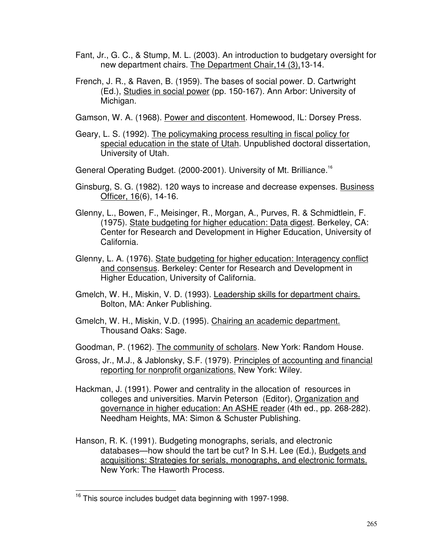- Fant, Jr., G. C., & Stump, M. L. (2003). An introduction to budgetary oversight for new department chairs. The Department Chair,14 (3),13-14.
- French, J. R., & Raven, B. (1959). The bases of social power. D. Cartwright (Ed.), Studies in social power (pp. 150-167). Ann Arbor: University of Michigan.
- Gamson, W. A. (1968). Power and discontent. Homewood, IL: Dorsey Press.
- Geary, L. S. (1992). The policymaking process resulting in fiscal policy for special education in the state of Utah. Unpublished doctoral dissertation, University of Utah.
- General Operating Budget. (2000-2001). University of Mt. Brilliance.<sup>16</sup>
- Ginsburg, S. G. (1982). 120 ways to increase and decrease expenses. Business Officer, 16(6), 14-16.
- Glenny, L., Bowen, F., Meisinger, R., Morgan, A., Purves, R. & Schmidtlein, F. (1975). State budgeting for higher education: Data digest. Berkeley, CA: Center for Research and Development in Higher Education, University of California.
- Glenny, L. A. (1976). State budgeting for higher education: Interagency conflict and consensus. Berkeley: Center for Research and Development in Higher Education, University of California.
- Gmelch, W. H., Miskin, V. D. (1993). Leadership skills for department chairs. Bolton, MA: Anker Publishing.
- Gmelch, W. H., Miskin, V.D. (1995). Chairing an academic department. Thousand Oaks: Sage.
- Goodman, P. (1962). The community of scholars. New York: Random House.
- Gross, Jr., M.J., & Jablonsky, S.F. (1979). Principles of accounting and financial reporting for nonprofit organizations. New York: Wiley.
- Hackman, J. (1991). Power and centrality in the allocation of resources in colleges and universities. Marvin Peterson (Editor), Organization and governance in higher education: An ASHE reader (4th ed., pp. 268-282). Needham Heights, MA: Simon & Schuster Publishing.
- Hanson, R. K. (1991). Budgeting monographs, serials, and electronic databases—how should the tart be cut? In S.H. Lee (Ed.), Budgets and acquisitions: Strategies for serials, monographs, and electronic formats. New York: The Haworth Process.

 $\overline{\phantom{0}}$ 

<sup>&</sup>lt;sup>16</sup> This source includes budget data beginning with 1997-1998.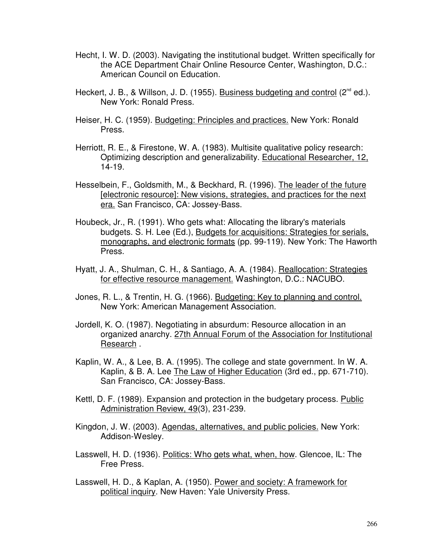- Hecht, I. W. D. (2003). Navigating the institutional budget. Written specifically for the ACE Department Chair Online Resource Center, Washington, D.C.: American Council on Education.
- Heckert, J. B., & Willson, J. D. (1955). Business budgeting and control (2<sup>nd</sup> ed.). New York: Ronald Press.
- Heiser, H. C. (1959). Budgeting: Principles and practices. New York: Ronald Press.
- Herriott, R. E., & Firestone, W. A. (1983). Multisite qualitative policy research: Optimizing description and generalizability. Educational Researcher, 12, 14-19.
- Hesselbein, F., Goldsmith, M., & Beckhard, R. (1996). The leader of the future [electronic resource]: New visions, strategies, and practices for the next era. San Francisco, CA: Jossey-Bass.
- Houbeck, Jr., R. (1991). Who gets what: Allocating the library's materials budgets. S. H. Lee (Ed.), Budgets for acquisitions: Strategies for serials, monographs, and electronic formats (pp. 99-119). New York: The Haworth Press.
- Hyatt, J. A., Shulman, C. H., & Santiago, A. A. (1984). Reallocation: Strategies for effective resource management. Washington, D.C.: NACUBO.
- Jones, R. L., & Trentin, H. G. (1966). Budgeting: Key to planning and control. New York: American Management Association.
- Jordell, K. O. (1987). Negotiating in absurdum: Resource allocation in an organized anarchy. 27th Annual Forum of the Association for Institutional Research.
- Kaplin, W. A., & Lee, B. A. (1995). The college and state government. In W. A. Kaplin, & B. A. Lee The Law of Higher Education (3rd ed., pp. 671-710). San Francisco, CA: Jossey-Bass.
- Kettl, D. F. (1989). Expansion and protection in the budgetary process. Public Administration Review, 49(3), 231-239.
- Kingdon, J. W. (2003). Agendas, alternatives, and public policies. New York: Addison-Wesley.
- Lasswell, H. D. (1936). Politics: Who gets what, when, how. Glencoe, IL: The Free Press.
- Lasswell, H. D., & Kaplan, A. (1950). Power and society: A framework for political inquiry. New Haven: Yale University Press.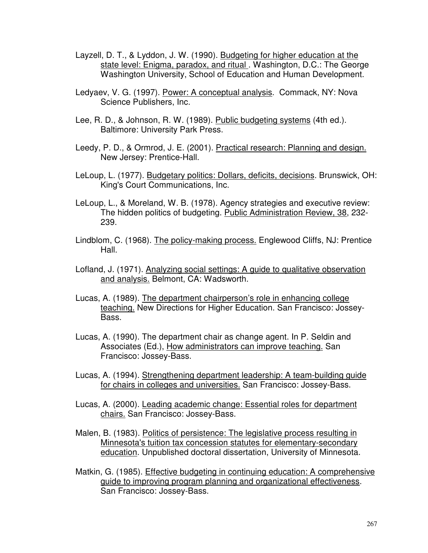- Layzell, D. T., & Lyddon, J. W. (1990). Budgeting for higher education at the state level: Enigma, paradox, and ritual . Washington, D.C.: The George Washington University, School of Education and Human Development.
- Ledyaev, V. G. (1997). Power: A conceptual analysis. Commack, NY: Nova Science Publishers, Inc.
- Lee, R. D., & Johnson, R. W. (1989). Public budgeting systems (4th ed.). Baltimore: University Park Press.
- Leedy, P. D., & Ormrod, J. E. (2001). Practical research: Planning and design. New Jersey: Prentice-Hall.
- LeLoup, L. (1977). Budgetary politics: Dollars, deficits, decisions. Brunswick, OH: King's Court Communications, Inc.
- LeLoup, L., & Moreland, W. B. (1978). Agency strategies and executive review: The hidden politics of budgeting. Public Administration Review, 38, 232- 239.
- Lindblom, C. (1968). The policy-making process. Englewood Cliffs, NJ: Prentice Hall.
- Lofland, J. (1971). Analyzing social settings: A guide to qualitative observation and analysis. Belmont, CA: Wadsworth.
- Lucas, A. (1989). The department chairperson's role in enhancing college teaching. New Directions for Higher Education. San Francisco: Jossey-Bass.
- Lucas, A. (1990). The department chair as change agent. In P. Seldin and Associates (Ed.), How administrators can improve teaching. San Francisco: Jossey-Bass.
- Lucas, A. (1994). Strengthening department leadership: A team-building guide for chairs in colleges and universities. San Francisco: Jossey-Bass.
- Lucas, A. (2000). Leading academic change: Essential roles for department chairs. San Francisco: Jossey-Bass.
- Malen, B. (1983). Politics of persistence: The legislative process resulting in Minnesota's tuition tax concession statutes for elementary-secondary education. Unpublished doctoral dissertation, University of Minnesota.
- Matkin, G. (1985). Effective budgeting in continuing education: A comprehensive guide to improving program planning and organizational effectiveness. San Francisco: Jossey-Bass.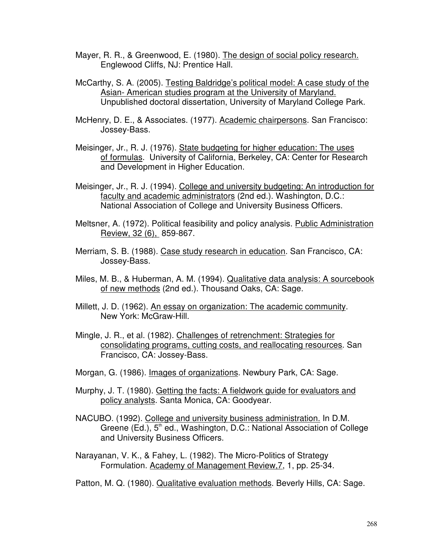- Mayer, R. R., & Greenwood, E. (1980). The design of social policy research. Englewood Cliffs, NJ: Prentice Hall.
- McCarthy, S. A. (2005). Testing Baldridge's political model: A case study of the Asian- American studies program at the University of Maryland. Unpublished doctoral dissertation, University of Maryland College Park.
- McHenry, D. E., & Associates. (1977). Academic chairpersons. San Francisco: Jossey-Bass.
- Meisinger, Jr., R. J. (1976). State budgeting for higher education: The uses of formulas. University of California, Berkeley, CA: Center for Research and Development in Higher Education.
- Meisinger, Jr., R. J. (1994). College and university budgeting: An introduction for faculty and academic administrators (2nd ed.). Washington, D.C.: National Association of College and University Business Officers.
- Meltsner, A. (1972). Political feasibility and policy analysis. Public Administration Review, 32 (6), 859-867.
- Merriam, S. B. (1988). Case study research in education. San Francisco, CA: Jossey-Bass.
- Miles, M. B., & Huberman, A. M. (1994). Qualitative data analysis: A sourcebook of new methods (2nd ed.). Thousand Oaks, CA: Sage.
- Millett, J. D. (1962). An essay on organization: The academic community. New York: McGraw-Hill.
- Mingle, J. R., et al. (1982). Challenges of retrenchment: Strategies for consolidating programs, cutting costs, and reallocating resources. San Francisco, CA: Jossey-Bass.
- Morgan, G. (1986). Images of organizations. Newbury Park, CA: Sage.
- Murphy, J. T. (1980). Getting the facts: A fieldwork guide for evaluators and policy analysts. Santa Monica, CA: Goodyear.
- NACUBO. (1992). College and university business administration. In D.M. Greene (Ed.), 5<sup>th</sup> ed., Washington, D.C.: National Association of College and University Business Officers.

Narayanan, V. K., & Fahey, L. (1982). The Micro-Politics of Strategy Formulation. Academy of Management Review,7, 1, pp. 25-34.

Patton, M. Q. (1980). Qualitative evaluation methods. Beverly Hills, CA: Sage.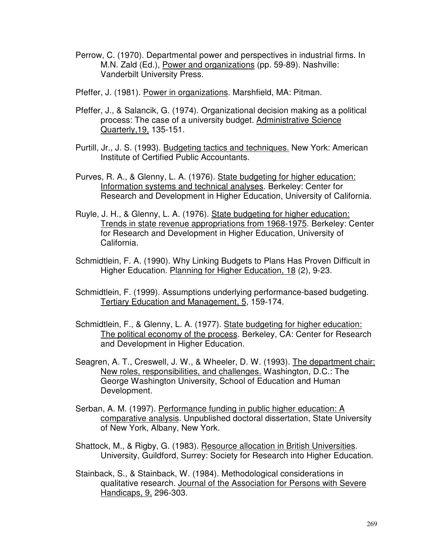- Perrow, C. (1970). Departmental power and perspectives in industrial firms. In M.N. Zald (Ed.), Power and organizations (pp. 59-89). Nashville: Vanderbilt University Press.
- Pfeffer, J. (1981). Power in organizations. Marshfield, MA: Pitman.
- Pfeffer, J., & Salancik, G. (1974). Organizational decision making as a political process: The case of a university budget. Administrative Science Quarterly,19, 135-151.
- Purtill, Jr., J. S. (1993). Budgeting tactics and techniques. New York: American Institute of Certified Public Accountants.
- Purves, R. A., & Glenny, L. A. (1976). State budgeting for higher education: Information systems and technical analyses. Berkeley: Center for Research and Development in Higher Education, University of California.
- Ruyle, J. H., & Glenny, L. A. (1976). State budgeting for higher education: Trends in state revenue appropriations from 1968-1975. Berkeley: Center for Research and Development in Higher Education, University of California.
- Schmidtlein, F. A. (1990). Why Linking Budgets to Plans Has Proven Difficult in Higher Education. Planning for Higher Education, 18 (2), 9-23.
- Schmidtlein, F. (1999). Assumptions underlying performance-based budgeting. Tertiary Education and Management, 5, 159-174.
- Schmidtlein, F., & Glenny, L. A. (1977). State budgeting for higher education: The political economy of the process. Berkeley, CA: Center for Research and Development in Higher Education.
- Seagren, A. T., Creswell, J. W., & Wheeler, D. W. (1993). The department chair: New roles, responsibilities, and challenges. Washington, D.C.: The George Washington University, School of Education and Human Development.
- Serban, A. M. (1997). Performance funding in public higher education: A comparative analysis. Unpublished doctoral dissertation, State University of New York, Albany, New York.
- Shattock, M., & Rigby, G. (1983). Resource allocation in British Universities. University, Guildford, Surrey: Society for Research into Higher Education.
- Stainback, S., & Stainback, W. (1984). Methodological considerations in qualitative research. Journal of the Association for Persons with Severe Handicaps, 9, 296-303.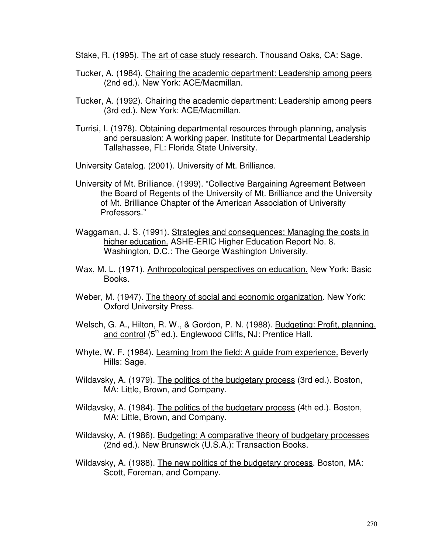Stake, R. (1995). The art of case study research. Thousand Oaks, CA: Sage.

- Tucker, A. (1984). Chairing the academic department: Leadership among peers (2nd ed.). New York: ACE/Macmillan.
- Tucker, A. (1992). Chairing the academic department: Leadership among peers (3rd ed.). New York: ACE/Macmillan.
- Turrisi, I. (1978). Obtaining departmental resources through planning, analysis and persuasion: A working paper. Institute for Departmental Leadership Tallahassee, FL: Florida State University.
- University Catalog. (2001). University of Mt. Brilliance.
- University of Mt. Brilliance. (1999). "Collective Bargaining Agreement Between the Board of Regents of the University of Mt. Brilliance and the University of Mt. Brilliance Chapter of the American Association of University Professors."
- Waggaman, J. S. (1991). Strategies and consequences: Managing the costs in higher education. ASHE-ERIC Higher Education Report No. 8. Washington, D.C.: The George Washington University.
- Wax, M. L. (1971). Anthropological perspectives on education. New York: Basic Books.
- Weber, M. (1947). The theory of social and economic organization. New York: Oxford University Press.
- Welsch, G. A., Hilton, R. W., & Gordon, P. N. (1988). Budgeting: Profit, planning, and control  $(5<sup>th</sup>$  ed.). Englewood Cliffs, NJ: Prentice Hall.
- Whyte, W. F. (1984). Learning from the field: A guide from experience. Beverly Hills: Sage.
- Wildavsky, A. (1979). The politics of the budgetary process (3rd ed.). Boston, MA: Little, Brown, and Company.
- Wildavsky, A. (1984). The politics of the budgetary process (4th ed.). Boston, MA: Little, Brown, and Company.
- Wildavsky, A. (1986). Budgeting: A comparative theory of budgetary processes (2nd ed.). New Brunswick (U.S.A.): Transaction Books.
- Wildavsky, A. (1988). The new politics of the budgetary process. Boston, MA: Scott, Foreman, and Company.